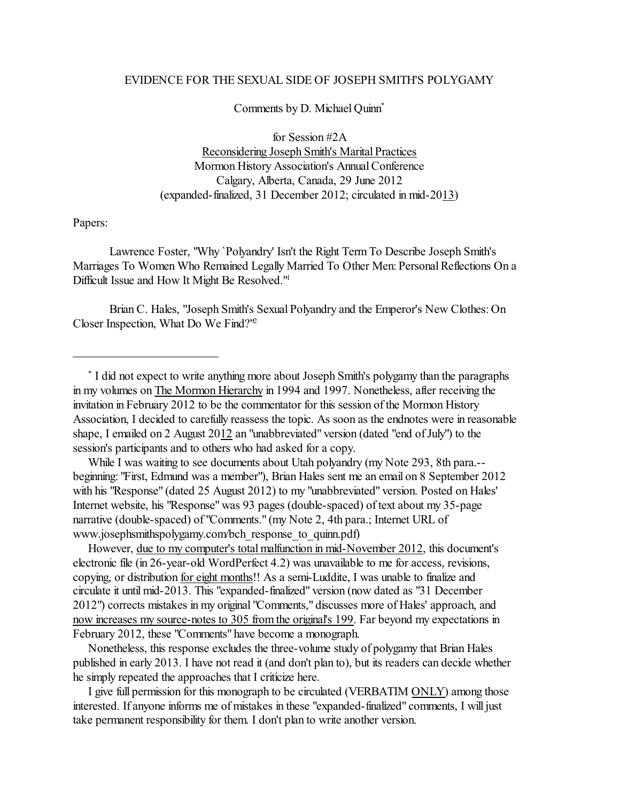## EVIDENCE FOR THE SEXUAL SIDE OF JOSEPH SMITH'S POLYGAMY

Comments by D. Michael Quinn \*

for Session #2A Reconsidering Joseph Smith's Marital Practices Mormon History Association's Annual Conference Calgary, Alberta, Canada, 29 June 2012 (expanded-finalized, 31 December 2012; circulated in mid-2013)

Papers:

Lawrence Foster, "Why `Polyandry' Isn't the Right TermTo Describe Joseph Smith's Marriages To Women Who Remained Legally Married To Other Men: Personal Reflections On a Difficult Issue and How It Might Be Resolved."<sup>1</sup>

Brian C. Hales, "Joseph Smith's Sexual Polyandry and the Emperor's New Clothes: On Closer Inspection, What Do We Find?" 2

\* I did not expect to write anything more about Joseph Smith's polygamy than the paragraphs in my volumes on The Mormon Hierarchy in 1994 and 1997. Nonetheless, after receiving the invitation in February 2012 to be the commentator for this session of the Mormon History Association, I decided to carefully reassess the topic. As soon as the endnotes were in reasonable shape, I emailed on 2 August 2012 an "unabbreviated" version (dated "end of July") to the session's participants and to others who had asked for a copy.

 While I was waiting to see documents about Utah polyandry (my Note 293, 8th para.- beginning: "First, Edmund was a member"), Brian Hales sent me an email on 8 September 2012 with his "Response" (dated 25 August 2012) to my "unabbreviated" version. Posted on Hales' Internet website, his "Response" was 93 pages (double-spaced) of text about my 35-page narrative (double-spaced) of "Comments." (my Note 2, 4th para.; Internet URL of www.josephsmithspolygamy.com/bch\_response\_to\_quinn.pdf)

 However, due to my computer's total malfunction in mid-November 2012, this document's electronic file (in 26-year-old WordPerfect 4.2) was unavailable to me for access, revisions, copying, or distribution for eight months!! As a semi-Luddite, I was unable to finalize and circulate it until mid-2013. This "expanded-finalized" version (now dated as "31 December 2012") corrects mistakes in my original "Comments," discusses more of Hales' approach, and now increases my source-notes to 305 from the original's 199. Far beyond my expectations in February 2012, these "Comments" have become a monograph.

 Nonetheless, this response excludes the three-volume study of polygamy that Brian Hales published in early 2013. I have not read it (and don't plan to), but its readers can decide whether he simply repeated the approaches that I criticize here.

 I give full permission for this monograph to be circulated (VERBATIM ONLY) among those interested. If anyone informs me of mistakes in these "expanded-finalized" comments, I will just take permanent responsibility for them. I don't plan to write another version.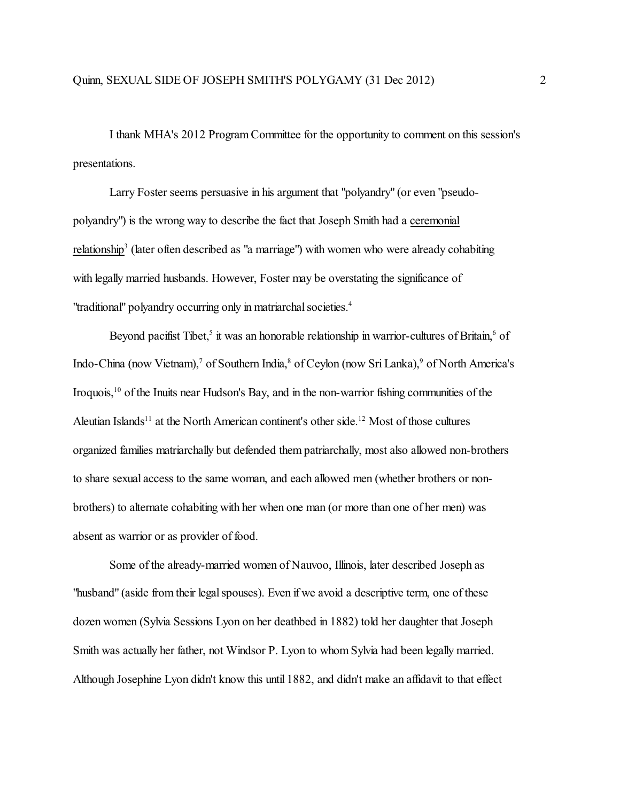I thank MHA's 2012 Program Committee for the opportunity to comment on this session's presentations.

Larry Foster seems persuasive in his argument that "polyandry" (or even "pseudopolyandry") is the wrong way to describe the fact that Joseph Smith had a ceremonial relationship<sup>3</sup> (later often described as "a marriage") with women who were already cohabiting with legally married husbands. However, Foster may be overstating the significance of "traditional" polyandry occurring only in matriarchal societies. 4

Beyond pacifist Tibet,<sup>5</sup> it was an honorable relationship in warrior-cultures of Britain,<sup>6</sup> of Indo-China (now Vietnam),<sup>7</sup> of Southern India,<sup>8</sup> of Ceylon (now Sri Lanka),<sup>9</sup> of North America's Iroquois,<sup>10</sup> of the Inuits near Hudson's Bay, and in the non-warrior fishing communities of the Aleutian Islands<sup>11</sup> at the North American continent's other side.<sup>12</sup> Most of those cultures organized families matriarchally but defended them patriarchally, most also allowed non-brothers to share sexual access to the same woman, and each allowed men (whether brothers or nonbrothers) to alternate cohabiting with her when one man (or more than one of her men) was absent as warrior or as provider of food.

Some of the already-married women of Nauvoo, Illinois, later described Joseph as "husband" (aside from their legal spouses). Even if we avoid a descriptive term, one of these dozen women (Sylvia Sessions Lyon on her deathbed in 1882) told her daughter that Joseph Smith was actually her father, not Windsor P. Lyon to whom Sylvia had been legally married. Although Josephine Lyon didn't know this until 1882, and didn't make an affidavit to that effect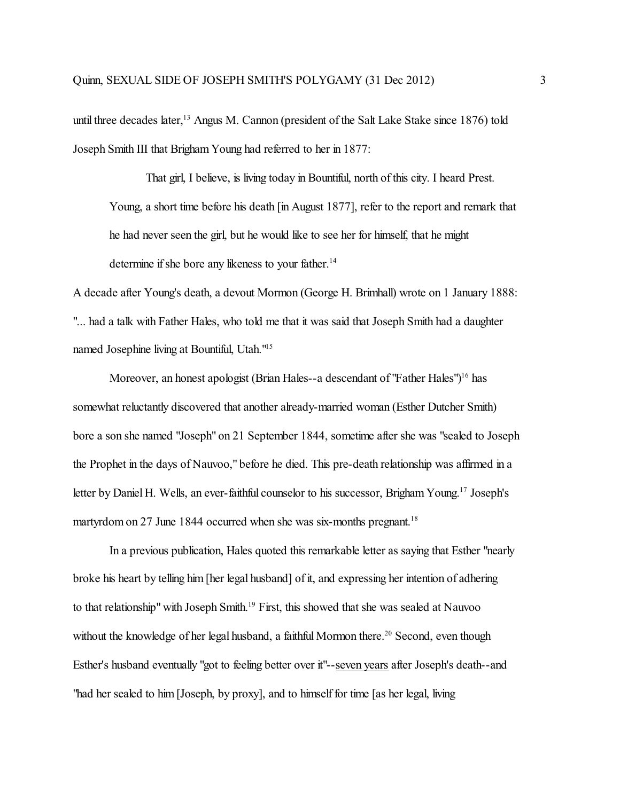until three decades later,<sup>13</sup> Angus M. Cannon (president of the Salt Lake Stake since 1876) told Joseph Smith III that Brigham Young had referred to her in 1877:

That girl, I believe, is living today in Bountiful, north of this city. I heard Prest. Young, a short time before his death [in August 1877], refer to the report and remark that he had never seen the girl, but he would like to see her for himself, that he might determine if she bore any likeness to your father. 14

A decade after Young's death, a devout Mormon (George H. Brimhall) wrote on 1 January 1888: "... had a talk with Father Hales, who told me that it was said that Joseph Smith had a daughter named Josephine living at Bountiful, Utah."<sup>15</sup>

Moreover, an honest apologist (Brian Hales--a descendant of "Father Hales")<sup>16</sup> has somewhat reluctantly discovered that another already-married woman (Esther Dutcher Smith) bore a son she named "Joseph" on 21 September 1844, sometime after she was "sealed to Joseph the Prophet in the days of Nauvoo," before he died. This pre-death relationship was affirmed in a letter by Daniel H. Wells, an ever-faithful counselor to his successor, Brigham Young.<sup>17</sup> Joseph's martyrdom on 27 June 1844 occurred when she was six-months pregnant.<sup>18</sup>

In a previous publication, Hales quoted this remarkable letter as saying that Esther "nearly broke his heart by telling him [her legal husband] of it, and expressing her intention of adhering to that relationship" with Joseph Smith.<sup>19</sup> First, this showed that she was sealed at Nauvoo without the knowledge of her legal husband, a faithful Mormon there.<sup>20</sup> Second, even though Esther's husband eventually "got to feeling better over it"--seven years after Joseph's death--and "had her sealed to him[Joseph, by proxy], and to himself for time [as her legal, living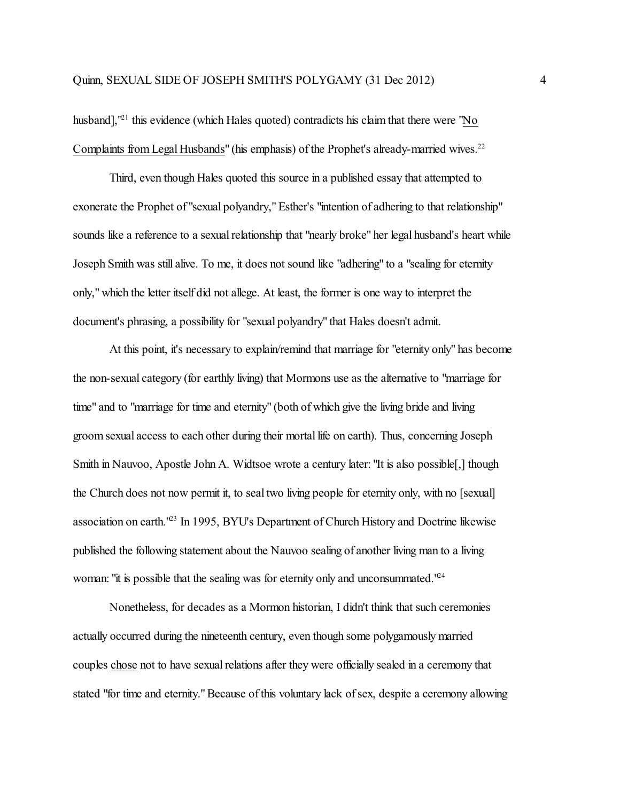husband],<sup>121</sup> this evidence (which Hales quoted) contradicts his claim that there were "No Complaints from Legal Husbands" (his emphasis) of the Prophet's already-married wives.<sup>22</sup>

Third, even though Hales quoted this source in a published essay that attempted to exonerate the Prophet of "sexual polyandry," Esther's "intention of adhering to that relationship" sounds like a reference to a sexual relationship that "nearly broke" her legal husband's heart while Joseph Smith was still alive. To me, it does not sound like "adhering" to a "sealing for eternity only," which the letter itself did not allege. At least, the former is one way to interpret the document's phrasing, a possibility for "sexual polyandry" that Hales doesn't admit.

At this point, it's necessary to explain/remind that marriage for "eternity only" has become the non-sexual category (for earthly living) that Mormons use as the alternative to "marriage for time" and to "marriage for time and eternity" (both of which give the living bride and living groom sexual access to each other during their mortal life on earth). Thus, concerning Joseph Smith in Nauvoo, Apostle John A. Widtsoe wrote a century later: "It is also possible[,] though the Church does not now permit it, to seal two living people for eternity only, with no [sexual] association on earth.<sup>123</sup> In 1995, BYU's Department of Church History and Doctrine likewise published the following statement about the Nauvoo sealing of another living man to a living woman: "it is possible that the sealing was for eternity only and unconsummated."<sup>24</sup>

Nonetheless, for decades as a Mormon historian, I didn't think that such ceremonies actually occurred during the nineteenth century, even though some polygamously married couples chose not to have sexual relations after they were officially sealed in a ceremony that stated "for time and eternity."Because of this voluntary lack of sex, despite a ceremony allowing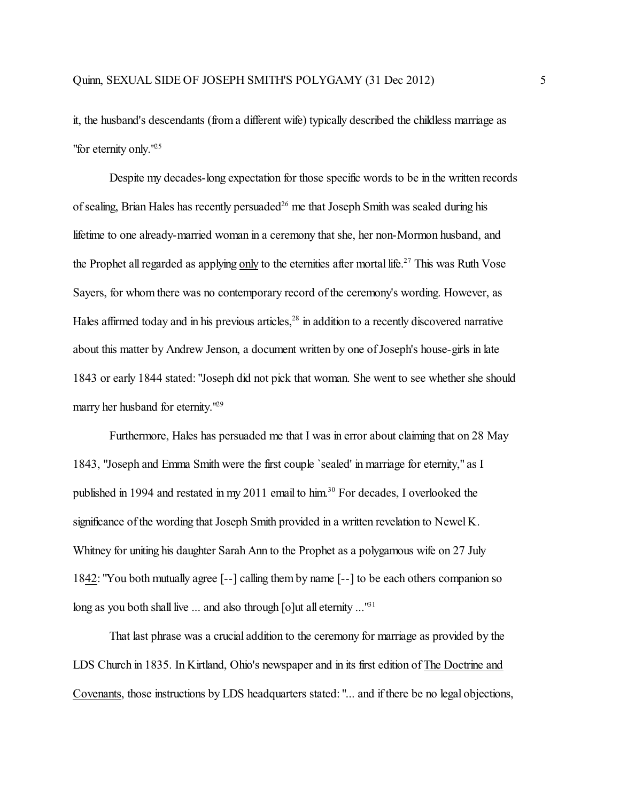it, the husband's descendants (from a different wife) typically described the childless marriage as "for eternity only."<sup>25</sup>

Despite my decades-long expectation for those specific words to be in the written records of sealing, Brian Hales has recently persuaded<sup>26</sup> me that Joseph Smith was sealed during his lifetime to one already-married woman in a ceremony that she, her non-Mormon husband, and the Prophet all regarded as applying only to the eternities after mortal life.<sup>27</sup> This was Ruth Vose Sayers, for whom there was no contemporary record of the ceremony's wording. However, as Hales affirmed today and in his previous articles,<sup>28</sup> in addition to a recently discovered narrative about this matter by Andrew Jenson, a document written by one of Joseph's house-girls in late 1843 or early 1844 stated: "Joseph did not pick that woman. She went to see whether she should marry her husband for eternity."<sup>29</sup>

Furthermore, Hales has persuaded me that I was in error about claiming that on 28 May 1843, "Joseph and Emma Smith were the first couple `sealed' in marriage for eternity," as I published in 1994 and restated in my 2011 email to him.<sup>30</sup> For decades, I overlooked the significance of the wording that Joseph Smith provided in a written revelation to Newel K. Whitney for uniting his daughter Sarah Ann to the Prophet as a polygamous wife on 27 July 1842: "You both mutually agree [--] calling them by name [--] to be each others companion so long as you both shall live  $\ldots$  and also through [o]ut all eternity  $\ldots$ <sup>161</sup>

That last phrase was a crucial addition to the ceremony for marriage as provided by the LDS Church in 1835. In Kirtland, Ohio's newspaper and in its first edition of The Doctrine and Covenants, those instructions by LDS headquarters stated: "... and if there be no legal objections,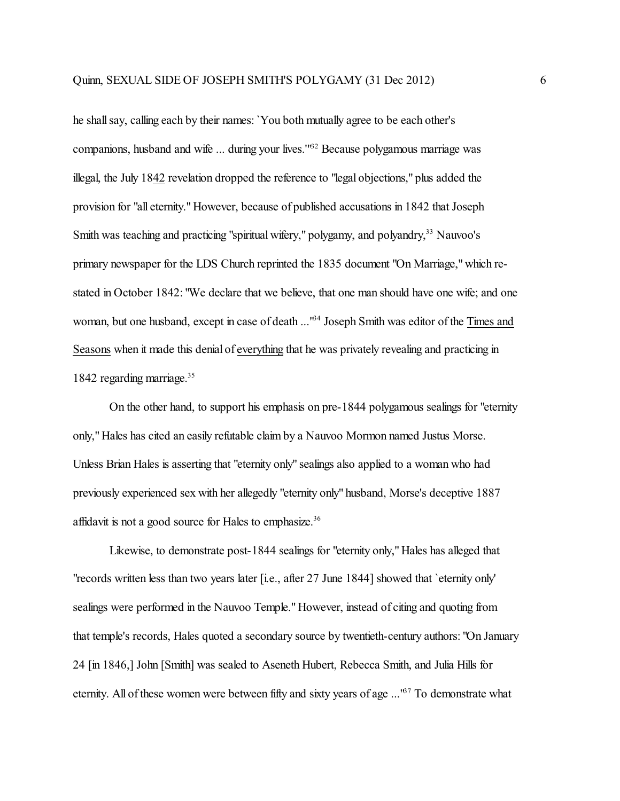he shall say, calling each by their names: `You both mutually agree to be each other's companions, husband and wife ... during your lives."<sup>62</sup> Because polygamous marriage was illegal, the July 1842 revelation dropped the reference to "legal objections," plus added the provision for "all eternity." However, because of published accusations in 1842 that Joseph Smith was teaching and practicing "spiritual wifery," polygamy, and polyandry,<sup>33</sup> Nauvoo's primary newspaper for the LDS Church reprinted the 1835 document "On Marriage," which restated in October 1842: "We declare that we believe, that one man should have one wife; and one woman, but one husband, except in case of death ..."<sup>64</sup> Joseph Smith was editor of the Times and Seasons when it made this denial of everything that he was privately revealing and practicing in 1842 regarding marriage. 35

On the other hand, to support his emphasis on pre-1844 polygamous sealings for "eternity only," Hales has cited an easily refutable claim by a Nauvoo Mormon named Justus Morse. Unless Brian Hales is asserting that "eternity only" sealings also applied to a woman who had previously experienced sex with her allegedly "eternity only" husband, Morse's deceptive 1887 affidavit is not a good source for Hales to emphasize.<sup>36</sup>

Likewise, to demonstrate post-1844 sealings for "eternity only," Hales has alleged that "records written less than two years later [i.e., after 27 June 1844] showed that `eternity only' sealings were performed in the Nauvoo Temple." However, instead of citing and quoting from that temple's records, Hales quoted a secondary source by twentieth-century authors: "On January 24 [in 1846,] John [Smith] was sealed to Aseneth Hubert, Rebecca Smith, and Julia Hills for eternity. All of these women were between fifty and sixty years of age ...<sup>167</sup> To demonstrate what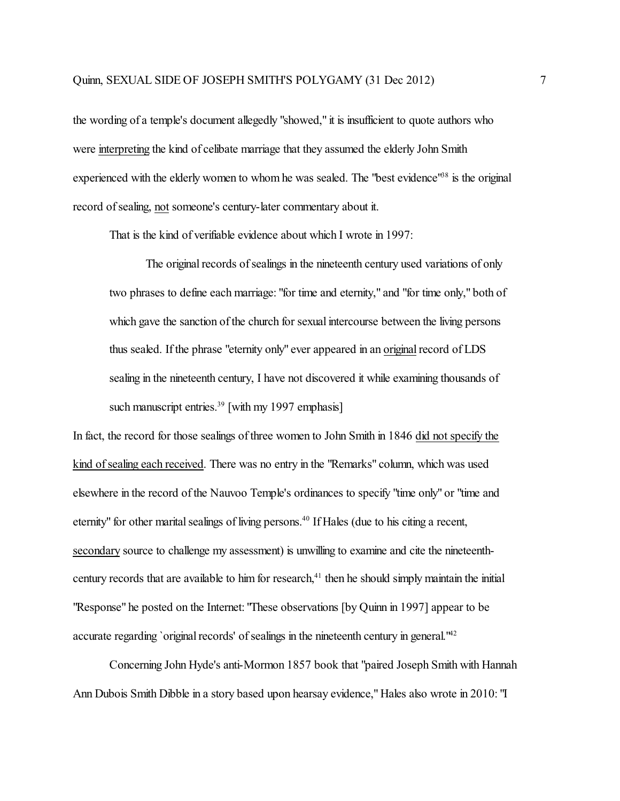the wording of a temple's document allegedly "showed," it is insufficient to quote authors who were interpreting the kind of celibate marriage that they assumed the elderly John Smith experienced with the elderly women to whom he was sealed. The "best evidence"<sup>38</sup> is the original record of sealing, not someone's century-later commentary about it.

That is the kind of verifiable evidence about which I wrote in 1997:

The original records of sealings in the nineteenth century used variations of only two phrases to define each marriage: "for time and eternity," and "for time only," both of which gave the sanction of the church for sexual intercourse between the living persons thus sealed. If the phrase "eternity only" ever appeared in an original record of LDS sealing in the nineteenth century, I have not discovered it while examining thousands of such manuscript entries.<sup>39</sup> [with my 1997 emphasis]

In fact, the record for those sealings of three women to John Smith in 1846 did not specify the kind of sealing each received. There was no entry in the "Remarks" column, which was used elsewhere in the record ofthe Nauvoo Temple's ordinances to specify "time only" or "time and eternity" for other marital sealings of living persons. 40 If Hales (due to his citing a recent, secondary source to challenge my assessment) is unwilling to examine and cite the nineteenthcentury records that are available to him for research,<sup>41</sup> then he should simply maintain the initial "Response" he posted on the Internet: "These observations [by Quinn in 1997] appear to be accurate regarding `original records' of sealings in the nineteenth century in general.<sup>142</sup>

Concerning John Hyde's anti-Mormon 1857 book that "paired Joseph Smith with Hannah Ann Dubois Smith Dibble in a story based upon hearsay evidence," Hales also wrote in 2010: "I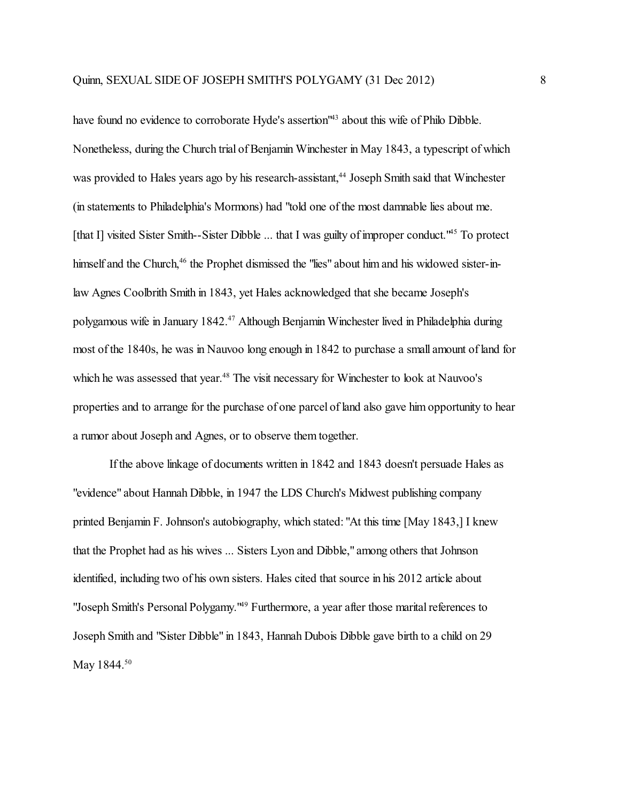have found no evidence to corroborate Hyde's assertion<sup>143</sup> about this wife of Philo Dibble. Nonetheless, during the Church trial of Benjamin Winchester in May 1843, a typescript of which was provided to Hales years ago by his research-assistant, 44 Joseph Smith said that Winchester (in statements to Philadelphia's Mormons) had "told one of the most damnable lies about me. [that I] visited Sister Smith--Sister Dibble ... that I was guilty of improper conduct.<sup>145</sup> To protect himself and the Church,<sup>46</sup> the Prophet dismissed the "lies" about him and his widowed sister-inlaw Agnes Coolbrith Smith in 1843, yet Hales acknowledged that she became Joseph's polygamous wife in January 1842.<sup>47</sup> Although Benjamin Winchester lived in Philadelphia during most of the 1840s, he was in Nauvoo long enough in 1842 to purchase a small amount of land for which he was assessed that year.<sup>48</sup> The visit necessary for Winchester to look at Nauvoo's properties and to arrange for the purchase of one parcel of land also gave him opportunity to hear a rumor about Joseph and Agnes, or to observe them together.

If the above linkage of documents written in 1842 and 1843 doesn't persuade Hales as "evidence" about Hannah Dibble, in 1947 the LDS Church's Midwest publishing company printed Benjamin F. Johnson's autobiography, which stated: "At this time [May 1843,] I knew that the Prophet had as his wives ... Sisters Lyon and Dibble," among others that Johnson identified, including two of his own sisters. Hales cited that source in his 2012 article about "Joseph Smith's Personal Polygamy.<sup>149</sup> Furthermore, a year after those marital references to Joseph Smith and "Sister Dibble" in 1843, Hannah Dubois Dibble gave birth to a child on 29 May 1844.<sup>50</sup>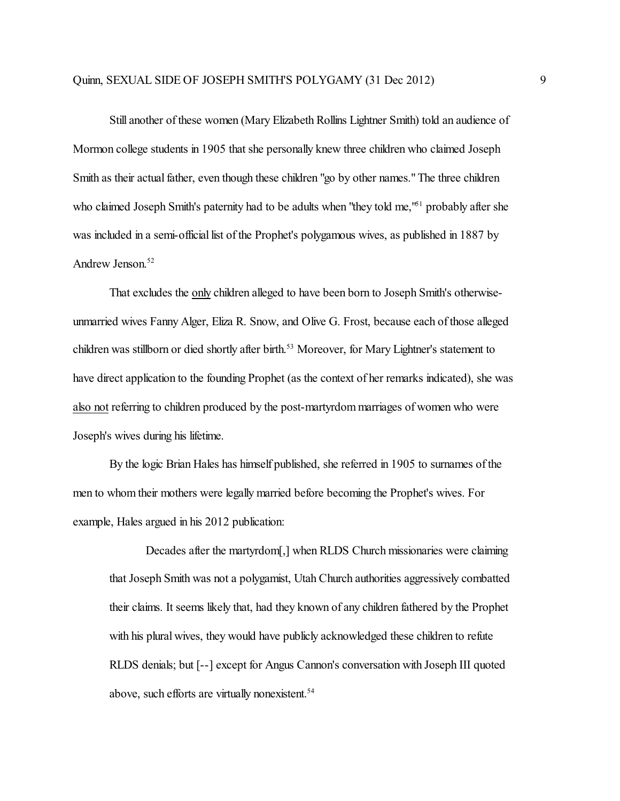Still another of these women (Mary Elizabeth Rollins Lightner Smith) told an audience of Mormon college students in 1905 that she personally knew three children who claimed Joseph Smith as their actual father, even though these children "go by other names." The three children who claimed Joseph Smith's paternity had to be adults when "they told me,"<sup>51</sup> probably after she was included in a semi-official list of the Prophet's polygamous wives, as published in 1887 by Andrew Jenson. 52

That excludes the only children alleged to have been born to Joseph Smith's otherwiseunmarried wives Fanny Alger, Eliza R. Snow, and Olive G. Frost, because each of those alleged children was stillborn or died shortly after birth.<sup>53</sup> Moreover, for Mary Lightner's statement to have direct application to the founding Prophet (as the context of her remarks indicated), she was also not referring to children produced by the post-martyrdom marriages of women who were Joseph's wives during his lifetime.

By the logic Brian Hales has himself published, she referred in 1905 to surnames of the men to whom their mothers were legally married before becoming the Prophet's wives. For example, Hales argued in his 2012 publication:

Decades after the martyrdom[,] when RLDS Church missionaries were claiming that Joseph Smith was not a polygamist, Utah Church authorities aggressively combatted their claims. It seems likely that, had they known of any children fathered by the Prophet with his plural wives, they would have publicly acknowledged these children to refute RLDS denials; but [--] except for Angus Cannon's conversation with Joseph III quoted above, such efforts are virtually nonexistent. 54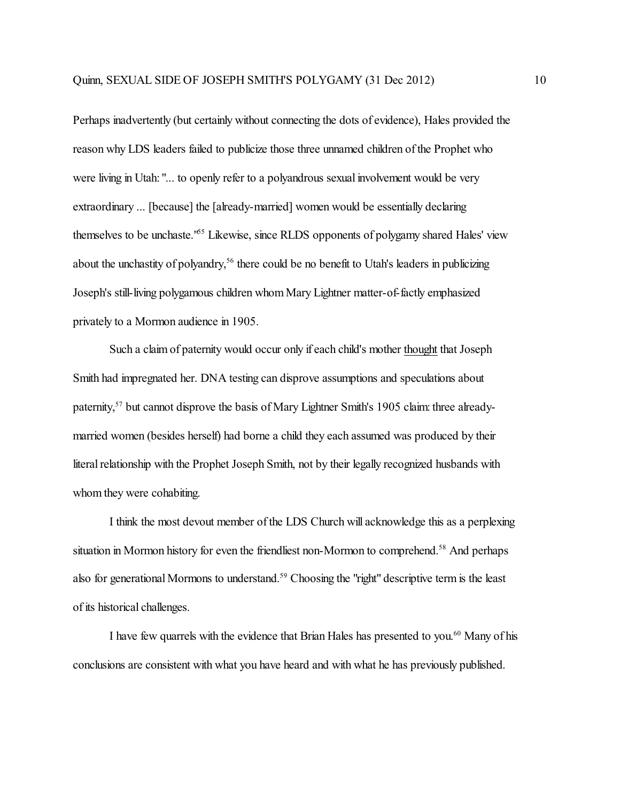Perhaps inadvertently (but certainly without connecting the dots of evidence), Hales provided the reason why LDS leaders failed to publicize those three unnamed children ofthe Prophet who were living in Utah: "... to openly refer to a polyandrous sexual involvement would be very extraordinary ... [because] the [already-married] women would be essentially declaring themselves to be unchaste.<sup>165</sup> Likewise, since RLDS opponents of polygamy shared Hales' view about the unchastity of polyandry,<sup>56</sup> there could be no benefit to Utah's leaders in publicizing Joseph's still-living polygamous children whom Mary Lightner matter-of-factly emphasized privately to a Mormon audience in 1905.

Such a claim of paternity would occur only if each child's mother thought that Joseph Smith had impregnated her. DNA testing can disprove assumptions and speculations about paternity,<sup>57</sup> but cannot disprove the basis of Mary Lightner Smith's 1905 claim: three alreadymarried women (besides herself) had borne a child they each assumed was produced by their literal relationship with the Prophet Joseph Smith, not by their legally recognized husbands with whom they were cohabiting.

I think the most devout member of the LDS Church will acknowledge this as a perplexing situation in Mormon history for even the friendliest non-Mormon to comprehend.<sup>58</sup> And perhaps also for generational Mormons to understand.<sup>59</sup> Choosing the "right" descriptive term is the least of its historical challenges.

I have few quarrels with the evidence that Brian Hales has presented to you.<sup>60</sup> Many of his conclusions are consistent with what you have heard and with what he has previously published.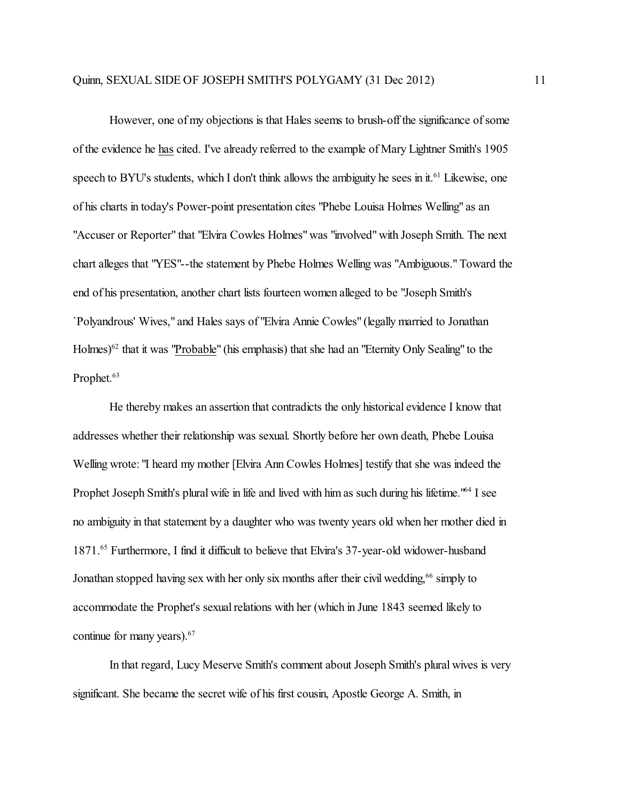However, one of my objections is that Hales seems to brush-off the significance of some of the evidence he has cited. I've already referred to the example of Mary Lightner Smith's 1905 speech to BYU's students, which I don't think allows the ambiguity he sees in it.<sup>61</sup> Likewise, one of his charts in today's Power-point presentation cites "Phebe Louisa Holmes Welling" as an "Accuser or Reporter" that "Elvira Cowles Holmes" was "involved" with Joseph Smith. The next chart alleges that "YES"--the statement by Phebe Holmes Welling was "Ambiguous." Toward the end of his presentation, another chart lists fourteen women alleged to be "Joseph Smith's `Polyandrous' Wives," and Hales says of "Elvira Annie Cowles" (legally married to Jonathan Holmes)<sup>62</sup> that it was "Probable" (his emphasis) that she had an "Eternity Only Sealing" to the Prophet. 63

He thereby makes an assertion that contradicts the only historical evidence I know that addresses whether their relationship was sexual. Shortly before her own death, Phebe Louisa Welling wrote: "I heard my mother [Elvira Ann Cowles Holmes] testify that she was indeed the Prophet Joseph Smith's plural wife in life and lived with him as such during his lifetime.<sup>164</sup> I see no ambiguity in that statement by a daughter who was twenty years old when her mother died in 1871.<sup>65</sup> Furthermore, I find it difficult to believe that Elvira's 37-year-old widower-husband Jonathan stopped having sex with her only six months after their civil wedding,<sup>66</sup> simply to accommodate the Prophet's sexual relations with her (which in June 1843 seemed likely to continue for many years). 67

In that regard, Lucy Meserve Smith's comment about Joseph Smith's plural wives is very significant. She became the secret wife of his first cousin, Apostle George A. Smith, in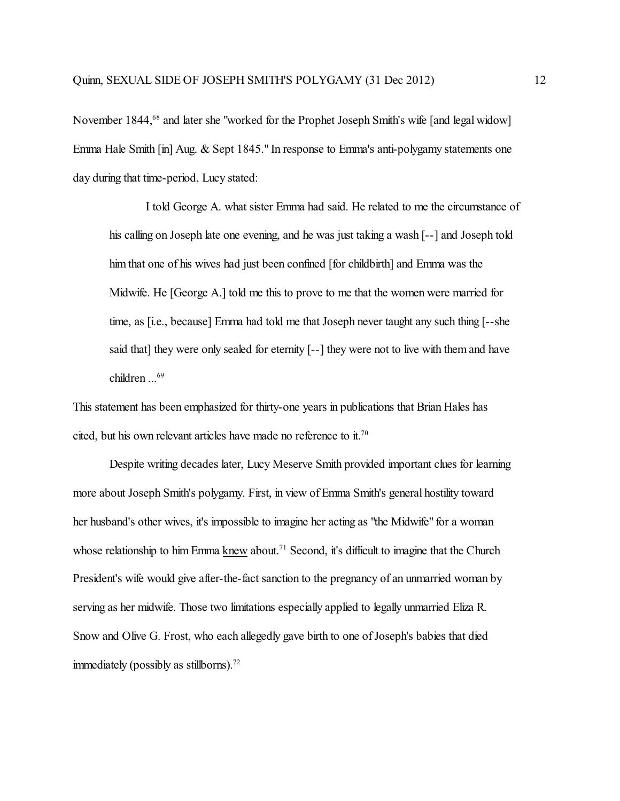November 1844,<sup>68</sup> and later she "worked for the Prophet Joseph Smith's wife [and legal widow] Emma Hale Smith [in] Aug. & Sept 1845." In response to Emma's anti-polygamy statements one day during that time-period, Lucy stated:

I told George A. what sister Emma had said. He related to me the circumstance of his calling on Joseph late one evening, and he was just taking a wash [--] and Joseph told him that one of his wives had just been confined [for childbirth] and Emma was the Midwife. He [George A.] told me this to prove to me that the women were married for time, as [i.e., because] Emma had told me that Joseph never taught any such thing [--she said that] they were only sealed for eternity [--] they were not to live with them and have children ... 69

This statement has been emphasized for thirty-one years in publications that Brian Hales has cited, but his own relevant articles have made no reference to it.<sup>70</sup>

Despite writing decades later, Lucy Meserve Smith provided important clues for learning more about Joseph Smith's polygamy. First, in view of Emma Smith's general hostility toward her husband's other wives, it's impossible to imagine her acting as "the Midwife" for a woman whose relationship to him Emma knew about.<sup>71</sup> Second, it's difficult to imagine that the Church President's wife would give after-the-fact sanction to the pregnancy of an unmarried woman by serving as her midwife. Those two limitations especially applied to legally unmarried Eliza R. Snow and Olive G. Frost, who each allegedly gave birth to one of Joseph's babies that died immediately (possibly as stillborns). $72$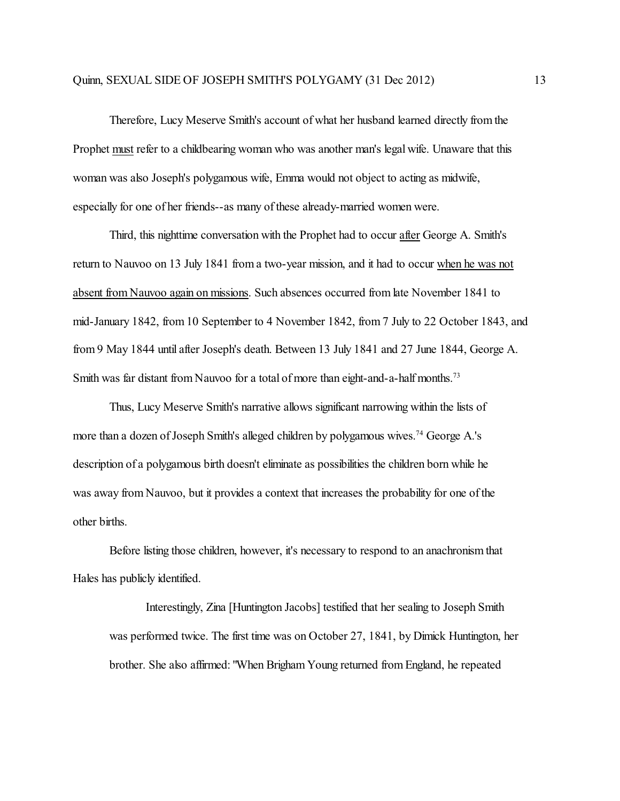Therefore, Lucy Meserve Smith's account of what her husband learned directly from the Prophet must refer to a childbearing woman who was another man's legal wife. Unaware that this woman was also Joseph's polygamous wife, Emma would not object to acting as midwife, especially for one of her friends--as many of these already-married women were.

Third, this nighttime conversation with the Prophet had to occur after George A. Smith's return to Nauvoo on 13 July 1841 from a two-year mission, and it had to occur when he was not absent from Nauvoo again on missions. Such absences occurred from late November 1841 to mid-January 1842, from 10 September to 4 November 1842, from 7 July to 22 October 1843, and from 9 May 1844 until after Joseph's death. Between 13 July 1841 and 27 June 1844, George A. Smith was far distant from Nauvoo for a total of more than eight-and-a-half months.<sup>73</sup>

Thus, Lucy Meserve Smith's narrative allows significant narrowing within the lists of more than a dozen of Joseph Smith's alleged children by polygamous wives. <sup>74</sup> George A.'s description of a polygamous birth doesn't eliminate as possibilities the children born while he was away from Nauvoo, but it provides a context that increases the probability for one ofthe other births.

Before listing those children, however, it's necessary to respond to an anachronism that Hales has publicly identified.

Interestingly, Zina [Huntington Jacobs] testified that her sealing to Joseph Smith was performed twice. The first time was on October 27, 1841, by Dimick Huntington, her brother. She also affirmed: "When Brigham Young returned fromEngland, he repeated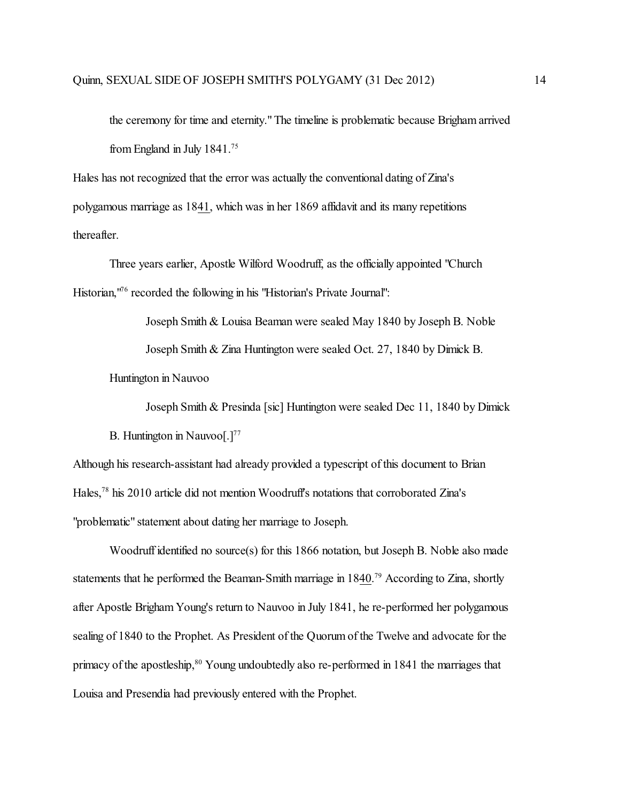the ceremony for time and eternity." The timeline is problematic because Brigham arrived from England in July 1841.<sup>75</sup>

Hales has not recognized that the error was actually the conventional dating of Zina's polygamous marriage as 1841, which was in her 1869 affidavit and its many repetitions thereafter.

Three years earlier, Apostle Wilford Woodruff, as the officially appointed "Church Historian,<sup>176</sup> recorded the following in his "Historian's Private Journal":

Joseph Smith & Louisa Beaman were sealed May 1840 by Joseph B. Noble

Joseph Smith & Zina Huntington were sealed Oct. 27, 1840 by Dimick B.

Huntington in Nauvoo

Joseph Smith & Presinda [sic] Huntington were sealed Dec 11, 1840 by Dimick

B. Huntington in Nauvoo $[.]^{77}$ 

Although his research-assistant had already provided a typescript of this document to Brian Hales, 78 his 2010 article did not mention Woodruff's notations that corroborated Zina's "problematic" statement about dating her marriage to Joseph.

Woodruff identified no source(s) for this 1866 notation, but Joseph B. Noble also made statements that he performed the Beaman-Smith marriage in 1840.<sup>79</sup> According to Zina, shortly after Apostle Brigham Young's return to Nauvoo in July 1841, he re-performed her polygamous sealing of 1840 to the Prophet. As President of the Quorum of the Twelve and advocate for the primacy of the apostleship,<sup>80</sup> Young undoubtedly also re-performed in 1841 the marriages that Louisa and Presendia had previously entered with the Prophet.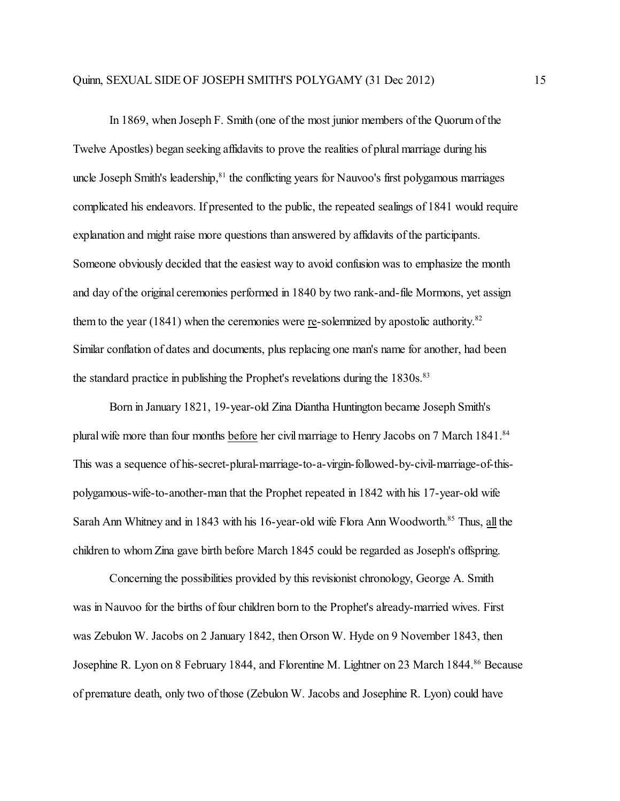In 1869, when Joseph F. Smith (one of the most junior members ofthe Quorumof the Twelve Apostles) began seeking affidavits to prove the realities of plural marriage during his uncle Joseph Smith's leadership, 81 the conflicting years for Nauvoo's first polygamous marriages complicated his endeavors. If presented to the public, the repeated sealings of 1841 would require explanation and might raise more questions than answered by affidavits of the participants. Someone obviously decided that the easiest way to avoid confusion was to emphasize the month and day of the original ceremonies performed in 1840 by two rank-and-file Mormons, yet assign them to the year  $(1841)$  when the ceremonies were re-solemnized by apostolic authority.<sup>82</sup> Similar conflation of dates and documents, plus replacing one man's name for another, had been the standard practice in publishing the Prophet's revelations during the 1830s.<sup>83</sup>

Born in January 1821, 19-year-old Zina Diantha Huntington became Joseph Smith's plural wife more than four months before her civil marriage to Henry Jacobs on 7 March 1841.<sup>84</sup> This was a sequence of his-secret-plural-marriage-to-a-virgin-followed-by-civil-marriage-of-thispolygamous-wife-to-another-man that the Prophet repeated in 1842 with his 17-year-old wife Sarah Ann Whitney and in 1843 with his 16-year-old wife Flora Ann Woodworth.<sup>85</sup> Thus, all the children to whom Zina gave birth before March 1845 could be regarded as Joseph's offspring.

Concerning the possibilities provided by this revisionist chronology, George A. Smith was in Nauvoo for the births of four children born to the Prophet's already-married wives. First was Zebulon W. Jacobs on 2 January 1842, then Orson W. Hyde on 9 November 1843, then Josephine R. Lyon on 8 February 1844, and Florentine M. Lightner on 23 March 1844.<sup>86</sup> Because of premature death, only two ofthose (Zebulon W. Jacobs and Josephine R. Lyon) could have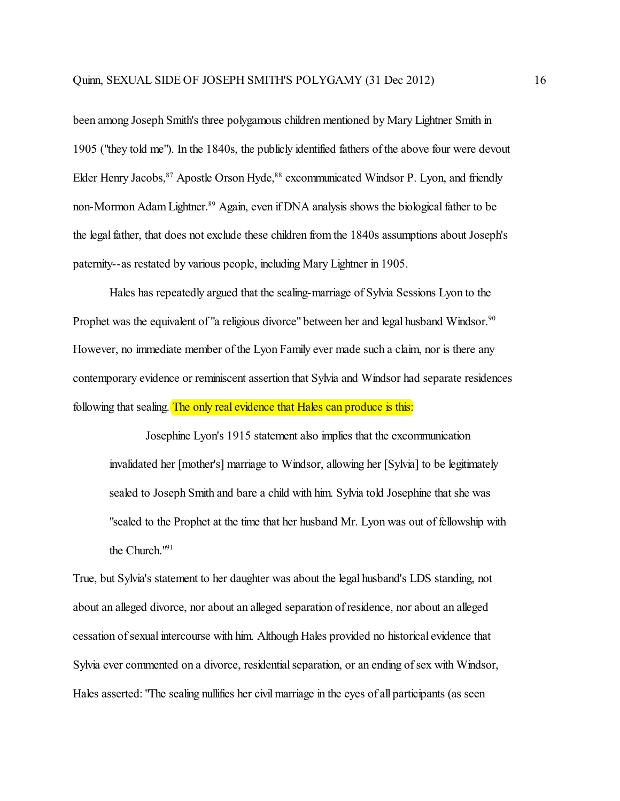been among Joseph Smith's three polygamous children mentioned by Mary Lightner Smith in 1905 ("they told me"). In the 1840s, the publicly identified fathers ofthe above four were devout Elder Henry Jacobs, <sup>87</sup> Apostle Orson Hyde, <sup>88</sup> excommunicated Windsor P. Lyon, and friendly non-Mormon Adam Lightner. <sup>89</sup> Again, even if DNA analysis shows the biological father to be the legal father, that does not exclude these children from the 1840s assumptions about Joseph's paternity--as restated by various people, including Mary Lightner in 1905.

Hales has repeatedly argued that the sealing-marriage of Sylvia Sessions Lyon to the Prophet was the equivalent of "a religious divorce" between her and legal husband Windsor.<sup>90</sup> However, no immediate member of the Lyon Family ever made such a claim, nor is there any contemporary evidence or reminiscent assertion that Sylvia and Windsor had separate residences following that sealing. The only real evidence that Hales can produce is this:

Josephine Lyon's 1915 statement also implies that the excommunication invalidated her [mother's] marriage to Windsor, allowing her [Sylvia] to be legitimately sealed to Joseph Smith and bare a child with him. Sylvia told Josephine that she was "sealed to the Prophet at the time that her husband Mr. Lyon was out of fellowship with the Church."<sup>91</sup>

True, but Sylvia's statement to her daughter was about the legal husband's LDS standing, not about an alleged divorce, nor about an alleged separation of residence, nor about an alleged cessation of sexual intercourse with him. Although Hales provided no historical evidence that Sylvia ever commented on a divorce, residential separation, or an ending of sex with Windsor, Hales asserted: "The sealing nullifies her civil marriage in the eyes of all participants (as seen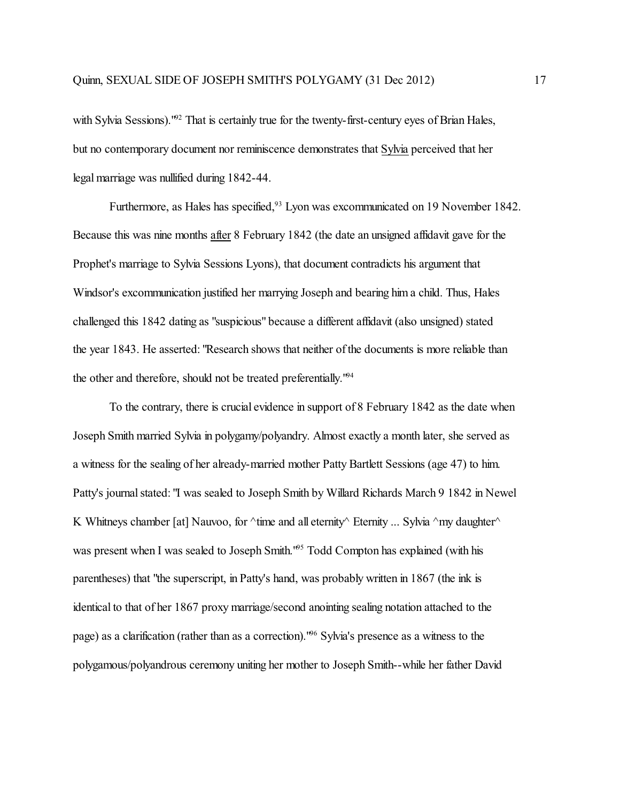with Sylvia Sessions).<sup>192</sup> That is certainly true for the twenty-first-century eyes of Brian Hales, but no contemporary document nor reminiscence demonstrates that Sylvia perceived that her legal marriage was nullified during 1842-44.

Furthermore, as Hales has specified,<sup>93</sup> Lyon was excommunicated on 19 November 1842. Because this was nine months after 8 February 1842 (the date an unsigned affidavit gave for the Prophet's marriage to Sylvia Sessions Lyons), that document contradicts his argument that Windsor's excommunication justified her marrying Joseph and bearing him a child. Thus, Hales challenged this 1842 dating as "suspicious" because a different affidavit (also unsigned) stated the year 1843. He asserted: "Research shows that neither of the documents is more reliable than the other and therefore, should not be treated preferentially."<sup>94</sup>

To the contrary, there is crucial evidence in support of 8 February 1842 as the date when Joseph Smith married Sylvia in polygamy/polyandry. Almost exactly a month later, she served as a witness for the sealing of her already-married mother Patty Bartlett Sessions (age 47) to him. Patty's journal stated: "I was sealed to Joseph Smith by Willard Richards March 9 1842 in Newel K Whitneys chamber [at] Nauvoo, for  $\land$ time and all eternity $\land$  Eternity ... Sylvia  $\land$ my daughter $\land$ was present when I was sealed to Joseph Smith.<sup>195</sup> Todd Compton has explained (with his parentheses) that "the superscript, in Patty's hand, was probably written in 1867 (the ink is identical to that of her 1867 proxy marriage/second anointing sealing notation attached to the page) as a clarification (rather than as a correction)."<sup>96</sup> Sylvia's presence as a witness to the polygamous/polyandrous ceremony uniting her mother to Joseph Smith--while her father David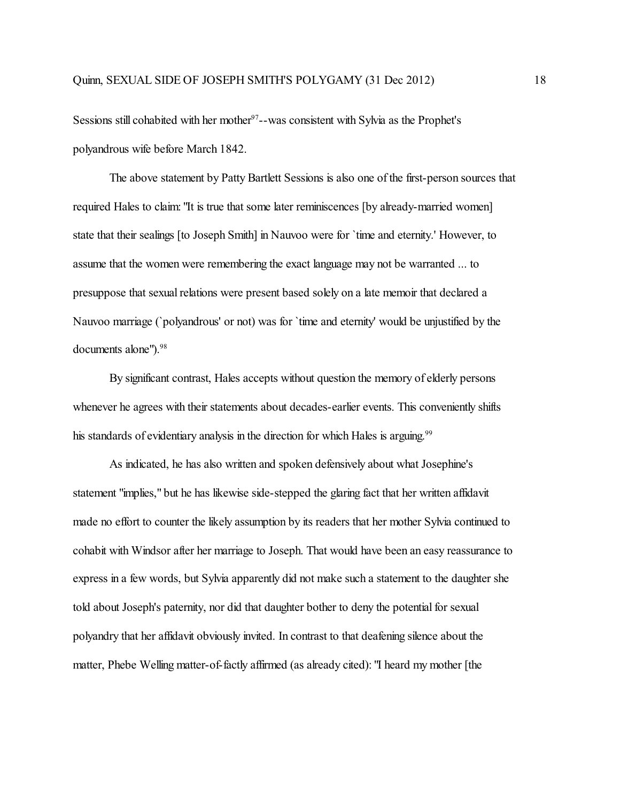Sessions still cohabited with her mother<sup>97</sup>--was consistent with Sylvia as the Prophet's polyandrous wife before March 1842.

The above statement by Patty Bartlett Sessions is also one of the first-person sources that required Hales to claim: "It is true that some later reminiscences [by already-married women] state that their sealings [to Joseph Smith] in Nauvoo were for `time and eternity.' However, to assume that the women were remembering the exact language may not be warranted ... to presuppose that sexual relations were present based solely on a late memoir that declared a Nauvoo marriage (`polyandrous' or not) was for `time and eternity' would be unjustified by the documents alone"). 98

By significant contrast, Hales accepts without question the memory of elderly persons whenever he agrees with their statements about decades-earlier events. This conveniently shifts his standards of evidentiary analysis in the direction for which Hales is arguing.<sup>99</sup>

As indicated, he has also written and spoken defensively about what Josephine's statement "implies," but he has likewise side-stepped the glaring fact that her written affidavit made no effort to counter the likely assumption by its readers that her mother Sylvia continued to cohabit with Windsor after her marriage to Joseph. That would have been an easy reassurance to express in a few words, but Sylvia apparently did not make such a statement to the daughter she told about Joseph's paternity, nor did that daughter bother to deny the potential for sexual polyandry that her affidavit obviously invited. In contrast to that deafening silence about the matter, Phebe Welling matter-of-factly affirmed (as already cited): "I heard my mother [the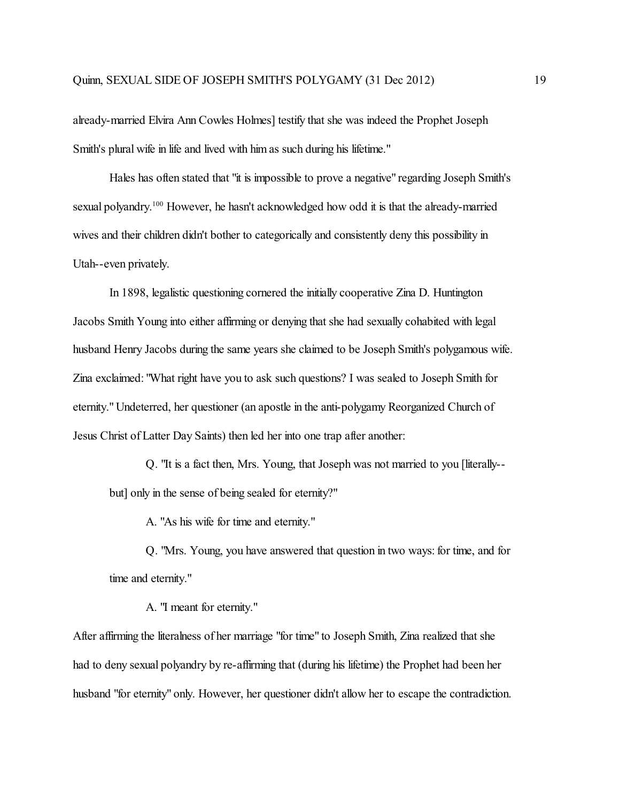already-married Elvira Ann Cowles Holmes] testify that she was indeed the Prophet Joseph Smith's plural wife in life and lived with him as such during his lifetime."

Hales has often stated that "it is impossible to prove a negative" regarding Joseph Smith's sexual polyandry.<sup>100</sup> However, he hasn't acknowledged how odd it is that the already-married wives and their children didn't bother to categorically and consistently deny this possibility in Utah--even privately.

In 1898, legalistic questioning cornered the initially cooperative Zina D. Huntington Jacobs Smith Young into either affirming or denying that she had sexually cohabited with legal husband Henry Jacobs during the same years she claimed to be Joseph Smith's polygamous wife. Zina exclaimed: "What right have you to ask such questions? I was sealed to Joseph Smith for eternity." Undeterred, her questioner (an apostle in the anti-polygamy Reorganized Church of Jesus Christ of Latter Day Saints) then led her into one trap after another:

Q. "It is a fact then, Mrs. Young, that Joseph was not married to you [literally- but] only in the sense of being sealed for eternity?"

A. "As his wife for time and eternity."

Q. "Mrs. Young, you have answered that question in two ways: for time, and for time and eternity."

A. "I meant for eternity."

After affirming the literalness of her marriage "for time" to Joseph Smith, Zina realized that she had to deny sexual polyandry by re-affirming that (during his lifetime) the Prophet had been her husband "for eternity" only. However, her questioner didn't allow her to escape the contradiction.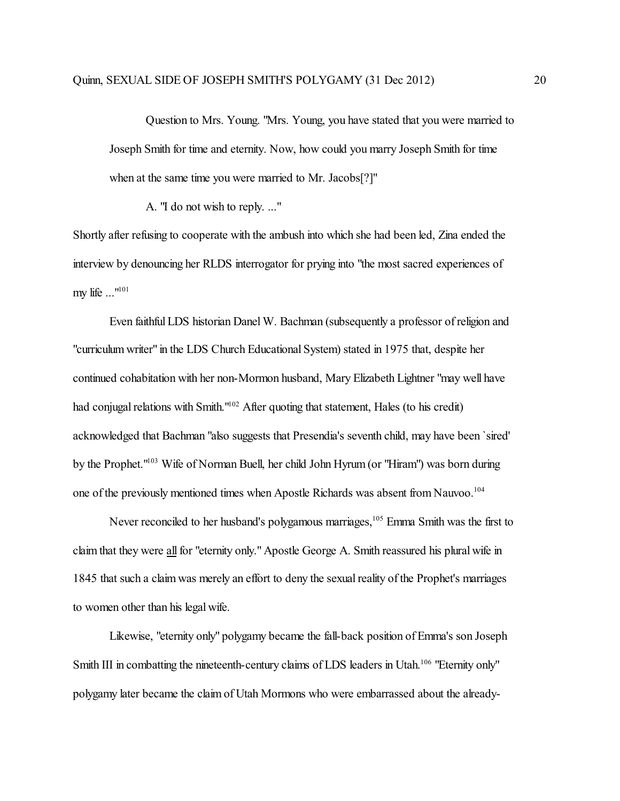Question to Mrs. Young. "Mrs. Young, you have stated that you were married to Joseph Smith for time and eternity. Now, how could you marry Joseph Smith for time when at the same time you were married to Mr. Jacobs[?]"

A. "I do not wish to reply. ..."

Shortly after refusing to cooperate with the ambush into which she had been led, Zina ended the interview by denouncing her RLDS interrogator for prying into "the most sacred experiences of my life ..."<sup>101</sup>

Even faithful LDS historian Danel W. Bachman (subsequently a professor of religion and "curriculum writer" in the LDS Church Educational System) stated in 1975 that, despite her continued cohabitation with her non-Mormon husband, Mary Elizabeth Lightner "may well have had conjugal relations with Smith."<sup>102</sup> After quoting that statement, Hales (to his credit) acknowledged that Bachman "also suggests that Presendia's seventh child, may have been `sired' by the Prophet."<sup>103</sup> Wife of Norman Buell, her child John Hyrum (or "Hiram") was born during one of the previously mentioned times when Apostle Richards was absent from Nauvoo.<sup>104</sup>

Never reconciled to her husband's polygamous marriages, 105 Emma Smith was the first to claim that they were all for "eternity only." Apostle George A. Smith reassured his plural wife in 1845 that such a claim was merely an effort to deny the sexual reality of the Prophet's marriages to women other than his legal wife.

Likewise, "eternity only" polygamy became the fall-back position of Emma's son Joseph Smith III in combatting the nineteenth-century claims of LDS leaders in Utah.<sup>106</sup> "Eternity only" polygamy later became the claimof Utah Mormons who were embarrassed about the already-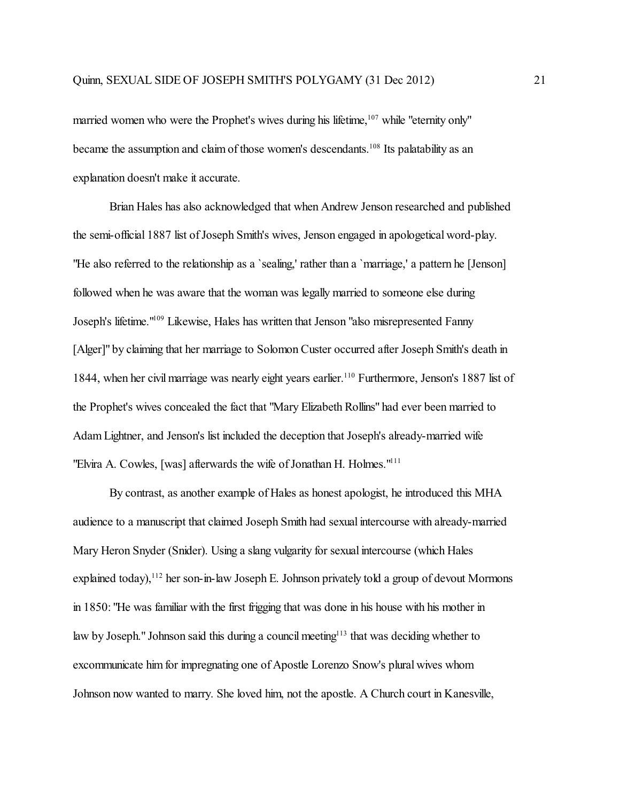married women who were the Prophet's wives during his lifetime, 107 while "eternity only" became the assumption and claim of those women's descendants.<sup>108</sup> Its palatability as an explanation doesn't make it accurate.

Brian Hales has also acknowledged that when Andrew Jenson researched and published the semi-official 1887 list of Joseph Smith's wives, Jenson engaged in apologetical word-play. "He also referred to the relationship as a `sealing,' rather than a `marriage,' a pattern he [Jenson] followed when he was aware that the woman was legally married to someone else during Joseph's lifetime."<sup>109</sup> Likewise, Hales has written that Jenson "also misrepresented Fanny [Alger]" by claiming that her marriage to Solomon Custer occurred after Joseph Smith's death in 1844, when her civil marriage was nearly eight years earlier. 110 Furthermore, Jenson's 1887 list of the Prophet's wives concealed the fact that "Mary Elizabeth Rollins" had ever been married to Adam Lightner, and Jenson's list included the deception that Joseph's already-married wife "Elvira A. Cowles, [was] afterwards the wife of Jonathan H. Holmes."<sup>111</sup>

By contrast, as another example of Hales as honest apologist, he introduced this MHA audience to a manuscript that claimed Joseph Smith had sexual intercourse with already-married Mary Heron Snyder (Snider). Using a slang vulgarity for sexual intercourse (which Hales explained today),<sup>112</sup> her son-in-law Joseph E. Johnson privately told a group of devout Mormons in 1850: "He was familiar with the first frigging that was done in his house with his mother in law by Joseph." Johnson said this during a council meeting<sup>113</sup> that was deciding whether to excommunicate himfor impregnating one of Apostle Lorenzo Snow's plural wives whom Johnson now wanted to marry. She loved him, not the apostle. A Church court in Kanesville,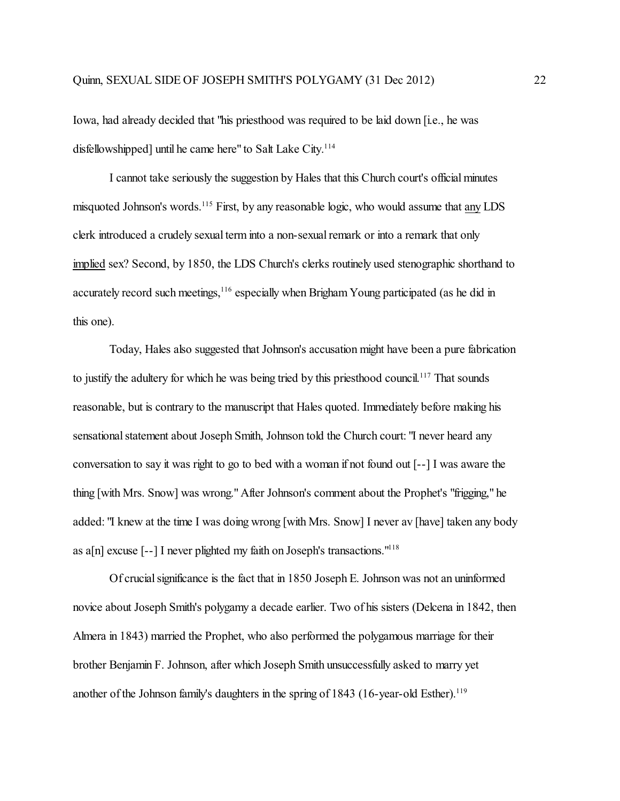Iowa, had already decided that "his priesthood was required to be laid down [i.e., he was disfellowshipped] until he came here" to Salt Lake City.<sup>114</sup>

I cannot take seriously the suggestion by Hales that this Church court's official minutes misquoted Johnson's words.<sup>115</sup> First, by any reasonable logic, who would assume that any LDS clerk introduced a crudely sexual term into a non-sexual remark or into a remark that only implied sex? Second, by 1850, the LDS Church's clerks routinely used stenographic shorthand to accurately record such meetings, <sup>116</sup> especially when Brigham Young participated (as he did in this one).

Today, Hales also suggested that Johnson's accusation might have been a pure fabrication to justify the adultery for which he was being tried by this priesthood council.<sup>117</sup> That sounds reasonable, but is contrary to the manuscript that Hales quoted. Immediately before making his sensational statement about Joseph Smith, Johnson told the Church court: "I never heard any conversation to say it was right to go to bed with a woman if not found out [--] I was aware the thing [with Mrs. Snow] was wrong." After Johnson's comment about the Prophet's "frigging," he added: "I knew at the time I was doing wrong [with Mrs. Snow] I never av [have] taken any body as a[n] excuse  $[-1]$  I never plighted my faith on Joseph's transactions.<sup> $118$ </sup>

Of crucial significance is the fact that in 1850 Joseph E. Johnson was not an uninformed novice about Joseph Smith's polygamy a decade earlier. Two of his sisters (Delcena in 1842, then Almera in 1843) married the Prophet, who also performed the polygamous marriage for their brother Benjamin F. Johnson, after which Joseph Smith unsuccessfully asked to marry yet another of the Johnson family's daughters in the spring of 1843 (16-year-old Esther).<sup>119</sup>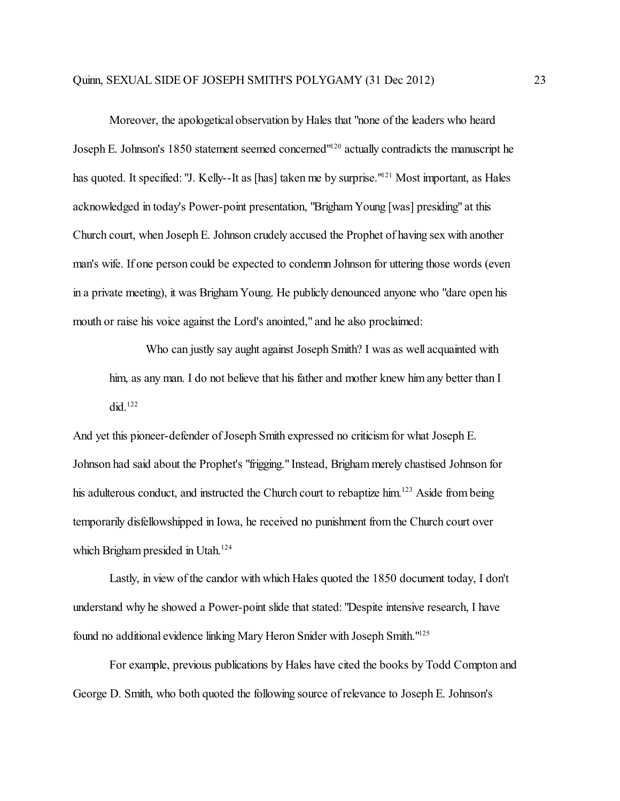Moreover, the apologetical observation by Hales that "none of the leaders who heard Joseph E. Johnson's 1850 statement seemed concerned"<sup>120</sup> actually contradicts the manuscript he has quoted. It specified: "J. Kelly--It as [has] taken me by surprise."<sup>121</sup> Most important, as Hales acknowledged in today's Power-point presentation, "Brigham Young [was] presiding" at this Church court, when Joseph E. Johnson crudely accused the Prophet of having sex with another man's wife. If one person could be expected to condemn Johnson for uttering those words (even in a private meeting), it was Brigham Young. He publicly denounced anyone who "dare open his mouth or raise his voice against the Lord's anointed," and he also proclaimed:

Who can justly say aught against Joseph Smith? I was as well acquainted with him, as any man. I do not believe that his father and mother knew him any better than I did. $122$ 

And yet this pioneer-defender of Joseph Smith expressed no criticism for what Joseph E. Johnson had said about the Prophet's "frigging." Instead, Brigham merely chastised Johnson for his adulterous conduct, and instructed the Church court to rebaptize him.<sup>123</sup> Aside from being temporarily disfellowshipped in Iowa, he received no punishment from the Church court over which Brigham presided in Utah. 124

Lastly, in view of the candor with which Hales quoted the 1850 document today, I don't understand why he showed a Power-point slide that stated: "Despite intensive research, I have found no additional evidence linking Mary Heron Snider with Joseph Smith."<sup>125</sup>

For example, previous publications by Hales have cited the books by Todd Compton and George D. Smith, who both quoted the following source of relevance to Joseph E. Johnson's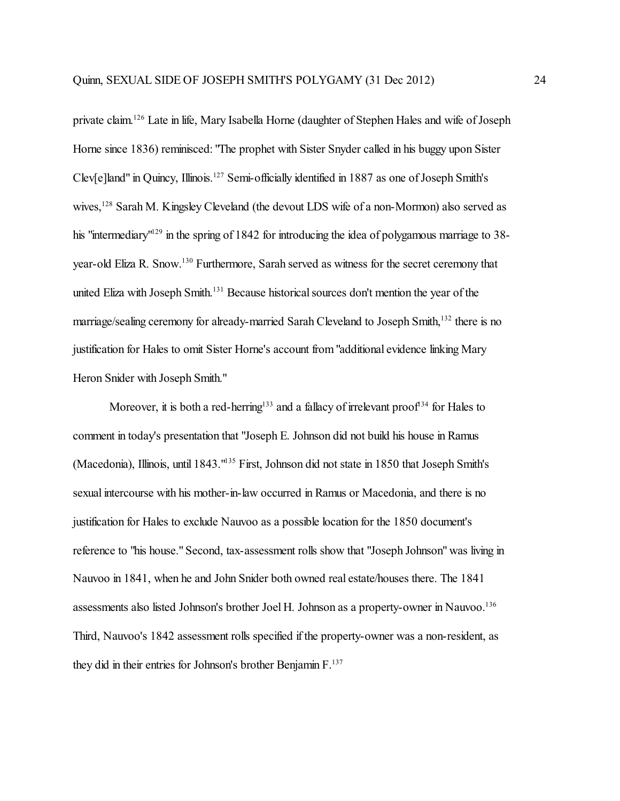private claim.<sup>126</sup> Late in life, Mary Isabella Horne (daughter of Stephen Hales and wife of Joseph Horne since 1836) reminisced: "The prophet with Sister Snyder called in his buggy upon Sister Clev[e]land" in Quincy, Illinois. 127 Semi-officially identified in 1887 as one of Joseph Smith's wives,<sup>128</sup> Sarah M. Kingsley Cleveland (the devout LDS wife of a non-Mormon) also served as his "intermediary"<sup>129</sup> in the spring of 1842 for introducing the idea of polygamous marriage to 38year-old Eliza R. Snow.<sup>130</sup> Furthermore, Sarah served as witness for the secret ceremony that united Eliza with Joseph Smith.<sup>131</sup> Because historical sources don't mention the year of the marriage/sealing ceremony for already-married Sarah Cleveland to Joseph Smith,<sup>132</sup> there is no justification for Hales to omit Sister Horne's account from"additional evidence linking Mary Heron Snider with Joseph Smith."

Moreover, it is both a red-herring<sup>133</sup> and a fallacy of irrelevant proof<sup>134</sup> for Hales to comment in today's presentation that "Joseph E. Johnson did not build his house in Ramus (Macedonia), Illinois, until 1843."<sup>135</sup> First, Johnson did not state in 1850 that Joseph Smith's sexual intercourse with his mother-in-law occurred in Ramus or Macedonia, and there is no justification for Hales to exclude Nauvoo as a possible location for the 1850 document's reference to "his house." Second, tax-assessment rolls show that "Joseph Johnson" was living in Nauvoo in 1841, when he and John Snider both owned real estate/houses there. The 1841 assessments also listed Johnson's brother Joel H. Johnson as a property-owner in Nauvoo.<sup>136</sup> Third, Nauvoo's 1842 assessment rolls specified if the property-owner was a non-resident, as they did in their entries for Johnson's brother Benjamin  $F^{137}$ .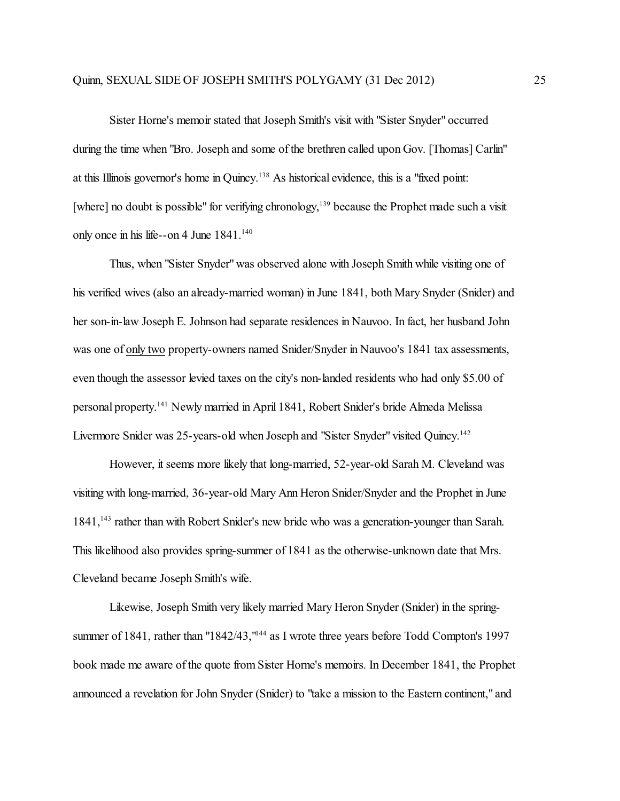Sister Horne's memoir stated that Joseph Smith's visit with "Sister Snyder" occurred during the time when "Bro. Joseph and some of the brethren called upon Gov. [Thomas] Carlin" at this Illinois governor's home in Quincy. 138 As historical evidence, this is a "fixed point: [where] no doubt is possible" for verifying chronology,<sup>139</sup> because the Prophet made such a visit only once in his life--on 4 June  $1841$ .<sup>140</sup>

Thus, when "Sister Snyder"was observed alone with Joseph Smith while visiting one of his verified wives (also an already-married woman) in June 1841, both Mary Snyder (Snider) and her son-in-law Joseph E. Johnson had separate residences in Nauvoo. In fact, her husband John was one of only two property-owners named Snider/Snyder in Nauvoo's 1841 tax assessments, even though the assessor levied taxes on the city's non-landed residents who had only \$5.00 of personal property. 141 Newly married in April 1841, Robert Snider's bride Almeda Melissa Livermore Snider was 25-years-old when Joseph and "Sister Snyder" visited Quincy.<sup>142</sup>

However, it seems more likely that long-married, 52-year-old Sarah M. Cleveland was visiting with long-married, 36-year-old Mary Ann Heron Snider/Snyder and the Prophet in June 1841,<sup>143</sup> rather than with Robert Snider's new bride who was a generation-younger than Sarah. This likelihood also provides spring-summer of 1841 as the otherwise-unknown date that Mrs. Cleveland became Joseph Smith's wife.

Likewise, Joseph Smith very likely married Mary Heron Snyder (Snider) in the springsummer of 1841, rather than "1842/43,"<sup>144</sup> as I wrote three years before Todd Compton's 1997 book made me aware of the quote from Sister Horne's memoirs. In December 1841, the Prophet announced a revelation for John Snyder (Snider) to "take a mission to the Eastern continent," and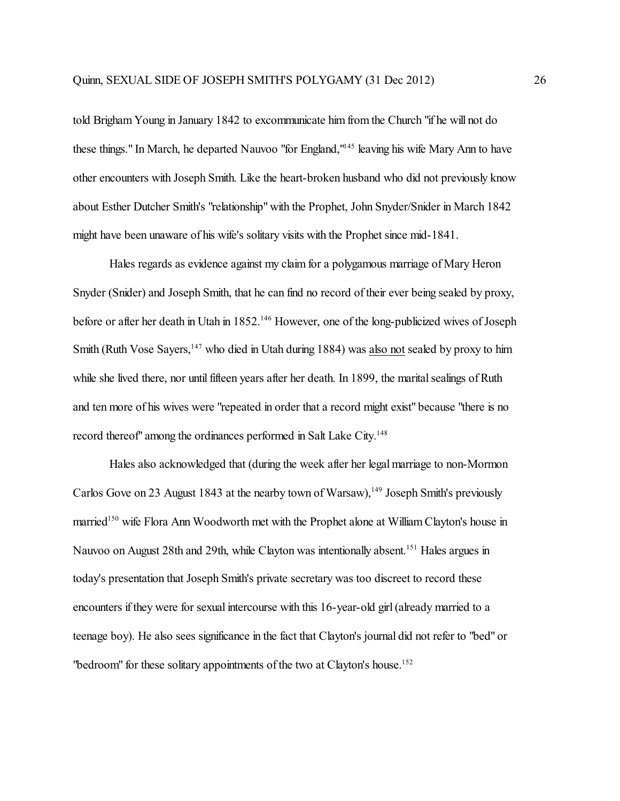told Brigham Young in January 1842 to excommunicate him from the Church "if he will not do these things." In March, he departed Nauvoo "for England,"<sup>145</sup> leaving his wife Mary Ann to have other encounters with Joseph Smith. Like the heart-broken husband who did not previously know about Esther Dutcher Smith's "relationship" with the Prophet, John Snyder/Snider in March 1842 might have been unaware of his wife's solitary visits with the Prophet since mid-1841.

Hales regards as evidence against my claim for a polygamous marriage of Mary Heron Snyder (Snider) and Joseph Smith, that he can find no record oftheir ever being sealed by proxy, before or after her death in Utah in 1852.<sup>146</sup> However, one of the long-publicized wives of Joseph Smith (Ruth Vose Sayers,<sup>147</sup> who died in Utah during 1884) was also not sealed by proxy to him while she lived there, nor until fifteen years after her death. In 1899, the marital sealings of Ruth and ten more of his wives were "repeated in order that a record might exist" because "there is no record thereof" among the ordinances performed in Salt Lake City.<sup>148</sup>

Hales also acknowledged that (during the week after her legal marriage to non-Mormon Carlos Gove on 23 August 1843 at the nearby town of Warsaw),<sup>149</sup> Joseph Smith's previously married<sup>150</sup> wife Flora Ann Woodworth met with the Prophet alone at William Clayton's house in Nauvoo on August 28th and 29th, while Clayton was intentionally absent.<sup>151</sup> Hales argues in today's presentation that Joseph Smith's private secretary was too discreet to record these encounters if they were for sexual intercourse with this 16-year-old girl (already married to a teenage boy). He also sees significance in the fact that Clayton's journal did not refer to "bed" or "bedroom" for these solitary appointments of the two at Clayton's house.<sup>152</sup>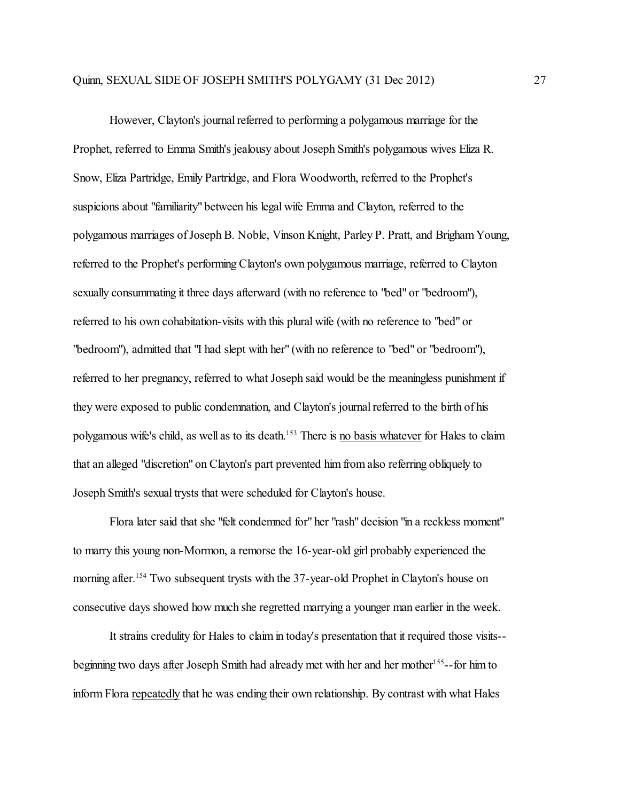However, Clayton's journal referred to performing a polygamous marriage for the Prophet, referred to Emma Smith's jealousy about Joseph Smith's polygamous wives Eliza R. Snow, Eliza Partridge, Emily Partridge, and Flora Woodworth, referred to the Prophet's suspicions about "familiarity" between his legal wife Emma and Clayton, referred to the polygamous marriages of Joseph B. Noble, Vinson Knight, Parley P. Pratt, and BrighamYoung, referred to the Prophet's performing Clayton's own polygamous marriage, referred to Clayton sexually consummating it three days afterward (with no reference to "bed" or "bedroom"), referred to his own cohabitation-visits with this plural wife (with no reference to "bed" or "bedroom"), admitted that "I had slept with her" (with no reference to "bed" or "bedroom"), referred to her pregnancy, referred to what Joseph said would be the meaningless punishment if they were exposed to public condemnation, and Clayton's journal referred to the birth of his polygamous wife's child, as well as to its death.<sup>153</sup> There is no basis whatever for Hales to claim that an alleged "discretion" on Clayton's part prevented him from also referring obliquely to Joseph Smith's sexual trysts that were scheduled for Clayton's house.

Flora later said that she "felt condemned for" her "rash" decision "in a reckless moment" to marry this young non-Mormon, a remorse the 16-year-old girl probably experienced the morning after.<sup>154</sup> Two subsequent trysts with the 37-year-old Prophet in Clayton's house on consecutive days showed how much she regretted marrying a younger man earlier in the week.

It strains credulity for Hales to claim in today's presentation that it required those visits- beginning two days after Joseph Smith had already met with her and her mother<sup>155</sup>--for him to inform Flora repeatedly that he was ending their own relationship. By contrast with what Hales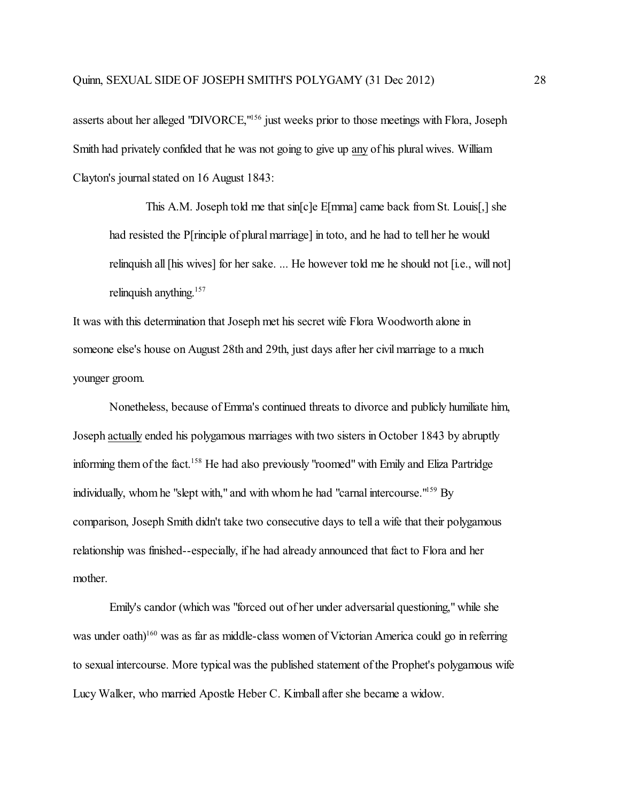asserts about her alleged "DIVORCE,"<sup>156</sup> just weeks prior to those meetings with Flora, Joseph Smith had privately confided that he was not going to give up any of his plural wives. William Clayton's journal stated on 16 August 1843:

This A.M. Joseph told me that sin[c]e E[mma] came back from St. Louis[,] she had resisted the P[rinciple of plural marriage] in toto, and he had to tell her he would relinquish all [his wives] for her sake. ... He however told me he should not [i.e., will not] relinquish anything.<sup>157</sup>

It was with this determination that Joseph met his secret wife Flora Woodworth alone in someone else's house on August 28th and 29th, just days after her civil marriage to a much younger groom.

Nonetheless, because of Emma's continued threats to divorce and publicly humiliate him, Joseph actually ended his polygamous marriages with two sisters in October 1843 by abruptly informing them of the fact. <sup>158</sup> He had also previously "roomed" with Emily and Eliza Partridge individually, whom he "slept with," and with whomhe had "carnal intercourse."<sup>159</sup> By comparison, Joseph Smith didn't take two consecutive days to tell a wife that their polygamous relationship was finished--especially, if he had already announced that fact to Flora and her mother.

Emily's candor (which was "forced out of her under adversarial questioning," while she was under oath)<sup>160</sup> was as far as middle-class women of Victorian America could go in referring to sexual intercourse. More typical was the published statement of the Prophet's polygamous wife Lucy Walker, who married Apostle Heber C. Kimball after she became a widow.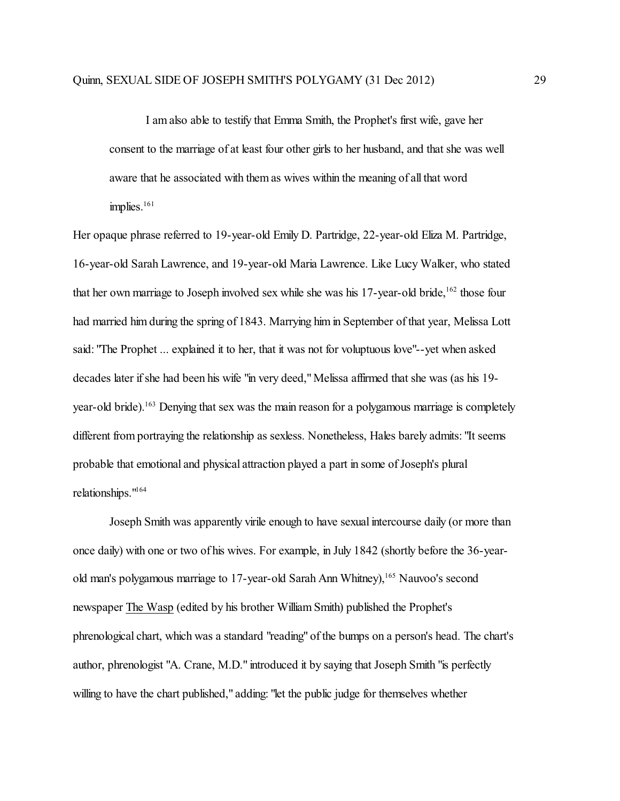I am also able to testify that Emma Smith, the Prophet's first wife, gave her consent to the marriage of at least four other girls to her husband, and that she was well aware that he associated with them as wives within the meaning of all that word implies.<sup>161</sup>

Her opaque phrase referred to 19-year-old Emily D. Partridge, 22-year-old Eliza M. Partridge, 16-year-old Sarah Lawrence, and 19-year-old Maria Lawrence. Like Lucy Walker, who stated that her own marriage to Joseph involved sex while she was his 17-year-old bride,<sup>162</sup> those four had married him during the spring of 1843. Marrying him in September of that year, Melissa Lott said: "The Prophet ... explained it to her, that it was not for voluptuous love"--yet when asked decades later if she had been his wife "in very deed," Melissa affirmed that she was (as his 19 year-old bride).<sup>163</sup> Denying that sex was the main reason for a polygamous marriage is completely different from portraying the relationship as sexless. Nonetheless, Hales barely admits: "It seems probable that emotional and physical attraction played a part in some of Joseph's plural relationships."<sup>164</sup>

Joseph Smith was apparently virile enough to have sexual intercourse daily (or more than once daily) with one or two of his wives. For example, in July 1842 (shortly before the 36-yearold man's polygamous marriage to 17-year-old Sarah Ann Whitney), <sup>165</sup> Nauvoo's second newspaper The Wasp (edited by his brother William Smith) published the Prophet's phrenological chart, which was a standard "reading" of the bumps on a person's head. The chart's author, phrenologist "A. Crane, M.D." introduced it by saying that Joseph Smith "is perfectly willing to have the chart published," adding: "let the public judge for themselves whether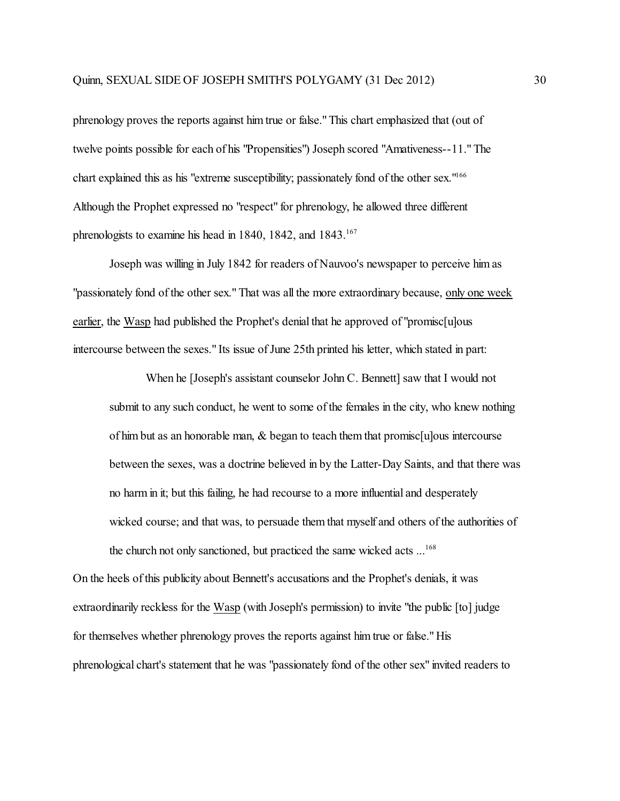phrenology proves the reports against him true or false." This chart emphasized that (out of twelve points possible for each of his "Propensities") Joseph scored "Amativeness--11." The chart explained this as his "extreme susceptibility; passionately fond of the other sex."<sup>166</sup> Although the Prophet expressed no "respect" for phrenology, he allowed three different phrenologists to examine his head in 1840, 1842, and 1843.<sup>167</sup>

Joseph was willing in July 1842 for readers of Nauvoo's newspaper to perceive him as "passionately fond of the other sex." That was all the more extraordinary because, only one week earlier, the Wasp had published the Prophet's denial that he approved of "promisc[u]ous intercourse between the sexes." Its issue of June 25th printed his letter, which stated in part:

When he [Joseph's assistant counselor John C. Bennett] saw that I would not submit to any such conduct, he went to some of the females in the city, who knew nothing of him but as an honorable man,  $\&$  began to teach them that promisc [u]ous intercourse between the sexes, was a doctrine believed in by the Latter-Day Saints, and that there was no harm in it; but this failing, he had recourse to a more influential and desperately wicked course; and that was, to persuade them that myself and others of the authorities of the church not only sanctioned, but practiced the same wicked acts ... 168

On the heels of this publicity about Bennett's accusations and the Prophet's denials, it was extraordinarily reckless for the Wasp (with Joseph's permission) to invite "the public [to] judge for themselves whether phrenology proves the reports against him true or false." His phrenological chart's statement that he was "passionately fond of the other sex" invited readers to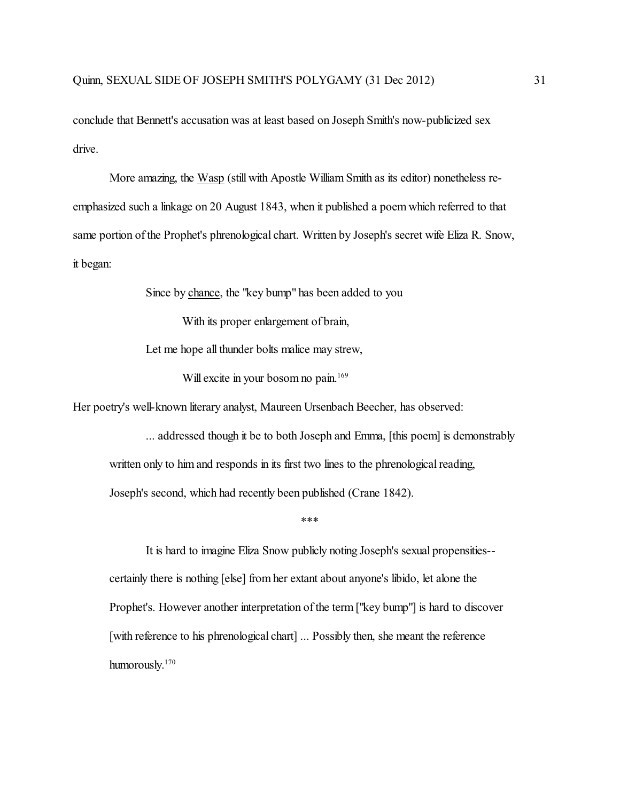conclude that Bennett's accusation was at least based on Joseph Smith's now-publicized sex drive.

More amazing, the Wasp (still with Apostle William Smith as its editor) nonetheless reemphasized such a linkage on 20 August 1843, when it published a poem which referred to that same portion of the Prophet's phrenological chart. Written by Joseph's secret wife Eliza R. Snow, it began:

Since by chance, the "key bump" has been added to you

With its proper enlargement of brain,

Let me hope all thunder bolts malice may strew,

Will excite in your bosom no pain. 169

Her poetry's well-known literary analyst, Maureen Ursenbach Beecher, has observed:

... addressed though it be to both Joseph and Emma, [this poem] is demonstrably written only to him and responds in its first two lines to the phrenological reading, Joseph's second, which had recently been published (Crane 1842).

\*\*\*

It is hard to imagine Eliza Snow publicly noting Joseph's sexual propensities- certainly there is nothing [else] from her extant about anyone's libido, let alone the Prophet's. However another interpretation of the term ["key bump"] is hard to discover [with reference to his phrenological chart] ... Possibly then, she meant the reference humorously. 170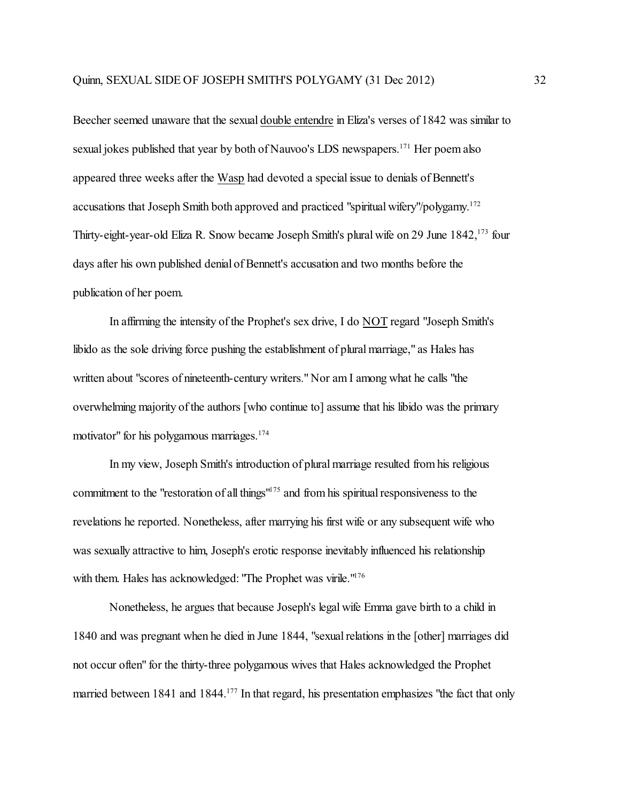Beecher seemed unaware that the sexual double entendre in Eliza's verses of 1842 was similar to sexual jokes published that year by both of Nauvoo's LDS newspapers.<sup>171</sup> Her poem also appeared three weeks after the Wasp had devoted a special issue to denials of Bennett's accusations that Joseph Smith both approved and practiced "spiritual wifery"/polygamy.<sup>172</sup> Thirty-eight-year-old Eliza R. Snow became Joseph Smith's plural wife on 29 June 1842,<sup>173</sup> four days after his own published denial of Bennett's accusation and two months before the publication of her poem.

In affirming the intensity of the Prophet's sex drive, I do NOT regard "Joseph Smith's libido as the sole driving force pushing the establishment of plural marriage," as Hales has written about "scores of nineteenth-century writers." Nor am I among what he calls "the overwhelming majority of the authors [who continue to] assume that his libido was the primary motivator" for his polygamous marriages. 174

In my view, Joseph Smith's introduction of plural marriage resulted from his religious commitment to the "restoration of all things"<sup>175</sup> and from his spiritual responsiveness to the revelations he reported. Nonetheless, after marrying his first wife or any subsequent wife who was sexually attractive to him, Joseph's erotic response inevitably influenced his relationship with them. Hales has acknowledged: "The Prophet was virile."<sup>176</sup>

Nonetheless, he argues that because Joseph's legal wife Emma gave birth to a child in 1840 and was pregnant when he died in June 1844, "sexual relations in the [other] marriages did not occur often" for the thirty-three polygamous wives that Hales acknowledged the Prophet married between 1841 and 1844.<sup>177</sup> In that regard, his presentation emphasizes "the fact that only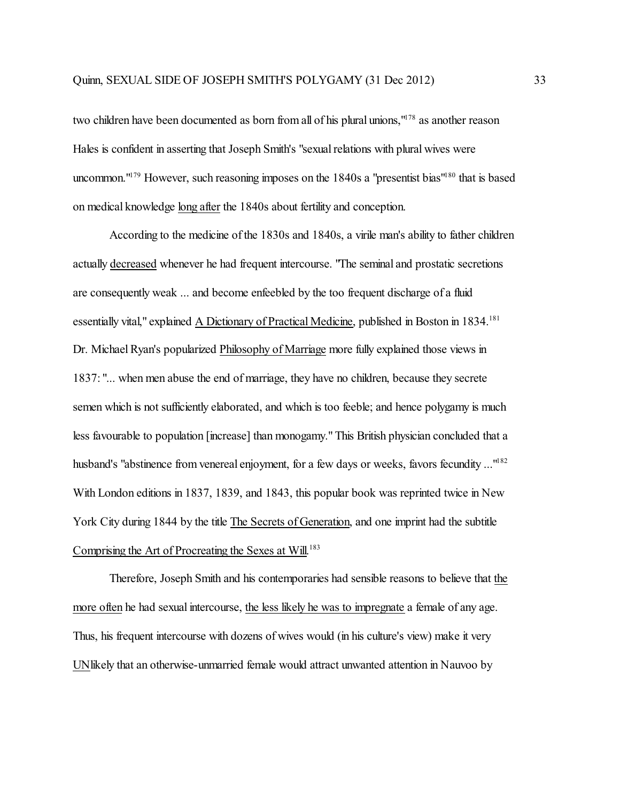two children have been documented as born from all of his plural unions,"<sup>178</sup> as another reason Hales is confident in asserting that Joseph Smith's "sexual relations with plural wives were uncommon."<sup>179</sup> However, such reasoning imposes on the 1840s a "presentist bias"<sup>180</sup> that is based on medical knowledge long after the 1840s about fertility and conception.

According to the medicine ofthe 1830s and 1840s, a virile man's ability to father children actually decreased whenever he had frequent intercourse. "The seminal and prostatic secretions are consequently weak ... and become enfeebled by the too frequent discharge of a fluid essentially vital," explained A Dictionary of Practical Medicine, published in Boston in 1834.<sup>181</sup> Dr. Michael Ryan's popularized Philosophy of Marriage more fully explained those views in 1837: "... when men abuse the end of marriage, they have no children, because they secrete semen which is not sufficiently elaborated, and which is too feeble; and hence polygamy is much less favourable to population [increase] than monogamy." This British physician concluded that a husband's "abstinence from venereal enjoyment, for a few days or weeks, favors fecundity ..."<sup>182</sup> With London editions in 1837, 1839, and 1843, this popular book was reprinted twice in New York City during 1844 by the title The Secrets of Generation, and one imprint had the subtitle Comprising the Art of Procreating the Sexes at Will.<sup>183</sup>

Therefore, Joseph Smith and his contemporaries had sensible reasons to believe that the more often he had sexual intercourse, the less likely he was to impregnate a female of any age. Thus, his frequent intercourse with dozens of wives would (in his culture's view) make it very UNlikely that an otherwise-unmarried female would attract unwanted attention in Nauvoo by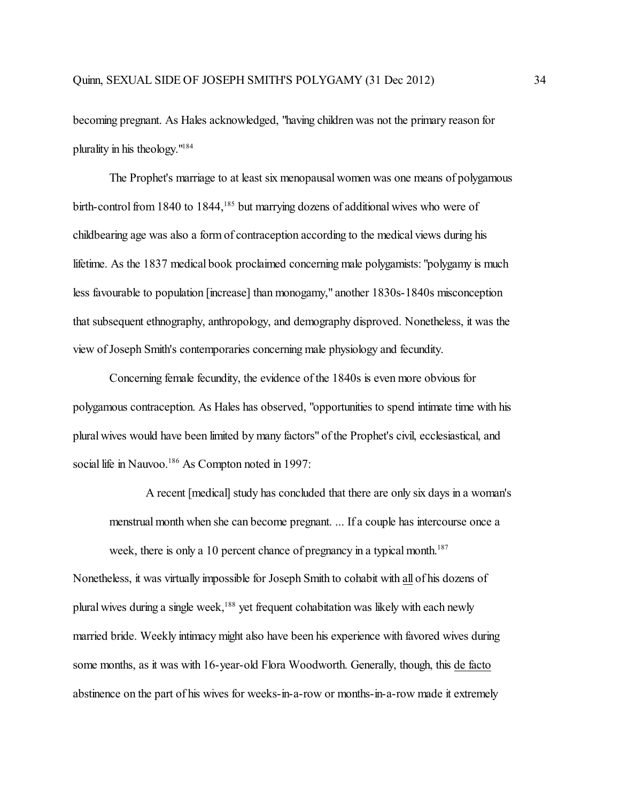becoming pregnant. As Hales acknowledged, "having children was not the primary reason for plurality in his theology."<sup>184</sup>

The Prophet's marriage to at least six menopausal women was one means of polygamous birth-control from 1840 to 1844,<sup>185</sup> but marrying dozens of additional wives who were of childbearing age was also a form of contraception according to the medical views during his lifetime. As the 1837 medical book proclaimed concerning male polygamists: "polygamy is much less favourable to population [increase] than monogamy," another 1830s-1840s misconception that subsequent ethnography, anthropology, and demography disproved. Nonetheless, it was the view of Joseph Smith's contemporaries concerning male physiology and fecundity.

Concerning female fecundity, the evidence of the 1840s is even more obvious for polygamous contraception. As Hales has observed, "opportunities to spend intimate time with his plural wives would have been limited by many factors" of the Prophet's civil, ecclesiastical, and social life in Nauvoo.<sup>186</sup> As Compton noted in 1997:

A recent [medical] study has concluded that there are only six days in a woman's menstrual month when she can become pregnant. ... If a couple has intercourse once a

week, there is only a 10 percent chance of pregnancy in a typical month.<sup>187</sup> Nonetheless, it was virtually impossible for Joseph Smith to cohabit with all of his dozens of plural wives during a single week,<sup>188</sup> yet frequent cohabitation was likely with each newly married bride. Weekly intimacy might also have been his experience with favored wives during some months, as it was with 16-year-old Flora Woodworth. Generally, though, this de facto abstinence on the part of his wives for weeks-in-a-row or months-in-a-row made it extremely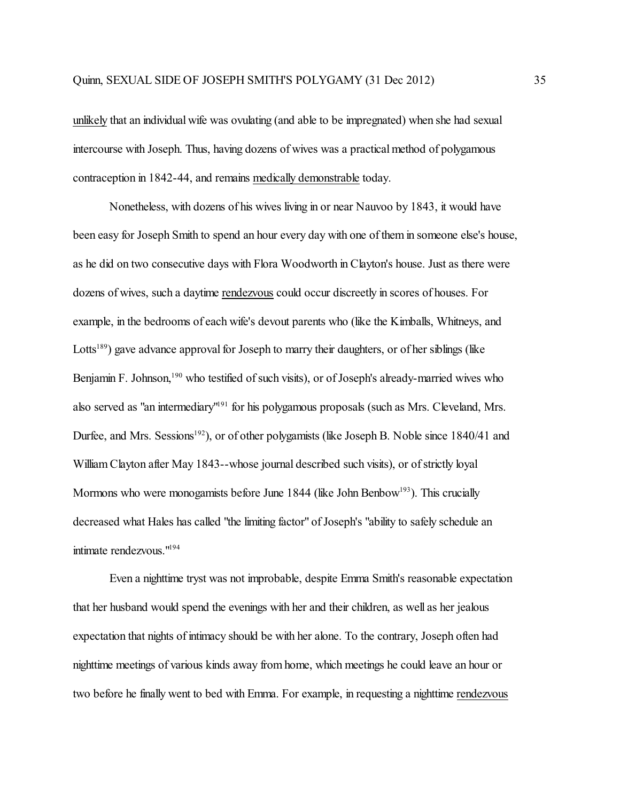unlikely that an individual wife was ovulating (and able to be impregnated) when she had sexual intercourse with Joseph. Thus, having dozens of wives was a practical method of polygamous contraception in 1842-44, and remains medically demonstrable today.

Nonetheless, with dozens of his wives living in or near Nauvoo by 1843, it would have been easy for Joseph Smith to spend an hour every day with one of them in someone else's house, as he did on two consecutive days with Flora Woodworth in Clayton's house. Just as there were dozens of wives, such a daytime rendezvous could occur discreetly in scores of houses. For example, in the bedrooms of each wife's devout parents who (like the Kimballs, Whitneys, and Lotts<sup>189</sup>) gave advance approval for Joseph to marry their daughters, or of her siblings (like Benjamin F. Johnson,<sup>190</sup> who testified of such visits), or of Joseph's already-married wives who also served as "an intermediary"<sup>191</sup> for his polygamous proposals (such as Mrs. Cleveland, Mrs. Durfee, and Mrs. Sessions<sup>192</sup>), or of other polygamists (like Joseph B. Noble since 1840/41 and William Clayton after May 1843--whose journal described such visits), or of strictly loyal Mormons who were monogamists before June 1844 (like John Benbow<sup>193</sup>). This crucially decreased what Hales has called "the limiting factor" of Joseph's "ability to safely schedule an intimate rendezvous."<sup>194</sup>

Even a nighttime tryst was not improbable, despite Emma Smith's reasonable expectation that her husband would spend the evenings with her and their children, as well as her jealous expectation that nights of intimacy should be with her alone. To the contrary, Joseph often had nighttime meetings of various kinds away fromhome, which meetings he could leave an hour or two before he finally went to bed with Emma. For example, in requesting a nighttime rendezvous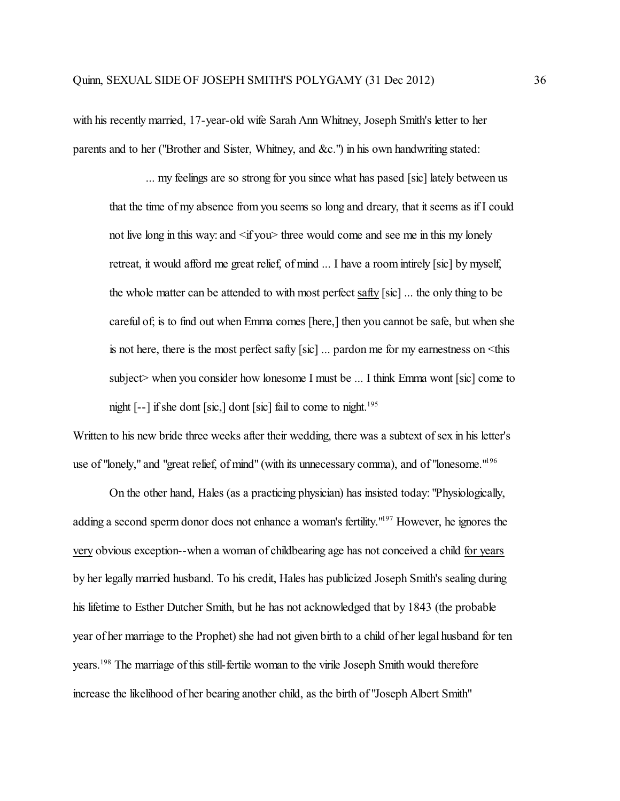with his recently married, 17-year-old wife Sarah Ann Whitney, Joseph Smith's letter to her parents and to her ("Brother and Sister, Whitney, and &c.") in his own handwriting stated:

... my feelings are so strong for you since what has pased [sic] lately between us that the time of my absence from you seems so long and dreary, that it seems as if I could not live long in this way: and  $\langle$  if you $\rangle$  three would come and see me in this my lonely retreat, it would afford me great relief, of mind ... I have a room intirely [sic] by myself, the whole matter can be attended to with most perfect safty [sic] ... the only thing to be careful of; is to find out when Emma comes [here,] then you cannot be safe, but when she is not here, there is the most perfect safty [sic] ... pardon me for my earnestness on <this subject> when you consider how lonesome I must be ... I think Emma wont [sic] come to night [--] if she dont [sic,] dont [sic] fail to come to night. 195

Written to his new bride three weeks after their wedding, there was a subtext of sex in his letter's use of "lonely," and "great relief, of mind" (with its unnecessary comma), and of "lonesome."<sup>196</sup>

On the other hand, Hales (as a practicing physician) has insisted today: "Physiologically, adding a second sperm donor does not enhance a woman's fertility.<sup>"197</sup> However, he ignores the very obvious exception--when a woman of childbearing age has not conceived a child for years by her legally married husband. To his credit, Hales has publicized Joseph Smith's sealing during his lifetime to Esther Dutcher Smith, but he has not acknowledged that by 1843 (the probable year of her marriage to the Prophet) she had not given birth to a child of her legal husband for ten years. 198 The marriage of this still-fertile woman to the virile Joseph Smith would therefore increase the likelihood of her bearing another child, as the birth of "Joseph Albert Smith"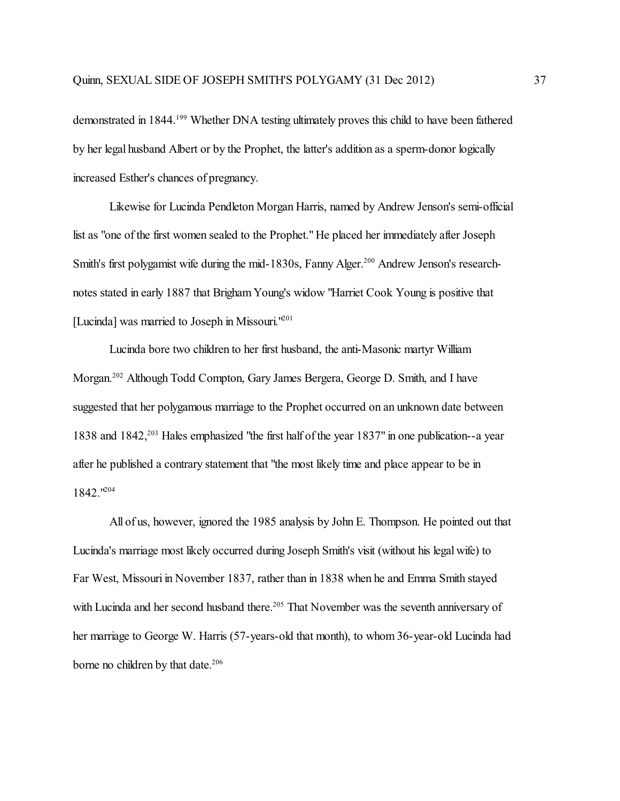demonstrated in 1844.<sup>199</sup> Whether DNA testing ultimately proves this child to have been fathered by her legal husband Albert or by the Prophet, the latter's addition as a sperm-donor logically increased Esther's chances of pregnancy.

Likewise for Lucinda Pendleton Morgan Harris, named by Andrew Jenson's semi-official list as "one of the first women sealed to the Prophet." He placed her immediately after Joseph Smith's first polygamist wife during the mid-1830s, Fanny Alger.<sup>200</sup> Andrew Jenson's researchnotes stated in early 1887 that Brigham Young's widow "Harriet Cook Young is positive that [Lucinda] was married to Joseph in Missouri.<sup>1201</sup>

Lucinda bore two children to her first husband, the anti-Masonic martyr William Morgan. 202 Although Todd Compton, Gary James Bergera, George D. Smith, and I have suggested that her polygamous marriage to the Prophet occurred on an unknown date between 1838 and 1842,<sup>203</sup> Hales emphasized "the first half of the year 1837" in one publication--a year after he published a contrary statement that "the most likely time and place appear to be in 1842."<sup>204</sup>

All of us, however, ignored the 1985 analysis by John E. Thompson. He pointed out that Lucinda's marriage most likely occurred during Joseph Smith's visit (without his legal wife) to Far West, Missouri in November 1837, rather than in 1838 when he and Emma Smith stayed with Lucinda and her second husband there.<sup>205</sup> That November was the seventh anniversary of her marriage to George W. Harris (57-years-old that month), to whom 36-year-old Lucinda had borne no children by that date. 206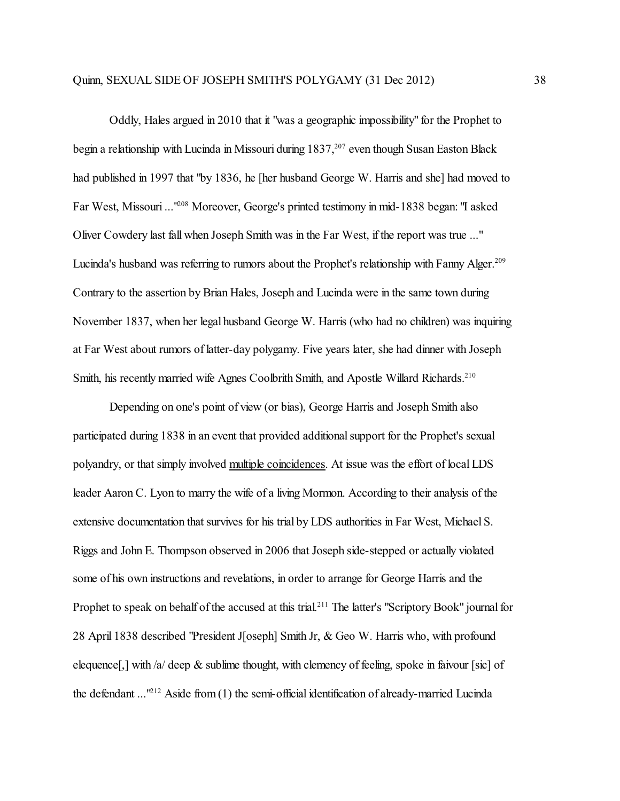Oddly, Hales argued in 2010 that it "was a geographic impossibility" for the Prophet to begin a relationship with Lucinda in Missouri during 1837,<sup>207</sup> even though Susan Easton Black had published in 1997 that "by 1836, he [her husband George W. Harris and she] had moved to Far West, Missouri ...<sup>1208</sup> Moreover, George's printed testimony in mid-1838 began: "I asked Oliver Cowdery last fall when Joseph Smith was in the Far West, if the report was true ..." Lucinda's husband was referring to rumors about the Prophet's relationship with Fanny Alger.<sup>209</sup> Contrary to the assertion by Brian Hales, Joseph and Lucinda were in the same town during November 1837, when her legal husband George W. Harris (who had no children) was inquiring at Far West about rumors of latter-day polygamy. Five years later, she had dinner with Joseph Smith, his recently married wife Agnes Coolbrith Smith, and Apostle Willard Richards.<sup>210</sup>

Depending on one's point of view (or bias), George Harris and Joseph Smith also participated during 1838 in an event that provided additional support for the Prophet's sexual polyandry, or that simply involved multiple coincidences. At issue was the effort of local LDS leader Aaron C. Lyon to marry the wife of a living Mormon. According to their analysis of the extensive documentation that survives for his trial by LDS authorities in Far West, Michael S. Riggs and John E. Thompson observed in 2006 that Joseph side-stepped or actually violated some of his own instructions and revelations, in order to arrange for George Harris and the Prophet to speak on behalf of the accused at this trial.<sup>211</sup> The latter's "Scriptory Book" journal for 28 April 1838 described "President J[oseph] Smith Jr, & Geo W. Harris who, with profound elequence[,] with /a/ deep  $\&$  sublime thought, with clemency of feeling, spoke in faivour [sic] of the defendant ...<sup>1212</sup> Aside from (1) the semi-official identification of already-married Lucinda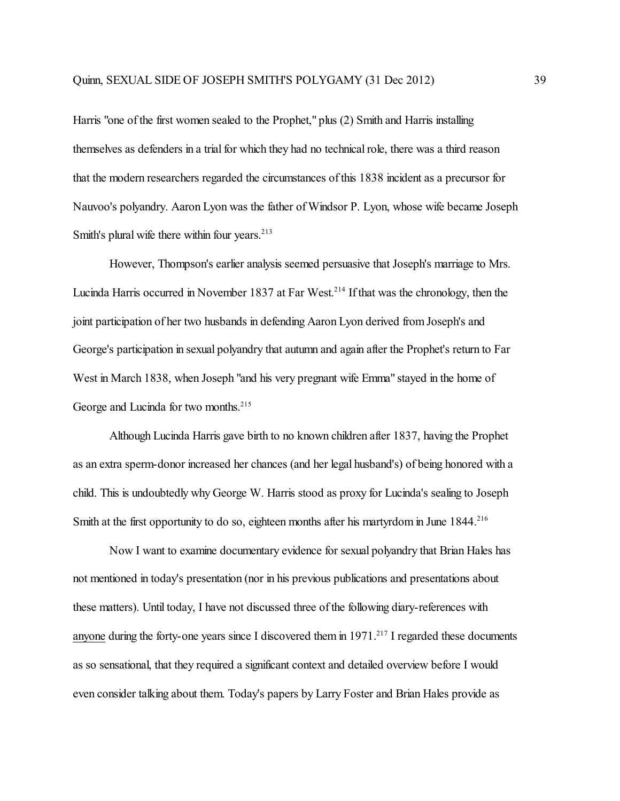Harris "one of the first women sealed to the Prophet," plus (2) Smith and Harris installing themselves as defenders in a trial for which they had no technical role, there was a third reason that the modern researchers regarded the circumstances of this 1838 incident as a precursor for Nauvoo's polyandry. Aaron Lyon was the father of Windsor P. Lyon, whose wife became Joseph Smith's plural wife there within four years. 213

However, Thompson's earlier analysis seemed persuasive that Joseph's marriage to Mrs. Lucinda Harris occurred in November 1837 at Far West. 214 If that was the chronology, then the joint participation of her two husbands in defending Aaron Lyon derived from Joseph's and George's participation in sexual polyandry that autumn and again after the Prophet's return to Far West in March 1838, when Joseph "and his very pregnant wife Emma" stayed in the home of George and Lucinda for two months. 215

Although Lucinda Harris gave birth to no known children after 1837, having the Prophet as an extra sperm-donor increased her chances (and her legal husband's) of being honored with a child. This is undoubtedly why George W. Harris stood as proxy for Lucinda's sealing to Joseph Smith at the first opportunity to do so, eighteen months after his martyrdom in June 1844.<sup>216</sup>

Now I want to examine documentary evidence for sexual polyandry that Brian Hales has not mentioned in today's presentation (nor in his previous publications and presentations about these matters). Until today, I have not discussed three of the following diary-references with anyone during the forty-one years since I discovered them in 1971.<sup>217</sup> I regarded these documents as so sensational, that they required a significant context and detailed overview before I would even consider talking about them. Today's papers by Larry Foster and Brian Hales provide as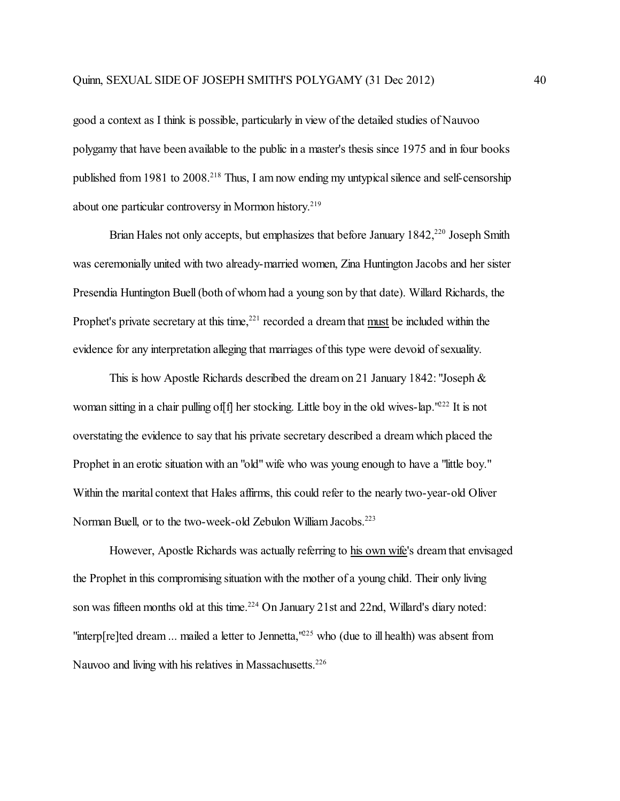good a context as I think is possible, particularly in view of the detailed studies of Nauvoo polygamy that have been available to the public in a master's thesis since 1975 and in four books published from 1981 to 2008.<sup>218</sup> Thus, I am now ending my untypical silence and self-censorship about one particular controversy in Mormon history. 219

Brian Hales not only accepts, but emphasizes that before January 1842,<sup>220</sup> Joseph Smith was ceremonially united with two already-married women, Zina Huntington Jacobs and her sister Presendia Huntington Buell (both of whom had a young son by that date). Willard Richards, the Prophet's private secretary at this time,<sup>221</sup> recorded a dream that must be included within the evidence for any interpretation alleging that marriages of this type were devoid of sexuality.

This is how Apostle Richards described the dream on 21 January 1842: "Joseph & woman sitting in a chair pulling of [f] her stocking. Little boy in the old wives-lap.<sup>'222</sup> It is not overstating the evidence to say that his private secretary described a dream which placed the Prophet in an erotic situation with an "old" wife who was young enough to have a "little boy." Within the marital context that Hales affirms, this could refer to the nearly two-year-old Oliver Norman Buell, or to the two-week-old Zebulon William Jacobs. 223

However, Apostle Richards was actually referring to his own wife's dream that envisaged the Prophet in this compromising situation with the mother of a young child. Their only living son was fifteen months old at this time.<sup>224</sup> On January 21st and 22nd, Willard's diary noted: "interp[re]ted dream ... mailed a letter to Jennetta,<sup>1225</sup> who (due to ill health) was absent from Nauvoo and living with his relatives in Massachusetts.<sup>226</sup>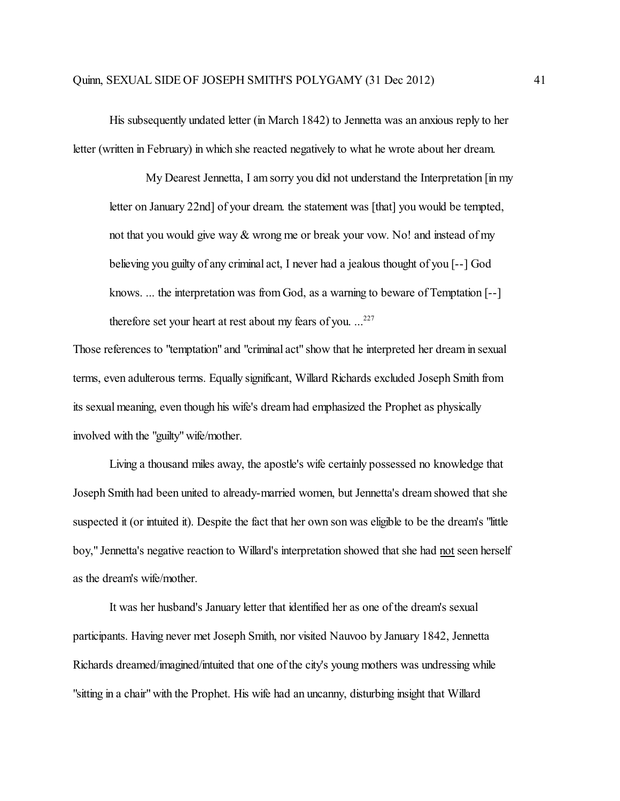His subsequently undated letter (in March 1842) to Jennetta was an anxious reply to her letter (written in February) in which she reacted negatively to what he wrote about her dream.

My Dearest Jennetta, I am sorry you did not understand the Interpretation [in my letter on January 22nd] of your dream. the statement was [that] you would be tempted, not that you would give way & wrong me or break your vow. No! and instead of my believing you guilty of any criminal act, I never had a jealous thought of you [--] God knows. ... the interpretation was from God, as a warning to beware of Temptation [--] therefore set your heart at rest about my fears of you. ...<sup>227</sup>

Those references to "temptation" and "criminal act" show that he interpreted her dream in sexual terms, even adulterous terms. Equally significant, Willard Richards excluded Joseph Smith from its sexual meaning, even though his wife's dream had emphasized the Prophet as physically involved with the "guilty" wife/mother.

Living a thousand miles away, the apostle's wife certainly possessed no knowledge that Joseph Smith had been united to already-married women, but Jennetta's dream showed that she suspected it (or intuited it). Despite the fact that her own son was eligible to be the dream's "little boy," Jennetta's negative reaction to Willard's interpretation showed that she had not seen herself as the dream's wife/mother.

It was her husband's January letter that identified her as one of the dream's sexual participants. Having never met Joseph Smith, nor visited Nauvoo by January 1842, Jennetta Richards dreamed/imagined/intuited that one of the city's young mothers was undressing while "sitting in a chair" with the Prophet. His wife had an uncanny, disturbing insight that Willard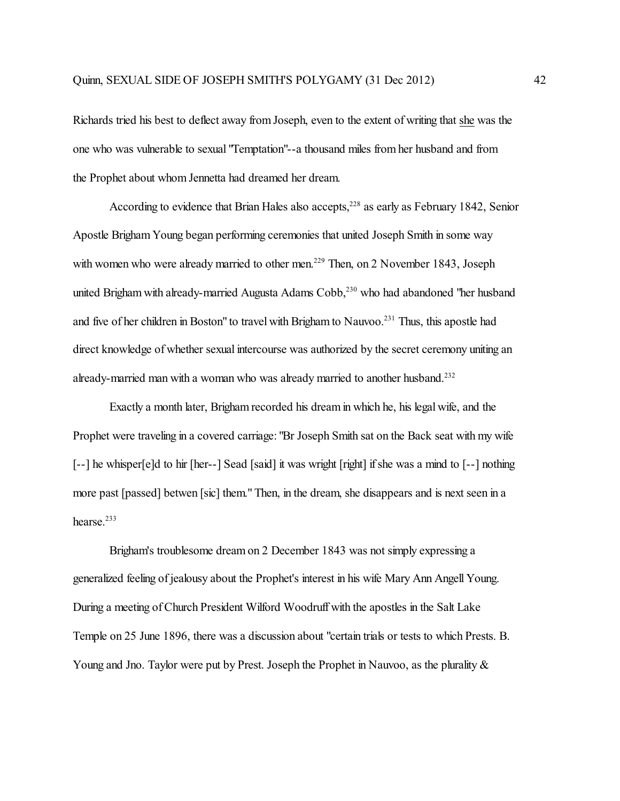Richards tried his best to deflect away from Joseph, even to the extent of writing that she was the one who was vulnerable to sexual "Temptation"--a thousand miles from her husband and from the Prophet about whom Jennetta had dreamed her dream.

According to evidence that Brian Hales also accepts, 228 as early as February 1842, Senior Apostle Brigham Young began performing ceremonies that united Joseph Smith in some way with women who were already married to other men.<sup>229</sup> Then, on 2 November 1843, Joseph united Brigham with already-married Augusta Adams Cobb,<sup>230</sup> who had abandoned "her husband and five of her children in Boston" to travel with Brigham to Nauvoo.<sup>231</sup> Thus, this apostle had direct knowledge of whether sexual intercourse was authorized by the secret ceremony uniting an already-married man with a woman who was already married to another husband.<sup>232</sup>

Exactly a month later, Brigham recorded his dream in which he, his legal wife, and the Prophet were traveling in a covered carriage: "Br Joseph Smith sat on the Back seat with my wife [--] he whisper[e]d to hir [her--] Sead [said] it was wright [right] if she was a mind to [--] nothing more past [passed] betwen [sic] them." Then, in the dream, she disappears and is next seen in a hearse. 233

Brigham's troublesome dream on 2 December 1843 was not simply expressing a generalized feeling of jealousy about the Prophet's interest in his wife Mary Ann Angell Young. During a meeting of Church President Wilford Woodruff with the apostles in the Salt Lake Temple on 25 June 1896, there was a discussion about "certain trials or tests to which Prests. B. Young and Jno. Taylor were put by Prest. Joseph the Prophet in Nauvoo, as the plurality  $\&$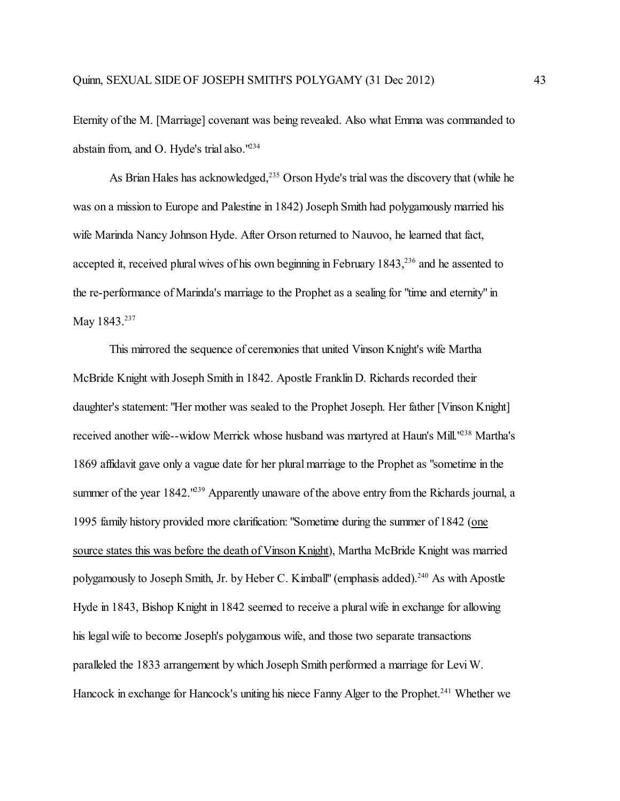Eternity of the M. [Marriage] covenant was being revealed. Also what Emma was commanded to abstain from, and O. Hyde's trial also."<sup>234</sup>

As Brian Hales has acknowledged,<sup>235</sup> Orson Hyde's trial was the discovery that (while he was on a mission to Europe and Palestine in 1842) Joseph Smith had polygamously married his wife Marinda Nancy Johnson Hyde. After Orson returned to Nauvoo, he learned that fact, accepted it, received plural wives of his own beginning in February  $1843$ ,  $236$  and he assented to the re-performance of Marinda's marriage to the Prophet as a sealing for "time and eternity" in May 1843.<sup>237</sup>

This mirrored the sequence of ceremonies that united Vinson Knight's wife Martha McBride Knight with Joseph Smith in 1842. Apostle Franklin D. Richards recorded their daughter's statement: "Her mother was sealed to the Prophet Joseph. Her father [Vinson Knight] received another wife--widow Merrick whose husband was martyred at Haun's Mill.<sup>1238</sup> Martha's 1869 affidavit gave only a vague date for her plural marriage to the Prophet as "sometime in the summer of the year 1842.<sup>''239</sup> Apparently unaware of the above entry from the Richards journal, a 1995 family history provided more clarification: "Sometime during the summer of 1842 (one source states this was before the death of Vinson Knight), Martha McBride Knight was married polygamously to Joseph Smith, Jr. by Heber C. Kimball'' (emphasis added).<sup>240</sup> As with Apostle Hyde in 1843, Bishop Knight in 1842 seemed to receive a plural wife in exchange for allowing his legal wife to become Joseph's polygamous wife, and those two separate transactions paralleled the 1833 arrangement by which Joseph Smith performed a marriage for Levi W. Hancock in exchange for Hancock's uniting his niece Fanny Alger to the Prophet.<sup>241</sup> Whether we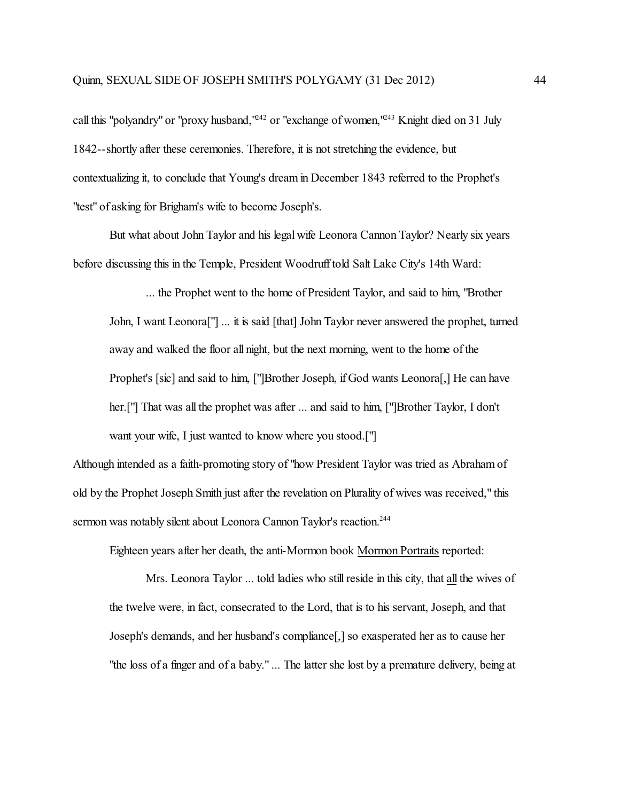call this "polyandry" or "proxy husband,"<sup>242</sup> or "exchange of women,"<sup>243</sup> Knight died on 31 July 1842--shortly after these ceremonies. Therefore, it is not stretching the evidence, but contextualizing it, to conclude that Young's dream in December 1843 referred to the Prophet's "test" of asking for Brigham's wife to become Joseph's.

But what about John Taylor and his legal wife Leonora Cannon Taylor? Nearly six years before discussing this in the Temple, President Woodruff told Salt Lake City's 14th Ward:

... the Prophet went to the home of President Taylor, and said to him, "Brother John, I want Leonora["] ... it is said [that] John Taylor never answered the prophet, turned away and walked the floor all night, but the next morning, went to the home of the Prophet's [sic] and said to him, ["]Brother Joseph, if God wants Leonora[,] He can have her.<sup>[''</sup>] That was all the prophet was after ... and said to him, ['']Brother Taylor, I don't want your wife, I just wanted to know where you stood.["]

Although intended as a faith-promoting story of "how President Taylor was tried as Abraham of old by the Prophet Joseph Smith just after the revelation on Plurality of wives was received," this sermon was notably silent about Leonora Cannon Taylor's reaction.<sup>244</sup>

Eighteen years after her death, the anti-Mormon book Mormon Portraits reported:

Mrs. Leonora Taylor ... told ladies who still reside in this city, that all the wives of the twelve were, in fact, consecrated to the Lord, that is to his servant, Joseph, and that Joseph's demands, and her husband's compliance[,] so exasperated her as to cause her "the loss of a finger and of a baby." ... The latter she lost by a premature delivery, being at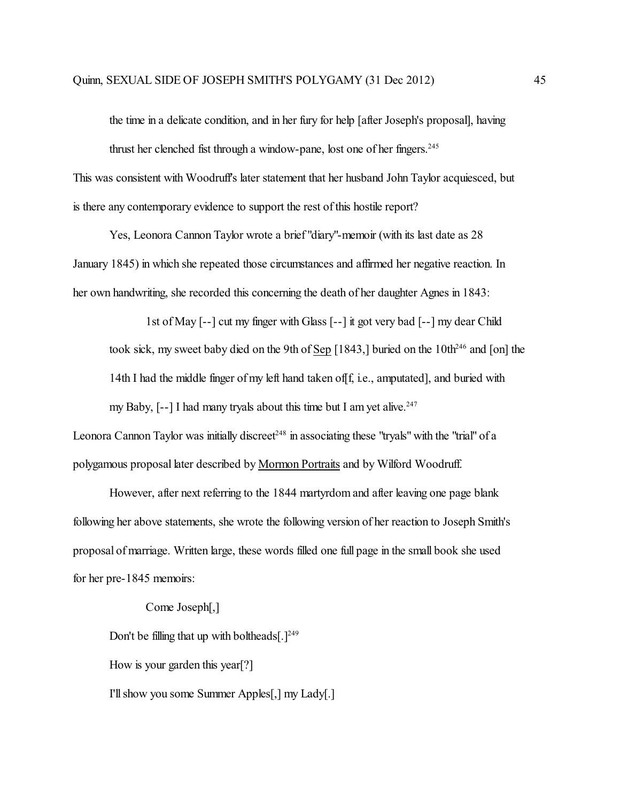the time in a delicate condition, and in her fury for help [after Joseph's proposal], having thrust her clenched fist through a window-pane, lost one of her fingers. 245 This was consistent with Woodruff's later statement that her husband John Taylor acquiesced, but is there any contemporary evidence to support the rest of this hostile report?

Yes, Leonora Cannon Taylor wrote a brief "diary"-memoir (with its last date as 28 January 1845) in which she repeated those circumstances and affirmed her negative reaction. In her own handwriting, she recorded this concerning the death of her daughter Agnes in 1843:

1st of May [--] cut my finger with Glass [--] it got very bad [--] my dear Child took sick, my sweet baby died on the 9th of  $Sep$  [1843,] buried on the 10th<sup>246</sup> and [on] the 14th I had the middle finger of my left hand taken of f, i.e., amputated], and buried with my Baby, [--] I had many tryals about this time but I am yet alive.<sup>247</sup>

Leonora Cannon Taylor was initially discreet<sup>248</sup> in associating these "tryals" with the "trial" of a polygamous proposal later described by Mormon Portraits and by Wilford Woodruff.

However, after next referring to the 1844 martyrdom and after leaving one page blank following her above statements, she wrote the following version of her reaction to Joseph Smith's proposal of marriage. Written large, these words filled one full page in the small book she used for her pre-1845 memoirs:

## Come Joseph[,]

Don't be filling that up with boltheads[ $.$ ]<sup>249</sup>

How is your garden this year[?]

I'll show you some Summer Apples[,] my Lady[.]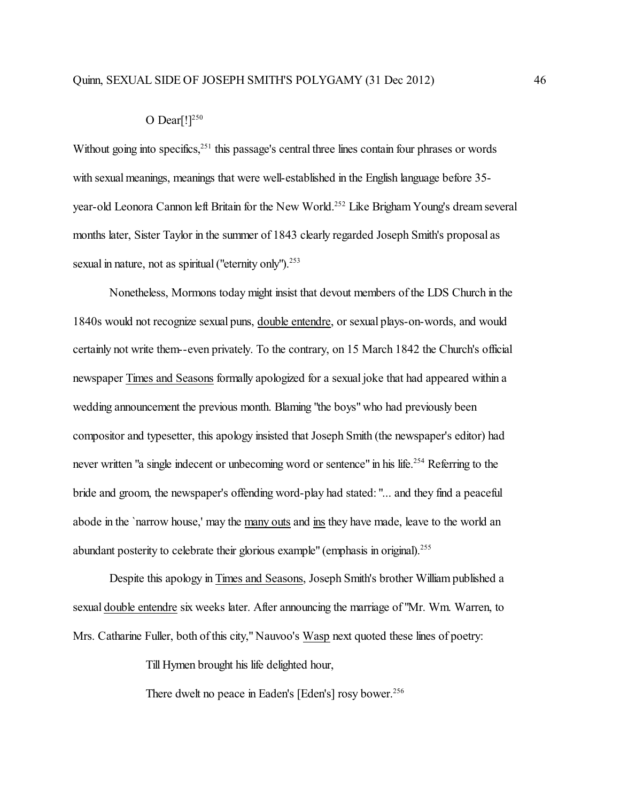## O Dear $[!]^{250}$

Without going into specifics,<sup>251</sup> this passage's central three lines contain four phrases or words with sexual meanings, meanings that were well-established in the English language before 35year-old Leonora Cannon left Britain for the New World.<sup>252</sup> Like Brigham Young's dream several months later, Sister Taylor in the summer of 1843 clearly regarded Joseph Smith's proposal as sexual in nature, not as spiritual ("eternity only").<sup>253</sup>

Nonetheless, Mormons today might insist that devout members of the LDS Church in the 1840s would not recognize sexual puns, double entendre, or sexual plays-on-words, and would certainly not write them--even privately. To the contrary, on 15 March 1842 the Church's official newspaper Times and Seasons formally apologized for a sexual joke that had appeared within a wedding announcement the previous month. Blaming "the boys" who had previously been compositor and typesetter, this apology insisted that Joseph Smith (the newspaper's editor) had never written "a single indecent or unbecoming word or sentence" in his life.<sup>254</sup> Referring to the bride and groom, the newspaper's offending word-play had stated: "... and they find a peaceful abode in the `narrow house,' may the many outs and ins they have made, leave to the world an abundant posterity to celebrate their glorious example" (emphasis in original).<sup>255</sup>

Despite this apology in Times and Seasons, Joseph Smith's brother William published a sexual double entendre six weeks later. After announcing the marriage of "Mr. Wm. Warren, to Mrs. Catharine Fuller, both of this city," Nauvoo's Wasp next quoted these lines of poetry:

Till Hymen brought his life delighted hour,

There dwelt no peace in Eaden's [Eden's] rosy bower. 256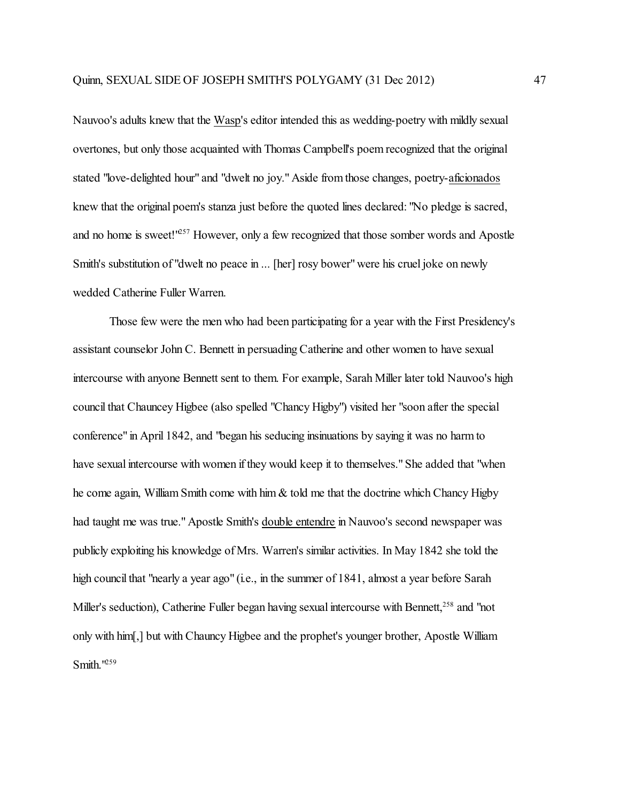Nauvoo's adults knew that the Wasp's editor intended this as wedding-poetry with mildly sexual overtones, but only those acquainted with Thomas Campbell's poem recognized that the original stated "love-delighted hour" and "dwelt no joy." Aside fromthose changes, poetry-aficionados knew that the original poem's stanza just before the quoted lines declared: "No pledge is sacred, and no home is sweet!<sup>1257</sup> However, only a few recognized that those somber words and Apostle Smith's substitution of "dwelt no peace in ... [her] rosy bower" were his cruel joke on newly wedded Catherine Fuller Warren.

Those few were the men who had been participating for a year with the First Presidency's assistant counselor John C. Bennett in persuading Catherine and other women to have sexual intercourse with anyone Bennett sent to them. For example, Sarah Miller later told Nauvoo's high council that Chauncey Higbee (also spelled "Chancy Higby") visited her "soon after the special conference" in April 1842, and "began his seducing insinuations by saying it was no harm to have sexual intercourse with women if they would keep it to themselves." She added that "when he come again, William Smith come with him & told me that the doctrine which Chancy Higby had taught me was true." Apostle Smith's double entendre in Nauvoo's second newspaper was publicly exploiting his knowledge of Mrs. Warren's similar activities. In May 1842 she told the high council that "nearly a year ago" (i.e., in the summer of 1841, almost a year before Sarah Miller's seduction), Catherine Fuller began having sexual intercourse with Bennett,<sup>258</sup> and "not only with him[,] but with Chauncy Higbee and the prophet's younger brother, Apostle William Smith.<sup>1259</sup>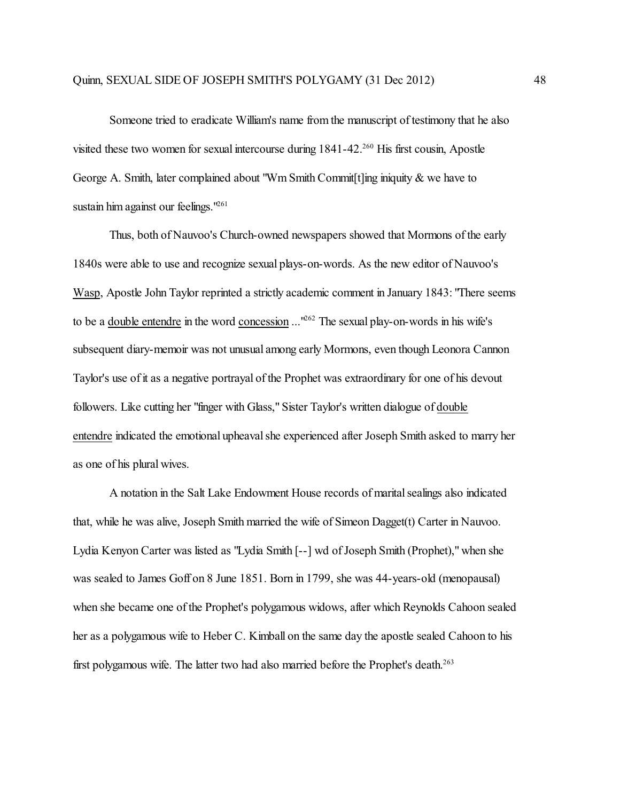Someone tried to eradicate William's name from the manuscript of testimony that he also visited these two women for sexual intercourse during 1841-42.<sup>260</sup> His first cousin, Apostle George A. Smith, later complained about "Wm Smith Commit[t]ing iniquity & we have to sustain him against our feelings."<sup>261</sup>

Thus, both of Nauvoo's Church-owned newspapers showed that Mormons of the early 1840s were able to use and recognize sexual plays-on-words. As the new editor of Nauvoo's Wasp, Apostle John Taylor reprinted a strictly academic comment in January 1843: "There seems to be a <u>double entendre</u> in the word concession ...<sup>1262</sup> The sexual play-on-words in his wife's subsequent diary-memoir was not unusual among early Mormons, even though Leonora Cannon Taylor's use of it as a negative portrayal of the Prophet was extraordinary for one of his devout followers. Like cutting her "finger with Glass," Sister Taylor's written dialogue of double entendre indicated the emotional upheaval she experienced after Joseph Smith asked to marry her as one of his plural wives.

A notation in the Salt Lake Endowment House records of maritalsealings also indicated that, while he was alive, Joseph Smith married the wife of Simeon Dagget(t) Carter in Nauvoo. Lydia Kenyon Carter was listed as "Lydia Smith [--] wd of Joseph Smith (Prophet)," when she was sealed to James Goff on 8 June 1851. Born in 1799, she was 44-years-old (menopausal) when she became one of the Prophet's polygamous widows, after which Reynolds Cahoon sealed her as a polygamous wife to Heber C. Kimball on the same day the apostle sealed Cahoon to his first polygamous wife. The latter two had also married before the Prophet's death.<sup>263</sup>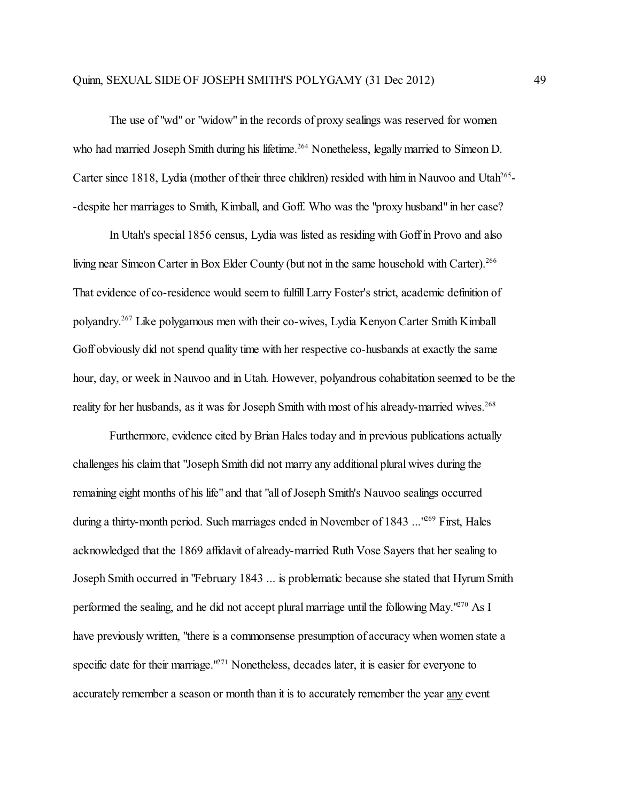The use of "wd" or "widow" in the records of proxy sealings was reserved for women who had married Joseph Smith during his lifetime.<sup>264</sup> Nonetheless, legally married to Simeon D. Carter since 1818, Lydia (mother of their three children) resided with him in Nauvoo and Utah<sup>265</sup>--despite her marriages to Smith, Kimball, and Goff. Who was the "proxy husband" in her case?

In Utah's special 1856 census, Lydia was listed as residing with Goff in Provo and also living near Simeon Carter in Box Elder County (but not in the same household with Carter).<sup>266</sup> That evidence of co-residence would seem to fulfill Larry Foster's strict, academic definition of polyandry. 267 Like polygamous men with their co-wives, Lydia Kenyon Carter Smith Kimball Goff obviously did not spend quality time with her respective co-husbands at exactly the same hour, day, or week in Nauvoo and in Utah. However, polyandrous cohabitation seemed to be the reality for her husbands, as it was for Joseph Smith with most of his already-married wives.<sup>268</sup>

Furthermore, evidence cited by Brian Hales today and in previous publications actually challenges his claim that "Joseph Smith did not marry any additional plural wives during the remaining eight months of his life" and that "all of Joseph Smith's Nauvoo sealings occurred during a thirty-month period. Such marriages ended in November of 1843 ...<sup>1269</sup> First, Hales acknowledged that the 1869 affidavit of already-married Ruth Vose Sayers that her sealing to Joseph Smith occurred in "February 1843 ... is problematic because she stated that Hyrum Smith performed the sealing, and he did not accept plural marriage until the following May.<sup>1270</sup> As I have previously written, "there is a commonsense presumption of accuracy when women state a specific date for their marriage.<sup>1271</sup> Nonetheless, decades later, it is easier for everyone to accurately remember a season or month than it is to accurately remember the year any event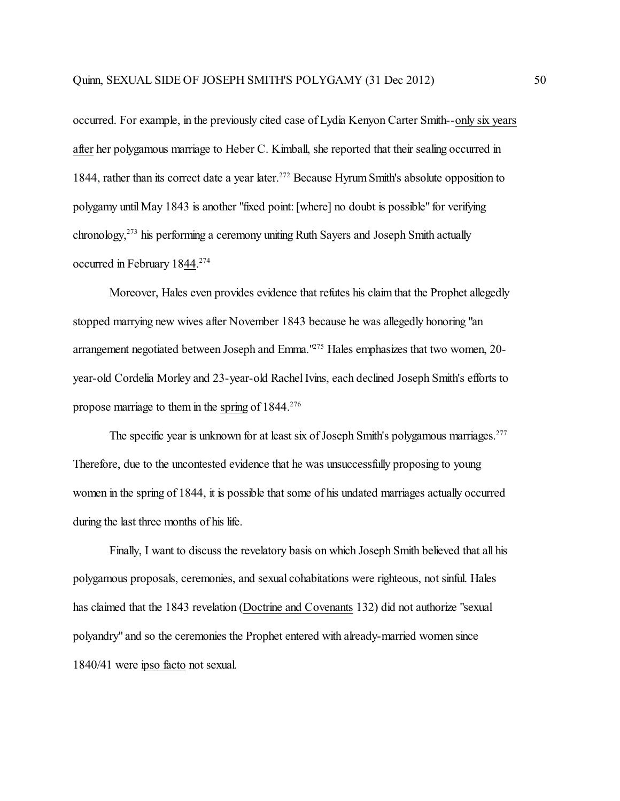occurred. For example, in the previously cited case of Lydia Kenyon Carter Smith--only six years after her polygamous marriage to Heber C. Kimball, she reported that their sealing occurred in 1844, rather than its correct date a year later.<sup>272</sup> Because Hyrum Smith's absolute opposition to polygamy until May 1843 is another "fixed point: [where] no doubt is possible" for verifying chronology, 273 his performing a ceremony uniting Ruth Sayers and Joseph Smith actually occurred in February 1844.<sup>274</sup>

Moreover, Hales even provides evidence that refutes his claim that the Prophet allegedly stopped marrying new wives after November 1843 because he was allegedly honoring "an arrangement negotiated between Joseph and Emma.<sup>1275</sup> Hales emphasizes that two women, 20year-old Cordelia Morley and 23-year-old Rachel Ivins, each declined Joseph Smith's efforts to propose marriage to them in the spring of  $1844^{276}$ 

The specific year is unknown for at least six of Joseph Smith's polygamous marriages.<sup>277</sup> Therefore, due to the uncontested evidence that he was unsuccessfully proposing to young women in the spring of 1844, it is possible that some of his undated marriages actually occurred during the last three months of his life.

Finally, I want to discuss the revelatory basis on which Joseph Smith believed that all his polygamous proposals, ceremonies, and sexual cohabitations were righteous, not sinful. Hales has claimed that the 1843 revelation (Doctrine and Covenants 132) did not authorize "sexual polyandry" and so the ceremonies the Prophet entered with already-married women since 1840/41 were ipso facto not sexual.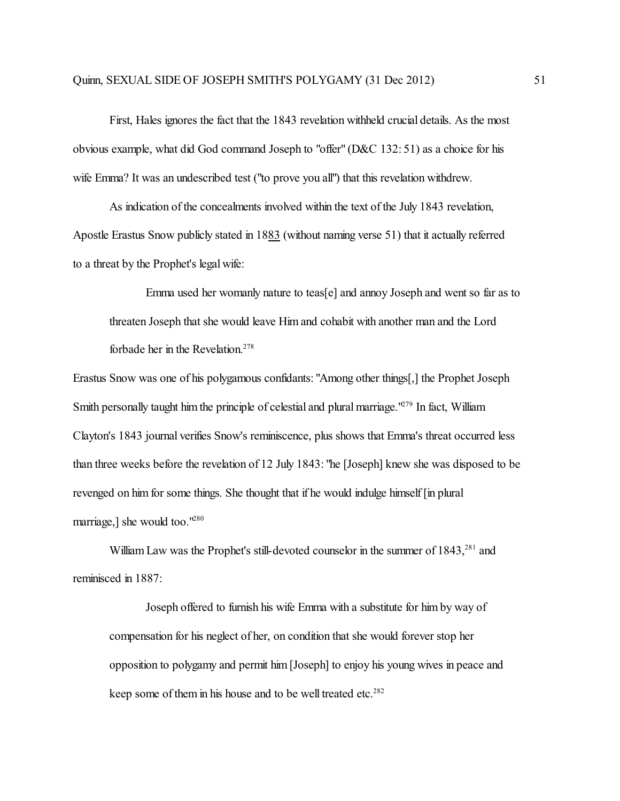First, Hales ignores the fact that the 1843 revelation withheld crucial details. As the most obvious example, what did God command Joseph to "offer" (D&C 132: 51) as a choice for his wife Emma? It was an undescribed test ("to prove you all") that this revelation withdrew.

As indication of the concealments involved within the text of the July 1843 revelation, Apostle Erastus Snow publicly stated in 1883 (without naming verse 51) that it actually referred to a threat by the Prophet's legal wife:

Emma used her womanly nature to teas[e] and annoy Joseph and went so far as to threaten Joseph that she would leave Him and cohabit with another man and the Lord forbade her in the Revelation. 278

Erastus Snow was one of his polygamous confidants: "Among other things[,] the Prophet Joseph Smith personally taught him the principle of celestial and plural marriage.<sup>1279</sup> In fact, William Clayton's 1843 journal verifies Snow's reminiscence, plus shows that Emma's threat occurred less than three weeks before the revelation of 12 July 1843: "he [Joseph] knew she was disposed to be revenged on him for some things. She thought that if he would indulge himself [in plural marriage,] she would too."<sup>280</sup>

William Law was the Prophet's still-devoted counselor in the summer of 1843,<sup>281</sup> and reminisced in 1887:

Joseph offered to furnish his wife Emma with a substitute for him by way of compensation for his neglect of her, on condition that she would forever stop her opposition to polygamy and permit him [Joseph] to enjoy his young wives in peace and keep some of them in his house and to be well treated etc.<sup>282</sup>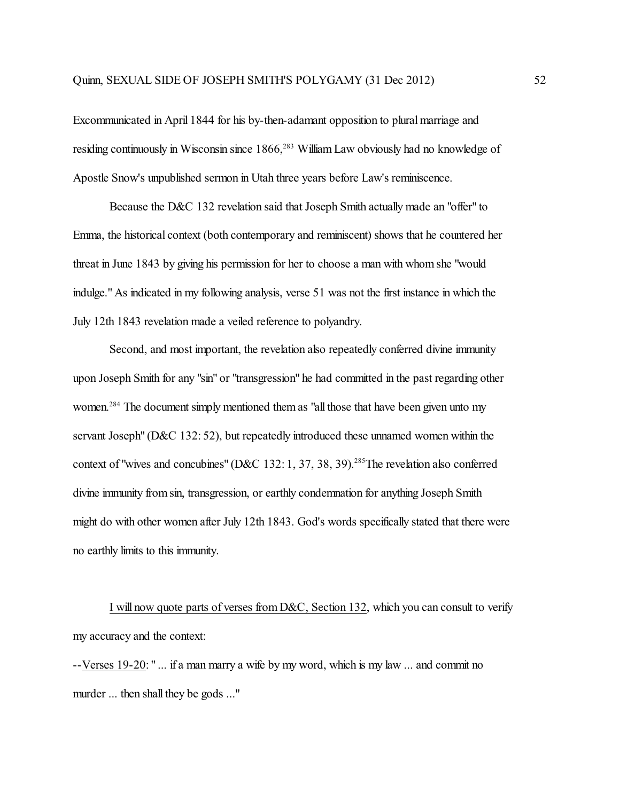Excommunicated in April 1844 for his by-then-adamant opposition to plural marriage and residing continuously in Wisconsin since 1866,<sup>283</sup> William Law obviously had no knowledge of Apostle Snow's unpublished sermon in Utah three years before Law's reminiscence.

Because the D&C 132 revelation said that Joseph Smith actually made an "offer" to Emma, the historical context (both contemporary and reminiscent) shows that he countered her threat in June 1843 by giving his permission for her to choose a man with whom she "would indulge." As indicated in my following analysis, verse 51 was not the first instance in which the July 12th 1843 revelation made a veiled reference to polyandry.

Second, and most important, the revelation also repeatedly conferred divine immunity upon Joseph Smith for any "sin" or "transgression" he had committed in the past regarding other women.<sup>284</sup> The document simply mentioned them as "all those that have been given unto my servant Joseph" (D&C 132: 52), but repeatedly introduced these unnamed women within the context of "wives and concubines" (D&C 132: 1, 37, 38, 39).<sup>285</sup>The revelation also conferred divine immunity fromsin, transgression, or earthly condemnation for anything Joseph Smith might do with other women after July 12th 1843. God's words specifically stated that there were no earthly limits to this immunity.

I will now quote parts of verses from D&C, Section 132, which you can consult to verify my accuracy and the context:

--Verses 19-20: " ... if a man marry a wife by my word, which is my law ... and commit no murder ... then shall they be gods ..."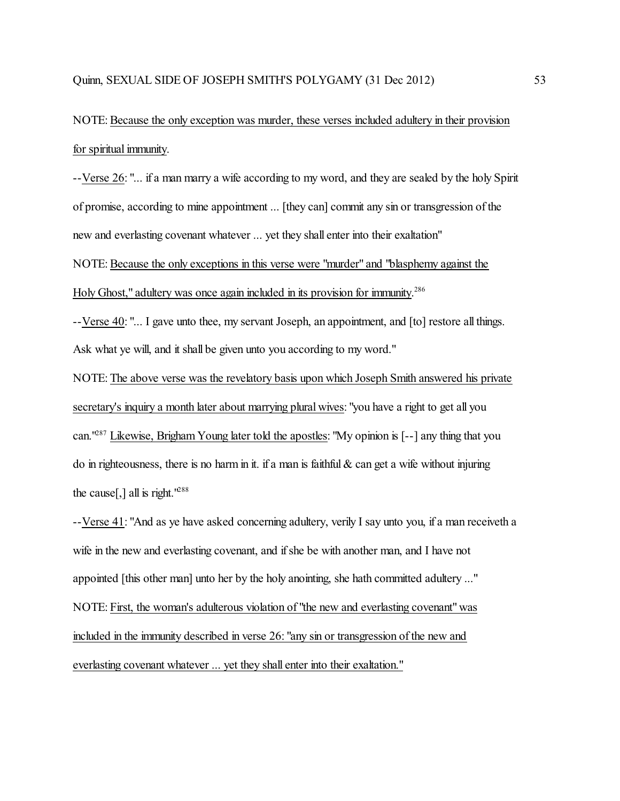NOTE: Because the only exception was murder, these verses included adultery in their provision for spiritual immunity.

--Verse 26: "... if a man marry a wife according to my word, and they are sealed by the holy Spirit of promise, according to mine appointment ... [they can] commit any sin or transgression of the new and everlasting covenant whatever ... yet they shall enter into their exaltation" NOTE: Because the only exceptions in this verse were "murder" and "blasphemy against the

Holy Ghost," adultery was once again included in its provision for immunity.<sup>286</sup>

--Verse 40: "... I gave unto thee, my servant Joseph, an appointment, and [to] restore all things. Ask what ye will, and it shall be given unto you according to my word."

NOTE: The above verse was the revelatory basis upon which Joseph Smith answered his private secretary's inquiry a month later about marrying plural wives: "you have a right to get all you can."<sup>287</sup> Likewise, Brigham Young later told the apostles: "My opinion is [--] any thing that you do in righteousness, there is no harm in it. if a man is faithful  $\&$  can get a wife without injuring the cause<sup>[1]</sup>, all is right.<sup>1288</sup>

--Verse 41: "And as ye have asked concerning adultery, verily I say unto you, if a man receiveth a wife in the new and everlasting covenant, and if she be with another man, and I have not appointed [this other man] unto her by the holy anointing, she hath committed adultery ..." NOTE: First, the woman's adulterous violation of "the new and everlasting covenant" was included in the immunity described in verse 26: "any sin or transgression of the new and everlasting covenant whatever ... yet they shall enter into their exaltation."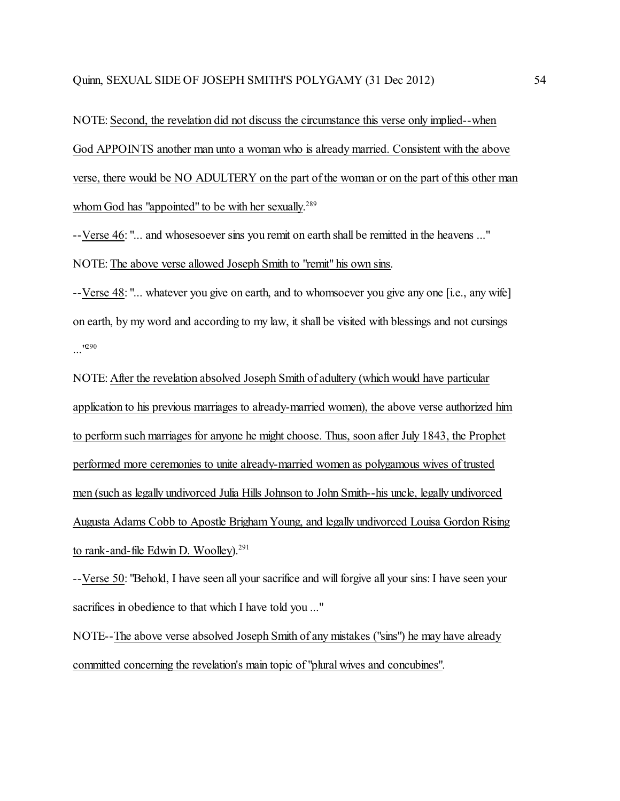NOTE: Second, the revelation did not discuss the circumstance this verse only implied--when God APPOINTS another man unto a woman who is already married. Consistent with the above verse, there would be NO ADULTERY on the part of the woman or on the part of this other man whom God has "appointed" to be with her sexually.<sup>289</sup>

--Verse 46: "... and whosesoever sins you remit on earth shall be remitted in the heavens ..." NOTE: The above verse allowed Joseph Smith to "remit" his own sins.

--Verse 48: "... whatever you give on earth, and to whomsoever you give any one [i.e., any wife] on earth, by my word and according to my law, it shall be visited with blessings and not cursings ..."<sup>290</sup>

NOTE: After the revelation absolved Joseph Smith of adultery (which would have particular application to his previous marriages to already-married women), the above verse authorized him to perform such marriages for anyone he might choose. Thus, soon after July 1843, the Prophet performed more ceremonies to unite already-married women as polygamous wives of trusted men (such as legally undivorced Julia Hills Johnson to John Smith--his uncle, legally undivorced Augusta Adams Cobb to Apostle Brigham Young, and legally undivorced Louisa Gordon Rising to rank-and-file Edwin D. Woolley).<sup>291</sup>

--Verse 50: "Behold, I have seen all your sacrifice and will forgive all your sins: I have seen your sacrifices in obedience to that which I have told you ..."

NOTE--The above verse absolved Joseph Smith of any mistakes ("sins") he may have already committed concerning the revelation's main topic of "plural wives and concubines".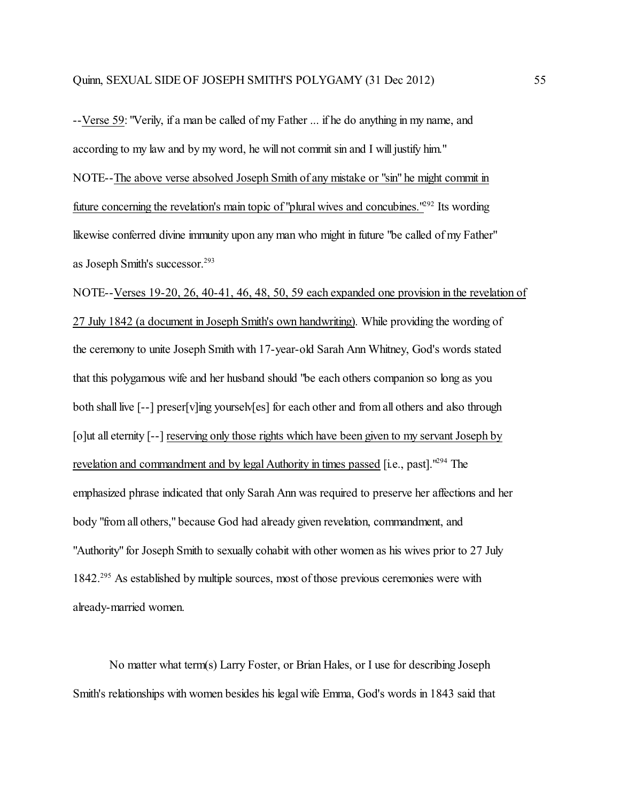--Verse 59: "Verily, if a man be called of my Father ... if he do anything in my name, and according to my law and by my word, he will not commit sin and I will justify him." NOTE--The above verse absolved Joseph Smith of any mistake or "sin" he might commit in future concerning the revelation's main topic of "plural wives and concubines."<sup>292</sup> Its wording likewise conferred divine immunity upon any man who might in future "be called of my Father" as Joseph Smith's successor. 293

NOTE--Verses 19-20, 26, 40-41, 46, 48, 50, 59 each expanded one provision in the revelation of 27 July 1842 (a document in Joseph Smith's own handwriting). While providing the wording of the ceremony to unite Joseph Smith with 17-year-old Sarah Ann Whitney, God's words stated that this polygamous wife and her husband should "be each others companion so long as you both shall live [--] preser[v]ing yourselv[es] for each other and from all others and also through [o]ut all eternity [--] reserving only those rights which have been given to my servant Joseph by revelation and commandment and by legal Authority in times passed [i.e., past].<sup>1294</sup> The emphasized phrase indicated that only Sarah Ann was required to preserve her affections and her body "from all others," because God had already given revelation, commandment, and "Authority" for Joseph Smith to sexually cohabit with other women as his wives prior to 27 July 1842.<sup>295</sup> As established by multiple sources, most of those previous ceremonies were with already-married women.

No matter what term(s) Larry Foster, or Brian Hales, or I use for describing Joseph Smith's relationships with women besides his legal wife Emma, God's words in 1843 said that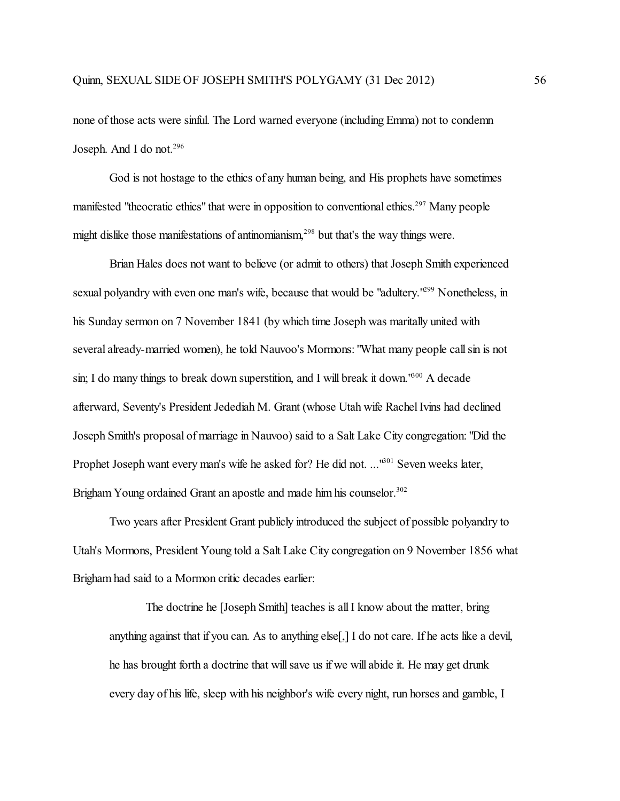none of those acts were sinful. The Lord warned everyone (including Emma) not to condemn Joseph. And I do not.<sup>296</sup>

God is not hostage to the ethics of any human being, and His prophets have sometimes manifested "theocratic ethics" that were in opposition to conventional ethics.<sup>297</sup> Many people might dislike those manifestations of antinomianism,<sup>298</sup> but that's the way things were.

Brian Hales does not want to believe (or admit to others) that Joseph Smith experienced sexual polyandry with even one man's wife, because that would be "adultery."<sup>299</sup> Nonetheless, in his Sunday sermon on 7 November 1841 (by which time Joseph was maritally united with several already-married women), he told Nauvoo's Mormons: "What many people call sin is not sin; I do many things to break down superstition, and I will break it down.<sup>1600</sup> A decade afterward, Seventy's President Jedediah M. Grant (whose Utah wife Rachel Ivins had declined Joseph Smith's proposal of marriage in Nauvoo) said to a Salt Lake City congregation: "Did the Prophet Joseph want every man's wife he asked for? He did not. ...<sup>1601</sup> Seven weeks later, Brigham Young ordained Grant an apostle and made him his counselor.<sup>302</sup>

Two years after President Grant publicly introduced the subject of possible polyandry to Utah's Mormons, President Young told a Salt Lake City congregation on 9 November 1856 what Brigham had said to a Mormon critic decades earlier:

The doctrine he [Joseph Smith] teaches is all I know about the matter, bring anything against that if you can. As to anything else[,] I do not care. If he acts like a devil, he has brought forth a doctrine that will save us if we will abide it. He may get drunk every day of his life, sleep with his neighbor's wife every night, run horses and gamble, I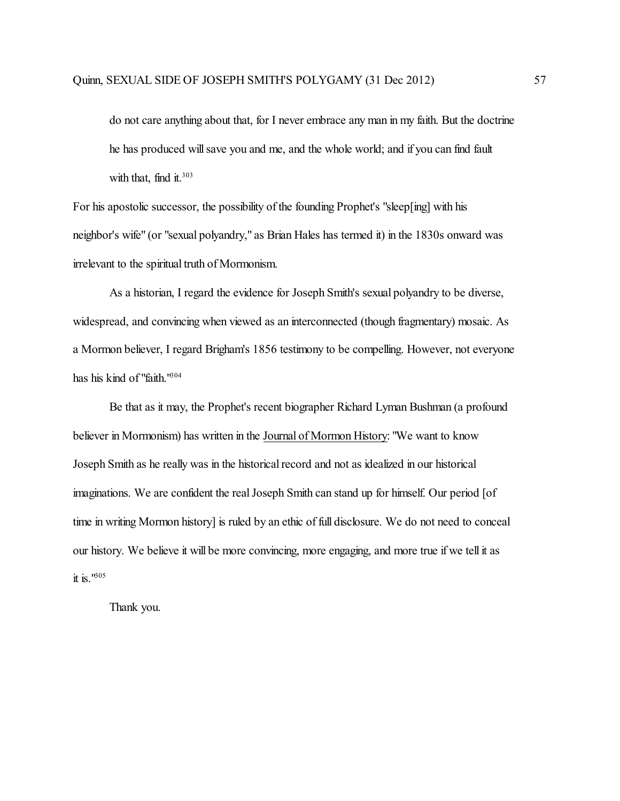do not care anything about that, for I never embrace any man in my faith. But the doctrine he has produced will save you and me, and the whole world; and if you can find fault with that, find it.<sup>303</sup>

For his apostolic successor, the possibility of the founding Prophet's "sleep[ing] with his neighbor's wife" (or "sexual polyandry," as Brian Hales has termed it) in the 1830s onward was irrelevant to the spiritual truth of Mormonism.

As a historian, I regard the evidence for Joseph Smith's sexual polyandry to be diverse, widespread, and convincing when viewed as an interconnected (though fragmentary) mosaic. As a Mormon believer, I regard Brigham's 1856 testimony to be compelling. However, not everyone has his kind of "faith."304

Be that as it may, the Prophet's recent biographer Richard Lyman Bushman (a profound believer in Mormonism) has written in the Journal of Mormon History: "We want to know Joseph Smith as he really was in the historical record and not as idealized in our historical imaginations. We are confident the real Joseph Smith can stand up for himself. Our period [of time in writing Mormon history] is ruled by an ethic of full disclosure. We do not need to conceal our history. We believe it will be more convincing, more engaging, and more true if we tell it as it is. $18.05$ 

Thank you.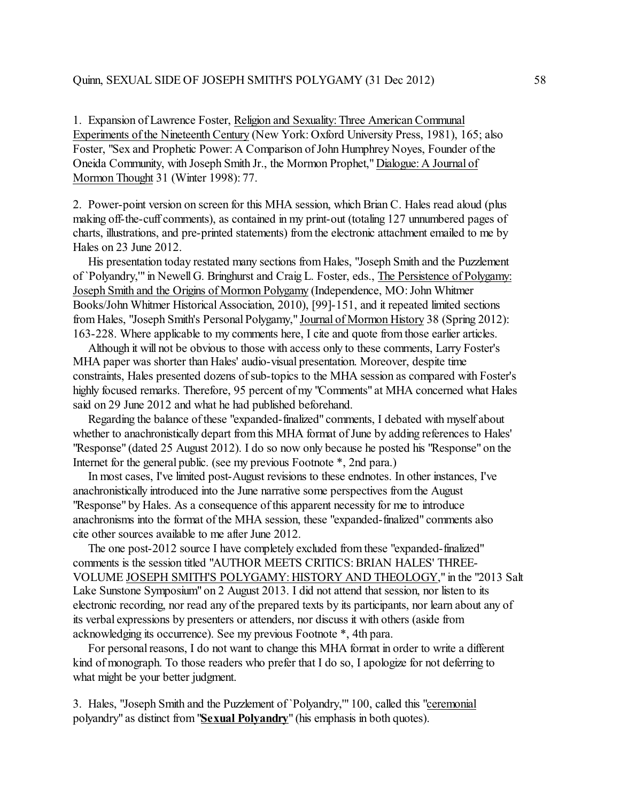1. Expansion of Lawrence Foster, Religion and Sexuality:Three American Communal Experiments of the Nineteenth Century (New York: Oxford University Press, 1981), 165; also Foster, "Sex and Prophetic Power: A Comparison of John Humphrey Noyes, Founder of the Oneida Community, with Joseph Smith Jr., the Mormon Prophet," Dialogue: A Journal of Mormon Thought 31 (Winter 1998): 77.

2. Power-point version on screen for this MHA session, which Brian C. Hales read aloud (plus making off-the-cuff comments), as contained in my print-out (totaling 127 unnumbered pages of charts, illustrations, and pre-printed statements) from the electronic attachment emailed to me by Hales on 23 June 2012.

 His presentation today restated many sections from Hales, "Joseph Smith and the Puzzlement of `Polyandry,'" in Newell G. Bringhurst and Craig L. Foster, eds., The Persistence of Polygamy: Joseph Smith and the Origins of Mormon Polygamy (Independence, MO:John Whitmer Books/John Whitmer Historical Association, 2010), [99]-151, and it repeated limited sections from Hales, "Joseph Smith's Personal Polygamy," Journal of Mormon History 38 (Spring 2012): 163-228. Where applicable to my comments here, I cite and quote from those earlier articles.

 Although it will not be obvious to those with access only to these comments, Larry Foster's MHA paper was shorter than Hales' audio-visual presentation. Moreover, despite time constraints, Hales presented dozens of sub-topics to the MHA session as compared with Foster's highly focused remarks. Therefore, 95 percent of my "Comments" at MHA concerned what Hales said on 29 June 2012 and what he had published beforehand.

Regarding the balance of these "expanded-finalized" comments, I debated with myself about whether to anachronistically depart from this MHA format of June by adding references to Hales' "Response" (dated 25 August 2012). I do so now only because he posted his "Response" on the Internet for the general public. (see my previous Footnote \*, 2nd para.)

 In most cases, I've limited post-August revisions to these endnotes. In other instances, I've anachronistically introduced into the June narrative some perspectives from the August "Response" by Hales. As a consequence of this apparent necessity for me to introduce anachronisms into the format of the MHA session, these "expanded-finalized" comments also cite other sources available to me after June 2012.

 The one post-2012 source I have completely excluded from these "expanded-finalized" comments is the session titled "AUTHOR MEETS CRITICS: BRIAN HALES' THREE-VOLUME JOSEPH SMITH'S POLYGAMY: HISTORY AND THEOLOGY," in the "2013 Salt Lake Sunstone Symposium" on 2 August 2013. I did not attend that session, nor listen to its electronic recording, nor read any of the prepared texts by its participants, nor learn about any of its verbal expressions by presenters or attenders, nor discuss it with others (aside from acknowledging its occurrence). See my previous Footnote \*, 4th para.

 For personal reasons, I do not want to change this MHA format in order to write a different kind of monograph. To those readers who prefer that I do so, I apologize for not deferring to what might be your better judgment.

3. Hales, "Joseph Smith and the Puzzlement of `Polyandry,'" 100, called this "ceremonial polyandry" as distinct from"**Sexual Polyandry**" (his emphasis in both quotes).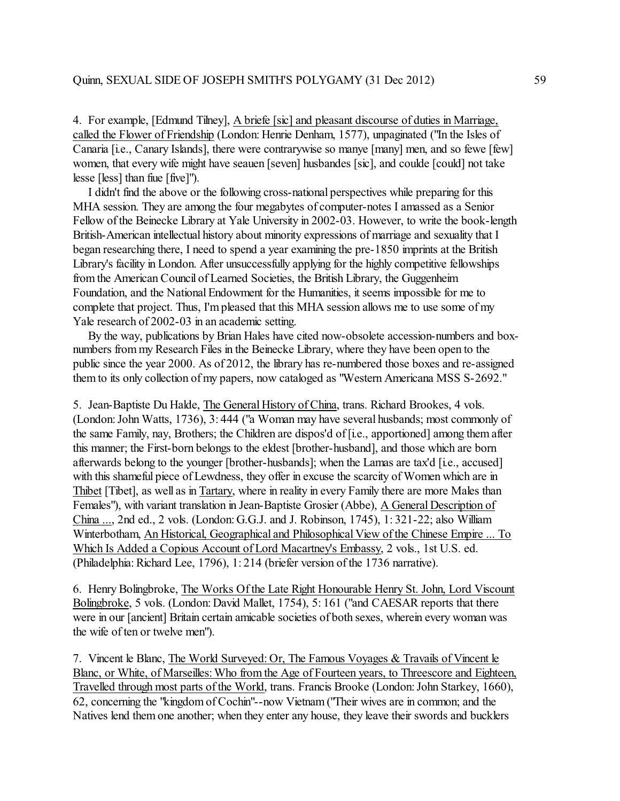4. For example, [Edmund Tilney], A briefe [sic] and pleasant discourse of duties in Marriage, called the Flower of Friendship (London: Henrie Denham, 1577), unpaginated ("In the Isles of Canaria [i.e., Canary Islands], there were contrarywise so manye [many] men, and so fewe [few] women, that every wife might have seauen [seven] husbandes [sic], and coulde [could] not take lesse [less] than fiue [five]").

 I didn't find the above or the following cross-national perspectives while preparing for this MHA session. They are among the four megabytes of computer-notes I amassed as a Senior Fellow of the Beinecke Library at Yale University in 2002-03. However, to write the book-length British-American intellectual history about minority expressions of marriage and sexuality that I began researching there, I need to spend a year examining the pre-1850 imprints at the British Library's facility in London. After unsuccessfully applying for the highly competitive fellowships from the American Council of Learned Societies, the British Library, the Guggenheim Foundation, and the NationalEndowment for the Humanities, it seems impossible for me to complete that project. Thus, I'mpleased that this MHA session allows me to use some of my Yale research of 2002-03 in an academic setting.

 By the way, publications by Brian Hales have cited now-obsolete accession-numbers and boxnumbers from my Research Files in the Beinecke Library, where they have been open to the public since the year 2000. As of 2012, the library has re-numbered those boxes and re-assigned them to its only collection of my papers, now cataloged as "Western Americana MSS S-2692."

5. Jean-Baptiste Du Halde, The General History of China, trans. Richard Brookes, 4 vols. (London: John Watts, 1736), 3: 444 ("a Woman may have several husbands; most commonly of the same Family, nay, Brothers; the Children are dispos'd of [i.e., apportioned] among them after this manner; the First-born belongs to the eldest [brother-husband], and those which are born afterwards belong to the younger [brother-husbands]; when the Lamas are tax'd [i.e., accused] with this shameful piece of Lewdness, they offer in excuse the scarcity of Women which are in Thibet [Tibet], as well as in Tartary, where in reality in every Family there are more Males than Females"), with variant translation in Jean-Baptiste Grosier (Abbe), A General Description of China ..., 2nd ed., 2 vols. (London: G.G.J. and J. Robinson, 1745), 1: 321-22; also William Winterbotham, An Historical, Geographical and Philosophical View of the Chinese Empire ... To Which Is Added a Copious Account of Lord Macartney's Embassy, 2 vols., 1st U.S. ed. (Philadelphia: Richard Lee, 1796), 1: 214 (briefer version of the 1736 narrative).

6. Henry Bolingbroke, The Works Of the Late Right Honourable Henry St. John, Lord Viscount Bolingbroke, 5 vols. (London: David Mallet, 1754), 5: 161 ("and CAESAR reports that there were in our [ancient] Britain certain amicable societies of both sexes, wherein every woman was the wife of ten or twelve men").

7. Vincent le Blanc, The World Surveyed: Or, The Famous Voyages & Travails of Vincent le Blanc, or White, of Marseilles:Who from the Age of Fourteen years, to Threescore and Eighteen, Travelled through most parts of the World, trans. Francis Brooke (London: John Starkey, 1660), 62, concerning the "kingdom of Cochin"--now Vietnam("Their wives are in common; and the Natives lend them one another; when they enter any house, they leave their swords and bucklers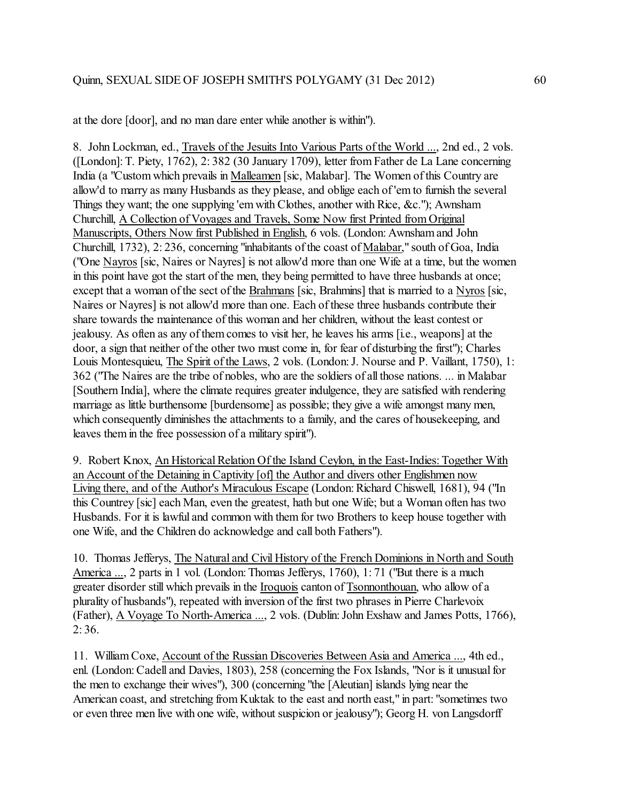at the dore [door], and no man dare enter while another is within").

8. John Lockman, ed., Travels of the Jesuits Into Various Parts of the World ..., 2nd ed., 2 vols. ([London]:T. Piety, 1762), 2: 382 (30 January 1709), letter from Father de La Lane concerning India (a "Custom which prevails in Malleamen [sic, Malabar]. The Women of this Country are allow'd to marry as many Husbands as they please, and oblige each of 'em to furnish the several Things they want; the one supplying 'em with Clothes, another with Rice, &c."); Awnsham Churchill, A Collection of Voyages and Travels, Some Now first Printed from Original Manuscripts, Others Now first Published in English, 6 vols. (London: Awnsham and John Churchill, 1732), 2: 236, concerning "inhabitants of the coast of Malabar," south of Goa, India ("One Nayros [sic, Naires or Nayres] is not allow'd more than one Wife at a time, but the women in this point have got the start of the men, they being permitted to have three husbands at once; except that a woman of the sect of the Brahmans [sic, Brahmins] that is married to a Nyros [sic, Naires or Nayres] is not allow'd more than one. Each of these three husbands contribute their share towards the maintenance of this woman and her children, without the least contest or jealousy. As often as any of themcomes to visit her, he leaves his arms [i.e., weapons] at the door, a sign that neither of the other two must come in, for fear of disturbing the first"); Charles Louis Montesquieu, The Spirit of the Laws, 2 vols. (London: J. Nourse and P. Vaillant, 1750), 1: 362 ("The Naires are the tribe of nobles, who are the soldiers of all those nations. ... in Malabar [Southern India], where the climate requires greater indulgence, they are satisfied with rendering marriage as little burthensome [burdensome] as possible; they give a wife amongst many men, which consequently diminishes the attachments to a family, and the cares of housekeeping, and leaves them in the free possession of a military spirit").

9. Robert Knox, An Historical Relation Of the Island Ceylon, in the East-Indies: Together With an Account of the Detaining in Captivity [of] the Author and divers other Englishmen now Living there, and of the Author's Miraculous Escape (London: Richard Chiswell, 1681), 94 ("In this Countrey [sic] each Man, even the greatest, hath but one Wife; but a Woman often has two Husbands. For it is lawful and common with them for two Brothers to keep house together with one Wife, and the Children do acknowledge and call both Fathers").

10. Thomas Jefferys, The Natural and Civil History of the French Dominions in North and South America ..., 2 parts in 1 vol. (London: Thomas Jefferys, 1760), 1:71 ("But there is a much greater disorder still which prevails in the Iroquois canton of Tsonnonthouan, who allow of a plurality of husbands"), repeated with inversion of the first two phrases in Pierre Charlevoix (Father), A Voyage To North-America ..., 2 vols. (Dublin: John Exshaw and James Potts, 1766), 2: 36.

11. William Coxe, Account of the Russian Discoveries Between Asia and America ..., 4th ed., enl. (London: Cadell and Davies, 1803), 258 (concerning the Fox Islands, "Nor is it unusual for the men to exchange their wives"), 300 (concerning "the [Aleutian] islands lying near the American coast, and stretching from Kuktak to the east and north east," in part: "sometimes two or even three men live with one wife, without suspicion or jealousy"); Georg H. von Langsdorff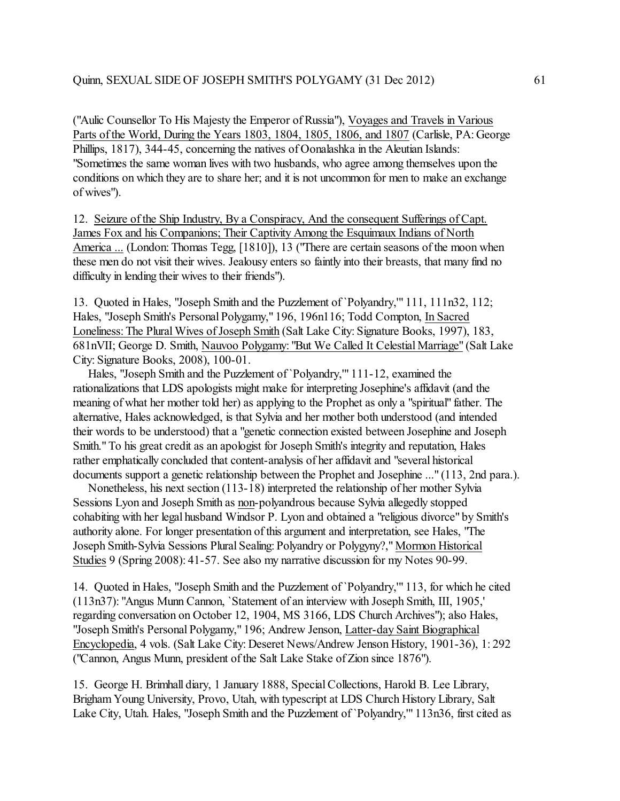("Aulic Counsellor To His Majesty the Emperor of Russia"), Voyages and Travels in Various Parts of the World, During the Years 1803, 1804, 1805, 1806, and 1807 (Carlisle, PA: George Phillips, 1817), 344-45, concerning the natives of Oonalashka in the Aleutian Islands: "Sometimes the same woman lives with two husbands, who agree among themselves upon the conditions on which they are to share her; and it is not uncommon for men to make an exchange of wives").

12. Seizure of the Ship Industry, By a Conspiracy, And the consequent Sufferings of Capt. James Fox and his Companions; Their Captivity Among the Esquimaux Indians of North America ... (London: Thomas Tegg, [1810]), 13 ("There are certain seasons of the moon when these men do not visit their wives. Jealousy enters so faintly into their breasts, that many find no difficulty in lending their wives to their friends").

13. Quoted in Hales, "Joseph Smith and the Puzzlement of `Polyandry,'" 111, 111n32, 112; Hales, "Joseph Smith's Personal Polygamy," 196, 196n116; Todd Compton, In Sacred Loneliness: The Plural Wives of Joseph Smith (Salt Lake City: Signature Books, 1997), 183, 681nVII; George D. Smith, Nauvoo Polygamy: "But We Called It Celestial Marriage" (Salt Lake City: Signature Books, 2008), 100-01.

 Hales, "Joseph Smith and the Puzzlement of `Polyandry,'" 111-12, examined the rationalizations that LDS apologists might make for interpreting Josephine's affidavit (and the meaning of what her mother told her) as applying to the Prophet as only a "spiritual" father. The alternative, Hales acknowledged, is that Sylvia and her mother both understood (and intended their words to be understood) that a "genetic connection existed between Josephine and Joseph Smith." To his great credit as an apologist for Joseph Smith's integrity and reputation, Hales rather emphatically concluded that content-analysis of her affidavit and "several historical documents support a genetic relationship between the Prophet and Josephine ..." (113, 2nd para.).

 Nonetheless, his next section (113-18) interpreted the relationship of her mother Sylvia Sessions Lyon and Joseph Smith as non-polyandrous because Sylvia allegedly stopped cohabiting with her legal husband Windsor P. Lyon and obtained a "religious divorce" by Smith's authority alone. For longer presentation of this argument and interpretation, see Hales, "The Joseph Smith-Sylvia Sessions Plural Sealing: Polyandry or Polygyny?," Mormon Historical Studies 9 (Spring 2008): 41-57. See also my narrative discussion for my Notes 90-99.

14. Quoted in Hales, "Joseph Smith and the Puzzlement of `Polyandry,'" 113, for which he cited (113n37): "Angus Munn Cannon, `Statement of an interview with Joseph Smith, III, 1905,' regarding conversation on October 12, 1904, MS 3166, LDS Church Archives"); also Hales, "Joseph Smith's Personal Polygamy," 196; Andrew Jenson, Latter-day Saint Biographical Encyclopedia, 4 vols. (Salt Lake City: Deseret News/Andrew Jenson History, 1901-36), 1: 292 ("Cannon, Angus Munn, president ofthe Salt Lake Stake of Zion since 1876").

15. George H. Brimhall diary, 1 January 1888, Special Collections, Harold B. Lee Library, Brigham Young University, Provo, Utah, with typescript at LDS Church History Library, Salt Lake City, Utah. Hales, "Joseph Smith and the Puzzlement of `Polyandry,'" 113n36, first cited as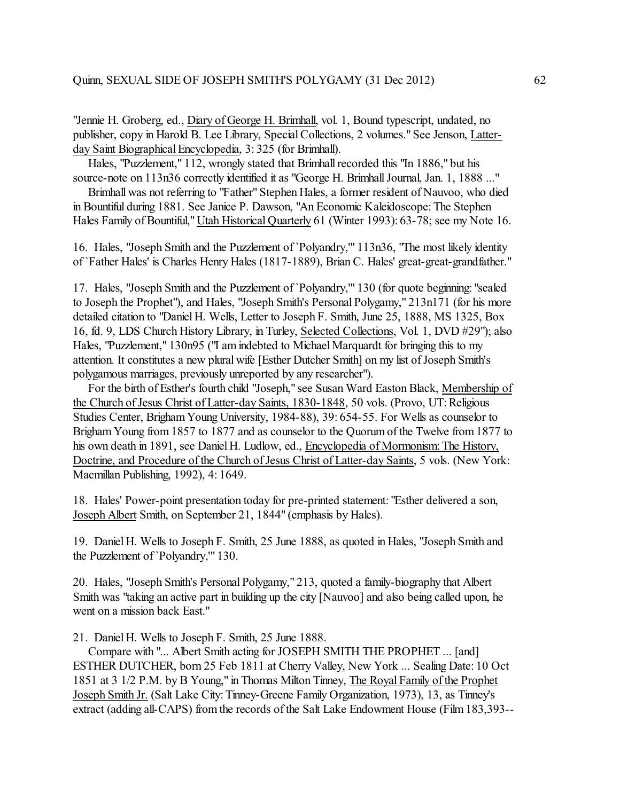"Jennie H. Groberg, ed., Diary of George H. Brimhall, vol. 1, Bound typescript, undated, no publisher, copy in Harold B. Lee Library, Special Collections, 2 volumes." See Jenson, Latterday Saint Biographical Encyclopedia, 3:325 (for Brimhall).

 Hales, "Puzzlement," 112, wrongly stated that Brimhall recorded this "In 1886," but his source-note on 113n36 correctly identified it as "George H. Brimhall Journal, Jan. 1, 1888 ..."

 Brimhall was not referring to "Father" Stephen Hales, a former resident of Nauvoo, who died in Bountiful during 1881. See Janice P. Dawson, "An Economic Kaleidoscope: The Stephen Hales Family of Bountiful," Utah Historical Quarterly 61 (Winter 1993): 63-78; see my Note 16.

16. Hales, "Joseph Smith and the Puzzlement of `Polyandry,'" 113n36, "The most likely identity of `Father Hales' is Charles Henry Hales (1817-1889), Brian C. Hales' great-great-grandfather."

17. Hales, "Joseph Smith and the Puzzlement of `Polyandry,'" 130 (for quote beginning: "sealed to Joseph the Prophet"), and Hales, "Joseph Smith's Personal Polygamy," 213n171 (for his more detailed citation to "Daniel H. Wells, Letter to Joseph F. Smith, June 25, 1888, MS 1325, Box 16, fd. 9, LDS Church History Library, in Turley, Selected Collections, Vol. 1, DVD #29"); also Hales, "Puzzlement," 130n95 ("I amindebted to Michael Marquardt for bringing this to my attention. It constitutes a new plural wife [Esther Dutcher Smith] on my list of Joseph Smith's polygamous marriages, previously unreported by any researcher").

 For the birth of Esther's fourth child "Joseph," see Susan Ward Easton Black, Membership of the Church of Jesus Christ of Latter-day Saints, 1830-1848, 50 vols. (Provo, UT: Religious Studies Center, BrighamYoung University, 1984-88), 39: 654-55. For Wells as counselor to Brigham Young from 1857 to 1877 and as counselor to the Quorum of the Twelve from 1877 to his own death in 1891, see Daniel H. Ludlow, ed., Encyclopedia of Mormonism: The History, Doctrine, and Procedure of the Church of Jesus Christ of Latter-day Saints, 5 vols. (New York: Macmillan Publishing, 1992), 4: 1649.

18. Hales' Power-point presentation today for pre-printed statement: "Esther delivered a son, Joseph Albert Smith, on September 21, 1844" (emphasis by Hales).

19. Daniel H. Wells to Joseph F. Smith, 25 June 1888, as quoted in Hales, "Joseph Smith and the Puzzlement of `Polyandry,'" 130.

20. Hales, "Joseph Smith's Personal Polygamy," 213, quoted a family-biography that Albert Smith was "taking an active part in building up the city [Nauvoo] and also being called upon, he went on a mission back East."

21. Daniel H. Wells to Joseph F. Smith, 25 June 1888.

 Compare with "... Albert Smith acting for JOSEPH SMITH THE PROPHET ... [and] ESTHER DUTCHER, born 25 Feb 1811 at Cherry Valley, New York ... Sealing Date: 10 Oct 1851 at 3 1/2 P.M. by B Young," in Thomas Milton Tinney, The Royal Family of the Prophet Joseph Smith Jr. (Salt Lake City: Tinney-Greene Family Organization, 1973), 13, as Tinney's extract (adding all-CAPS) from the records of the Salt Lake Endowment House (Film 183,393--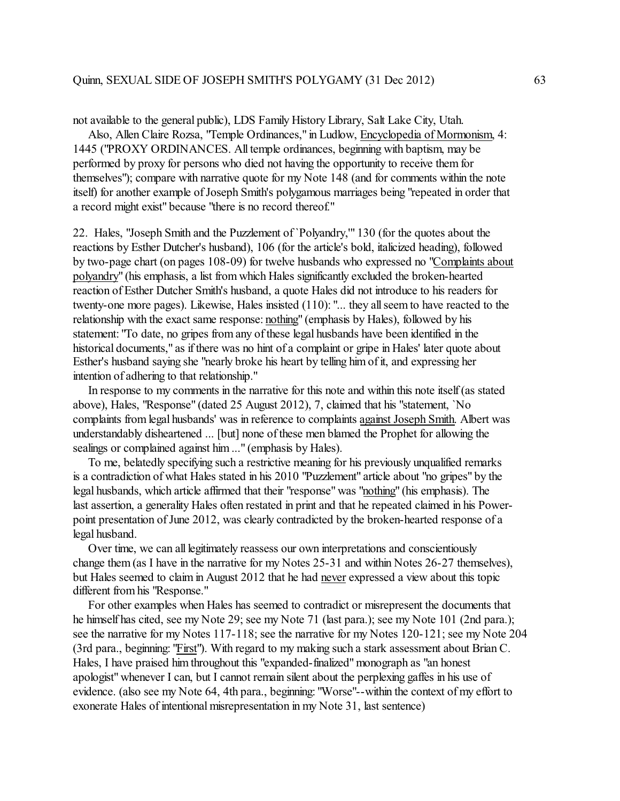not available to the general public), LDS Family History Library, Salt Lake City, Utah.

 Also, Allen Claire Rozsa, "Temple Ordinances," in Ludlow, Encyclopedia of Mormonism, 4: 1445 ("PROXY ORDINANCES. All temple ordinances, beginning with baptism, may be performed by proxy for persons who died not having the opportunity to receive them for themselves"); compare with narrative quote for my Note 148 (and for comments within the note itself) for another example of Joseph Smith's polygamous marriages being "repeated in order that a record might exist" because "there is no record thereof."

22. Hales, "Joseph Smith and the Puzzlement of `Polyandry,'" 130 (for the quotes about the reactions by Esther Dutcher's husband), 106 (for the article's bold, italicized heading), followed by two-page chart (on pages 108-09) for twelve husbands who expressed no "Complaints about polyandry" (his emphasis, a list from which Hales significantly excluded the broken-hearted reaction of Esther Dutcher Smith's husband, a quote Hales did not introduce to his readers for twenty-one more pages). Likewise, Hales insisted (110): "... they all seem to have reacted to the relationship with the exact same response: nothing" (emphasis by Hales), followed by his statement: "To date, no gripes from any of these legal husbands have been identified in the historical documents," as if there was no hint of a complaint or gripe in Hales' later quote about Esther's husband saying she "nearly broke his heart by telling him of it, and expressing her intention of adhering to that relationship."

 In response to my comments in the narrative for this note and within this note itself (as stated above), Hales, "Response" (dated 25 August 2012), 7, claimed that his "statement, `No complaints from legal husbands' was in reference to complaints against Joseph Smith. Albert was understandably disheartened ... [but] none of these men blamed the Prophet for allowing the sealings or complained against him ..." (emphasis by Hales).

 To me, belatedly specifying such a restrictive meaning for his previously unqualified remarks is a contradiction of what Hales stated in his 2010 "Puzzlement" article about "no gripes" by the legal husbands, which article affirmed that their "response" was "nothing" (his emphasis). The last assertion, a generality Hales often restated in print and that he repeated claimed in his Powerpoint presentation of June 2012, was clearly contradicted by the broken-hearted response of a legal husband.

 Over time, we can all legitimately reassess our own interpretations and conscientiously change them (as I have in the narrative for my Notes 25-31 and within Notes 26-27 themselves), but Hales seemed to claim in August 2012 that he had never expressed a view about this topic different from his "Response."

 For other examples when Hales has seemed to contradict or misrepresent the documents that he himself has cited, see my Note 29; see my Note 71 (last para.); see my Note 101 (2nd para.); see the narrative for my Notes 117-118; see the narrative for my Notes 120-121; see my Note 204 (3rd para., beginning: "First"). With regard to my making such a stark assessment about Brian C. Hales, I have praised him throughout this "expanded-finalized" monograph as "an honest apologist" whenever I can, but I cannot remain silent about the perplexing gaffes in his use of evidence. (also see my Note 64, 4th para., beginning: "Worse"--within the context of my effort to exonerate Hales of intentional misrepresentation in my Note 31, last sentence)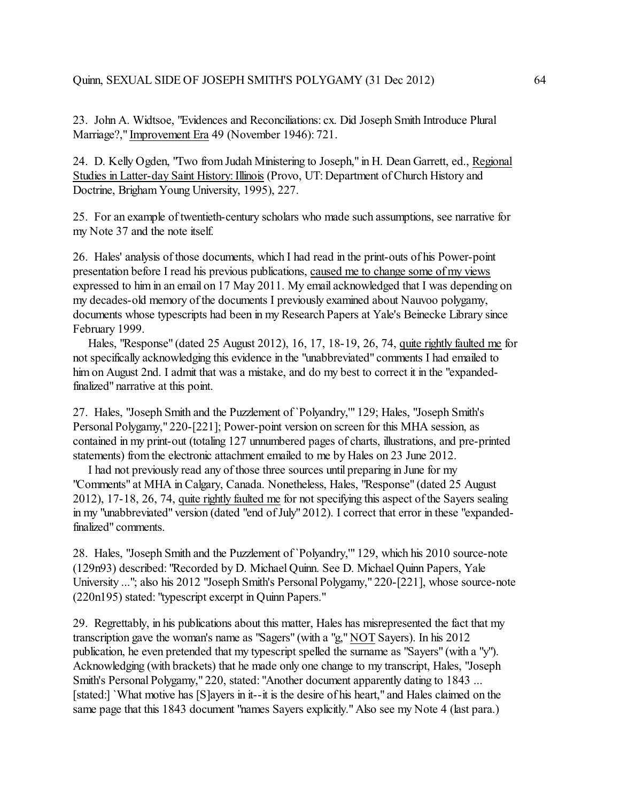23. John A. Widtsoe, "Evidences and Reconciliations: cx. Did Joseph Smith Introduce Plural Marriage?," Improvement Era 49 (November 1946): 721.

24. D. Kelly Ogden, "Two from Judah Ministering to Joseph," in H. Dean Garrett, ed., Regional Studies in Latter-day Saint History: Illinois (Provo, UT: Department of Church History and Doctrine, Brigham Young University, 1995), 227.

25. For an example of twentieth-century scholars who made such assumptions, see narrative for my Note 37 and the note itself.

26. Hales' analysis of those documents, which I had read in the print-outs of his Power-point presentation before I read his previous publications, caused me to change some of my views expressed to him in an email on 17 May 2011. My email acknowledged that I was depending on my decades-old memory of the documents I previously examined about Nauvoo polygamy, documents whose typescripts had been in my Research Papers at Yale's Beinecke Library since February 1999.

 Hales, "Response" (dated 25 August 2012), 16, 17, 18-19, 26, 74, quite rightly faulted me for not specifically acknowledging this evidence in the "unabbreviated" comments I had emailed to him on August 2nd. I admit that was a mistake, and do my best to correct it in the "expandedfinalized" narrative at this point.

27. Hales, "Joseph Smith and the Puzzlement of `Polyandry,'" 129; Hales, "Joseph Smith's Personal Polygamy," 220-[221]; Power-point version on screen for this MHA session, as contained in my print-out (totaling 127 unnumbered pages of charts, illustrations, and pre-printed statements) from the electronic attachment emailed to me by Hales on 23 June 2012.

 I had not previously read any of those three sources until preparing in June for my "Comments" at MHA in Calgary, Canada. Nonetheless, Hales, "Response" (dated 25 August 2012), 17-18, 26, 74, quite rightly faulted me for not specifying this aspect ofthe Sayers sealing in my "unabbreviated" version (dated "end of July" 2012). I correct that error in these "expandedfinalized" comments.

28. Hales, "Joseph Smith and the Puzzlement of `Polyandry,'" 129, which his 2010 source-note (129n93) described: "Recorded by D. Michael Quinn. See D. Michael Quinn Papers, Yale University ..."; also his 2012 "Joseph Smith's Personal Polygamy," 220-[221], whose source-note (220n195) stated: "typescript excerpt in Quinn Papers."

29. Regrettably, in his publications about this matter, Hales has misrepresented the fact that my transcription gave the woman's name as "Sagers" (with a "g," NOT Sayers). In his 2012 publication, he even pretended that my typescript spelled the surname as "Sayers" (with a "y"). Acknowledging (with brackets) that he made only one change to my transcript, Hales, "Joseph Smith's Personal Polygamy," 220, stated: "Another document apparently dating to 1843 ... [stated:] `What motive has [S]ayers in it--it is the desire of his heart," and Hales claimed on the same page that this 1843 document "names Sayers explicitly." Also see my Note 4 (last para.)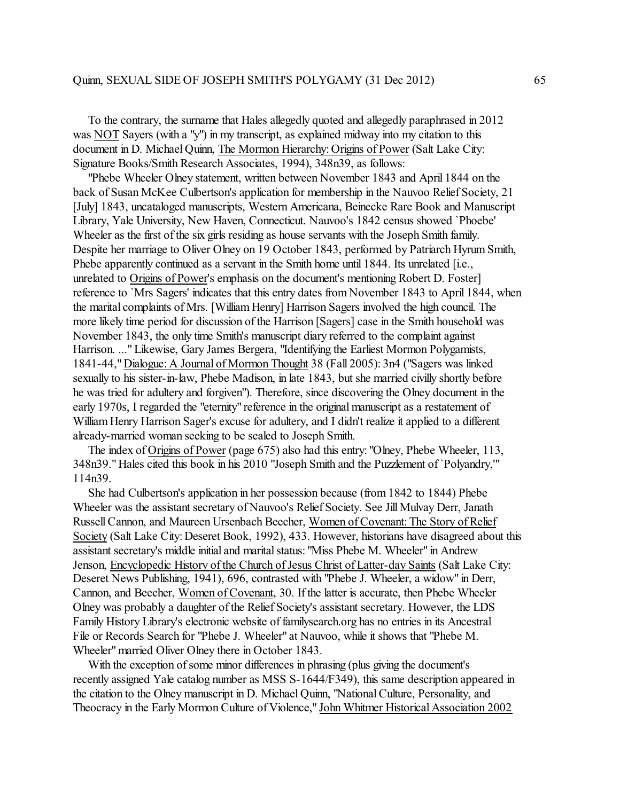To the contrary, the surname that Hales allegedly quoted and allegedly paraphrased in 2012 was NOT Sayers (with a "y") in my transcript, as explained midway into my citation to this document in D. Michael Quinn, The Mormon Hierarchy: Origins of Power (Salt Lake City: Signature Books/Smith Research Associates, 1994), 348n39, as follows:

 "Phebe Wheeler Olney statement, written between November 1843 and April 1844 on the back of Susan McKee Culbertson's application for membership in the Nauvoo Relief Society, 21 [July] 1843, uncataloged manuscripts, Western Americana, Beinecke Rare Book and Manuscript Library, Yale University, New Haven, Connecticut. Nauvoo's 1842 census showed `Phoebe' Wheeler as the first of the six girls residing as house servants with the Joseph Smith family. Despite her marriage to Oliver Olney on 19 October 1843, performed by Patriarch Hyrum Smith, Phebe apparently continued as a servant in the Smith home until 1844. Its unrelated [i.e., unrelated to Origins of Power's emphasis on the document's mentioning Robert D. Foster] reference to `Mrs Sagers' indicates that this entry dates from November 1843 to April 1844, when the marital complaints of Mrs. [William Henry] Harrison Sagers involved the high council. The more likely time period for discussion of the Harrison [Sagers] case in the Smith household was November 1843, the only time Smith's manuscript diary referred to the complaint against Harrison. ..." Likewise, Gary James Bergera, "Identifying the Earliest Mormon Polygamists, 1841-44," Dialogue: A Journal of Mormon Thought 38 (Fall 2005): 3n4 ("Sagers was linked sexually to his sister-in-law, Phebe Madison, in late 1843, but she married civilly shortly before he was tried for adultery and forgiven"). Therefore, since discovering the Olney document in the early 1970s, I regarded the "eternity" reference in the original manuscript as a restatement of William Henry Harrison Sager's excuse for adultery, and I didn't realize it applied to a different already-married woman seeking to be sealed to Joseph Smith.

 The index of Origins of Power (page 675) also had this entry: "Olney, Phebe Wheeler, 113, 348n39." Hales cited this book in his 2010 "Joseph Smith and the Puzzlement of `Polyandry,'" 114n39.

 She had Culbertson's application in her possession because (from 1842 to 1844) Phebe Wheeler was the assistant secretary of Nauvoo's Relief Society. See Jill Mulvay Derr, Janath Russell Cannon, and Maureen Ursenbach Beecher, Women of Covenant: The Story of Relief Society (Salt Lake City: Deseret Book, 1992), 433. However, historians have disagreed about this assistant secretary's middle initial and marital status: "Miss Phebe M. Wheeler" in Andrew Jenson, Encyclopedic History of the Church of Jesus Christ of Latter-day Saints (Salt Lake City: Deseret News Publishing, 1941), 696, contrasted with "Phebe J. Wheeler, a widow" in Derr, Cannon, and Beecher, Women of Covenant, 30. If the latter is accurate, then Phebe Wheeler Olney was probably a daughter of the Relief Society's assistant secretary. However, the LDS Family History Library's electronic website of familysearch.org has no entries in its Ancestral File or Records Search for "Phebe J. Wheeler" at Nauvoo, while it shows that "Phebe M. Wheeler" married Oliver Olney there in October 1843.

 With the exception of some minor differences in phrasing (plus giving the document's recently assigned Yale catalog number as MSS S-1644/F349), this same description appeared in the citation to the Olney manuscript in D. Michael Quinn, "National Culture, Personality, and Theocracy in the Early Mormon Culture of Violence," John Whitmer Historical Association 2002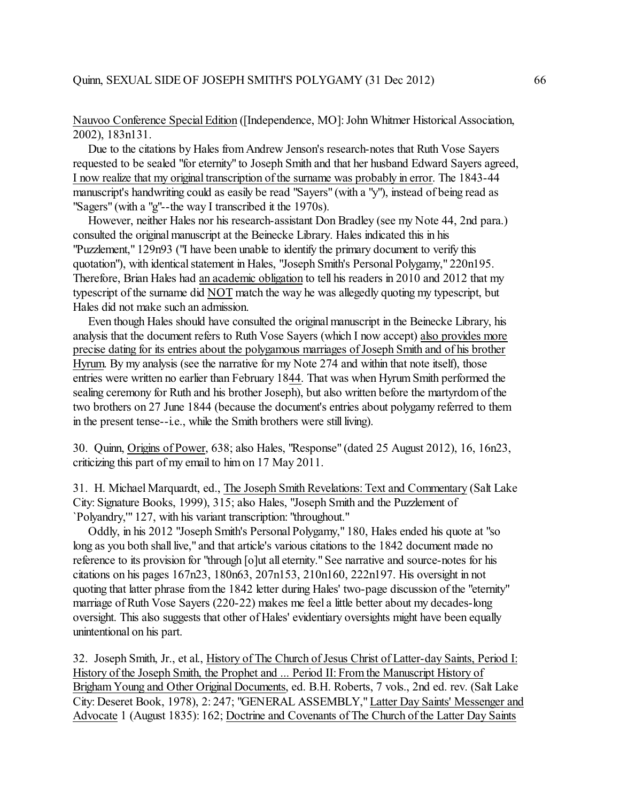Nauvoo Conference Special Edition ([Independence, MO]: John Whitmer Historical Association, 2002), 183n131.

 Due to the citations by Hales fromAndrew Jenson's research-notes that Ruth Vose Sayers requested to be sealed "for eternity" to Joseph Smith and that her husband Edward Sayers agreed, I now realize that my original transcription ofthe surname was probably in error. The 1843-44 manuscript's handwriting could as easily be read "Sayers" (with a "y"), instead of being read as "Sagers" (with a "g"--the way I transcribed it the 1970s).

 However, neither Hales nor his research-assistant Don Bradley (see my Note 44, 2nd para.) consulted the original manuscript at the Beinecke Library. Hales indicated this in his "Puzzlement," 129n93 ("I have been unable to identify the primary document to verify this quotation"), with identical statement in Hales, "Joseph Smith's Personal Polygamy," 220n195. Therefore, Brian Hales had an academic obligation to tell his readers in 2010 and 2012 that my typescript of the surname did NOT match the way he was allegedly quoting my typescript, but Hales did not make such an admission.

 Even though Hales should have consulted the original manuscript in the Beinecke Library, his analysis that the document refers to Ruth Vose Sayers (which I now accept) also provides more precise dating for its entries about the polygamous marriages of Joseph Smith and of his brother Hyrum. By my analysis (see the narrative for my Note 274 and within that note itself), those entries were written no earlier than February 1844. That was when Hyrum Smith performed the sealing ceremony for Ruth and his brother Joseph), but also written before the martyrdom of the two brothers on 27 June 1844 (because the document's entries about polygamy referred to them in the present tense--i.e., while the Smith brothers were still living).

30. Quinn, Origins of Power, 638; also Hales, "Response" (dated 25 August 2012), 16, 16n23, criticizing this part of my email to him on 17 May 2011.

31. H. Michael Marquardt, ed., The Joseph Smith Revelations: Text and Commentary (Salt Lake City: Signature Books, 1999), 315; also Hales, "Joseph Smith and the Puzzlement of `Polyandry,'" 127, with his variant transcription: "throughout."

 Oddly, in his 2012 "Joseph Smith's Personal Polygamy," 180, Hales ended his quote at "so long as you both shall live," and that article's various citations to the 1842 document made no reference to its provision for "through [o]ut all eternity." See narrative and source-notes for his citations on his pages 167n23, 180n63, 207n153, 210n160, 222n197. His oversight in not quoting that latter phrase fromthe 1842 letter during Hales' two-page discussion of the "eternity" marriage of Ruth Vose Sayers (220-22) makes me feel a little better about my decades-long oversight. This also suggests that other of Hales' evidentiary oversights might have been equally unintentional on his part.

32. Joseph Smith, Jr., et al., History of The Church of Jesus Christ of Latter-day Saints, Period I: History of the Joseph Smith, the Prophet and ... Period II: Fromthe Manuscript History of Brigham Young and Other Original Documents, ed. B.H. Roberts, 7 vols., 2nd ed. rev. (Salt Lake City: Deseret Book, 1978), 2: 247; "GENERAL ASSEMBLY," Latter Day Saints' Messenger and Advocate 1 (August 1835): 162; Doctrine and Covenants of The Church of the Latter Day Saints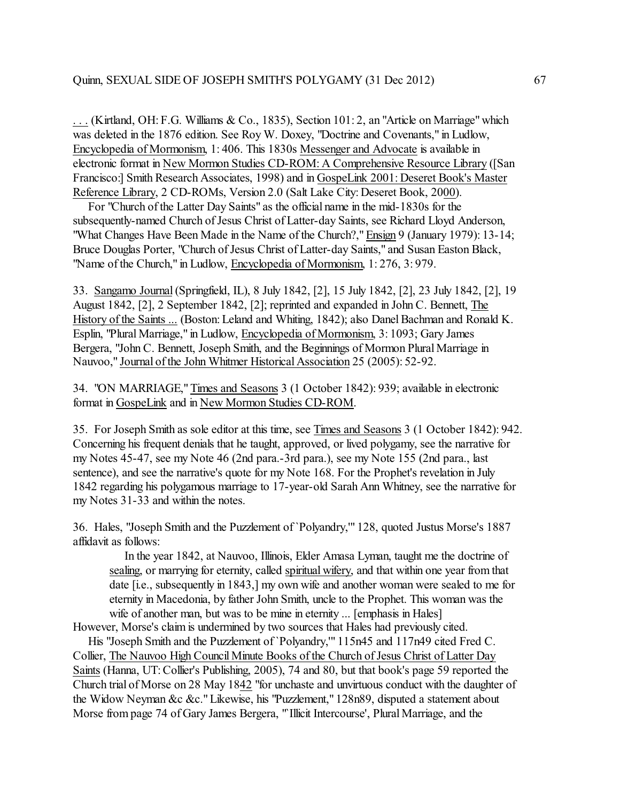. . . (Kirtland, OH: F.G. Williams & Co., 1835), Section 101: 2, an "Article on Marriage" which was deleted in the 1876 edition. See Roy W. Doxey, "Doctrine and Covenants," in Ludlow, Encyclopedia of Mormonism, 1: 406. This 1830s Messenger and Advocate is available in electronic format in New Mormon Studies CD-ROM: A Comprehensive Resource Library ([San Francisco:] Smith Research Associates, 1998) and in GospeLink 2001: Deseret Book's Master Reference Library, 2 CD-ROMs, Version 2.0 (Salt Lake City: Deseret Book, 2000).

 For "Church of the Latter Day Saints" as the official name in the mid-1830s for the subsequently-named Church of Jesus Christ of Latter-day Saints, see Richard Lloyd Anderson, "What Changes Have Been Made in the Name of the Church?," Ensign 9 (January 1979): 13-14; Bruce Douglas Porter, "Church of Jesus Christ of Latter-day Saints," and Susan Easton Black, "Name of the Church," in Ludlow, Encyclopedia of Mormonism, 1: 276, 3: 979.

33. Sangamo Journal (Springfield, IL), 8 July 1842, [2], 15 July 1842, [2], 23 July 1842, [2], 19 August 1842, [2], 2 September 1842, [2]; reprinted and expanded in John C. Bennett, The History of the Saints ... (Boston: Leland and Whiting, 1842); also Danel Bachman and Ronald K. Esplin, "Plural Marriage," in Ludlow, Encyclopedia of Mormonism, 3: 1093; Gary James Bergera, "John C. Bennett, Joseph Smith, and the Beginnings of Mormon Plural Marriage in Nauvoo," Journal of the John Whitmer Historical Association 25 (2005): 52-92.

34. "ON MARRIAGE," Times and Seasons 3 (1 October 1842): 939; available in electronic format in GospeLink and in New Mormon Studies CD-ROM.

35. For Joseph Smith as sole editor at this time, see Times and Seasons 3 (1 October 1842): 942. Concerning his frequent denials that he taught, approved, or lived polygamy, see the narrative for my Notes 45-47, see my Note 46 (2nd para.-3rd para.), see my Note 155 (2nd para., last sentence), and see the narrative's quote for my Note 168. For the Prophet's revelation in July 1842 regarding his polygamous marriage to 17-year-old Sarah Ann Whitney, see the narrative for my Notes 31-33 and within the notes.

36. Hales, "Joseph Smith and the Puzzlement of `Polyandry,'" 128, quoted Justus Morse's 1887 affidavit as follows:

 In the year 1842, at Nauvoo, Illinois, Elder Amasa Lyman, taught me the doctrine of sealing, or marrying for eternity, called spiritual wifery, and that within one year from that date [i.e., subsequently in 1843,] my own wife and another woman were sealed to me for eternity in Macedonia, by father John Smith, uncle to the Prophet. This woman was the wife of another man, but was to be mine in eternity ... [emphasis in Hales] However, Morse's claimis undermined by two sources that Hales had previously cited.

 His "Joseph Smith and the Puzzlement of `Polyandry,'" 115n45 and 117n49 cited Fred C. Collier, The Nauvoo High Council Minute Books of the Church of Jesus Christ of Latter Day Saints (Hanna, UT:Collier's Publishing, 2005), 74 and 80, but that book's page 59 reported the Church trial of Morse on 28 May 1842 "for unchaste and unvirtuous conduct with the daughter of the Widow Neyman &c &c." Likewise, his "Puzzlement," 128n89, disputed a statement about Morse from page 74 of Gary James Bergera, "`Illicit Intercourse', Plural Marriage, and the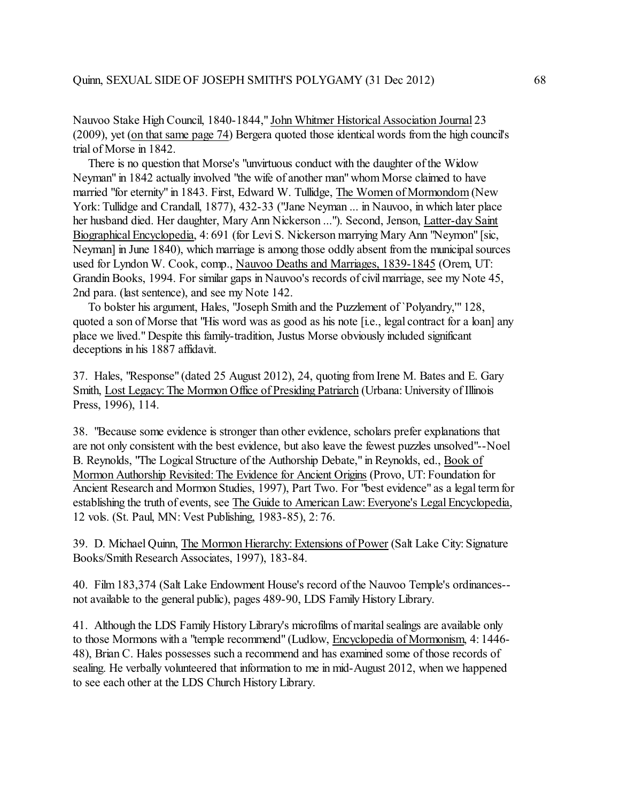Nauvoo Stake High Council, 1840-1844," John Whitmer Historical Association Journal 23 (2009), yet (on that same page 74) Bergera quoted those identical words fromthe high council's trial of Morse in 1842.

 There is no question that Morse's "unvirtuous conduct with the daughter of the Widow Neyman" in 1842 actually involved "the wife of another man" whom Morse claimed to have married "for eternity" in 1843. First, Edward W. Tullidge, The Women of Mormondom (New York: Tullidge and Crandall, 1877), 432-33 ("Jane Neyman ... in Nauvoo, in which later place her husband died. Her daughter, Mary Ann Nickerson ..."). Second, Jenson, Latter-day Saint Biographical Encyclopedia, 4: 691 (for Levi S. Nickerson marrying Mary Ann "Neymon" [sic, Neyman] in June 1840), which marriage is among those oddly absent from the municipal sources used for Lyndon W. Cook, comp., Nauvoo Deaths and Marriages, 1839-1845 (Orem, UT: Grandin Books, 1994. For similar gaps in Nauvoo's records of civil marriage, see my Note 45, 2nd para. (last sentence), and see my Note 142.

 To bolster his argument, Hales, "Joseph Smith and the Puzzlement of `Polyandry,'" 128, quoted a son of Morse that "His word was as good as his note [i.e., legal contract for a loan] any place we lived." Despite this family-tradition, Justus Morse obviously included significant deceptions in his 1887 affidavit.

37. Hales, "Response" (dated 25 August 2012), 24, quoting from Irene M. Bates and E. Gary Smith, Lost Legacy: The Mormon Office of Presiding Patriarch (Urbana: University of Illinois Press, 1996), 114.

38. "Because some evidence is stronger than other evidence, scholars prefer explanations that are not only consistent with the best evidence, but also leave the fewest puzzles unsolved"--Noel B. Reynolds, "The Logical Structure of the Authorship Debate," in Reynolds, ed., Book of Mormon Authorship Revisited: The Evidence for Ancient Origins (Provo, UT: Foundation for Ancient Research and Mormon Studies, 1997), Part Two. For "best evidence" as a legal term for establishing the truth of events, see The Guide to American Law: Everyone's Legal Encyclopedia, 12 vols. (St. Paul, MN: Vest Publishing, 1983-85), 2: 76.

39. D. Michael Quinn, The Mormon Hierarchy: Extensions of Power (Salt Lake City: Signature Books/Smith Research Associates, 1997), 183-84.

40. Film 183,374 (Salt Lake Endowment House's record of the Nauvoo Temple's ordinances- not available to the general public), pages 489-90, LDS Family History Library.

41. Although the LDS Family History Library's microfilms of marital sealings are available only to those Mormons with a "temple recommend" (Ludlow, Encyclopedia of Mormonism, 4: 1446- 48), Brian C. Hales possesses such a recommend and has examined some of those records of sealing. He verbally volunteered that information to me in mid-August 2012, when we happened to see each other at the LDS Church History Library.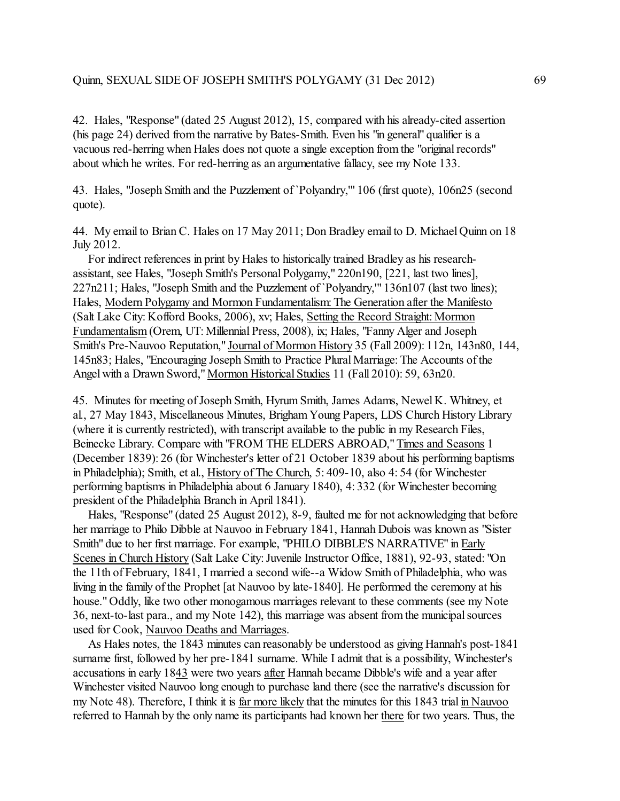42. Hales, "Response" (dated 25 August 2012), 15, compared with his already-cited assertion (his page 24) derived fromthe narrative by Bates-Smith. Even his "in general" qualifier is a vacuous red-herring when Hales does not quote a single exception from the "original records" about which he writes. For red-herring as an argumentative fallacy, see my Note 133.

43. Hales, "Joseph Smith and the Puzzlement of `Polyandry,'" 106 (first quote), 106n25 (second quote).

44. My email to Brian C. Hales on 17 May 2011; Don Bradley email to D. Michael Quinn on 18 July 2012.

 For indirect references in print by Hales to historically trained Bradley as his researchassistant, see Hales, "Joseph Smith's Personal Polygamy," 220n190, [221, last two lines], 227n211; Hales, "Joseph Smith and the Puzzlement of `Polyandry,'" 136n107 (last two lines); Hales, Modern Polygamy and Mormon Fundamentalism: The Generation after the Manifesto (Salt Lake City: Kofford Books, 2006), xv; Hales, Setting the Record Straight: Mormon Fundamentalism (Orem, UT: Millennial Press, 2008), ix; Hales, "Fanny Alger and Joseph Smith's Pre-Nauvoo Reputation," Journal of Mormon History 35 (Fall 2009): 112n, 143n80, 144, 145n83; Hales, "Encouraging Joseph Smith to Practice Plural Marriage: The Accounts of the Angel with a Drawn Sword," Mormon Historical Studies 11 (Fall 2010): 59, 63n20.

45. Minutes for meeting of Joseph Smith, Hyrum Smith, James Adams, Newel K. Whitney, et al., 27 May 1843, Miscellaneous Minutes, Brigham Young Papers, LDS Church History Library (where it is currently restricted), with transcript available to the public in my Research Files, Beinecke Library. Compare with "FROM THE ELDERS ABROAD," Times and Seasons 1 (December 1839): 26 (for Winchester's letter of 21 October 1839 about his performing baptisms in Philadelphia); Smith, et al., History of The Church, 5: 409-10, also 4: 54 (for Winchester performing baptisms in Philadelphia about 6 January 1840), 4: 332 (for Winchester becoming president of the Philadelphia Branch in April 1841).

 Hales, "Response" (dated 25 August 2012), 8-9, faulted me for not acknowledging that before her marriage to Philo Dibble at Nauvoo in February 1841, Hannah Dubois was known as "Sister Smith" due to her first marriage. For example, "PHILO DIBBLE'S NARRATIVE" in Early Scenes in Church History (Salt Lake City: Juvenile Instructor Office, 1881), 92-93, stated: "On the 11th of February, 1841, I married a second wife--a Widow Smith of Philadelphia, who was living in the family of the Prophet [at Nauvoo by late-1840]. He performed the ceremony at his house." Oddly, like two other monogamous marriages relevant to these comments (see my Note 36, next-to-last para., and my Note 142), this marriage was absent from the municipal sources used for Cook, Nauvoo Deaths and Marriages.

 As Hales notes, the 1843 minutes can reasonably be understood as giving Hannah's post-1841 surname first, followed by her pre-1841 surname. While I admit that is a possibility, Winchester's accusations in early 1843 were two years after Hannah became Dibble's wife and a year after Winchester visited Nauvoo long enough to purchase land there (see the narrative's discussion for my Note 48). Therefore, I think it is far more likely that the minutes for this 1843 trial in Nauvoo referred to Hannah by the only name its participants had known her there for two years. Thus, the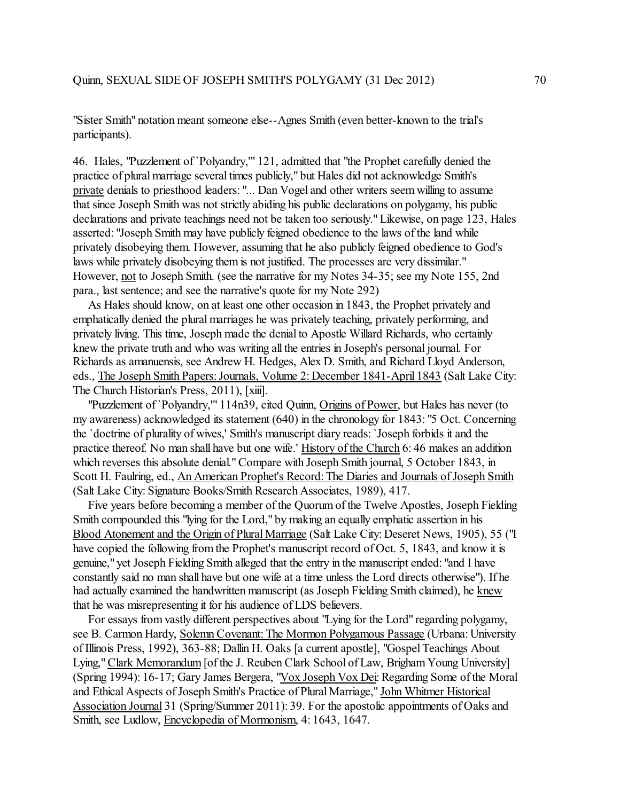"Sister Smith" notation meant someone else--Agnes Smith (even better-known to the trial's participants).

46. Hales, "Puzzlement of `Polyandry,'" 121, admitted that "the Prophet carefully denied the practice of plural marriage several times publicly," but Hales did not acknowledge Smith's private denials to priesthood leaders: "... Dan Vogel and other writers seem willing to assume that since Joseph Smith was not strictly abiding his public declarations on polygamy, his public declarations and private teachings need not be taken too seriously." Likewise, on page 123, Hales asserted: "Joseph Smith may have publicly feigned obedience to the laws of the land while privately disobeying them. However, assuming that he also publicly feigned obedience to God's laws while privately disobeying them is not justified. The processes are very dissimilar." However, not to Joseph Smith. (see the narrative for my Notes 34-35; see my Note 155, 2nd para., last sentence; and see the narrative's quote for my Note 292)

 As Hales should know, on at least one other occasion in 1843, the Prophet privately and emphatically denied the plural marriages he was privately teaching, privately performing, and privately living. This time, Joseph made the denial to Apostle Willard Richards, who certainly knew the private truth and who was writing all the entries in Joseph's personal journal. For Richards as amanuensis, see Andrew H. Hedges, Alex D. Smith, and Richard Lloyd Anderson, eds., The Joseph Smith Papers: Journals, Volume 2: December 1841-April 1843 (Salt Lake City: The Church Historian's Press, 2011), [xiii].

 "Puzzlement of `Polyandry,'" 114n39, cited Quinn, Origins of Power, but Hales has never (to my awareness) acknowledged its statement (640) in the chronology for 1843: "5 Oct. Concerning the `doctrine of plurality of wives,' Smith's manuscript diary reads: `Joseph forbids it and the practice thereof. No man shall have but one wife.' History of the Church 6: 46 makes an addition which reverses this absolute denial." Compare with Joseph Smith journal, 5 October 1843, in Scott H. Faulring, ed., An American Prophet's Record: The Diaries and Journals of Joseph Smith (Salt Lake City: Signature Books/Smith Research Associates, 1989), 417.

 Five years before becoming a member of the Quorum of the Twelve Apostles, Joseph Fielding Smith compounded this "lying for the Lord," by making an equally emphatic assertion in his Blood Atonement and the Origin of Plural Marriage (Salt Lake City: Deseret News, 1905), 55 ("I have copied the following from the Prophet's manuscript record of Oct. 5, 1843, and know it is genuine," yet Joseph Fielding Smith alleged that the entry in the manuscript ended: "and I have constantly said no man shall have but one wife at a time unless the Lord directs otherwise"). If he had actually examined the handwritten manuscript (as Joseph Fielding Smith claimed), he knew that he was misrepresenting it for his audience of LDS believers.

 For essays from vastly different perspectives about "Lying for the Lord" regarding polygamy, see B. Carmon Hardy, Solemn Covenant: The Mormon Polygamous Passage (Urbana: University of Illinois Press, 1992), 363-88; Dallin H. Oaks [a current apostle], "Gospel Teachings About Lying," Clark Memorandum [of the J. Reuben Clark School of Law, Brigham Young University] (Spring 1994): 16-17; Gary James Bergera, "Vox Joseph Vox Dei: Regarding Some ofthe Moral and Ethical Aspects of Joseph Smith's Practice of Plural Marriage," John Whitmer Historical Association Journal 31 (Spring/Summer 2011): 39. For the apostolic appointments of Oaks and Smith, see Ludlow, Encyclopedia of Mormonism, 4: 1643, 1647.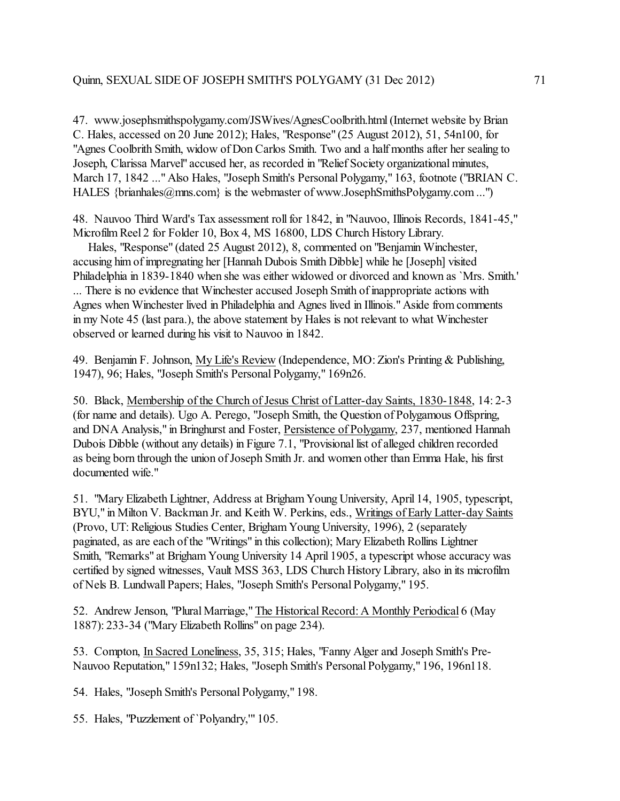47. www.josephsmithspolygamy.com/JSWives/AgnesCoolbrith.html (Internet website by Brian C. Hales, accessed on 20 June 2012); Hales, "Response" (25 August 2012), 51, 54n100, for "Agnes Coolbrith Smith, widow of Don Carlos Smith. Two and a half months after her sealing to Joseph, Clarissa Marvel" accused her, as recorded in "Relief Society organizational minutes, March 17, 1842 ..." Also Hales, "Joseph Smith's Personal Polygamy," 163, footnote ("BRIAN C. HALES {brianhales@mns.com} is the webmaster of www.JosephSmithsPolygamy.com ...")

48. Nauvoo Third Ward's Tax assessment roll for 1842, in "Nauvoo, Illinois Records, 1841-45," Microfilm Reel 2 for Folder 10, Box 4, MS 16800, LDS Church History Library.

 Hales, "Response" (dated 25 August 2012), 8, commented on "Benjamin Winchester, accusing him of impregnating her [Hannah Dubois Smith Dibble] while he [Joseph] visited Philadelphia in 1839-1840 when she was either widowed or divorced and known as `Mrs. Smith.' ... There is no evidence that Winchester accused Joseph Smith of inappropriate actions with Agnes when Winchester lived in Philadelphia and Agnes lived in Illinois." Aside from comments in my Note 45 (last para.), the above statement by Hales is not relevant to what Winchester observed or learned during his visit to Nauvoo in 1842.

49. Benjamin F. Johnson, My Life's Review (Independence, MO: Zion's Printing & Publishing, 1947), 96; Hales, "Joseph Smith's Personal Polygamy," 169n26.

50. Black, Membership of the Church of Jesus Christ of Latter-day Saints, 1830-1848, 14: 2-3 (for name and details). Ugo A. Perego, "Joseph Smith, the Question of Polygamous Offspring, and DNA Analysis," in Bringhurst and Foster, Persistence of Polygamy, 237, mentioned Hannah Dubois Dibble (without any details) in Figure 7.1, "Provisional list of alleged children recorded as being born through the union of Joseph Smith Jr. and women other than Emma Hale, his first documented wife."

51. "Mary Elizabeth Lightner, Address at Brigham Young University, April 14, 1905, typescript, BYU," in Milton V. Backman Jr. and Keith W. Perkins, eds., Writings of Early Latter-day Saints (Provo, UT: Religious Studies Center, BrighamYoung University, 1996), 2 (separately paginated, as are each of the "Writings" in this collection); Mary Elizabeth Rollins Lightner Smith, "Remarks" at Brigham Young University 14 April 1905, a typescript whose accuracy was certified by signed witnesses, Vault MSS 363, LDS Church History Library, also in its microfilm of Nels B. Lundwall Papers; Hales, "Joseph Smith's Personal Polygamy," 195.

52. Andrew Jenson, "PluralMarriage," The Historical Record: A Monthly Periodical 6 (May 1887): 233-34 ("Mary Elizabeth Rollins" on page 234).

53. Compton, In Sacred Loneliness, 35, 315; Hales, "Fanny Alger and Joseph Smith's Pre-Nauvoo Reputation," 159n132; Hales, "Joseph Smith's Personal Polygamy," 196, 196n118.

54. Hales, "Joseph Smith's Personal Polygamy," 198.

55. Hales, "Puzzlement of `Polyandry,'" 105.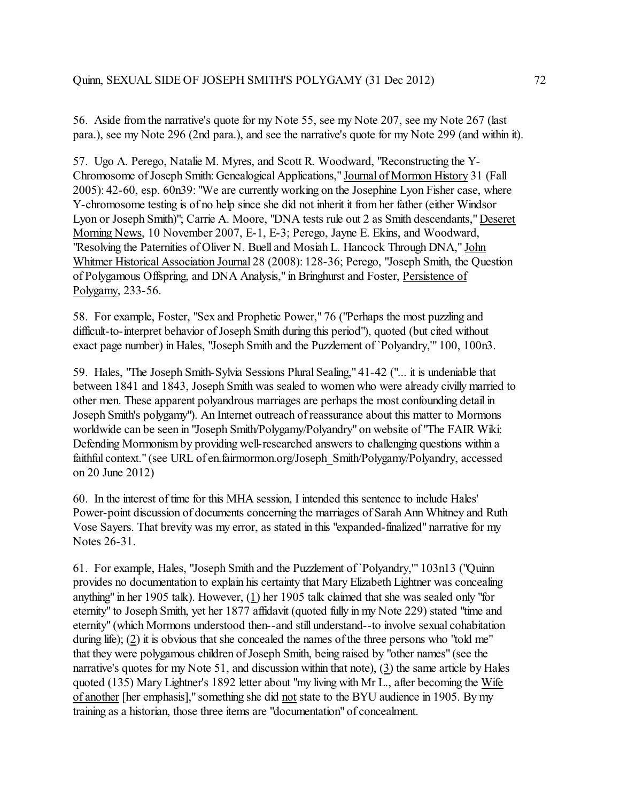56. Aside from the narrative's quote for my Note 55, see my Note 207, see my Note 267 (last para.), see my Note 296 (2nd para.), and see the narrative's quote for my Note 299 (and within it).

57. Ugo A. Perego, Natalie M. Myres, and Scott R. Woodward, "Reconstructing the Y-Chromosome of Joseph Smith: Genealogical Applications," Journal of Mormon History 31 (Fall 2005): 42-60, esp. 60n39: "We are currently working on the Josephine Lyon Fisher case, where Y-chromosome testing is of no help since she did not inherit it from her father (either Windsor Lyon or Joseph Smith)"; Carrie A. Moore, "DNA tests rule out 2 as Smith descendants," Deseret Morning News, 10 November 2007, E-1, E-3; Perego, Jayne E. Ekins, and Woodward, "Resolving the Paternities of Oliver N. Buell and Mosiah L. Hancock Through DNA," John Whitmer Historical Association Journal 28 (2008): 128-36; Perego, "Joseph Smith, the Question of Polygamous Offspring, and DNA Analysis," in Bringhurst and Foster, Persistence of Polygamy, 233-56.

58. For example, Foster, "Sex and Prophetic Power," 76 ("Perhaps the most puzzling and difficult-to-interpret behavior of Joseph Smith during this period"), quoted (but cited without exact page number) in Hales, "Joseph Smith and the Puzzlement of `Polyandry,'" 100, 100n3.

59. Hales, "The Joseph Smith-Sylvia Sessions Plural Sealing," 41-42 ("... it is undeniable that between 1841 and 1843, Joseph Smith was sealed to women who were already civilly married to other men. These apparent polyandrous marriages are perhaps the most confounding detail in Joseph Smith's polygamy"). An Internet outreach of reassurance about this matter to Mormons worldwide can be seen in "Joseph Smith/Polygamy/Polyandry" on website of "The FAIR Wiki: Defending Mormonism by providing well-researched answers to challenging questions within a faithful context." (see URL of en.fairmormon.org/Joseph\_Smith/Polygamy/Polyandry, accessed on 20 June 2012)

60. In the interest of time for this MHA session, I intended this sentence to include Hales' Power-point discussion of documents concerning the marriages of Sarah Ann Whitney and Ruth Vose Sayers. That brevity was my error, as stated in this "expanded-finalized" narrative for my Notes 26-31.

61. For example, Hales, "Joseph Smith and the Puzzlement of`Polyandry,'" 103n13 ("Quinn provides no documentation to explain his certainty that Mary Elizabeth Lightner was concealing anything" in her 1905 talk). However, (1) her 1905 talk claimed that she was sealed only "for eternity" to Joseph Smith, yet her 1877 affidavit (quoted fully in my Note 229) stated "time and eternity" (which Mormons understood then--and still understand--to involve sexual cohabitation during life); (2) it is obvious that she concealed the names of the three persons who "told me" that they were polygamous children of Joseph Smith, being raised by "other names" (see the narrative's quotes for my Note 51, and discussion within that note), (3) the same article by Hales quoted (135) Mary Lightner's 1892 letter about "my living with Mr L., after becoming the Wife of another [her emphasis]," something she did not state to the BYU audience in 1905. By my training as a historian, those three items are "documentation" of concealment.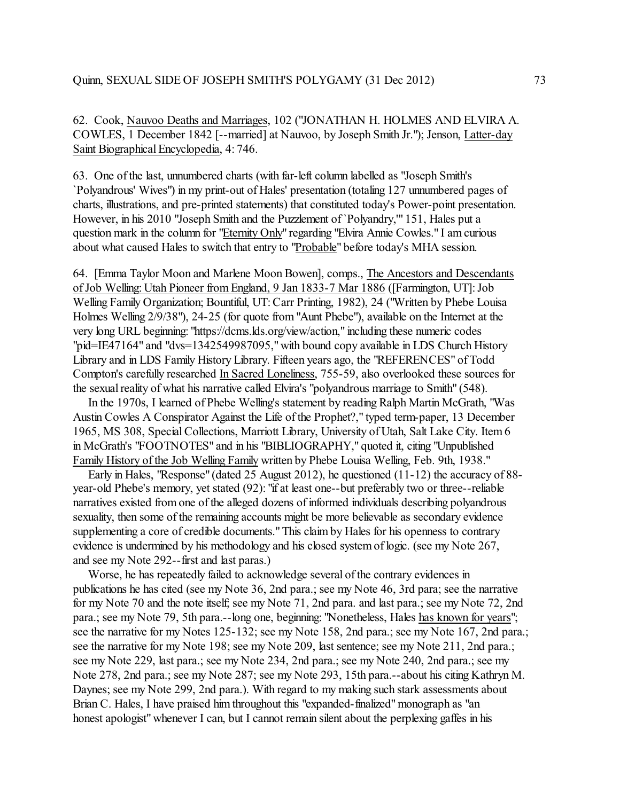62. Cook, Nauvoo Deaths and Marriages, 102 ("JONATHAN H. HOLMES AND ELVIRA A. COWLES, 1 December 1842 [--married] at Nauvoo, by Joseph Smith Jr."); Jenson, Latter-day Saint Biographical Encyclopedia, 4:746.

63. One of the last, unnumbered charts (with far-left column labelled as "Joseph Smith's `Polyandrous' Wives") in my print-out of Hales' presentation (totaling 127 unnumbered pages of charts, illustrations, and pre-printed statements) that constituted today's Power-point presentation. However, in his 2010 "Joseph Smith and the Puzzlement of `Polyandry,'" 151, Hales put a question mark in the column for "Eternity Only" regarding "Elvira Annie Cowles." I am curious about what caused Hales to switch that entry to "Probable" before today's MHA session.

64. [Emma Taylor Moon and Marlene Moon Bowen], comps., The Ancestors and Descendants of Job Welling: Utah Pioneer from England, 9 Jan 1833-7 Mar 1886 ([Farmington, UT]: Job Welling Family Organization; Bountiful, UT: Carr Printing, 1982), 24 ("Written by Phebe Louisa Holmes Welling 2/9/38"), 24-25 (for quote from "Aunt Phebe"), available on the Internet at the very long URL beginning: "https://dcms.lds.org/view/action," including these numeric codes "pid=IE47164" and "dvs=1342549987095," with bound copy available in LDS Church History Library and in LDS Family History Library. Fifteen years ago, the "REFERENCES" of Todd Compton's carefully researched In Sacred Loneliness, 755-59, also overlooked these sources for the sexual reality of what his narrative called Elvira's "polyandrous marriage to Smith" (548).

 In the 1970s, I learned of Phebe Welling's statement by reading Ralph Martin McGrath, "Was Austin Cowles A Conspirator Against the Life of the Prophet?," typed term-paper, 13 December 1965, MS 308, Special Collections, Marriott Library, University of Utah, Salt Lake City. Item 6 in McGrath's "FOOTNOTES" and in his "BIBLIOGRAPHY," quoted it, citing "Unpublished Family History of the Job Welling Family written by Phebe Louisa Welling, Feb. 9th, 1938."

 Early in Hales, "Response" (dated 25 August 2012), he questioned (11-12) the accuracy of 88 year-old Phebe's memory, yet stated (92): "if at least one--but preferably two or three--reliable narratives existed from one of the alleged dozens of informed individuals describing polyandrous sexuality, then some of the remaining accounts might be more believable as secondary evidence supplementing a core of credible documents." This claim by Hales for his openness to contrary evidence is undermined by his methodology and his closed system of logic. (see my Note 267, and see my Note 292--first and last paras.)

Worse, he has repeatedly failed to acknowledge several of the contrary evidences in publications he has cited (see my Note 36, 2nd para.; see my Note 46, 3rd para; see the narrative for my Note 70 and the note itself; see my Note 71, 2nd para. and last para.; see my Note 72, 2nd para.; see my Note 79, 5th para.--long one, beginning: "Nonetheless, Hales has known for years"; see the narrative for my Notes 125-132; see my Note 158, 2nd para.; see my Note 167, 2nd para.; see the narrative for my Note 198; see my Note 209, last sentence; see my Note 211, 2nd para.; see my Note 229, last para.; see my Note 234, 2nd para.; see my Note 240, 2nd para.; see my Note 278, 2nd para.; see my Note 287; see my Note 293, 15th para.--about his citing Kathryn M. Daynes; see my Note 299, 2nd para.). With regard to my making such stark assessments about Brian C. Hales, I have praised him throughout this "expanded-finalized" monograph as "an honest apologist" whenever I can, but I cannot remain silent about the perplexing gaffes in his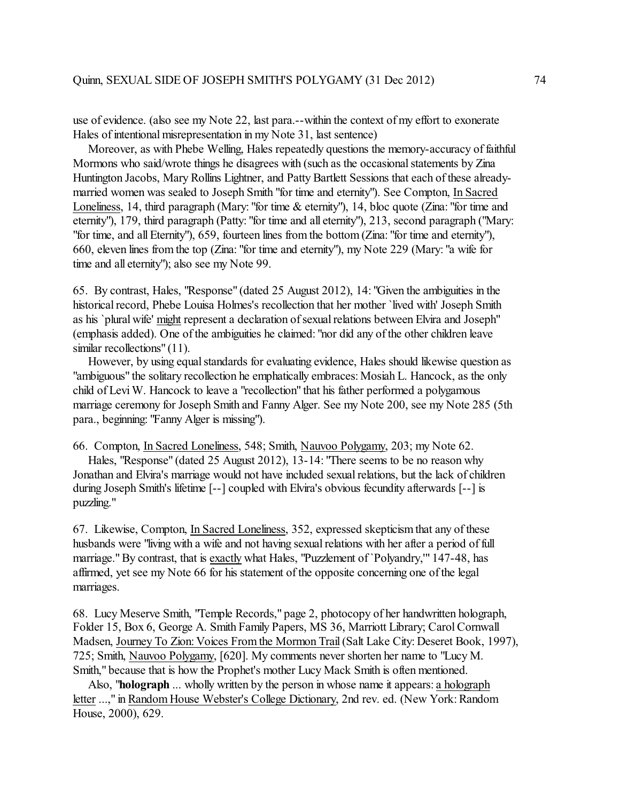use of evidence. (also see my Note 22, last para.--within the context of my effort to exonerate Hales of intentional misrepresentation in my Note 31, last sentence)

 Moreover, as with Phebe Welling, Hales repeatedly questions the memory-accuracy of faithful Mormons who said/wrote things he disagrees with (such as the occasional statements by Zina Huntington Jacobs, Mary Rollins Lightner, and Patty Bartlett Sessions that each of these alreadymarried women was sealed to Joseph Smith "for time and eternity"). See Compton, In Sacred Loneliness, 14, third paragraph (Mary: "for time & eternity"), 14, bloc quote (Zina: "for time and eternity"), 179, third paragraph (Patty: "for time and all eternity"), 213, second paragraph ("Mary: "for time, and all Eternity"), 659, fourteen lines from the bottom(Zina: "for time and eternity"), 660, eleven lines from the top (Zina: "for time and eternity"), my Note 229 (Mary: "a wife for time and all eternity"); also see my Note 99.

65. By contrast, Hales, "Response" (dated 25 August 2012), 14: "Given the ambiguities in the historical record, Phebe Louisa Holmes's recollection that her mother `lived with' Joseph Smith as his `plural wife' might represent a declaration of sexual relations between Elvira and Joseph" (emphasis added). One of the ambiguities he claimed: "nor did any of the other children leave similar recollections" (11).

However, by using equal standards for evaluating evidence, Hales should likewise question as "ambiguous" the solitary recollection he emphatically embraces: Mosiah L. Hancock, as the only child of Levi W. Hancock to leave a "recollection" that his father performed a polygamous marriage ceremony for Joseph Smith and Fanny Alger. See my Note 200, see my Note 285 (5th para., beginning: "Fanny Alger is missing").

66. Compton, In Sacred Loneliness, 548; Smith, Nauvoo Polygamy, 203; my Note 62.

 Hales, "Response" (dated 25 August 2012), 13-14: "There seems to be no reason why Jonathan and Elvira's marriage would not have included sexual relations, but the lack of children during Joseph Smith's lifetime [--] coupled with Elvira's obvious fecundity afterwards [--] is puzzling."

67. Likewise, Compton, In Sacred Loneliness, 352, expressed skepticism that any of these husbands were "living with a wife and not having sexual relations with her after a period of full marriage."By contrast, that is exactly what Hales, "Puzzlement of `Polyandry,'" 147-48, has affirmed, yet see my Note 66 for his statement of the opposite concerning one of the legal marriages.

68. Lucy Meserve Smith, "Temple Records," page 2, photocopy of her handwritten holograph, Folder 15, Box 6, George A. Smith Family Papers, MS 36, Marriott Library; Carol Cornwall Madsen, Journey To Zion: Voices From the Mormon Trail (Salt Lake City: Deseret Book, 1997), 725; Smith, Nauvoo Polygamy, [620]. My comments never shorten her name to "Lucy M. Smith," because that is how the Prophet's mother Lucy Mack Smith is often mentioned.

 Also, "**holograph** ... wholly written by the person in whose name it appears: a holograph letter ...," in Random House Webster's College Dictionary, 2nd rev. ed. (New York: Random House, 2000), 629.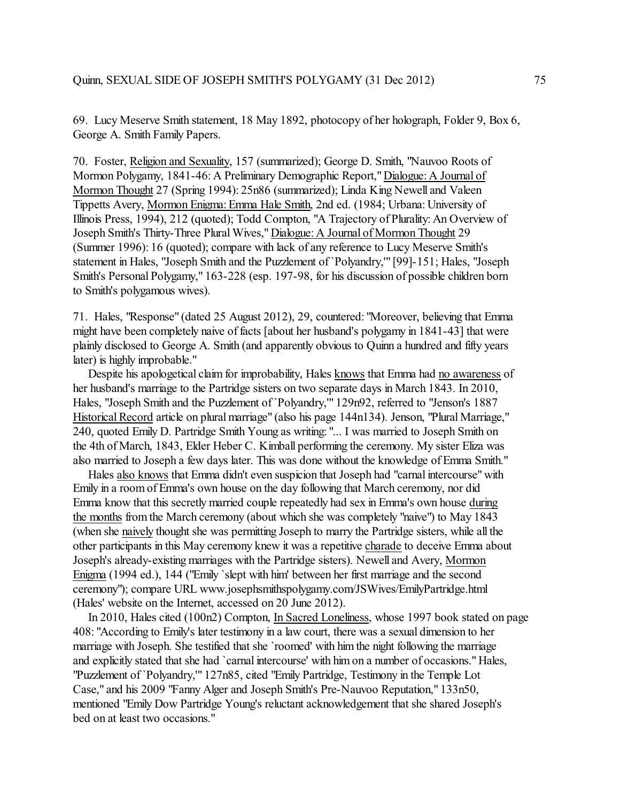69. Lucy Meserve Smith statement, 18 May 1892, photocopy of her holograph, Folder 9, Box 6, George A. Smith Family Papers.

70. Foster, Religion and Sexuality, 157 (summarized); George D. Smith, "Nauvoo Roots of Mormon Polygamy, 1841-46: A Preliminary Demographic Report," Dialogue: A Journal of Mormon Thought 27 (Spring 1994): 25n86 (summarized); Linda King Newell and Valeen Tippetts Avery, Mormon Enigma: Emma Hale Smith, 2nd ed. (1984; Urbana: University of Illinois Press, 1994), 212 (quoted); Todd Compton, "A Trajectory of Plurality: An Overview of Joseph Smith's Thirty-Three Plural Wives," Dialogue: A Journal of Mormon Thought 29 (Summer 1996): 16 (quoted); compare with lack of any reference to Lucy Meserve Smith's statement in Hales, "Joseph Smith and the Puzzlement of `Polyandry,'" [99]-151; Hales, "Joseph Smith's Personal Polygamy," 163-228 (esp. 197-98, for his discussion of possible children born to Smith's polygamous wives).

71. Hales, "Response" (dated 25 August 2012), 29, countered: "Moreover, believing that Emma might have been completely naive of facts [about her husband's polygamy in 1841-43] that were plainly disclosed to George A. Smith (and apparently obvious to Quinn a hundred and fifty years later) is highly improbable."

Despite his apologetical claim for improbability, Hales knows that Emma had no awareness of her husband's marriage to the Partridge sisters on two separate days in March 1843. In 2010, Hales, "Joseph Smith and the Puzzlement of `Polyandry,'" 129n92, referred to "Jenson's 1887 Historical Record article on plural marriage" (also his page 144n134). Jenson, "Plural Marriage," 240, quoted Emily D. Partridge Smith Young as writing: "... I was married to Joseph Smith on the 4th of March, 1843, Elder Heber C. Kimball performing the ceremony. My sister Eliza was also married to Joseph a few days later. This was done without the knowledge of Emma Smith."

 Hales also knows that Emma didn't even suspicion that Joseph had "carnal intercourse" with Emily in a room of Emma's own house on the day following that March ceremony, nor did Emma know that this secretly married couple repeatedly had sex in Emma's own house during the months from the March ceremony (about which she was completely "naive") to May 1843 (when she naively thought she was permitting Joseph to marry the Partridge sisters, while all the other participants in this May ceremony knew it was a repetitive charade to deceive Emma about Joseph's already-existing marriages with the Partridge sisters). Newell and Avery, Mormon Enigma (1994 ed.), 144 ("Emily `slept with him' between her first marriage and the second ceremony"); compare URL www.josephsmithspolygamy.com/JSWives/EmilyPartridge.html (Hales' website on the Internet, accessed on 20 June 2012).

 In 2010, Hales cited (100n2) Compton, In Sacred Loneliness, whose 1997 book stated on page 408: "According to Emily's later testimony in a law court, there was a sexual dimension to her marriage with Joseph. She testified that she `roomed' with him the night following the marriage and explicitly stated that she had `carnal intercourse' with him on a number of occasions." Hales, "Puzzlement of `Polyandry,'" 127n85, cited "Emily Partridge, Testimony in the Temple Lot Case," and his 2009 "Fanny Alger and Joseph Smith's Pre-Nauvoo Reputation," 133n50, mentioned "Emily Dow Partridge Young's reluctant acknowledgement that she shared Joseph's bed on at least two occasions."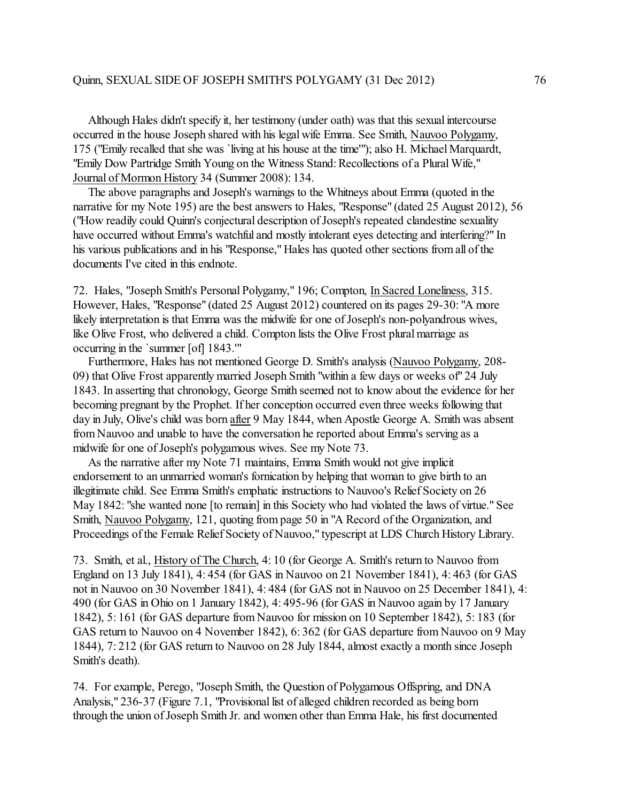Although Hales didn't specify it, her testimony (under oath) was that this sexual intercourse occurred in the house Joseph shared with his legal wife Emma. See Smith, Nauvoo Polygamy, 175 ("Emily recalled that she was `living at his house at the time'"); also H. Michael Marquardt, "Emily Dow Partridge Smith Young on the Witness Stand: Recollections of a Plural Wife," Journal of Mormon History 34 (Summer 2008): 134.

 The above paragraphs and Joseph's warnings to the Whitneys about Emma (quoted in the narrative for my Note 195) are the best answers to Hales, "Response" (dated 25 August 2012), 56 ("How readily could Quinn's conjectural description of Joseph's repeated clandestine sexuality have occurred without Emma's watchful and mostly intolerant eyes detecting and interfering?" In his various publications and in his "Response," Hales has quoted other sections from all of the documents I've cited in this endnote.

72. Hales, "Joseph Smith's Personal Polygamy," 196; Compton, In Sacred Loneliness, 315. However, Hales, "Response" (dated 25 August 2012) countered on its pages 29-30: "A more likely interpretation is that Emma was the midwife for one of Joseph's non-polyandrous wives, like Olive Frost, who delivered a child. Compton lists the Olive Frost plural marriage as occurring in the `summer [of] 1843.'"

 Furthermore, Hales has not mentioned George D. Smith's analysis (Nauvoo Polygamy, 208- 09) that Olive Frost apparently married Joseph Smith "within a few days or weeks of" 24 July 1843. In asserting that chronology, George Smith seemed not to know about the evidence for her becoming pregnant by the Prophet. If her conception occurred even three weeks following that day in July, Olive's child was born after 9 May 1844, when Apostle George A. Smith was absent from Nauvoo and unable to have the conversation he reported about Emma's serving as a midwife for one of Joseph's polygamous wives. See my Note 73.

 As the narrative after my Note 71 maintains, Emma Smith would not give implicit endorsement to an unmarried woman's fornication by helping that woman to give birth to an illegitimate child. See Emma Smith's emphatic instructions to Nauvoo's Relief Society on 26 May 1842: "she wanted none [to remain] in this Society who had violated the laws of virtue." See Smith, Nauvoo Polygamy, 121, quoting from page 50 in "A Record ofthe Organization, and Proceedings of the Female Relief Society of Nauvoo," typescript at LDS Church History Library.

73. Smith, et al., History of The Church, 4: 10 (for George A. Smith's return to Nauvoo from England on 13 July 1841), 4: 454 (for GAS in Nauvoo on 21 November 1841), 4: 463 (for GAS not in Nauvoo on 30 November 1841), 4: 484 (for GAS not in Nauvoo on 25 December 1841), 4: 490 (for GAS in Ohio on 1 January 1842), 4: 495-96 (for GAS in Nauvoo again by 17 January 1842), 5: 161 (for GAS departure from Nauvoo for mission on 10 September 1842), 5: 183 (for GAS return to Nauvoo on 4 November 1842), 6: 362 (for GAS departure from Nauvoo on 9 May 1844), 7: 212 (for GAS return to Nauvoo on 28 July 1844, almost exactly a month since Joseph Smith's death).

74. For example, Perego, "Joseph Smith, the Question of Polygamous Offspring, and DNA Analysis," 236-37 (Figure 7.1, "Provisional list of alleged children recorded as being born through the union of Joseph Smith Jr. and women other than Emma Hale, his first documented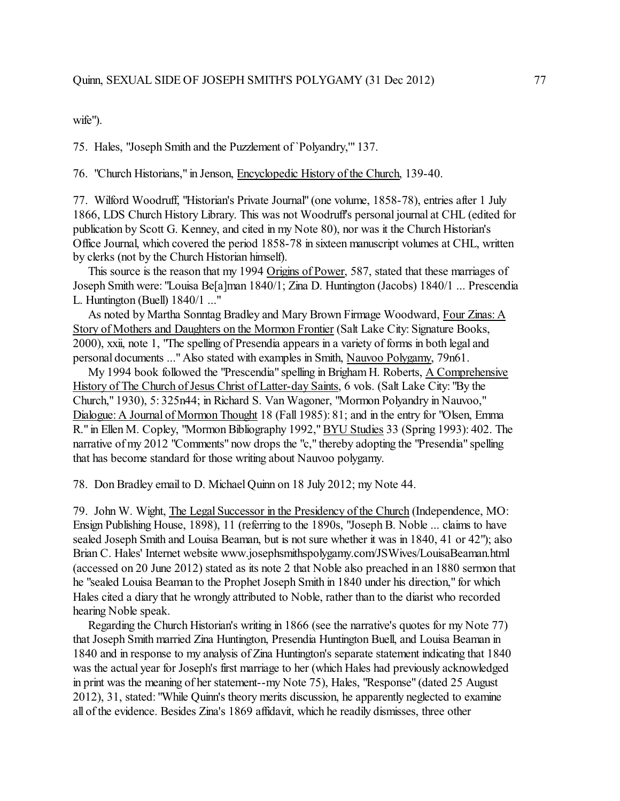wife").

75. Hales, "Joseph Smith and the Puzzlement of `Polyandry,'" 137.

76. "Church Historians," in Jenson, Encyclopedic History of the Church, 139-40.

77. Wilford Woodruff, "Historian's Private Journal" (one volume, 1858-78), entries after 1 July 1866, LDS Church History Library. This was not Woodruff's personal journal at CHL (edited for publication by Scott G. Kenney, and cited in my Note 80), nor was it the Church Historian's Office Journal, which covered the period 1858-78 in sixteen manuscript volumes at CHL, written by clerks (not by the Church Historian himself).

 This source is the reason that my 1994 Origins of Power, 587, stated that these marriages of Joseph Smith were: "Louisa Be[a]man 1840/1; Zina D. Huntington (Jacobs) 1840/1 ... Prescendia L. Huntington (Buell) 1840/1 ..."

As noted by Martha Sonntag Bradley and Mary Brown Firmage Woodward, Four Zinas: A Story of Mothers and Daughters on the Mormon Frontier (Salt Lake City: Signature Books, 2000), xxii, note 1, "The spelling of Presendia appears in a variety of forms in both legal and personal documents ..." Also stated with examples in Smith, Nauvoo Polygamy, 79n61.

 My 1994 book followed the "Prescendia" spelling in Brigham H. Roberts, A Comprehensive History of The Church of Jesus Christ of Latter-day Saints, 6 vols. (Salt Lake City: "By the Church," 1930), 5: 325n44; in Richard S. Van Wagoner, "Mormon Polyandry in Nauvoo," Dialogue: A Journal of Mormon Thought 18 (Fall 1985): 81; and in the entry for "Olsen, Emma R." in Ellen M. Copley, "Mormon Bibliography 1992," BYU Studies 33 (Spring 1993): 402. The narrative of my 2012 "Comments" now drops the "c," thereby adopting the "Presendia" spelling that has become standard for those writing about Nauvoo polygamy.

78. Don Bradley email to D. Michael Quinn on 18 July 2012; my Note 44.

79. John W. Wight, The Legal Successor in the Presidency of the Church (Independence, MO: Ensign Publishing House, 1898), 11 (referring to the 1890s, "Joseph B. Noble ... claims to have sealed Joseph Smith and Louisa Beaman, but is not sure whether it was in 1840, 41 or 42"); also Brian C. Hales' Internet website www.josephsmithspolygamy.com/JSWives/LouisaBeaman.html (accessed on 20 June 2012) stated as its note 2 that Noble also preached in an 1880 sermon that he "sealed Louisa Beaman to the Prophet Joseph Smith in 1840 under his direction," for which Hales cited a diary that he wrongly attributed to Noble, rather than to the diarist who recorded hearing Noble speak.

 Regarding the Church Historian's writing in 1866 (see the narrative's quotes for my Note 77) that Joseph Smith married Zina Huntington, Presendia Huntington Buell, and Louisa Beaman in 1840 and in response to my analysis of Zina Huntington's separate statement indicating that 1840 was the actual year for Joseph's first marriage to her (which Hales had previously acknowledged in print was the meaning of her statement--my Note 75), Hales, "Response" (dated 25 August 2012), 31, stated: "While Quinn's theory merits discussion, he apparently neglected to examine all of the evidence. Besides Zina's 1869 affidavit, which he readily dismisses, three other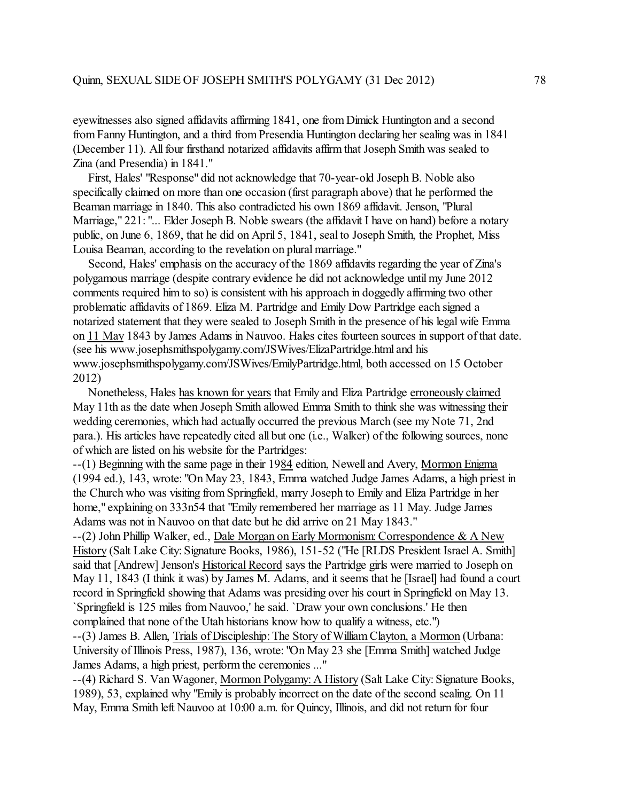eyewitnesses also signed affidavits affirming 1841, one from Dimick Huntington and a second from Fanny Huntington, and a third from Presendia Huntington declaring her sealing was in 1841 (December 11). All four firsthand notarized affidavits affirm that Joseph Smith was sealed to Zina (and Presendia) in 1841."

 First, Hales' "Response" did not acknowledge that 70-year-old Joseph B. Noble also specifically claimed on more than one occasion (first paragraph above) that he performed the Beaman marriage in 1840. This also contradicted his own 1869 affidavit. Jenson, "Plural Marriage," 221: "... Elder Joseph B. Noble swears (the affidavit I have on hand) before a notary public, on June 6, 1869, that he did on April 5, 1841, seal to Joseph Smith, the Prophet, Miss Louisa Beaman, according to the revelation on plural marriage."

 Second, Hales' emphasis on the accuracy of the 1869 affidavits regarding the year of Zina's polygamous marriage (despite contrary evidence he did not acknowledge until my June 2012 comments required him to so) is consistent with his approach in doggedly affirming two other problematic affidavits of 1869. Eliza M. Partridge and Emily Dow Partridge each signed a notarized statement that they were sealed to Joseph Smith in the presence of his legal wife Emma on 11 May 1843 by James Adams in Nauvoo. Hales cites fourteen sources in support of that date. (see his www.josephsmithspolygamy.com/JSWives/ElizaPartridge.html and his www.josephsmithspolygamy.com/JSWives/EmilyPartridge.html, both accessed on 15 October 2012)

 Nonetheless, Hales has known for years that Emily and Eliza Partridge erroneously claimed May 11th as the date when Joseph Smith allowed Emma Smith to think she was witnessing their wedding ceremonies, which had actually occurred the previous March (see my Note 71, 2nd para.). His articles have repeatedly cited all but one (i.e., Walker) of the following sources, none of which are listed on his website for the Partridges:

--(1) Beginning with the same page in their 1984 edition, Newell and Avery, Mormon Enigma (1994 ed.), 143, wrote: "On May 23, 1843, Emma watched Judge James Adams, a high priest in the Church who was visiting from Springfield, marry Joseph to Emily and Eliza Partridge in her home," explaining on 333n54 that "Emily remembered her marriage as 11 May. Judge James Adams was not in Nauvoo on that date but he did arrive on 21 May 1843."

--(2) John Phillip Walker, ed., Dale Morgan on Early Mormonism:Correspondence & A New History (Salt Lake City: Signature Books, 1986), 151-52 ("He [RLDS President Israel A. Smith] said that [Andrew] Jenson's Historical Record says the Partridge girls were married to Joseph on May 11, 1843 (I think it was) by James M. Adams, and it seems that he [Israel] had found a court record in Springfield showing that Adams was presiding over his court in Springfield on May 13. `Springfield is 125 miles from Nauvoo,' he said. `Draw your own conclusions.' He then complained that none of the Utah historians know how to qualify a witness, etc.")

--(3) James B. Allen, Trials of Discipleship: The Story of William Clayton, a Mormon (Urbana: University of Illinois Press, 1987), 136, wrote: "On May 23 she [Emma Smith] watched Judge James Adams, a high priest, perform the ceremonies ..."

--(4) Richard S. Van Wagoner, Mormon Polygamy: A History (Salt Lake City: Signature Books, 1989), 53, explained why "Emily is probably incorrect on the date of the second sealing. On 11 May, Emma Smith left Nauvoo at 10:00 a.m. for Quincy, Illinois, and did not return for four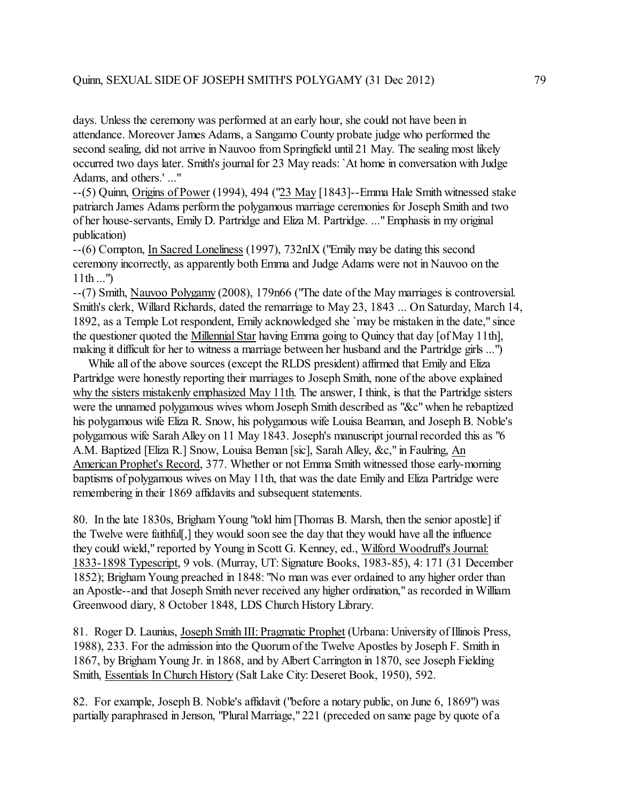## Quinn, SEXUAL SIDE OF JOSEPH SMITH'S POLYGAMY (31 Dec 2012) 79

days. Unless the ceremony was performed at an early hour, she could not have been in attendance. Moreover James Adams, a Sangamo County probate judge who performed the second sealing, did not arrive in Nauvoo from Springfield until 21 May. The sealing most likely occurred two days later. Smith's journal for 23 May reads: `At home in conversation with Judge Adams, and others.' ..."

--(5) Quinn, Origins of Power (1994), 494 ("23 May [1843]--Emma Hale Smith witnessed stake patriarch James Adams perform the polygamous marriage ceremonies for Joseph Smith and two of her house-servants, Emily D. Partridge and Eliza M. Partridge. ..."Emphasis in my original publication)

--(6) Compton, In Sacred Loneliness (1997), 732nIX ("Emily may be dating this second ceremony incorrectly, as apparently both Emma and Judge Adams were not in Nauvoo on the  $11th...$ ")

--(7) Smith, Nauvoo Polygamy (2008), 179n66 ("The date of the May marriages is controversial. Smith's clerk, Willard Richards, dated the remarriage to May 23, 1843 ... On Saturday, March 14, 1892, as a Temple Lot respondent, Emily acknowledged she `may be mistaken in the date," since the questioner quoted the Millennial Star having Emma going to Quincy that day [of May 11th], making it difficult for her to witness a marriage between her husband and the Partridge girls ...")

 While all of the above sources (except the RLDS president) affirmed that Emily and Eliza Partridge were honestly reporting their marriages to Joseph Smith, none of the above explained why the sisters mistakenly emphasized May 11th. The answer, I think, is that the Partridge sisters were the unnamed polygamous wives whom Joseph Smith described as "&c" when he rebaptized his polygamous wife Eliza R. Snow, his polygamous wife Louisa Beaman, and Joseph B. Noble's polygamous wife Sarah Alley on 11 May 1843. Joseph's manuscript journal recorded this as "6 A.M. Baptized [Eliza R.] Snow, Louisa Beman [sic], Sarah Alley, &c," in Faulring, An American Prophet's Record, 377. Whether or not Emma Smith witnessed those early-morning baptisms of polygamous wives on May 11th, that was the date Emily and Eliza Partridge were remembering in their 1869 affidavits and subsequent statements.

80. In the late 1830s, BrighamYoung "told him [Thomas B. Marsh, then the senior apostle] if the Twelve were faithful[,] they would soon see the day that they would have all the influence they could wield," reported by Young in Scott G. Kenney, ed., Wilford Woodruff's Journal: 1833-1898 Typescript, 9 vols. (Murray, UT: Signature Books, 1983-85), 4: 171 (31 December 1852); Brigham Young preached in 1848: "No man was ever ordained to any higher order than an Apostle--and that Joseph Smith never received any higher ordination," as recorded in William Greenwood diary, 8 October 1848, LDS Church History Library.

81. Roger D. Launius, Joseph Smith III: Pragmatic Prophet (Urbana: University of Illinois Press, 1988), 233. For the admission into the Quorum of the Twelve Apostles by Joseph F. Smith in 1867, by Brigham Young Jr. in 1868, and by Albert Carrington in 1870, see Joseph Fielding Smith, Essentials In Church History (Salt Lake City: Deseret Book, 1950), 592.

82. For example, Joseph B. Noble's affidavit ("before a notary public, on June 6, 1869") was partially paraphrased in Jenson, "Plural Marriage," 221 (preceded on same page by quote of a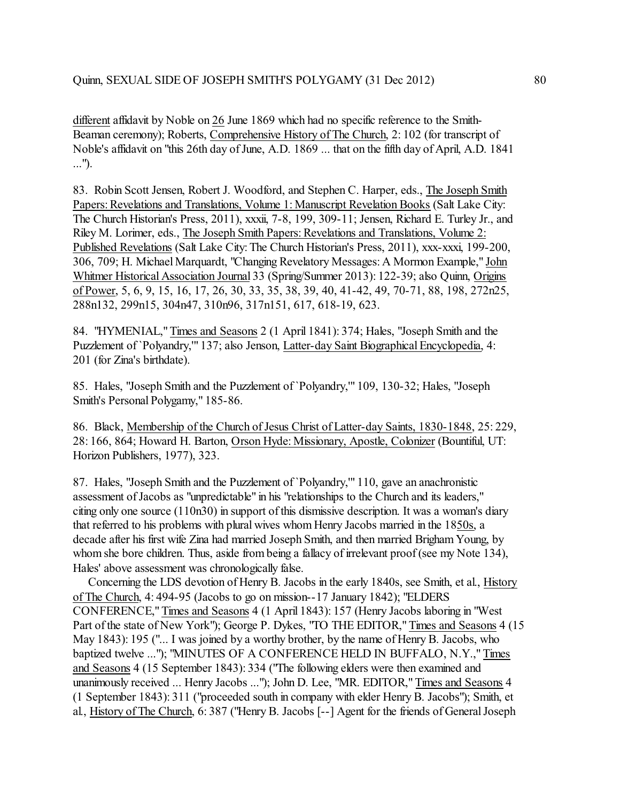different affidavit by Noble on 26 June 1869 which had no specific reference to the Smith-Beaman ceremony); Roberts, Comprehensive History of The Church, 2: 102 (for transcript of Noble's affidavit on "this 26th day of June, A.D. 1869 ... that on the fifth day of April, A.D. 1841 ...").

83. Robin Scott Jensen, Robert J. Woodford, and Stephen C. Harper, eds., The Joseph Smith Papers: Revelations and Translations, Volume 1: Manuscript Revelation Books (Salt Lake City: The Church Historian's Press, 2011), xxxii, 7-8, 199, 309-11; Jensen, Richard E. Turley Jr., and Riley M. Lorimer, eds., The Joseph Smith Papers: Revelations and Translations, Volume 2: Published Revelations (Salt Lake City: The Church Historian's Press, 2011), xxx-xxxi, 199-200, 306, 709; H. Michael Marquardt, "Changing Revelatory Messages: A Mormon Example," John Whitmer Historical Association Journal 33 (Spring/Summer 2013): 122-39; also Quinn, Origins of Power, 5, 6, 9, 15, 16, 17, 26, 30, 33, 35, 38, 39, 40, 41-42, 49, 70-71, 88, 198, 272n25, 288n132, 299n15, 304n47, 310n96, 317n151, 617, 618-19, 623.

84. "HYMENIAL," Times and Seasons 2 (1 April 1841): 374; Hales, "Joseph Smith and the Puzzlement of `Polyandry,'" 137; also Jenson, Latter-day Saint Biographical Encyclopedia, 4: 201 (for Zina's birthdate).

85. Hales, "Joseph Smith and the Puzzlement of `Polyandry,'" 109, 130-32; Hales, "Joseph Smith's Personal Polygamy," 185-86.

86. Black, Membership of the Church of Jesus Christ of Latter-day Saints, 1830-1848, 25: 229, 28: 166, 864; Howard H. Barton, Orson Hyde: Missionary, Apostle, Colonizer (Bountiful, UT: Horizon Publishers, 1977), 323.

87. Hales, "Joseph Smith and the Puzzlement of `Polyandry,'" 110, gave an anachronistic assessment of Jacobs as "unpredictable" in his "relationships to the Church and its leaders," citing only one source (110n30) in support of this dismissive description. It was a woman's diary that referred to his problems with plural wives whom Henry Jacobs married in the 1850s, a decade after his first wife Zina had married Joseph Smith, and then married Brigham Young, by whom she bore children. Thus, aside from being a fallacy of irrelevant proof (see my Note 134), Hales' above assessment was chronologically false.

 Concerning the LDS devotion of Henry B. Jacobs in the early 1840s, see Smith, et al., History of The Church, 4: 494-95 (Jacobs to go on mission--17 January 1842); "ELDERS CONFERENCE," Times and Seasons 4 (1 April 1843): 157 (Henry Jacobs laboring in "West Part of the state of New York"); George P. Dykes, "TO THE EDITOR," Times and Seasons 4 (15 May 1843): 195 ("... I was joined by a worthy brother, by the name of Henry B. Jacobs, who baptized twelve ..."); "MINUTES OF A CONFERENCE HELD IN BUFFALO, N.Y.,"Times and Seasons 4 (15 September 1843): 334 ("The following elders were then examined and unanimously received ... Henry Jacobs ..."); John D. Lee, "MR. EDITOR," Times and Seasons 4 (1 September 1843): 311 ("proceeded south in company with elder Henry B. Jacobs"); Smith, et al., History of The Church, 6: 387 ("Henry B. Jacobs [--] Agent for the friends of General Joseph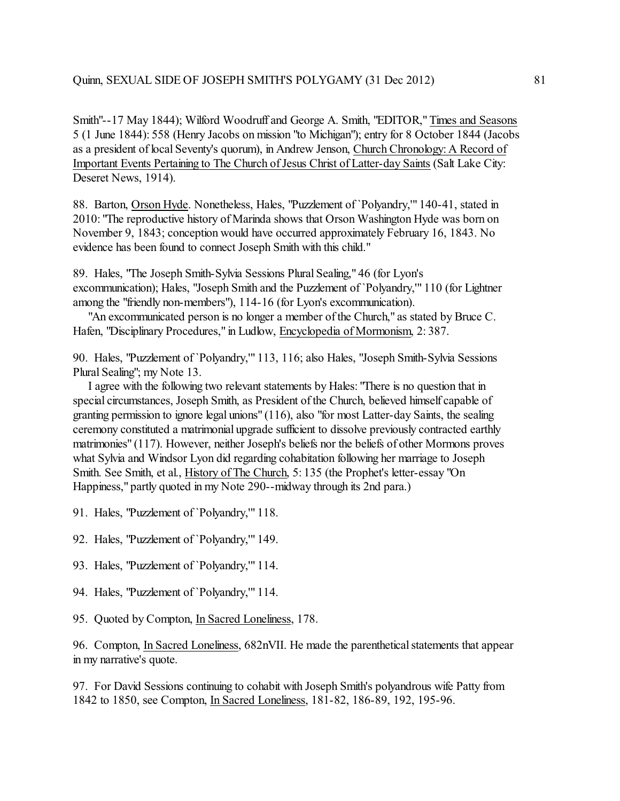Smith"--17 May 1844); Wilford Woodruff and George A. Smith, "EDITOR," Times and Seasons 5 (1 June 1844): 558 (Henry Jacobs on mission "to Michigan"); entry for 8 October 1844 (Jacobs as a president of local Seventy's quorum), in Andrew Jenson, Church Chronology: A Record of Important Events Pertaining to The Church of Jesus Christ of Latter-day Saints (Salt Lake City: Deseret News, 1914).

88. Barton, Orson Hyde. Nonetheless, Hales, "Puzzlement of `Polyandry,'" 140-41, stated in 2010: "The reproductive history of Marinda shows that Orson Washington Hyde was born on November 9, 1843; conception would have occurred approximately February 16, 1843. No evidence has been found to connect Joseph Smith with this child."

89. Hales, "The Joseph Smith-Sylvia Sessions Plural Sealing," 46 (for Lyon's excommunication); Hales, "Joseph Smith and the Puzzlement of `Polyandry,'" 110 (for Lightner among the "friendly non-members"), 114-16 (for Lyon's excommunication).

 "An excommunicated person is no longer a member of the Church," as stated by Bruce C. Hafen, "Disciplinary Procedures," in Ludlow, Encyclopedia of Mormonism, 2: 387.

90. Hales, "Puzzlement of `Polyandry,'" 113, 116; also Hales, "Joseph Smith-Sylvia Sessions Plural Sealing"; my Note 13.

 I agree with the following two relevant statements by Hales: "There is no question that in special circumstances, Joseph Smith, as President of the Church, believed himself capable of granting permission to ignore legal unions" (116), also "for most Latter-day Saints, the sealing ceremony constituted a matrimonial upgrade sufficient to dissolve previously contracted earthly matrimonies" (117). However, neither Joseph's beliefs nor the beliefs of other Mormons proves what Sylvia and Windsor Lyon did regarding cohabitation following her marriage to Joseph Smith. See Smith, et al., History of The Church, 5: 135 (the Prophet's letter-essay "On Happiness," partly quoted in my Note 290--midway through its 2nd para.)

- 91. Hales, "Puzzlement of `Polyandry,'" 118.
- 92. Hales, "Puzzlement of `Polyandry,'" 149.
- 93. Hales, "Puzzlement of `Polyandry,'" 114.
- 94. Hales, "Puzzlement of `Polyandry,'" 114.
- 95. Quoted by Compton, In Sacred Loneliness, 178.

96. Compton, In Sacred Loneliness, 682nVII. He made the parenthetical statements that appear in my narrative's quote.

97. For David Sessions continuing to cohabit with Joseph Smith's polyandrous wife Patty from 1842 to 1850, see Compton, In Sacred Loneliness, 181-82, 186-89, 192, 195-96.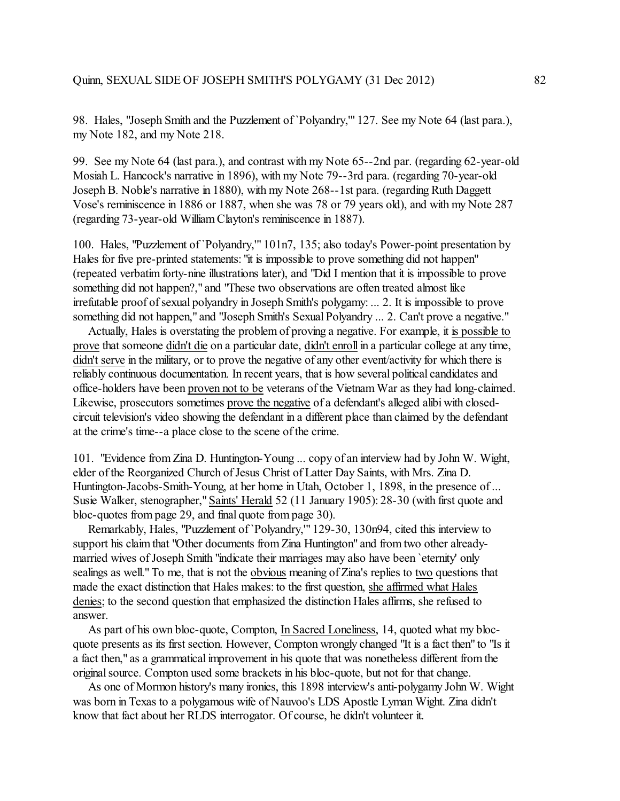98. Hales, "Joseph Smith and the Puzzlement of `Polyandry,'" 127. See my Note 64 (last para.), my Note 182, and my Note 218.

99. See my Note 64 (last para.), and contrast with my Note 65--2nd par. (regarding 62-year-old Mosiah L. Hancock's narrative in 1896), with my Note 79--3rd para. (regarding 70-year-old Joseph B. Noble's narrative in 1880), with my Note 268--1st para. (regarding Ruth Daggett Vose's reminiscence in 1886 or 1887, when she was 78 or 79 years old), and with my Note 287 (regarding 73-year-old WilliamClayton's reminiscence in 1887).

100. Hales, "Puzzlement of `Polyandry,'" 101n7, 135; also today's Power-point presentation by Hales for five pre-printed statements: "it is impossible to prove something did not happen" (repeated verbatim forty-nine illustrations later), and "Did I mention that it is impossible to prove something did not happen?," and "These two observations are often treated almost like irrefutable proof of sexual polyandry in Joseph Smith's polygamy: ... 2. It is impossible to prove something did not happen," and "Joseph Smith's Sexual Polyandry ... 2. Can't prove a negative."

 Actually, Hales is overstating the problem of proving a negative. For example, it is possible to prove that someone didn't die on a particular date, didn't enroll in a particular college at any time, didn't serve in the military, or to prove the negative of any other event/activity for which there is reliably continuous documentation. In recent years, that is how several political candidates and office-holders have been proven not to be veterans of the Vietnam War as they had long-claimed. Likewise, prosecutors sometimes prove the negative of a defendant's alleged alibi with closedcircuit television's video showing the defendant in a different place than claimed by the defendant at the crime's time--a place close to the scene ofthe crime.

101. "Evidence from Zina D. Huntington-Young ... copy of an interview had by John W. Wight, elder of the Reorganized Church of Jesus Christ of Latter Day Saints, with Mrs. Zina D. Huntington-Jacobs-Smith-Young, at her home in Utah, October 1, 1898, in the presence of ... Susie Walker, stenographer," Saints' Herald 52 (11 January 1905): 28-30 (with first quote and bloc-quotes from page 29, and final quote from page 30).

 Remarkably, Hales, "Puzzlement of `Polyandry,'" 129-30, 130n94, cited this interview to support his claim that "Other documents from Zina Huntington" and from two other alreadymarried wives of Joseph Smith "indicate their marriages may also have been `eternity' only sealings as well." To me, that is not the obvious meaning of Zina's replies to two questions that made the exact distinction that Hales makes: to the first question, she affirmed what Hales denies; to the second question that emphasized the distinction Hales affirms, she refused to answer.

 As part of his own bloc-quote, Compton, In Sacred Loneliness, 14, quoted what my blocquote presents as its first section. However, Compton wrongly changed "It is a fact then" to "Is it a fact then," as a grammatical improvement in his quote that was nonetheless different from the original source. Compton used some brackets in his bloc-quote, but not for that change.

 As one of Mormon history's many ironies, this 1898 interview's anti-polygamy John W. Wight was born in Texas to a polygamous wife of Nauvoo's LDS Apostle Lyman Wight. Zina didn't know that fact about her RLDS interrogator. Of course, he didn't volunteer it.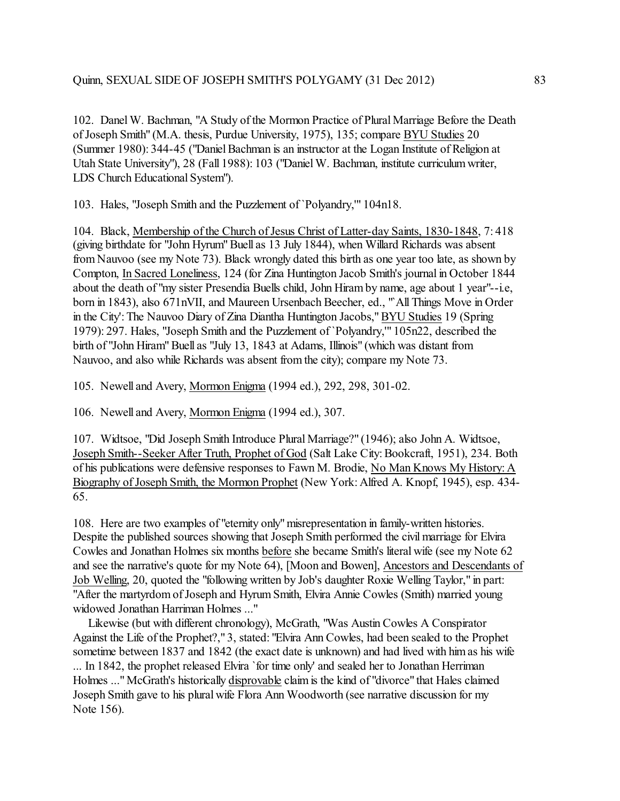102. Danel W. Bachman, "A Study of the Mormon Practice of Plural Marriage Before the Death of Joseph Smith" (M.A. thesis, Purdue University, 1975), 135; compare BYU Studies 20 (Summer 1980): 344-45 ("Daniel Bachman is an instructor at the Logan Institute of Religion at Utah State University"), 28 (Fall 1988): 103 ("Daniel W. Bachman, institute curriculumwriter, LDS Church Educational System").

103. Hales, "Joseph Smith and the Puzzlement of `Polyandry,'" 104n18.

104. Black, Membership of the Church of Jesus Christ of Latter-day Saints, 1830-1848, 7: 418 (giving birthdate for "John Hyrum" Buell as 13 July 1844), when Willard Richards was absent from Nauvoo (see my Note 73). Black wrongly dated this birth as one year too late, as shown by Compton, In Sacred Loneliness, 124 (for Zina Huntington Jacob Smith's journal in October 1844 about the death of "my sister Presendia Buells child, John Hiram by name, age about 1 year"--i.e, born in 1843), also 671nVII, and Maureen Ursenbach Beecher, ed., "`All Things Move in Order in the City':The Nauvoo Diary of Zina Diantha Huntington Jacobs," BYU Studies 19 (Spring 1979): 297. Hales, "Joseph Smith and the Puzzlement of `Polyandry,'" 105n22, described the birth of "John Hiram" Buell as "July 13, 1843 at Adams, Illinois" (which was distant from Nauvoo, and also while Richards was absent from the city); compare my Note 73.

105. Newell and Avery, Mormon Enigma (1994 ed.), 292, 298, 301-02.

106. Newell and Avery, Mormon Enigma (1994 ed.), 307.

107. Widtsoe, "Did Joseph Smith Introduce Plural Marriage?" (1946); also John A. Widtsoe, Joseph Smith--Seeker After Truth, Prophet of God (Salt Lake City:Bookcraft, 1951), 234. Both of his publications were defensive responses to Fawn M. Brodie, No Man Knows My History: A Biography of Joseph Smith, the Mormon Prophet (New York: Alfred A. Knopf, 1945), esp. 434- 65.

108. Here are two examples of "eternity only" misrepresentation in family-written histories. Despite the published sources showing that Joseph Smith performed the civil marriage for Elvira Cowles and Jonathan Holmes six months before she became Smith's literal wife (see my Note 62 and see the narrative's quote for my Note 64), [Moon and Bowen], Ancestors and Descendants of Job Welling, 20, quoted the "following written by Job's daughter Roxie Welling Taylor," in part: "After the martyrdom of Joseph and Hyrum Smith, Elvira Annie Cowles (Smith) married young widowed Jonathan Harriman Holmes ..."

 Likewise (but with different chronology), McGrath, "Was Austin Cowles A Conspirator Against the Life of the Prophet?," 3, stated: "Elvira Ann Cowles, had been sealed to the Prophet sometime between 1837 and 1842 (the exact date is unknown) and had lived with himas his wife ... In 1842, the prophet released Elvira `for time only' and sealed her to Jonathan Herriman Holmes ..." McGrath's historically disprovable claim is the kind of "divorce" that Hales claimed Joseph Smith gave to his plural wife Flora Ann Woodworth (see narrative discussion for my Note 156).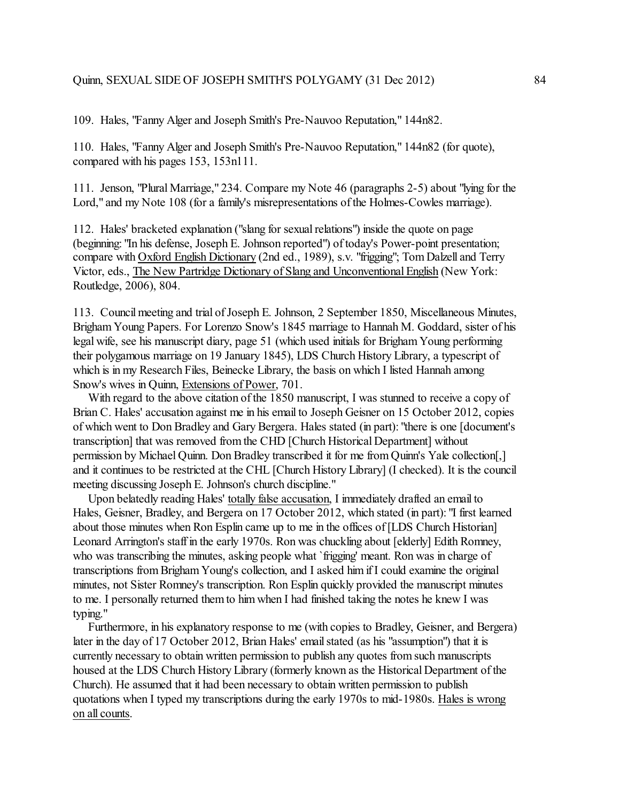109. Hales, "Fanny Alger and Joseph Smith's Pre-Nauvoo Reputation," 144n82.

110. Hales, "Fanny Alger and Joseph Smith's Pre-Nauvoo Reputation," 144n82 (for quote), compared with his pages 153, 153n111.

111. Jenson, "Plural Marriage," 234. Compare my Note 46 (paragraphs 2-5) about "lying for the Lord," and my Note 108 (for a family's misrepresentations of the Holmes-Cowles marriage).

112. Hales' bracketed explanation ("slang for sexual relations") inside the quote on page (beginning: "In his defense, Joseph E. Johnson reported") of today's Power-point presentation; compare with Oxford English Dictionary (2nd ed., 1989), s.v. "frigging"; Tom Dalzell and Terry Victor, eds., The New Partridge Dictionary of Slang and Unconventional English (New York: Routledge, 2006), 804.

113. Council meeting and trial of Joseph E. Johnson, 2 September 1850, Miscellaneous Minutes, Brigham Young Papers. For Lorenzo Snow's 1845 marriage to Hannah M. Goddard, sister of his legal wife, see his manuscript diary, page 51 (which used initials for Brigham Young performing their polygamous marriage on 19 January 1845), LDS Church History Library, a typescript of which is in my Research Files, Beinecke Library, the basis on which I listed Hannah among Snow's wives in Quinn, Extensions of Power, 701.

With regard to the above citation of the 1850 manuscript, I was stunned to receive a copy of Brian C. Hales' accusation against me in his email to Joseph Geisner on 15 October 2012, copies of which went to Don Bradley and Gary Bergera. Hales stated (in part): "there is one [document's transcription] that was removed from the CHD [Church Historical Department] without permission by Michael Quinn. Don Bradley transcribed it for me from Quinn's Yale collection[,] and it continues to be restricted at the CHL [Church History Library] (I checked). It is the council meeting discussing Joseph E. Johnson's church discipline."

 Upon belatedly reading Hales' totally false accusation, I immediately drafted an email to Hales, Geisner, Bradley, and Bergera on 17 October 2012, which stated (in part): "I first learned about those minutes when Ron Esplin came up to me in the offices of [LDS Church Historian] Leonard Arrington's staff in the early 1970s. Ron was chuckling about [elderly] Edith Romney, who was transcribing the minutes, asking people what `frigging' meant. Ron was in charge of transcriptions from Brigham Young's collection, and I asked him if I could examine the original minutes, not Sister Romney's transcription. Ron Esplin quickly provided the manuscript minutes to me. I personally returned them to him when I had finished taking the notes he knew I was typing."

 Furthermore, in his explanatory response to me (with copies to Bradley, Geisner, and Bergera) later in the day of 17 October 2012, Brian Hales' email stated (as his "assumption") that it is currently necessary to obtain written permission to publish any quotes from such manuscripts housed at the LDS Church History Library (formerly known as the Historical Department of the Church). He assumed that it had been necessary to obtain written permission to publish quotations when I typed my transcriptions during the early 1970s to mid-1980s. Hales is wrong on all counts.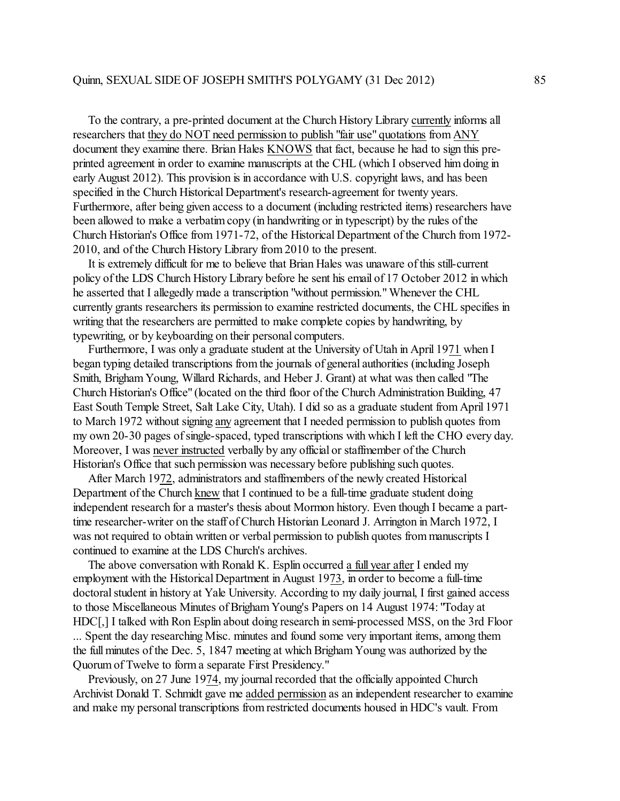To the contrary, a pre-printed document at the Church History Library currently informs all researchers that they do NOT need permission to publish "fair use" quotations from ANY document they examine there. Brian Hales KNOWS that fact, because he had to sign this preprinted agreement in order to examine manuscripts at the CHL (which I observed himdoing in early August 2012). This provision is in accordance with U.S. copyright laws, and has been specified in the Church Historical Department's research-agreement for twenty years. Furthermore, after being given access to a document (including restricted items) researchers have been allowed to make a verbatim copy (in handwriting or in typescript) by the rules of the Church Historian's Office from 1971-72, of the Historical Department of the Church from 1972- 2010, and of the Church History Library from 2010 to the present.

 It is extremely difficult for me to believe that Brian Hales was unaware of this still-current policy of the LDS Church History Library before he sent his email of 17 October 2012 in which he asserted that I allegedly made a transcription "without permission." Whenever the CHL currently grants researchers its permission to examine restricted documents, the CHL specifies in writing that the researchers are permitted to make complete copies by handwriting, by typewriting, or by keyboarding on their personal computers.

 Furthermore, I was only a graduate student at the University of Utah in April 1971 when I began typing detailed transcriptions from the journals of general authorities (including Joseph Smith, Brigham Young, Willard Richards, and Heber J. Grant) at what was then called "The Church Historian's Office" (located on the third floor of the Church Administration Building, 47 East South Temple Street, Salt Lake City, Utah). I did so as a graduate student from April 1971 to March 1972 without signing any agreement that I needed permission to publish quotes from my own 20-30 pages of single-spaced, typed transcriptions with which I left the CHO every day. Moreover, I was never instructed verbally by any official or staffmember of the Church Historian's Office that such permission was necessary before publishing such quotes.

 After March 1972, administrators and staffmembers of the newly created Historical Department of the Church knew that I continued to be a full-time graduate student doing independent research for a master's thesis about Mormon history. Even though I became a parttime researcher-writer on the staff of Church Historian Leonard J. Arrington in March 1972, I was not required to obtain written or verbal permission to publish quotes from manuscripts I continued to examine at the LDS Church's archives.

 The above conversation with Ronald K. Esplin occurred a full year after I ended my employment with the Historical Department in August 1973, in order to become a full-time doctoral student in history at Yale University. According to my daily journal, I first gained access to those Miscellaneous Minutes of Brigham Young's Papers on 14 August 1974: "Today at HDC[,] I talked with Ron Esplin about doing research in semi-processed MSS, on the 3rd Floor ... Spent the day researching Misc. minutes and found some very important items, among them the full minutes of the Dec. 5, 1847 meeting at which Brigham Young was authorized by the Quorum of Twelve to form a separate First Presidency."

 Previously, on 27 June 1974, my journal recorded that the officially appointed Church Archivist Donald T. Schmidt gave me added permission as an independent researcher to examine and make my personal transcriptions from restricted documents housed in HDC's vault. From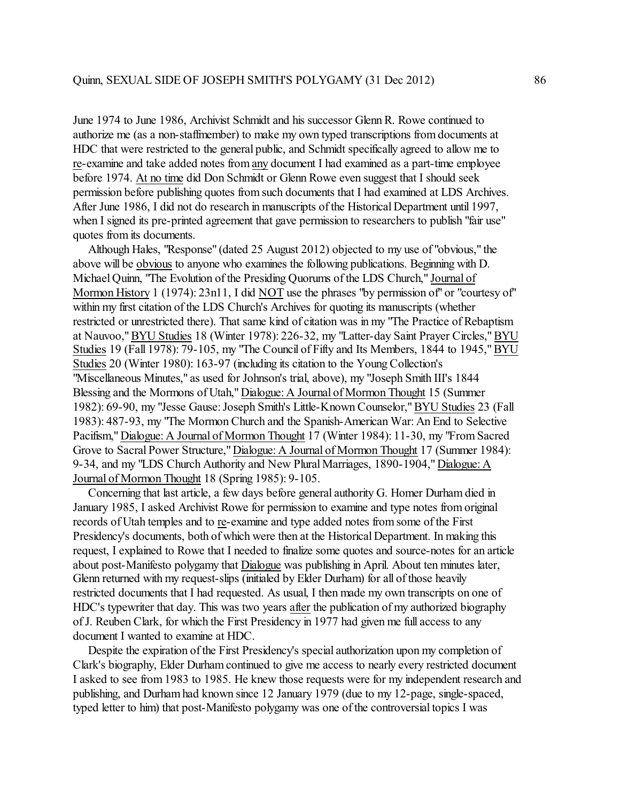June 1974 to June 1986, Archivist Schmidt and his successor Glenn R. Rowe continued to authorize me (as a non-staffmember) to make my own typed transcriptions from documents at HDC that were restricted to the general public, and Schmidt specifically agreed to allow me to re-examine and take added notes from any document I had examined as a part-time employee before 1974. At no time did Don Schmidt or Glenn Rowe even suggest that I should seek permission before publishing quotes from such documents that I had examined at LDS Archives. After June 1986, I did not do research in manuscripts of the Historical Department until 1997, when I signed its pre-printed agreement that gave permission to researchers to publish "fair use" quotes from its documents.

 Although Hales, "Response" (dated 25 August 2012) objected to my use of "obvious," the above will be obvious to anyone who examines the following publications. Beginning with D. Michael Quinn, "The Evolution of the Presiding Quorums of the LDS Church," Journal of Mormon History 1 (1974): 23n11, I did NOT use the phrases "by permission of" or "courtesy of" within my first citation of the LDS Church's Archives for quoting its manuscripts (whether restricted or unrestricted there). That same kind of citation was in my "The Practice of Rebaptism at Nauvoo," BYU Studies 18 (Winter 1978): 226-32, my "Latter-day Saint Prayer Circles," BYU Studies 19 (Fall 1978): 79-105, my "The Council of Fifty and Its Members, 1844 to 1945,"BYU Studies 20 (Winter 1980): 163-97 (including its citation to the Young Collection's "Miscellaneous Minutes," as used for Johnson's trial, above), my "Joseph Smith III's 1844 Blessing and the Mormons of Utah," Dialogue: A Journal of Mormon Thought 15 (Summer 1982): 69-90, my "Jesse Gause: Joseph Smith's Little-Known Counselor," BYU Studies 23 (Fall 1983): 487-93, my "The Mormon Church and the Spanish-American War: An End to Selective Pacifism," Dialogue: A Journal of Mormon Thought 17 (Winter 1984): 11-30, my "From Sacred Grove to Sacral Power Structure," Dialogue: A Journal of Mormon Thought 17 (Summer 1984): 9-34, and my "LDS Church Authority and New Plural Marriages, 1890-1904," Dialogue: A Journal of Mormon Thought 18 (Spring 1985): 9-105.

 Concerning that last article, a few days before general authority G. Homer Durham died in January 1985, I asked Archivist Rowe for permission to examine and type notes from original records of Utah temples and to re-examine and type added notes from some of the First Presidency's documents, both of which were then at the Historical Department. In making this request, I explained to Rowe that I needed to finalize some quotes and source-notes for an article about post-Manifesto polygamy that Dialogue was publishing in April. About ten minutes later, Glenn returned with my request-slips (initialed by Elder Durham) for all of those heavily restricted documents that I had requested. As usual, I then made my own transcripts on one of HDC's typewriter that day. This was two years after the publication of my authorized biography of J. Reuben Clark, for which the First Presidency in 1977 had given me full access to any document I wanted to examine at HDC.

 Despite the expiration of the First Presidency's special authorization upon my completion of Clark's biography, Elder Durhamcontinued to give me access to nearly every restricted document I asked to see from 1983 to 1985. He knew those requests were for my independent research and publishing, and Durhamhad known since 12 January 1979 (due to my 12-page, single-spaced, typed letter to him) that post-Manifesto polygamy was one of the controversial topics I was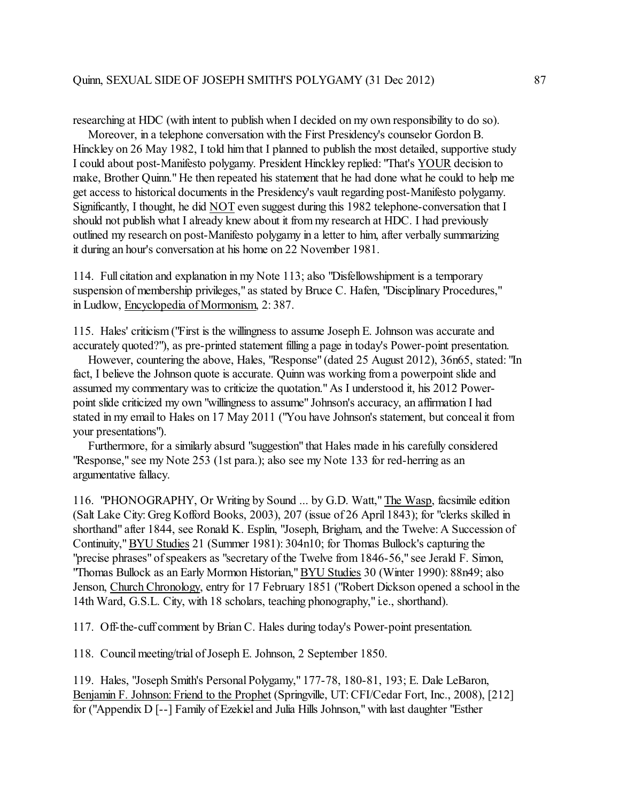researching at HDC (with intent to publish when I decided on my own responsibility to do so).

 Moreover, in a telephone conversation with the First Presidency's counselor Gordon B. Hinckley on 26 May 1982, I told him that I planned to publish the most detailed, supportive study I could about post-Manifesto polygamy. President Hinckley replied: "That's YOUR decision to make, Brother Quinn." He then repeated his statement that he had done what he could to help me get access to historical documents in the Presidency's vault regarding post-Manifesto polygamy. Significantly, I thought, he did NOT even suggest during this 1982 telephone-conversation that I should not publish what I already knew about it from my research at HDC. I had previously outlined my research on post-Manifesto polygamy in a letter to him, after verbally summarizing it during an hour's conversation at his home on 22 November 1981.

114. Full citation and explanation in my Note 113; also "Disfellowshipment is a temporary suspension of membership privileges," as stated by Bruce C. Hafen, "Disciplinary Procedures," in Ludlow, Encyclopedia of Mormonism, 2: 387.

115. Hales' criticism ("First is the willingness to assume Joseph E. Johnson was accurate and accurately quoted?"), as pre-printed statement filling a page in today's Power-point presentation.

 However, countering the above, Hales, "Response" (dated 25 August 2012), 36n65, stated: "In fact, I believe the Johnson quote is accurate. Quinn was working from a powerpoint slide and assumed my commentary was to criticize the quotation." As I understood it, his 2012 Powerpoint slide criticized my own "willingness to assume" Johnson's accuracy, an affirmation I had stated in my email to Hales on 17 May 2011 ("You have Johnson's statement, but conceal it from your presentations").

 Furthermore, for a similarly absurd "suggestion" that Hales made in his carefully considered "Response," see my Note 253 (1st para.); also see my Note 133 for red-herring as an argumentative fallacy.

116. "PHONOGRAPHY, Or Writing by Sound ... by G.D. Watt," The Wasp, facsimile edition (Salt Lake City: Greg Kofford Books, 2003), 207 (issue of 26 April 1843); for "clerks skilled in shorthand" after 1844, see Ronald K. Esplin, "Joseph, Brigham, and the Twelve: A Succession of Continuity," BYU Studies 21 (Summer 1981): 304n10; for Thomas Bullock's capturing the "precise phrases" of speakers as "secretary of the Twelve from 1846-56," see Jerald F. Simon, "Thomas Bullock as an Early Mormon Historian," BYU Studies 30 (Winter 1990): 88n49; also Jenson, Church Chronology, entry for 17 February 1851 ("Robert Dickson opened a school in the 14th Ward, G.S.L. City, with 18 scholars, teaching phonography," i.e., shorthand).

117. Off-the-cuff comment by Brian C. Hales during today's Power-point presentation.

118. Council meeting/trial ofJoseph E. Johnson, 2 September 1850.

119. Hales, "Joseph Smith's Personal Polygamy," 177-78, 180-81, 193; E. Dale LeBaron, Benjamin F. Johnson: Friend to the Prophet (Springville, UT: CFI/Cedar Fort, Inc., 2008), [212] for ("Appendix D [--] Family of Ezekiel and Julia Hills Johnson," with last daughter "Esther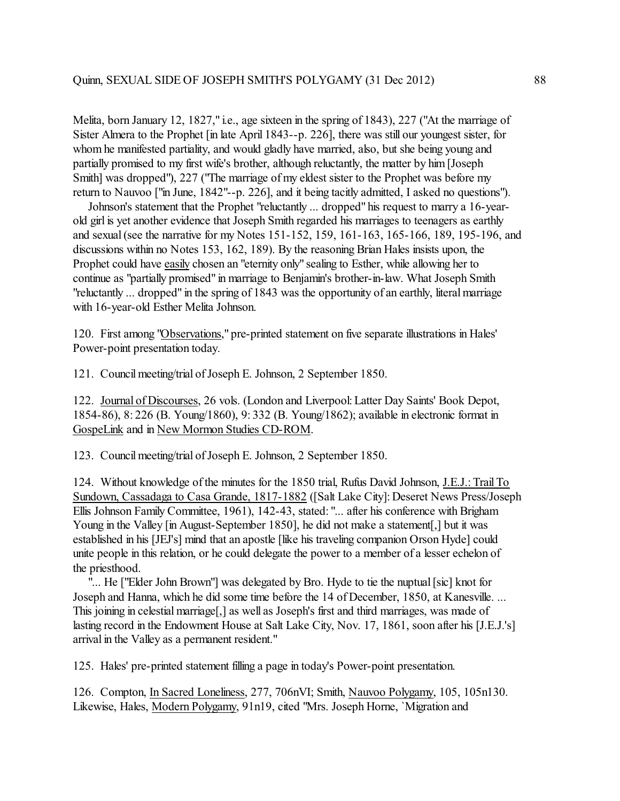Melita, born January 12, 1827," i.e., age sixteen in the spring of 1843), 227 ("At the marriage of Sister Almera to the Prophet [in late April 1843--p. 226], there was still our youngest sister, for whom he manifested partiality, and would gladly have married, also, but she being young and partially promised to my first wife's brother, although reluctantly, the matter by him[Joseph Smith] was dropped"), 227 ("The marriage of my eldest sister to the Prophet was before my return to Nauvoo ["in June, 1842"--p. 226], and it being tacitly admitted, I asked no questions").

 Johnson's statement that the Prophet "reluctantly ... dropped" his request to marry a 16-yearold girl is yet another evidence that Joseph Smith regarded his marriages to teenagers as earthly and sexual (see the narrative for my Notes 151-152, 159, 161-163, 165-166, 189, 195-196, and discussions within no Notes 153, 162, 189). By the reasoning Brian Hales insists upon, the Prophet could have easily chosen an "eternity only" sealing to Esther, while allowing her to continue as "partially promised" in marriage to Benjamin's brother-in-law. What Joseph Smith "reluctantly ... dropped" in the spring of 1843 was the opportunity of an earthly, literal marriage with 16-year-old Esther Melita Johnson.

120. First among "Observations," pre-printed statement on five separate illustrations in Hales' Power-point presentation today.

121. Council meeting/trial of Joseph E. Johnson, 2 September 1850.

122. Journal of Discourses, 26 vols. (London and Liverpool: Latter Day Saints' Book Depot, 1854-86), 8: 226 (B. Young/1860), 9: 332 (B. Young/1862); available in electronic format in GospeLink and in New Mormon Studies CD-ROM.

123. Council meeting/trial of Joseph E. Johnson, 2 September 1850.

124. Without knowledge of the minutes for the 1850 trial, Rufus David Johnson, J.E.J.: Trail To Sundown, Cassadaga to Casa Grande, 1817-1882 ([Salt Lake City]: Deseret News Press/Joseph Ellis Johnson Family Committee, 1961), 142-43, stated: "... after his conference with Brigham Young in the Valley [in August-September 1850], he did not make a statement[,] but it was established in his [JEJ's] mind that an apostle [like his traveling companion Orson Hyde] could unite people in this relation, or he could delegate the power to a member of a lesser echelon of the priesthood.

"... He ["Elder John Brown"] was delegated by Bro. Hyde to tie the nuptual [sic] knot for Joseph and Hanna, which he did some time before the 14 of December, 1850, at Kanesville. ... This joining in celestial marriage[,] as well as Joseph's first and third marriages, was made of lasting record in the Endowment House at Salt Lake City, Nov. 17, 1861, soon after his [J.E.J.'s] arrival in the Valley as a permanent resident."

125. Hales' pre-printed statement filling a page in today's Power-point presentation.

126. Compton, In Sacred Loneliness, 277, 706nVI; Smith, Nauvoo Polygamy, 105, 105n130. Likewise, Hales, Modern Polygamy, 91n19, cited "Mrs. Joseph Horne, `Migration and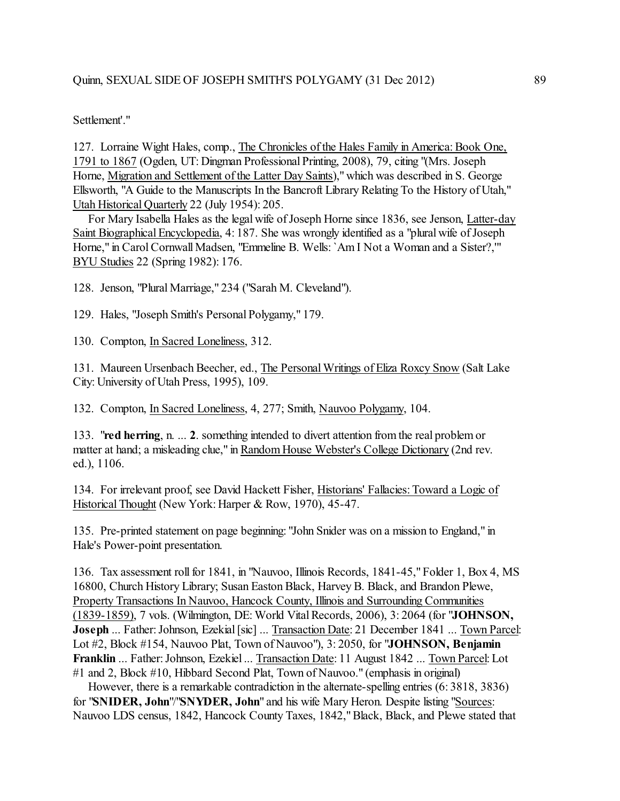## Quinn, SEXUAL SIDE OF JOSEPH SMITH'S POLYGAMY (31 Dec 2012) 89

Settlement'."

127. Lorraine Wight Hales, comp., The Chronicles ofthe Hales Family in America: Book One, 1791 to 1867 (Ogden, UT: Dingman Professional Printing, 2008), 79, citing "(Mrs. Joseph Horne, Migration and Settlement of the Latter Day Saints)," which was described in S. George Ellsworth, "A Guide to the Manuscripts In the Bancroft Library Relating To the History of Utah," Utah Historical Quarterly 22 (July 1954): 205.

For Mary Isabella Hales as the legal wife of Joseph Horne since 1836, see Jenson, Latter-day Saint Biographical Encyclopedia, 4: 187. She was wrongly identified as a "plural wife of Joseph Horne," in Carol Cornwall Madsen, "Emmeline B. Wells: `Am I Not a Woman and a Sister?,'" BYU Studies 22 (Spring 1982): 176.

128. Jenson, "Plural Marriage," 234 ("Sarah M. Cleveland").

129. Hales, "Joseph Smith's Personal Polygamy," 179.

130. Compton, In Sacred Loneliness, 312.

131. Maureen Ursenbach Beecher, ed., The Personal Writings of Eliza Roxcy Snow (Salt Lake City: University of Utah Press, 1995), 109.

132. Compton, In Sacred Loneliness, 4, 277; Smith, Nauvoo Polygamy, 104.

133. "**red herring**, n. ... **2**. something intended to divert attention from the real problemor matter at hand; a misleading clue," in Random House Webster's College Dictionary (2nd rev. ed.), 1106.

134. For irrelevant proof, see David Hackett Fisher, Historians' Fallacies: Toward a Logic of Historical Thought (New York: Harper & Row, 1970), 45-47.

135. Pre-printed statement on page beginning: "John Snider was on a mission to England," in Hale's Power-point presentation.

136. Tax assessment roll for 1841, in "Nauvoo, Illinois Records, 1841-45," Folder 1, Box 4, MS 16800, Church History Library; Susan Easton Black, Harvey B. Black, and Brandon Plewe, Property Transactions In Nauvoo, Hancock County, Illinois and Surrounding Communities (1839-1859), 7 vols. (Wilmington, DE: World VitalRecords, 2006), 3: 2064 (for "**JOHNSON, Joseph** ... Father: Johnson, Ezekial [sic] ... Transaction Date: 21 December 1841 ... Town Parcel: Lot #2, Block #154, Nauvoo Plat, Town of Nauvoo"), 3: 2050, for "**JOHNSON, Benjamin Franklin** ... Father: Johnson, Ezekiel ... Transaction Date: 11 August 1842 ... Town Parcel: Lot #1 and 2, Block #10, Hibbard Second Plat, Town of Nauvoo." (emphasis in original)

 However, there is a remarkable contradiction in the alternate-spelling entries (6: 3818, 3836) for "**SNIDER, John**"/"**SNYDER, John**" and his wife Mary Heron. Despite listing "Sources: Nauvoo LDS census, 1842, Hancock County Taxes, 1842," Black, Black, and Plewe stated that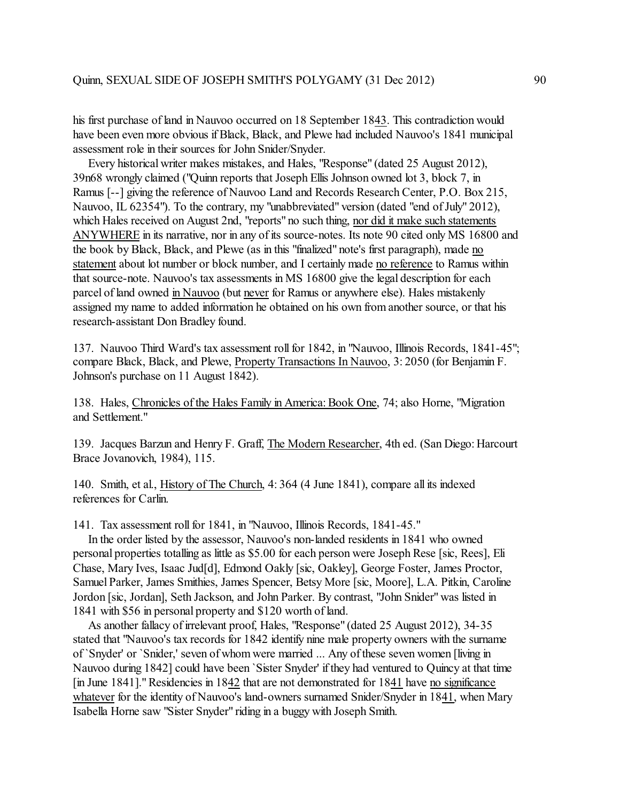his first purchase of land in Nauvoo occurred on 18 September 1843. This contradiction would have been even more obvious if Black, Black, and Plewe had included Nauvoo's 1841 municipal assessment role in their sources for John Snider/Snyder.

 Every historical writer makes mistakes, and Hales, "Response" (dated 25 August 2012), 39n68 wrongly claimed ("Quinn reports that Joseph Ellis Johnson owned lot 3, block 7, in Ramus [--] giving the reference of Nauvoo Land and Records Research Center, P.O. Box 215, Nauvoo, IL 62354"). To the contrary, my "unabbreviated" version (dated "end of July" 2012), which Hales received on August 2nd, "reports" no such thing, nor did it make such statements ANYWHERE in its narrative, nor in any of its source-notes. Its note 90 cited only MS 16800 and the book by Black, Black, and Plewe (as in this "finalized" note's first paragraph), made no statement about lot number or block number, and I certainly made no reference to Ramus within that source-note. Nauvoo's tax assessments in MS 16800 give the legal description for each parcel of land owned in Nauvoo (but never for Ramus or anywhere else). Hales mistakenly assigned my name to added information he obtained on his own from another source, or that his research-assistant Don Bradley found.

137. Nauvoo Third Ward's tax assessment roll for 1842, in "Nauvoo, Illinois Records, 1841-45"; compare Black, Black, and Plewe, Property Transactions In Nauvoo, 3: 2050 (for Benjamin F. Johnson's purchase on 11 August 1842).

138. Hales, Chronicles of the Hales Family in America: Book One, 74; also Horne, "Migration and Settlement."

139. Jacques Barzun and Henry F. Graff, The Modern Researcher, 4th ed. (San Diego: Harcourt Brace Jovanovich, 1984), 115.

140. Smith, et al., History of The Church, 4: 364 (4 June 1841), compare all its indexed references for Carlin.

141. Tax assessment roll for 1841, in "Nauvoo, Illinois Records, 1841-45."

 In the order listed by the assessor, Nauvoo's non-landed residents in 1841 who owned personal properties totalling as little as \$5.00 for each person were Joseph Rese [sic, Rees], Eli Chase, Mary Ives, Isaac Jud[d], Edmond Oakly [sic, Oakley], George Foster, James Proctor, Samuel Parker, James Smithies, James Spencer, Betsy More [sic, Moore], L.A. Pitkin, Caroline Jordon [sic, Jordan], Seth Jackson, and John Parker. By contrast, "John Snider" was listed in 1841 with \$56 in personal property and \$120 worth of land.

 As another fallacy of irrelevant proof, Hales, "Response" (dated 25 August 2012), 34-35 stated that "Nauvoo's tax records for 1842 identify nine male property owners with the surname of `Snyder' or `Snider,' seven of whom were married ... Any of these seven women [living in Nauvoo during 1842] could have been `Sister Snyder' if they had ventured to Quincy at that time [in June 1841]." Residencies in 1842 that are not demonstrated for 1841 have no significance whatever for the identity of Nauvoo's land-owners surnamed Snider/Snyder in 1841, when Mary Isabella Horne saw "Sister Snyder" riding in a buggy with Joseph Smith.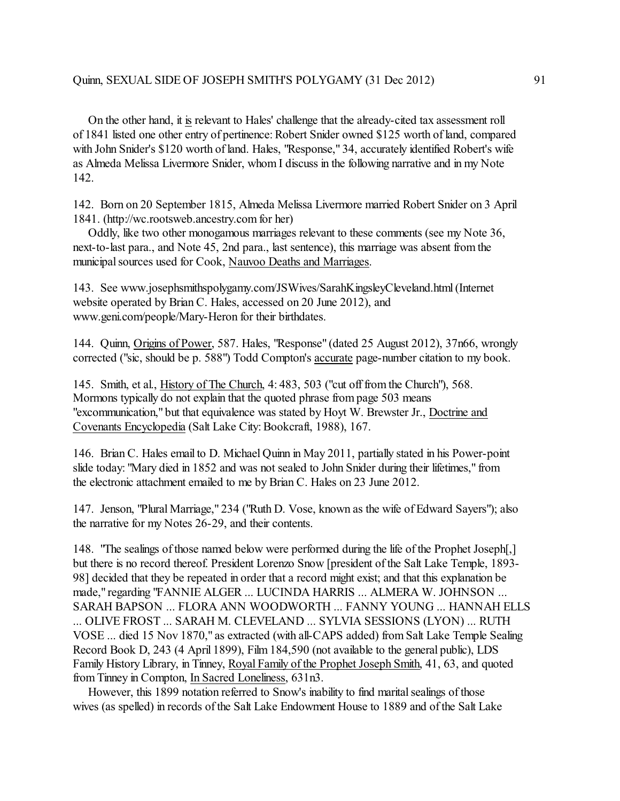On the other hand, it is relevant to Hales' challenge that the already-cited tax assessment roll of 1841 listed one other entry of pertinence: Robert Snider owned \$125 worth of land, compared with John Snider's \$120 worth of land. Hales, "Response," 34, accurately identified Robert's wife as Almeda Melissa Livermore Snider, whom I discuss in the following narrative and in my Note 142.

142. Born on 20 September 1815, Almeda Melissa Livermore married Robert Snider on 3 April 1841. (http://wc.rootsweb.ancestry.com for her)

 Oddly, like two other monogamous marriages relevant to these comments (see my Note 36, next-to-last para., and Note 45, 2nd para., last sentence), this marriage was absent from the municipal sources used for Cook, Nauvoo Deaths and Marriages.

143. See www.josephsmithspolygamy.com/JSWives/SarahKingsleyCleveland.html (Internet website operated by Brian C. Hales, accessed on 20 June 2012), and www.geni.com/people/Mary-Heron for their birthdates.

144. Quinn, Origins of Power, 587. Hales, "Response" (dated 25 August 2012), 37n66, wrongly corrected ("sic, should be p. 588") Todd Compton's accurate page-number citation to my book.

145. Smith, et al., History of The Church, 4: 483, 503 ("cut off from the Church"), 568. Mormons typically do not explain that the quoted phrase from page 503 means "excommunication," but that equivalence was stated by Hoyt W. Brewster Jr., Doctrine and Covenants Encyclopedia (Salt Lake City: Bookcraft, 1988), 167.

146. Brian C. Hales email to D. Michael Quinn in May 2011, partially stated in his Power-point slide today: "Mary died in 1852 and was not sealed to John Snider during their lifetimes," from the electronic attachment emailed to me by Brian C. Hales on 23 June 2012.

147. Jenson, "Plural Marriage," 234 ("Ruth D. Vose, known as the wife of Edward Sayers"); also the narrative for my Notes 26-29, and their contents.

148. "The sealings of those named below were performed during the life of the Prophet Joseph[,] but there is no record thereof. President Lorenzo Snow [president of the Salt Lake Temple, 1893- 98] decided that they be repeated in order that a record might exist; and that this explanation be made," regarding "FANNIE ALGER ... LUCINDA HARRIS ... ALMERA W. JOHNSON ... SARAH BAPSON ... FLORA ANN WOODWORTH ... FANNY YOUNG ... HANNAH ELLS ... OLIVE FROST ... SARAH M. CLEVELAND ... SYLVIA SESSIONS (LYON) ... RUTH VOSE ... died 15 Nov 1870," as extracted (with all-CAPS added) from Salt Lake Temple Sealing Record Book D, 243 (4 April 1899), Film 184,590 (not available to the general public), LDS Family History Library, in Tinney, Royal Family of the Prophet Joseph Smith, 41, 63, and quoted from Tinney in Compton, In Sacred Loneliness, 631n3.

 However, this 1899 notation referred to Snow's inability to find marital sealings of those wives (as spelled) in records of the Salt Lake Endowment House to 1889 and ofthe Salt Lake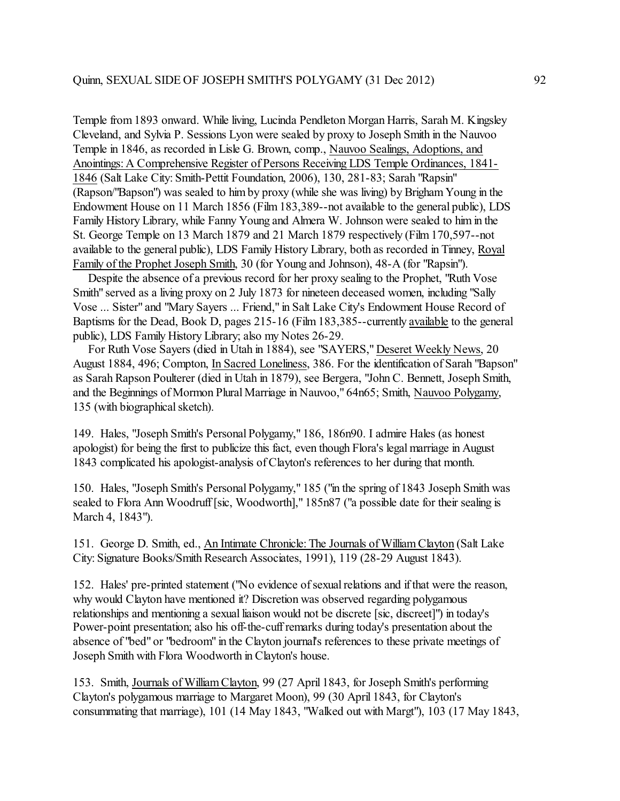Temple from 1893 onward. While living, Lucinda Pendleton Morgan Harris, Sarah M. Kingsley Cleveland, and Sylvia P. Sessions Lyon were sealed by proxy to Joseph Smith in the Nauvoo Temple in 1846, as recorded in Lisle G. Brown, comp., Nauvoo Sealings, Adoptions, and Anointings: A Comprehensive Register of Persons Receiving LDS Temple Ordinances, 1841- 1846 (Salt Lake City: Smith-Pettit Foundation, 2006), 130, 281-83; Sarah "Rapsin" (Rapson/"Bapson") was sealed to him by proxy (while she was living) by Brigham Young in the Endowment House on 11 March 1856 (Film 183,389--not available to the general public), LDS Family History Library, while Fanny Young and Almera W. Johnson were sealed to him in the St. George Temple on 13 March 1879 and 21 March 1879 respectively (Film 170,597--not available to the general public), LDS Family History Library, both as recorded in Tinney, Royal Family of the Prophet Joseph Smith, 30 (for Young and Johnson), 48-A (for "Rapsin").

 Despite the absence of a previous record for her proxy sealing to the Prophet, "Ruth Vose Smith" served as a living proxy on 2 July 1873 for nineteen deceased women, including "Sally Vose ... Sister" and "Mary Sayers ... Friend," in Salt Lake City's Endowment House Record of Baptisms for the Dead, Book D, pages 215-16 (Film 183,385--currently available to the general public), LDS Family History Library; also my Notes 26-29.

 For Ruth Vose Sayers (died in Utah in 1884), see "SAYERS," Deseret Weekly News, 20 August 1884, 496; Compton, In Sacred Loneliness, 386. For the identification of Sarah "Bapson" as Sarah Rapson Poulterer (died in Utah in 1879), see Bergera, "John C. Bennett, Joseph Smith, and the Beginnings of Mormon Plural Marriage in Nauvoo," 64n65; Smith, Nauvoo Polygamy, 135 (with biographical sketch).

149. Hales, "Joseph Smith's Personal Polygamy," 186, 186n90. I admire Hales (as honest apologist) for being the first to publicize this fact, even though Flora's legal marriage in August 1843 complicated his apologist-analysis of Clayton's references to her during that month.

150. Hales, "Joseph Smith's Personal Polygamy," 185 ("in the spring of 1843 Joseph Smith was sealed to Flora Ann Woodruff [sic, Woodworth]," 185n87 ("a possible date for their sealing is March 4, 1843").

151. George D. Smith, ed., An Intimate Chronicle:The Journals of William Clayton (Salt Lake City: Signature Books/Smith Research Associates, 1991), 119 (28-29 August 1843).

152. Hales' pre-printed statement ("No evidence of sexualrelations and if that were the reason, why would Clayton have mentioned it? Discretion was observed regarding polygamous relationships and mentioning a sexual liaison would not be discrete [sic, discreet]") in today's Power-point presentation; also his off-the-cuff remarks during today's presentation about the absence of "bed" or "bedroom" in the Clayton journal's references to these private meetings of Joseph Smith with Flora Woodworth in Clayton's house.

153. Smith, Journals of WilliamClayton, 99 (27 April 1843, for Joseph Smith's performing Clayton's polygamous marriage to Margaret Moon), 99 (30 April 1843, for Clayton's consummating that marriage), 101 (14 May 1843, "Walked out with Margt"), 103 (17 May 1843,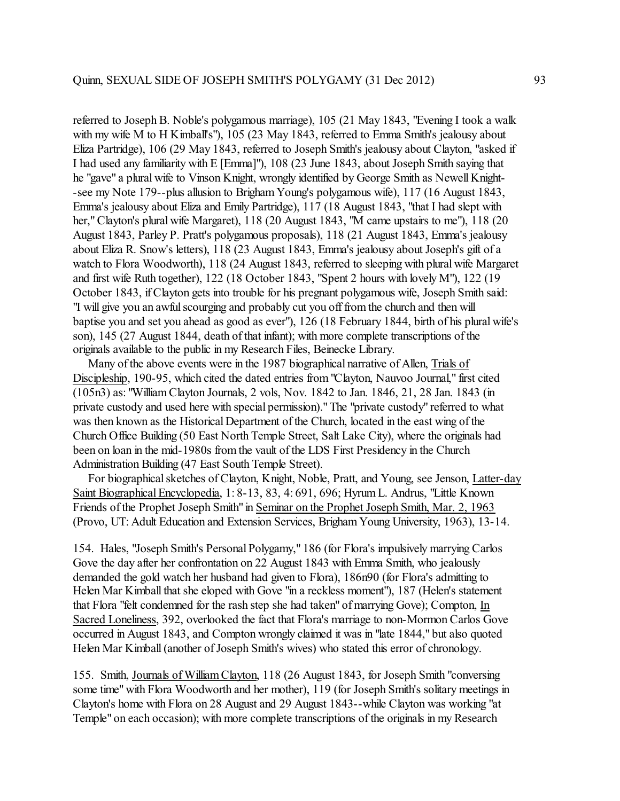referred to Joseph B. Noble's polygamous marriage), 105 (21 May 1843, "Evening I took a walk with my wife M to H Kimball's"), 105 (23 May 1843, referred to Emma Smith's jealousy about Eliza Partridge), 106 (29 May 1843, referred to Joseph Smith's jealousy about Clayton, "asked if I had used any familiarity with E [Emma]"), 108 (23 June 1843, about Joseph Smith saying that he "gave" a plural wife to Vinson Knight, wrongly identified by George Smith as Newell Knight- -see my Note 179--plus allusion to Brigham Young's polygamous wife), 117 (16 August 1843, Emma's jealousy about Eliza and Emily Partridge), 117 (18 August 1843, "that I had slept with her," Clayton's plural wife Margaret), 118 (20 August 1843, "M came upstairs to me"), 118 (20 August 1843, Parley P. Pratt's polygamous proposals), 118 (21 August 1843, Emma's jealousy about Eliza R. Snow's letters), 118 (23 August 1843, Emma's jealousy about Joseph's gift of a watch to Flora Woodworth), 118 (24 August 1843, referred to sleeping with plural wife Margaret and first wife Ruth together), 122 (18 October 1843, "Spent 2 hours with lovely M"), 122 (19 October 1843, if Clayton gets into trouble for his pregnant polygamous wife, Joseph Smith said: "I will give you an awful scourging and probably cut you off from the church and then will baptise you and set you ahead as good as ever"), 126 (18 February 1844, birth of his plural wife's son), 145 (27 August 1844, death of that infant); with more complete transcriptions of the originals available to the public in my Research Files, Beinecke Library.

 Many of the above events were in the 1987 biographical narrative of Allen, Trials of Discipleship, 190-95, which cited the dated entries from "Clayton, Nauvoo Journal," first cited (105n3) as: "William Clayton Journals, 2 vols, Nov. 1842 to Jan. 1846, 21, 28 Jan. 1843 (in private custody and used here with special permission)."The "private custody" referred to what was then known as the Historical Department of the Church, located in the east wing of the Church Office Building (50 East North Temple Street, Salt Lake City), where the originals had been on loan in the mid-1980s from the vault of the LDS First Presidency in the Church Administration Building (47 East South Temple Street).

 For biographical sketches of Clayton, Knight, Noble, Pratt, and Young, see Jenson, Latter-day Saint Biographical Encyclopedia, 1: 8-13, 83, 4: 691, 696; Hyrum L. Andrus, "Little Known Friends of the Prophet Joseph Smith" in Seminar on the Prophet Joseph Smith, Mar. 2, 1963 (Provo, UT: Adult Education and Extension Services, Brigham Young University, 1963), 13-14.

154. Hales, "Joseph Smith's Personal Polygamy," 186 (for Flora's impulsively marrying Carlos Gove the day after her confrontation on 22 August 1843 with Emma Smith, who jealously demanded the gold watch her husband had given to Flora), 186n90 (for Flora's admitting to Helen Mar Kimball that she eloped with Gove "in a reckless moment"), 187 (Helen's statement that Flora "felt condemned for the rash step she had taken" of marrying Gove); Compton, In Sacred Loneliness, 392, overlooked the fact that Flora's marriage to non-Mormon Carlos Gove occurred in August 1843, and Compton wrongly claimed it was in "late 1844," but also quoted Helen Mar Kimball (another of Joseph Smith's wives) who stated this error of chronology.

155. Smith, Journals of WilliamClayton, 118 (26 August 1843, for Joseph Smith "conversing some time" with Flora Woodworth and her mother), 119 (for Joseph Smith's solitary meetings in Clayton's home with Flora on 28 August and 29 August 1843--while Clayton was working "at Temple" on each occasion); with more complete transcriptions of the originals in my Research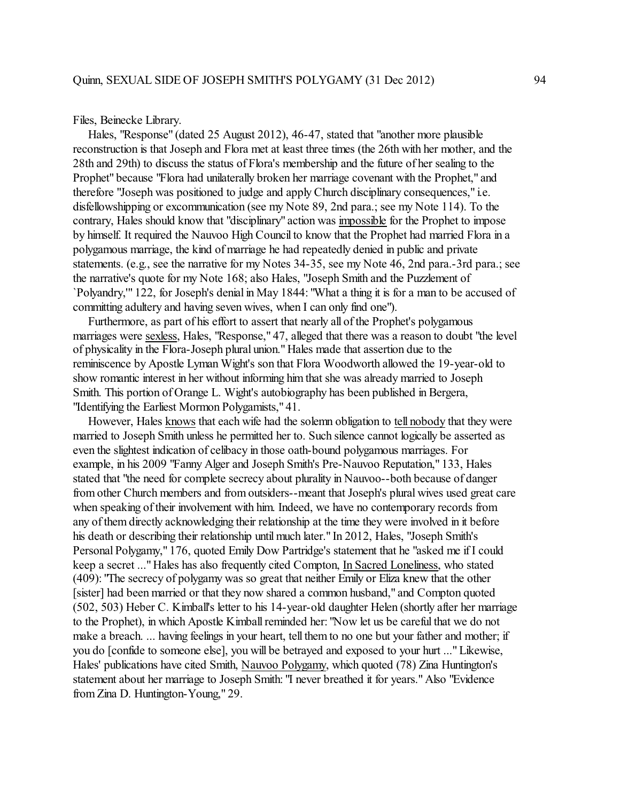Files, Beinecke Library.

 Hales, "Response" (dated 25 August 2012), 46-47, stated that "another more plausible reconstruction is that Joseph and Flora met at least three times (the 26th with her mother, and the 28th and 29th) to discuss the status of Flora's membership and the future of her sealing to the Prophet" because "Flora had unilaterally broken her marriage covenant with the Prophet," and therefore "Joseph was positioned to judge and apply Church disciplinary consequences," i.e. disfellowshipping or excommunication (see my Note 89, 2nd para.; see my Note 114). To the contrary, Hales should know that "disciplinary" action was impossible for the Prophet to impose by himself. It required the Nauvoo High Council to know that the Prophet had married Flora in a polygamous marriage, the kind of marriage he had repeatedly denied in public and private statements. (e.g., see the narrative for my Notes 34-35, see my Note 46, 2nd para.-3rd para.; see the narrative's quote for my Note 168; also Hales, "Joseph Smith and the Puzzlement of `Polyandry,'" 122, for Joseph's denial in May 1844: "What a thing it is for a man to be accused of committing adultery and having seven wives, when I can only find one").

 Furthermore, as part of his effort to assert that nearly all of the Prophet's polygamous marriages were sexless, Hales, "Response," 47, alleged that there was a reason to doubt "the level of physicality in the Flora-Joseph plural union." Hales made that assertion due to the reminiscence by Apostle Lyman Wight's son that Flora Woodworth allowed the 19-year-old to show romantic interest in her without informing him that she was already married to Joseph Smith. This portion of Orange L. Wight's autobiography has been published in Bergera, "Identifying the Earliest Mormon Polygamists," 41.

 However, Hales knows that each wife had the solemn obligation to tell nobody that they were married to Joseph Smith unless he permitted her to. Such silence cannot logically be asserted as even the slightest indication of celibacy in those oath-bound polygamous marriages. For example, in his 2009 "Fanny Alger and Joseph Smith's Pre-Nauvoo Reputation," 133, Hales stated that "the need for complete secrecy about plurality in Nauvoo--both because of danger from other Church members and from outsiders--meant that Joseph's plural wives used great care when speaking of their involvement with him. Indeed, we have no contemporary records from any of them directly acknowledging their relationship at the time they were involved in it before his death or describing their relationship until much later." In 2012, Hales, "Joseph Smith's Personal Polygamy," 176, quoted Emily Dow Partridge's statement that he "asked me if I could keep a secret ..." Hales has also frequently cited Compton, In Sacred Loneliness, who stated (409): "The secrecy of polygamy was so great that neither Emily or Eliza knew that the other [sister] had been married or that they now shared a common husband," and Compton quoted (502, 503) Heber C. Kimball's letter to his 14-year-old daughter Helen (shortly after her marriage to the Prophet), in which Apostle Kimball reminded her: "Now let us be careful that we do not make a breach. ... having feelings in your heart, tell them to no one but your father and mother; if you do [confide to someone else], you will be betrayed and exposed to your hurt ..." Likewise, Hales' publications have cited Smith, Nauvoo Polygamy, which quoted (78) Zina Huntington's statement about her marriage to Joseph Smith: "I never breathed it for years." Also "Evidence from Zina D. Huntington-Young," 29.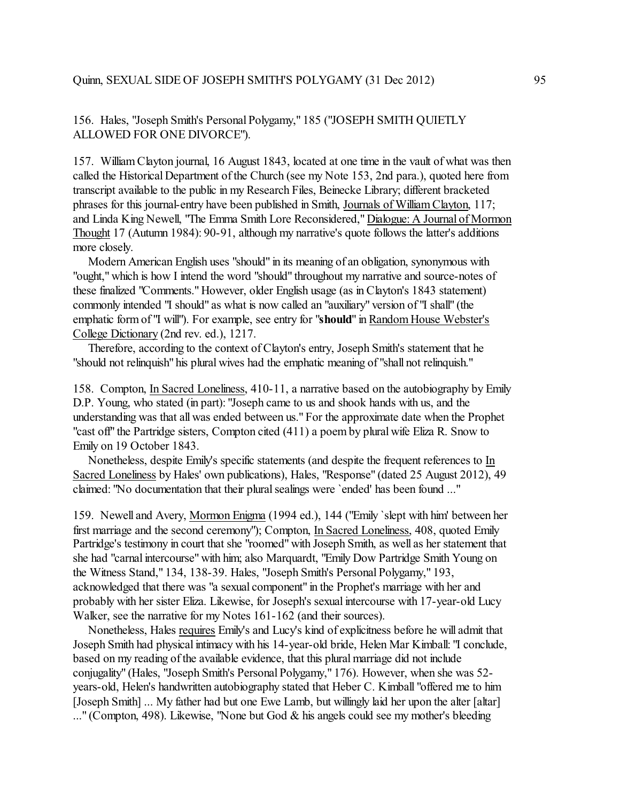## 156. Hales, "Joseph Smith's Personal Polygamy," 185 ("JOSEPH SMITH QUIETLY ALLOWED FOR ONE DIVORCE").

157. William Clayton journal, 16 August 1843, located at one time in the vault of what was then called the Historical Department of the Church (see my Note 153, 2nd para.), quoted here from transcript available to the public in my Research Files, Beinecke Library; different bracketed phrases for this journal-entry have been published in Smith, Journals of William Clayton, 117; and Linda King Newell, "The Emma Smith Lore Reconsidered," Dialogue: A Journal of Mormon Thought 17 (Autumn 1984): 90-91, although my narrative's quote follows the latter's additions more closely.

 Modern American English uses "should" in its meaning of an obligation, synonymous with "ought," which is how I intend the word "should" throughout my narrative and source-notes of these finalized "Comments." However, older English usage (as in Clayton's 1843 statement) commonly intended "I should" as what is now called an "auxiliary" version of "I shall" (the emphatic form of "I will"). For example, see entry for "**should**" in Random House Webster's College Dictionary (2nd rev. ed.), 1217.

 Therefore, according to the context of Clayton's entry, Joseph Smith's statement that he "should not relinquish" his plural wives had the emphatic meaning of "shall not relinquish."

158. Compton, In Sacred Loneliness, 410-11, a narrative based on the autobiography by Emily D.P. Young, who stated (in part): "Joseph came to us and shook hands with us, and the understanding was that all was ended between us." For the approximate date when the Prophet "cast off" the Partridge sisters, Compton cited (411) a poem by plural wife Eliza R. Snow to Emily on 19 October 1843.

 Nonetheless, despite Emily's specific statements (and despite the frequent references to In Sacred Loneliness by Hales' own publications), Hales, "Response" (dated 25 August 2012), 49 claimed: "No documentation that their plural sealings were `ended' has been found ..."

159. Newell and Avery, Mormon Enigma (1994 ed.), 144 ("Emily `slept with him' between her first marriage and the second ceremony"); Compton, In Sacred Loneliness, 408, quoted Emily Partridge's testimony in court that she "roomed" with Joseph Smith, as well as her statement that she had "carnal intercourse" with him; also Marquardt, "Emily Dow Partridge Smith Young on the Witness Stand," 134, 138-39. Hales, "Joseph Smith's Personal Polygamy," 193, acknowledged that there was "a sexual component" in the Prophet's marriage with her and probably with her sister Eliza. Likewise, for Joseph's sexual intercourse with 17-year-old Lucy Walker, see the narrative for my Notes 161-162 (and their sources).

 Nonetheless, Hales requires Emily's and Lucy's kind of explicitness before he will admit that Joseph Smith had physical intimacy with his 14-year-old bride, Helen Mar Kimball: "I conclude, based on my reading of the available evidence, that this plural marriage did not include conjugality" (Hales, "Joseph Smith's Personal Polygamy," 176). However, when she was 52 years-old, Helen's handwritten autobiography stated that Heber C. Kimball "offered me to him [Joseph Smith] ... My father had but one Ewe Lamb, but willingly laid her upon the alter [altar] ..." (Compton, 498). Likewise, "None but God & his angels could see my mother's bleeding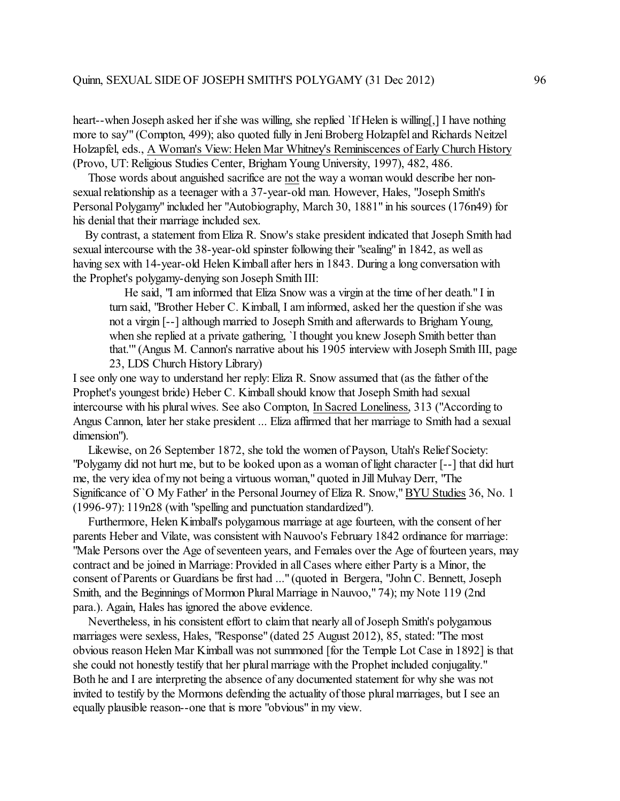heart--when Joseph asked her if she was willing, she replied `If Helen is willing[,] I have nothing more to say'" (Compton, 499); also quoted fully in Jeni Broberg Holzapfel and Richards Neitzel Holzapfel, eds., A Woman's View: Helen Mar Whitney's Reminiscences of Early Church History (Provo, UT: Religious Studies Center, BrighamYoung University, 1997), 482, 486.

 Those words about anguished sacrifice are not the way a woman would describe her nonsexual relationship as a teenager with a 37-year-old man. However, Hales, "Joseph Smith's Personal Polygamy" included her "Autobiography, March 30, 1881" in his sources (176n49) for his denial that their marriage included sex.

 By contrast, a statement fromEliza R. Snow's stake president indicated that Joseph Smith had sexual intercourse with the 38-year-old spinster following their "sealing" in 1842, as well as having sex with 14-year-old Helen Kimball after hers in 1843. During a long conversation with the Prophet's polygamy-denying son Joseph Smith III:

 He said, "I am informed that Eliza Snow was a virgin at the time of her death." I in turn said, "Brother Heber C. Kimball, I aminformed, asked her the question if she was not a virgin [--] although married to Joseph Smith and afterwards to Brigham Young, when she replied at a private gathering, `I thought you knew Joseph Smith better than that.'" (Angus M. Cannon's narrative about his 1905 interview with Joseph Smith III, page 23, LDS Church History Library)

I see only one way to understand her reply: Eliza R. Snow assumed that (as the father of the Prophet's youngest bride) Heber C. Kimball should know that Joseph Smith had sexual intercourse with his plural wives. See also Compton, In Sacred Loneliness, 313 ("According to Angus Cannon, later her stake president ... Eliza affirmed that her marriage to Smith had a sexual dimension").

 Likewise, on 26 September 1872, she told the women of Payson, Utah's Relief Society: "Polygamy did not hurt me, but to be looked upon as a woman of light character [--] that did hurt me, the very idea of my not being a virtuous woman," quoted in Jill Mulvay Derr, "The Significance of `O My Father' in the Personal Journey of Eliza R. Snow," BYU Studies 36, No. 1 (1996-97): 119n28 (with "spelling and punctuation standardized").

 Furthermore, Helen Kimball's polygamous marriage at age fourteen, with the consent of her parents Heber and Vilate, was consistent with Nauvoo's February 1842 ordinance for marriage: "Male Persons over the Age of seventeen years, and Females over the Age of fourteen years, may contract and be joined in Marriage: Provided in all Cases where either Party is a Minor, the consent of Parents or Guardians be first had ..." (quoted in Bergera, "John C. Bennett, Joseph Smith, and the Beginnings of Mormon Plural Marriage in Nauvoo," 74); my Note 119 (2nd para.). Again, Hales has ignored the above evidence.

 Nevertheless, in his consistent effort to claim that nearly all of Joseph Smith's polygamous marriages were sexless, Hales, "Response" (dated 25 August 2012), 85, stated: "The most obvious reason Helen Mar Kimball was not summoned [for the Temple Lot Case in 1892] is that she could not honestly testify that her plural marriage with the Prophet included conjugality." Both he and I are interpreting the absence of any documented statement for why she was not invited to testify by the Mormons defending the actuality of those plural marriages, but I see an equally plausible reason--one that is more "obvious" in my view.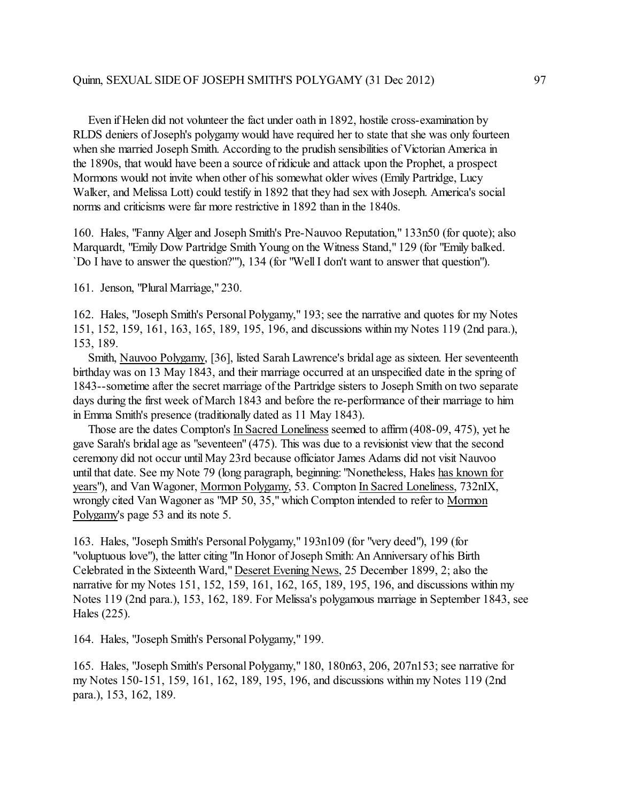Even if Helen did not volunteer the fact under oath in 1892, hostile cross-examination by RLDS deniers of Joseph's polygamy would have required her to state that she was only fourteen when she married Joseph Smith. According to the prudish sensibilities of Victorian America in the 1890s, that would have been a source of ridicule and attack upon the Prophet, a prospect Mormons would not invite when other of his somewhat older wives (Emily Partridge, Lucy Walker, and Melissa Lott) could testify in 1892 that they had sex with Joseph. America's social norms and criticisms were far more restrictive in 1892 than in the 1840s.

160. Hales, "Fanny Alger and Joseph Smith's Pre-Nauvoo Reputation," 133n50 (for quote); also Marquardt, "Emily Dow Partridge Smith Young on the Witness Stand," 129 (for "Emily balked. `Do I have to answer the question?'"), 134 (for "Well I don't want to answer that question").

161. Jenson, "Plural Marriage," 230.

162. Hales, "Joseph Smith's Personal Polygamy," 193; see the narrative and quotes for my Notes 151, 152, 159, 161, 163, 165, 189, 195, 196, and discussions within my Notes 119 (2nd para.), 153, 189.

 Smith, Nauvoo Polygamy, [36], listed Sarah Lawrence's bridal age as sixteen. Her seventeenth birthday was on 13 May 1843, and their marriage occurred at an unspecified date in the spring of 1843--sometime after the secret marriage of the Partridge sisters to Joseph Smith on two separate days during the first week of March 1843 and before the re-performance of their marriage to him in Emma Smith's presence (traditionally dated as 11 May 1843).

 Those are the dates Compton's In Sacred Loneliness seemed to affirm(408-09, 475), yet he gave Sarah's bridal age as "seventeen" (475). This was due to a revisionist view that the second ceremony did not occur untilMay 23rd because officiator James Adams did not visit Nauvoo until that date. See my Note 79 (long paragraph, beginning: "Nonetheless, Hales has known for years"), and Van Wagoner, Mormon Polygamy, 53. Compton In Sacred Loneliness, 732nIX, wrongly cited Van Wagoner as "MP 50, 35," which Compton intended to refer to Mormon Polygamy's page 53 and its note 5.

163. Hales, "Joseph Smith's Personal Polygamy," 193n109 (for "very deed"), 199 (for "voluptuous love"), the latter citing "In Honor of Joseph Smith: An Anniversary of his Birth Celebrated in the Sixteenth Ward," Deseret Evening News, 25 December 1899, 2; also the narrative for my Notes 151, 152, 159, 161, 162, 165, 189, 195, 196, and discussions within my Notes 119 (2nd para.), 153, 162, 189. For Melissa's polygamous marriage in September 1843, see Hales (225).

164. Hales, "Joseph Smith's Personal Polygamy," 199.

165. Hales, "Joseph Smith's Personal Polygamy," 180, 180n63, 206, 207n153; see narrative for my Notes 150-151, 159, 161, 162, 189, 195, 196, and discussions within my Notes 119 (2nd para.), 153, 162, 189.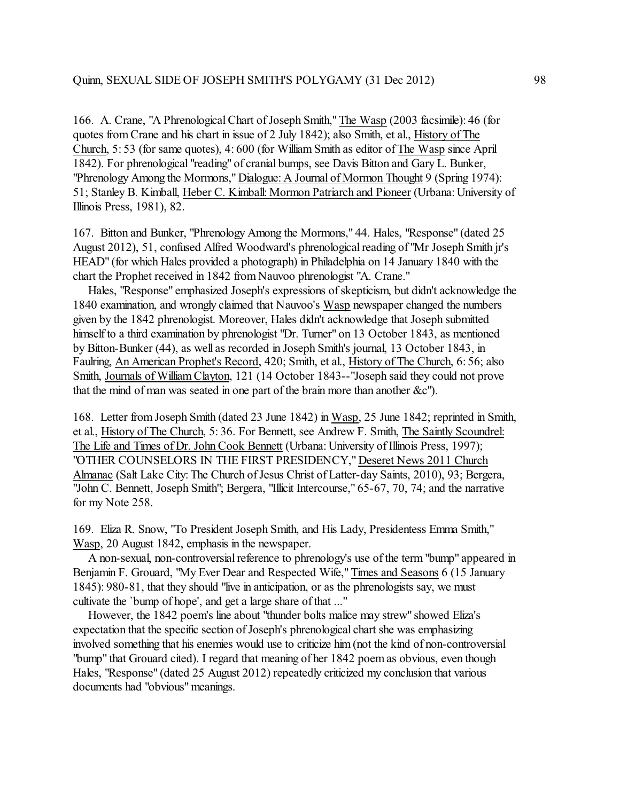166. A. Crane, "A Phrenological Chart of Joseph Smith,"The Wasp (2003 facsimile): 46 (for quotes from Crane and his chart in issue of 2 July 1842); also Smith, et al., History of The Church, 5: 53 (for same quotes), 4: 600 (for William Smith as editor of The Wasp since April 1842). For phrenological "reading" of cranial bumps, see Davis Bitton and Gary L. Bunker, "Phrenology Among the Mormons," Dialogue: A Journal of Mormon Thought 9 (Spring 1974): 51; Stanley B. Kimball, Heber C. Kimball: Mormon Patriarch and Pioneer (Urbana: University of Illinois Press, 1981), 82.

167. Bitton and Bunker, "Phrenology Among the Mormons," 44. Hales, "Response" (dated 25 August 2012), 51, confused Alfred Woodward's phrenological reading of "Mr Joseph Smith jr's HEAD" (for which Hales provided a photograph) in Philadelphia on 14 January 1840 with the chart the Prophet received in 1842 from Nauvoo phrenologist "A. Crane."

 Hales, "Response" emphasized Joseph's expressions of skepticism, but didn't acknowledge the 1840 examination, and wrongly claimed that Nauvoo's Wasp newspaper changed the numbers given by the 1842 phrenologist. Moreover, Hales didn't acknowledge that Joseph submitted himself to a third examination by phrenologist "Dr. Turner" on 13 October 1843, as mentioned by Bitton-Bunker (44), as well as recorded in Joseph Smith's journal, 13 October 1843, in Faulring, An American Prophet's Record, 420; Smith, et al., History of The Church, 6: 56; also Smith, Journals of WilliamClayton, 121 (14 October 1843--"Joseph said they could not prove that the mind of man was seated in one part of the brain more than another &c").

168. Letter from Joseph Smith (dated 23 June 1842) in Wasp, 25 June 1842; reprinted in Smith, et al., History of The Church, 5: 36. For Bennett, see Andrew F. Smith, The Saintly Scoundrel: The Life and Times of Dr. John Cook Bennett (Urbana: University of Illinois Press, 1997); "OTHER COUNSELORS IN THE FIRST PRESIDENCY," Deseret News 2011 Church Almanac (Salt Lake City: The Church of Jesus Christ of Latter-day Saints, 2010), 93; Bergera, "John C. Bennett, Joseph Smith"; Bergera, "Illicit Intercourse," 65-67, 70, 74; and the narrative for my Note 258.

169. Eliza R. Snow, "To President Joseph Smith, and His Lady, Presidentess Emma Smith," Wasp, 20 August 1842, emphasis in the newspaper.

 A non-sexual, non-controversial reference to phrenology's use of the term "bump" appeared in Benjamin F. Grouard, "My Ever Dear and Respected Wife," Times and Seasons 6 (15 January 1845): 980-81, that they should "live in anticipation, or as the phrenologists say, we must cultivate the `bump of hope', and get a large share of that ..."

 However, the 1842 poem's line about "thunder bolts malice may strew" showed Eliza's expectation that the specific section of Joseph's phrenological chart she was emphasizing involved something that his enemies would use to criticize him (not the kind of non-controversial "bump" that Grouard cited). I regard that meaning of her 1842 poem as obvious, even though Hales, "Response" (dated 25 August 2012) repeatedly criticized my conclusion that various documents had "obvious" meanings.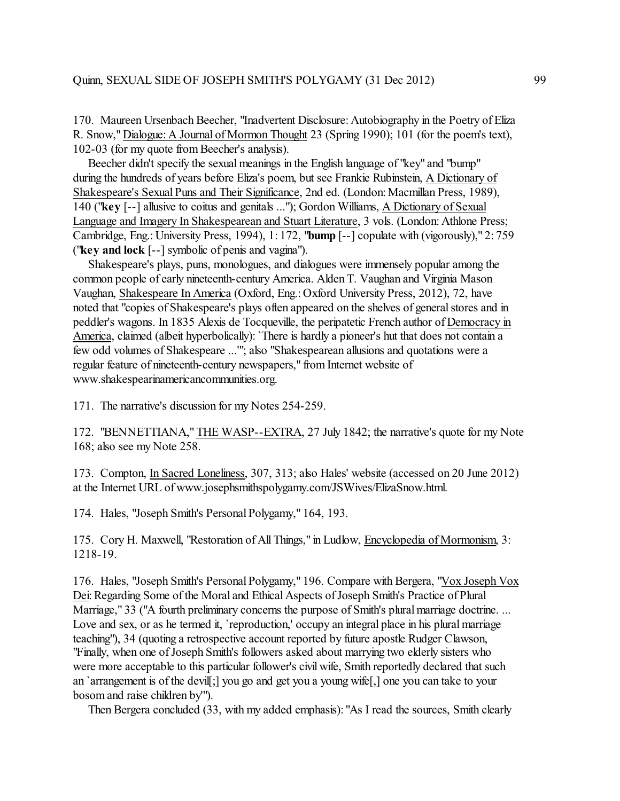170. Maureen Ursenbach Beecher, "Inadvertent Disclosure: Autobiography in the Poetry of Eliza R. Snow," Dialogue: A Journal of Mormon Thought 23 (Spring 1990); 101 (for the poem's text), 102-03 (for my quote from Beecher's analysis).

 Beecher didn't specify the sexual meanings in the English language of "key" and "bump" during the hundreds of years before Eliza's poem, but see Frankie Rubinstein, A Dictionary of Shakespeare's Sexual Puns and Their Significance, 2nd ed. (London: Macmillan Press, 1989), 140 ("**key** [--] allusive to coitus and genitals ..."); Gordon Williams, A Dictionary of Sexual Language and Imagery In Shakespearean and Stuart Literature, 3 vols. (London: Athlone Press; Cambridge, Eng.: University Press, 1994), 1: 172, "**bump** [--] copulate with (vigorously)," 2: 759 ("**key and lock** [--] symbolic of penis and vagina").

 Shakespeare's plays, puns, monologues, and dialogues were immensely popular among the common people of early nineteenth-century America. Alden T. Vaughan and Virginia Mason Vaughan, Shakespeare In America (Oxford, Eng.: Oxford University Press, 2012), 72, have noted that "copies of Shakespeare's plays often appeared on the shelves of general stores and in peddler's wagons. In 1835 Alexis de Tocqueville, the peripatetic French author of Democracy in America, claimed (albeit hyperbolically): 'There is hardly a pioneer's hut that does not contain a few odd volumes of Shakespeare ...'"; also "Shakespearean allusions and quotations were a regular feature of nineteenth-century newspapers," from Internet website of www.shakespearinamericancommunities.org.

171. The narrative's discussion for my Notes 254-259.

172. "BENNETTIANA," THE WASP--EXTRA, 27 July 1842; the narrative's quote for my Note 168; also see my Note 258.

173. Compton, In Sacred Loneliness, 307, 313; also Hales' website (accessed on 20 June 2012) at the Internet URL of www.josephsmithspolygamy.com/JSWives/ElizaSnow.html.

174. Hales, "Joseph Smith's Personal Polygamy," 164, 193.

175. Cory H. Maxwell, "Restoration of All Things," in Ludlow, Encyclopedia of Mormonism, 3: 1218-19.

176. Hales, "Joseph Smith's Personal Polygamy," 196. Compare with Bergera, "Vox Joseph Vox Dei: Regarding Some of the Moral and Ethical Aspects of Joseph Smith's Practice of Plural Marriage," 33 ("A fourth preliminary concerns the purpose of Smith's plural marriage doctrine. ... Love and sex, or as he termed it, 'reproduction,' occupy an integral place in his plural marriage teaching"), 34 (quoting a retrospective account reported by future apostle Rudger Clawson, "Finally, when one of Joseph Smith's followers asked about marrying two elderly sisters who were more acceptable to this particular follower's civil wife, Smith reportedly declared that such an `arrangement is of the devil[;] you go and get you a young wife[,] one you can take to your bosom and raise children by'").

Then Bergera concluded (33, with my added emphasis): "As I read the sources, Smith clearly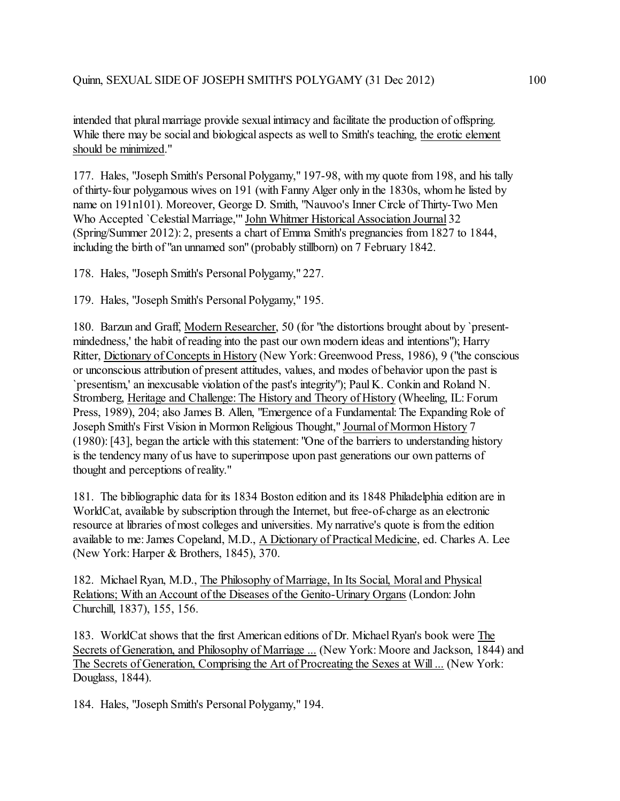intended that plural marriage provide sexual intimacy and facilitate the production of offspring. While there may be social and biological aspects as well to Smith's teaching, the erotic element should be minimized."

177. Hales, "Joseph Smith's Personal Polygamy," 197-98, with my quote from 198, and his tally of thirty-four polygamous wives on 191 (with Fanny Alger only in the 1830s, whom he listed by name on 191n101). Moreover, George D. Smith, "Nauvoo's Inner Circle of Thirty-Two Men Who Accepted `Celestial Marriage,'" John Whitmer Historical Association Journal 32 (Spring/Summer 2012): 2, presents a chart of Emma Smith's pregnancies from 1827 to 1844, including the birth of "an unnamed son" (probably stillborn) on 7 February 1842.

178. Hales, "Joseph Smith's Personal Polygamy," 227.

179. Hales, "Joseph Smith's Personal Polygamy," 195.

180. Barzun and Graff, Modern Researcher, 50 (for "the distortions brought about by `presentmindedness,' the habit of reading into the past our own modern ideas and intentions"); Harry Ritter, Dictionary of Concepts in History (New York: Greenwood Press, 1986), 9 ("the conscious or unconscious attribution of present attitudes, values, and modes of behavior upon the past is `presentism,' an inexcusable violation of the past's integrity"); Paul K. Conkin and Roland N. Stromberg, Heritage and Challenge: The History and Theory of History (Wheeling, IL: Forum Press, 1989), 204; also James B. Allen, "Emergence of a Fundamental: The Expanding Role of Joseph Smith's First Vision in Mormon Religious Thought," Journal of Mormon History 7 (1980): [43], began the article with this statement: "One of the barriers to understanding history is the tendency many of us have to superimpose upon past generations our own patterns of thought and perceptions of reality."

181. The bibliographic data for its 1834 Boston edition and its 1848 Philadelphia edition are in WorldCat, available by subscription through the Internet, but free-of-charge as an electronic resource at libraries of most colleges and universities. My narrative's quote is from the edition available to me: James Copeland, M.D., A Dictionary of Practical Medicine, ed. Charles A. Lee (New York: Harper & Brothers, 1845), 370.

182. Michael Ryan, M.D., The Philosophy of Marriage, In Its Social, Moral and Physical Relations; With an Account of the Diseases of the Genito-Urinary Organs (London: John Churchill, 1837), 155, 156.

183. WorldCat shows that the first American editions of Dr. Michael Ryan's book were The Secrets of Generation, and Philosophy of Marriage ... (New York: Moore and Jackson, 1844) and The Secrets of Generation, Comprising the Art of Procreating the Sexes at Will ... (New York: Douglass, 1844).

184. Hales, "Joseph Smith's Personal Polygamy," 194.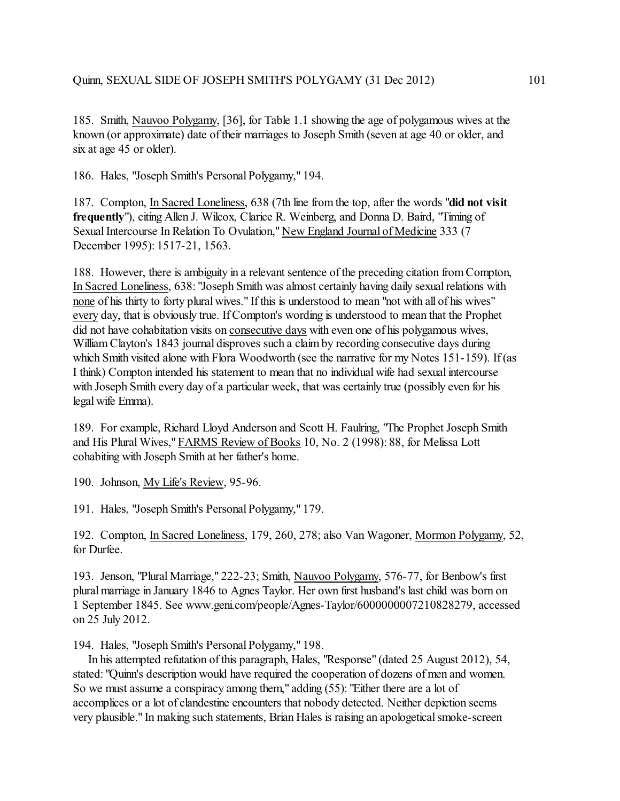185. Smith, Nauvoo Polygamy, [36], for Table 1.1 showing the age of polygamous wives at the known (or approximate) date of their marriages to Joseph Smith (seven at age 40 or older, and six at age 45 or older).

186. Hales, "Joseph Smith's Personal Polygamy," 194.

187. Compton, In Sacred Loneliness, 638 (7th line from the top, after the words "**did not visit frequently**"), citing Allen J. Wilcox, Clarice R. Weinberg, and Donna D. Baird, "Timing of Sexual Intercourse In Relation To Ovulation," New England Journal of Medicine 333 (7 December 1995): 1517-21, 1563.

188. However, there is ambiguity in a relevant sentence of the preceding citation from Compton, In Sacred Loneliness, 638: "Joseph Smith was almost certainly having daily sexual relations with none of his thirty to forty plural wives." If this is understood to mean "not with all of his wives" every day, that is obviously true. If Compton's wording is understood to mean that the Prophet did not have cohabitation visits on consecutive days with even one of his polygamous wives, William Clayton's 1843 journal disproves such a claim by recording consecutive days during which Smith visited alone with Flora Woodworth (see the narrative for my Notes 151-159). If (as I think) Compton intended his statement to mean that no individual wife had sexual intercourse with Joseph Smith every day of a particular week, that was certainly true (possibly even for his legal wife Emma).

189. For example, Richard Lloyd Anderson and Scott H. Faulring, "The Prophet Joseph Smith and His Plural Wives," FARMS Review of Books 10, No. 2 (1998): 88, for Melissa Lott cohabiting with Joseph Smith at her father's home.

190. Johnson, My Life's Review, 95-96.

191. Hales, "Joseph Smith's Personal Polygamy," 179.

192. Compton, In Sacred Loneliness, 179, 260, 278; also Van Wagoner, Mormon Polygamy, 52, for Durfee.

193. Jenson, "Plural Marriage," 222-23; Smith, Nauvoo Polygamy, 576-77, for Benbow's first plural marriage in January 1846 to Agnes Taylor. Her own first husband's last child was born on 1 September 1845. See www.geni.com/people/Agnes-Taylor/6000000007210828279, accessed on 25 July 2012.

194. Hales, "Joseph Smith's Personal Polygamy," 198.

 In his attempted refutation of this paragraph, Hales, "Response" (dated 25 August 2012), 54, stated: "Quinn's description would have required the cooperation of dozens of men and women. So we must assume a conspiracy among them," adding (55): "Either there are a lot of accomplices or a lot of clandestine encounters that nobody detected. Neither depiction seems very plausible." In making such statements, Brian Hales is raising an apologetical smoke-screen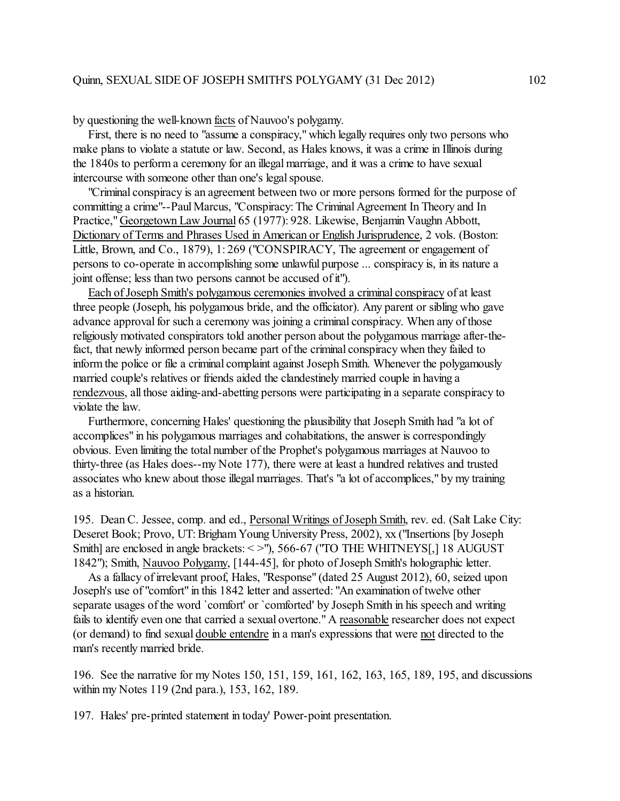by questioning the well-known facts of Nauvoo's polygamy.

 First, there is no need to "assume a conspiracy," which legally requires only two persons who make plans to violate a statute or law. Second, as Hales knows, it was a crime in Illinois during the 1840s to perform a ceremony for an illegal marriage, and it was a crime to have sexual intercourse with someone other than one's legal spouse.

 "Criminal conspiracy is an agreement between two or more persons formed for the purpose of committing a crime"--Paul Marcus, "Conspiracy: The Criminal Agreement In Theory and In Practice," Georgetown Law Journal 65 (1977): 928. Likewise, Benjamin Vaughn Abbott, Dictionary of Terms and Phrases Used in American or English Jurisprudence, 2 vols. (Boston: Little, Brown, and Co., 1879), 1: 269 ("CONSPIRACY, The agreement or engagement of persons to co-operate in accomplishing some unlawful purpose ... conspiracy is, in its nature a joint offense; less than two persons cannot be accused of it").

 Each of Joseph Smith's polygamous ceremonies involved a criminal conspiracy of at least three people (Joseph, his polygamous bride, and the officiator). Any parent or sibling who gave advance approval for such a ceremony was joining a criminal conspiracy. When any of those religiously motivated conspirators told another person about the polygamous marriage after-thefact, that newly informed person became part of the criminal conspiracy when they failed to inform the police or file a criminal complaint against Joseph Smith. Whenever the polygamously married couple's relatives or friends aided the clandestinely married couple in having a rendezvous, all those aiding-and-abetting persons were participating in a separate conspiracy to violate the law.

 Furthermore, concerning Hales' questioning the plausibility that Joseph Smith had "a lot of accomplices" in his polygamous marriages and cohabitations, the answer is correspondingly obvious. Even limiting the total number of the Prophet's polygamous marriages at Nauvoo to thirty-three (as Hales does--my Note 177), there were at least a hundred relatives and trusted associates who knew about those illegal marriages. That's "a lot of accomplices," by my training as a historian.

195. Dean C. Jessee, comp. and ed., Personal Writings of Joseph Smith, rev. ed. (Salt Lake City: Deseret Book; Provo, UT: Brigham Young University Press, 2002), xx ("Insertions [by Joseph Smith] are enclosed in angle brackets: < >"), 566-67 ("TO THE WHITNEYS[,] 18 AUGUST 1842"); Smith, Nauvoo Polygamy, [144-45], for photo of Joseph Smith's holographic letter.

 As a fallacy of irrelevant proof, Hales, "Response" (dated 25 August 2012), 60, seized upon Joseph's use of "comfort" in this 1842 letter and asserted: "An examination of twelve other separate usages of the word `comfort' or `comforted' by Joseph Smith in his speech and writing fails to identify even one that carried a sexual overtone." A reasonable researcher does not expect (or demand) to find sexual double entendre in a man's expressions that were not directed to the man's recently married bride.

196. See the narrative for my Notes 150, 151, 159, 161, 162, 163, 165, 189, 195, and discussions within my Notes 119 (2nd para.), 153, 162, 189.

197. Hales' pre-printed statement in today' Power-point presentation.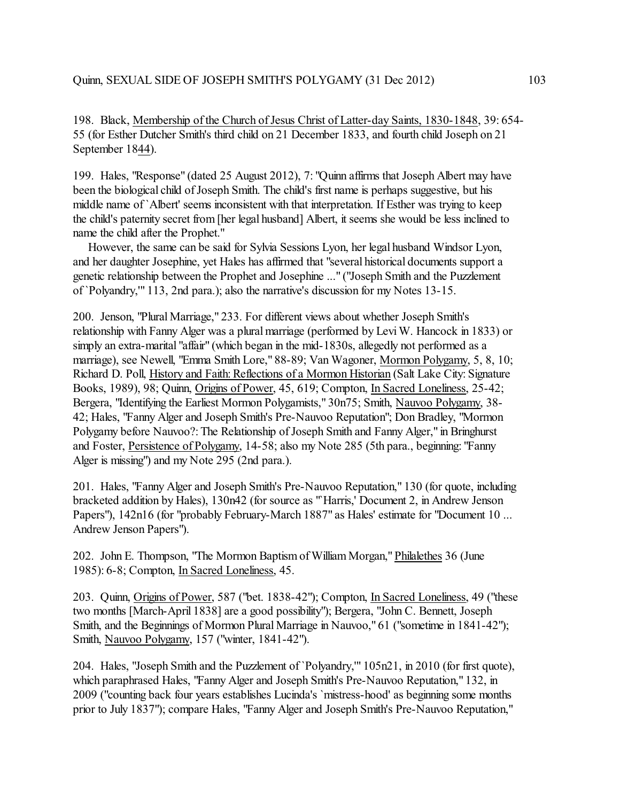198. Black, Membership of the Church of Jesus Christ of Latter-day Saints, 1830-1848, 39: 654- 55 (for Esther Dutcher Smith's third child on 21 December 1833, and fourth child Joseph on 21 September 1844).

199. Hales, "Response" (dated 25 August 2012), 7: "Quinn affirms that Joseph Albert may have been the biological child of Joseph Smith. The child's first name is perhaps suggestive, but his middle name of `Albert' seems inconsistent with that interpretation. If Esther was trying to keep the child's paternity secret from [her legal husband] Albert, it seems she would be less inclined to name the child after the Prophet."

 However, the same can be said for Sylvia Sessions Lyon, her legal husband Windsor Lyon, and her daughter Josephine, yet Hales has affirmed that "several historical documents support a genetic relationship between the Prophet and Josephine ..." ("Joseph Smith and the Puzzlement of `Polyandry,'" 113, 2nd para.); also the narrative's discussion for my Notes 13-15.

200. Jenson, "Plural Marriage," 233. For different views about whether Joseph Smith's relationship with Fanny Alger was a plural marriage (performed by Levi W. Hancock in 1833) or simply an extra-marital "affair" (which began in the mid-1830s, allegedly not performed as a marriage), see Newell, "Emma Smith Lore," 88-89; Van Wagoner, Mormon Polygamy, 5, 8, 10; Richard D. Poll, History and Faith: Reflections of a Mormon Historian (Salt Lake City: Signature Books, 1989), 98; Quinn, Origins of Power, 45, 619; Compton, In Sacred Loneliness, 25-42; Bergera, "Identifying the Earliest Mormon Polygamists," 30n75; Smith, Nauvoo Polygamy, 38- 42; Hales, "Fanny Alger and Joseph Smith's Pre-Nauvoo Reputation"; Don Bradley, "Mormon Polygamy before Nauvoo?: The Relationship of Joseph Smith and Fanny Alger," in Bringhurst and Foster, Persistence of Polygamy, 14-58; also my Note 285 (5th para., beginning: "Fanny Alger is missing") and my Note 295 (2nd para.).

201. Hales, "Fanny Alger and Joseph Smith's Pre-Nauvoo Reputation," 130 (for quote, including bracketed addition by Hales), 130n42 (for source as "`Harris,' Document 2, in Andrew Jenson Papers"), 142n16 (for "probably February-March 1887" as Hales' estimate for "Document 10 ... Andrew Jenson Papers").

202. John E. Thompson, "The Mormon Baptismof William Morgan," Philalethes 36 (June 1985): 6-8; Compton, In Sacred Loneliness, 45.

203. Quinn, Origins of Power, 587 ("bet. 1838-42"); Compton, In Sacred Loneliness, 49 ("these two months [March-April 1838] are a good possibility"); Bergera, "John C. Bennett, Joseph Smith, and the Beginnings of Mormon Plural Marriage in Nauvoo," 61 ("sometime in 1841-42"); Smith, Nauvoo Polygamy, 157 ("winter, 1841-42").

204. Hales, "Joseph Smith and the Puzzlement of `Polyandry,'" 105n21, in 2010 (for first quote), which paraphrased Hales, "Fanny Alger and Joseph Smith's Pre-Nauvoo Reputation," 132, in 2009 ("counting back four years establishes Lucinda's `mistress-hood' as beginning some months prior to July 1837"); compare Hales, "Fanny Alger and Joseph Smith's Pre-Nauvoo Reputation,"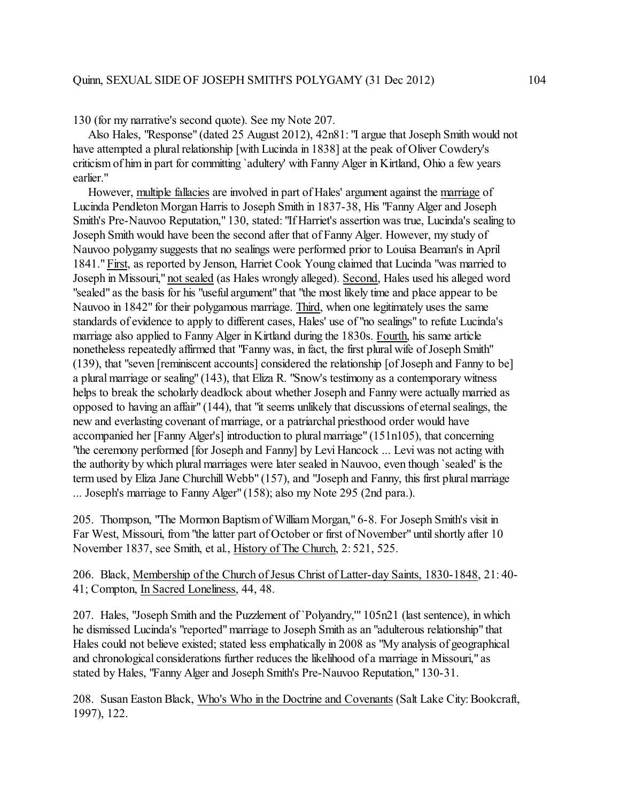130 (for my narrative's second quote). See my Note 207.

 Also Hales, "Response" (dated 25 August 2012), 42n81: "I argue that Joseph Smith would not have attempted a plural relationship [with Lucinda in 1838] at the peak of Oliver Cowdery's criticism of him in part for committing `adultery' with Fanny Alger in Kirtland, Ohio a few years earlier."

 However, multiple fallacies are involved in part of Hales' argument against the marriage of Lucinda Pendleton Morgan Harris to Joseph Smith in 1837-38, His "Fanny Alger and Joseph Smith's Pre-Nauvoo Reputation," 130, stated: "If Harriet's assertion was true, Lucinda's sealing to Joseph Smith would have been the second after that of Fanny Alger. However, my study of Nauvoo polygamy suggests that no sealings were performed prior to Louisa Beaman's in April 1841." First, as reported by Jenson, Harriet Cook Young claimed that Lucinda "was married to Joseph in Missouri," not sealed (as Hales wrongly alleged). Second, Hales used his alleged word "sealed" as the basis for his "useful argument" that "the most likely time and place appear to be Nauvoo in 1842" for their polygamous marriage. Third, when one legitimately uses the same standards of evidence to apply to different cases, Hales' use of "no sealings" to refute Lucinda's marriage also applied to Fanny Alger in Kirtland during the 1830s. Fourth, his same article nonetheless repeatedly affirmed that "Fanny was, in fact, the first plural wife of Joseph Smith" (139), that "seven [reminiscent accounts] considered the relationship [of Joseph and Fanny to be] a plural marriage or sealing" (143), that Eliza R. "Snow's testimony as a contemporary witness helps to break the scholarly deadlock about whether Joseph and Fanny were actually married as opposed to having an affair" (144), that "it seems unlikely that discussions of eternal sealings, the new and everlasting covenant of marriage, or a patriarchal priesthood order would have accompanied her [Fanny Alger's] introduction to plural marriage" (151n105), that concerning "the ceremony performed [for Joseph and Fanny] by Levi Hancock ... Levi was not acting with the authority by which plural marriages were later sealed in Nauvoo, even though `sealed' is the term used by Eliza Jane Churchill Webb" (157), and "Joseph and Fanny, this first plural marriage ... Joseph's marriage to Fanny Alger" (158); also my Note 295 (2nd para.).

205. Thompson, "The Mormon Baptism of William Morgan," 6-8. For Joseph Smith's visit in Far West, Missouri, from "the latter part of October or first of November" until shortly after 10 November 1837, see Smith, et al., History of The Church, 2: 521, 525.

206. Black, Membership of the Church of Jesus Christ of Latter-day Saints, 1830-1848, 21: 40- 41; Compton, In Sacred Loneliness, 44, 48.

207. Hales, "Joseph Smith and the Puzzlement of `Polyandry,'" 105n21 (last sentence), in which he dismissed Lucinda's "reported"marriage to Joseph Smith as an "adulterous relationship" that Hales could not believe existed; stated less emphatically in 2008 as "My analysis of geographical and chronological considerations further reduces the likelihood of a marriage in Missouri," as stated by Hales, "Fanny Alger and Joseph Smith's Pre-Nauvoo Reputation," 130-31.

208. Susan Easton Black, Who's Who in the Doctrine and Covenants (Salt Lake City: Bookcraft, 1997), 122.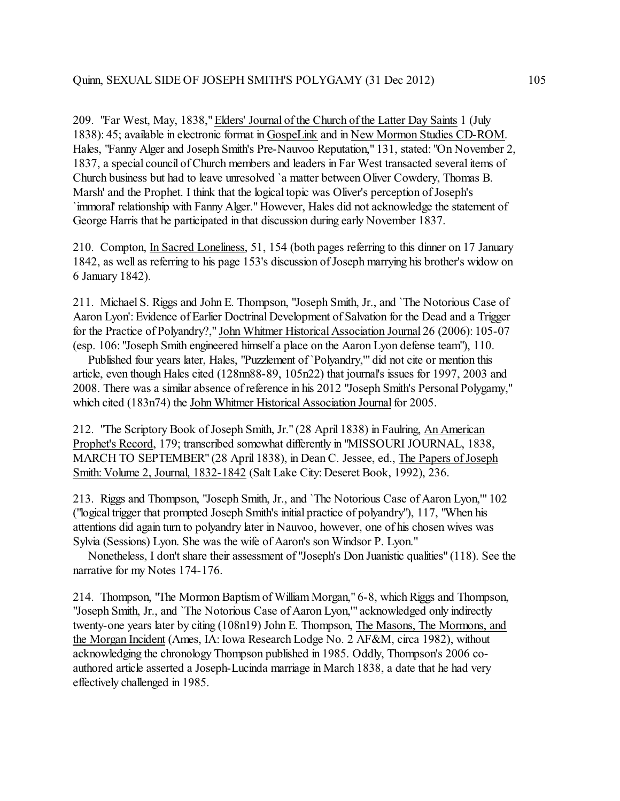209. "Far West, May, 1838," Elders' Journal of the Church of the Latter Day Saints 1 (July 1838): 45; available in electronic format in GospeLink and in New Mormon Studies CD-ROM. Hales, "Fanny Alger and Joseph Smith's Pre-Nauvoo Reputation," 131, stated: "On November 2, 1837, a special council of Church members and leaders in Far West transacted several items of Church business but had to leave unresolved `a matter between Oliver Cowdery, Thomas B. Marsh' and the Prophet. I think that the logical topic was Oliver's perception of Joseph's `immoral' relationship with Fanny Alger." However, Hales did not acknowledge the statement of George Harris that he participated in that discussion during early November 1837.

210. Compton, In Sacred Loneliness, 51, 154 (both pages referring to this dinner on 17 January 1842, as well as referring to his page 153's discussion of Joseph marrying his brother's widow on 6 January 1842).

211. Michael S. Riggs and John E. Thompson, "Joseph Smith, Jr., and `The Notorious Case of Aaron Lyon': Evidence of Earlier Doctrinal Development of Salvation for the Dead and a Trigger for the Practice of Polyandry?," John Whitmer Historical Association Journal 26 (2006): 105-07 (esp. 106: "Joseph Smith engineered himself a place on the Aaron Lyon defense team"), 110.

 Published four years later, Hales, "Puzzlement of `Polyandry,'" did not cite or mention this article, even though Hales cited (128nn88-89, 105n22) that journal's issues for 1997, 2003 and 2008. There was a similar absence of reference in his 2012 "Joseph Smith's Personal Polygamy," which cited (183n74) the John Whitmer Historical Association Journal for 2005.

212. "The Scriptory Book of Joseph Smith, Jr." (28 April 1838) in Faulring, An American Prophet's Record, 179; transcribed somewhat differently in "MISSOURI JOURNAL, 1838, MARCH TO SEPTEMBER" (28 April 1838), in Dean C. Jessee, ed., The Papers of Joseph Smith: Volume 2, Journal, 1832-1842 (Salt Lake City: Deseret Book, 1992), 236.

213. Riggs and Thompson, "Joseph Smith, Jr., and `The Notorious Case of Aaron Lyon,'" 102 ("logical trigger that prompted Joseph Smith's initial practice of polyandry"), 117, "When his attentions did again turn to polyandry later in Nauvoo, however, one of his chosen wives was Sylvia (Sessions) Lyon. She was the wife of Aaron's son Windsor P. Lyon."

 Nonetheless, I don't share their assessment of "Joseph's Don Juanistic qualities" (118). See the narrative for my Notes 174-176.

214. Thompson, "The Mormon Baptism of William Morgan," 6-8, which Riggs and Thompson, "Joseph Smith, Jr., and `The Notorious Case of Aaron Lyon,'" acknowledged only indirectly twenty-one years later by citing (108n19) John E. Thompson, The Masons, The Mormons, and the Morgan Incident (Ames, IA: Iowa Research Lodge No. 2 AF&M, circa 1982), without acknowledging the chronology Thompson published in 1985. Oddly, Thompson's 2006 coauthored article asserted a Joseph-Lucinda marriage in March 1838, a date that he had very effectively challenged in 1985.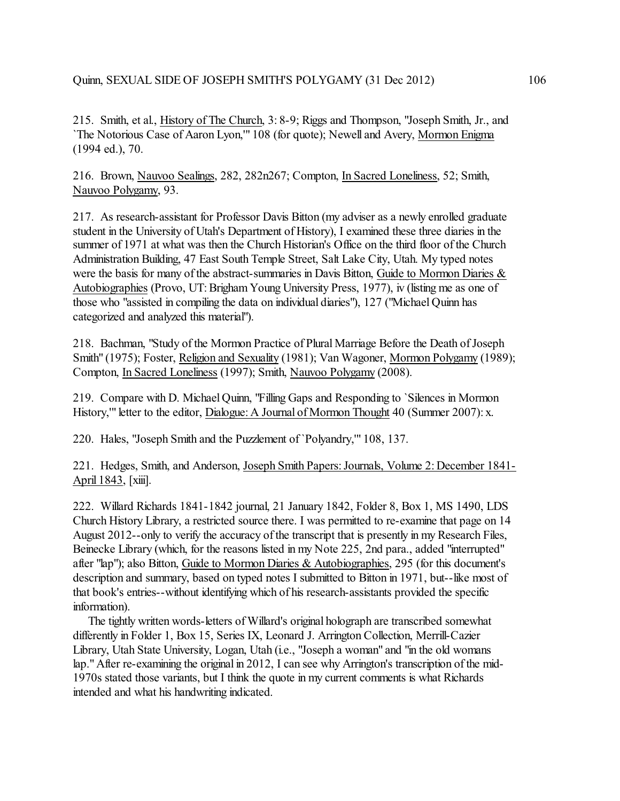215. Smith, et al., History of The Church, 3: 8-9; Riggs and Thompson, "Joseph Smith, Jr., and `The Notorious Case of Aaron Lyon,'" 108 (for quote); Newell and Avery, Mormon Enigma (1994 ed.), 70.

216. Brown, Nauvoo Sealings, 282, 282n267; Compton, In Sacred Loneliness, 52; Smith, Nauvoo Polygamy, 93.

217. As research-assistant for Professor Davis Bitton (my adviser as a newly enrolled graduate student in the University of Utah's Department of History), I examined these three diaries in the summer of 1971 at what was then the Church Historian's Office on the third floor of the Church Administration Building, 47 East South Temple Street, Salt Lake City, Utah. My typed notes were the basis for many of the abstract-summaries in Davis Bitton, Guide to Mormon Diaries & Autobiographies (Provo, UT: Brigham Young University Press, 1977), iv (listing me as one of those who "assisted in compiling the data on individual diaries"), 127 ("Michael Quinn has categorized and analyzed this material").

218. Bachman, "Study of the Mormon Practice of Plural Marriage Before the Death of Joseph Smith" (1975); Foster, Religion and Sexuality (1981); Van Wagoner, Mormon Polygamy (1989); Compton, In Sacred Loneliness (1997); Smith, Nauvoo Polygamy (2008).

219. Compare with D. Michael Quinn, "Filling Gaps and Responding to `Silences in Mormon History," letter to the editor, Dialogue: A Journal of Mormon Thought 40 (Summer 2007): x.

220. Hales, "Joseph Smith and the Puzzlement of `Polyandry,'" 108, 137.

221. Hedges, Smith, and Anderson, Joseph Smith Papers: Journals, Volume 2: December 1841- April 1843, [xiii].

222. Willard Richards 1841-1842 journal, 21 January 1842, Folder 8, Box 1, MS 1490, LDS Church History Library, a restricted source there. I was permitted to re-examine that page on 14 August 2012--only to verify the accuracy of the transcript that is presently in my Research Files, Beinecke Library (which, for the reasons listed in my Note 225, 2nd para., added "interrupted" after "lap"); also Bitton, Guide to Mormon Diaries & Autobiographies, 295 (for this document's description and summary, based on typed notes I submitted to Bitton in 1971, but--like most of that book's entries--without identifying which of his research-assistants provided the specific information).

 The tightly written words-letters of Willard's original holograph are transcribed somewhat differently in Folder 1, Box 15, Series IX, Leonard J. Arrington Collection, Merrill-Cazier Library, Utah State University, Logan, Utah (i.e., "Joseph a woman" and "in the old womans lap." After re-examining the original in 2012, I can see why Arrington's transcription of the mid-1970s stated those variants, but I think the quote in my current comments is what Richards intended and what his handwriting indicated.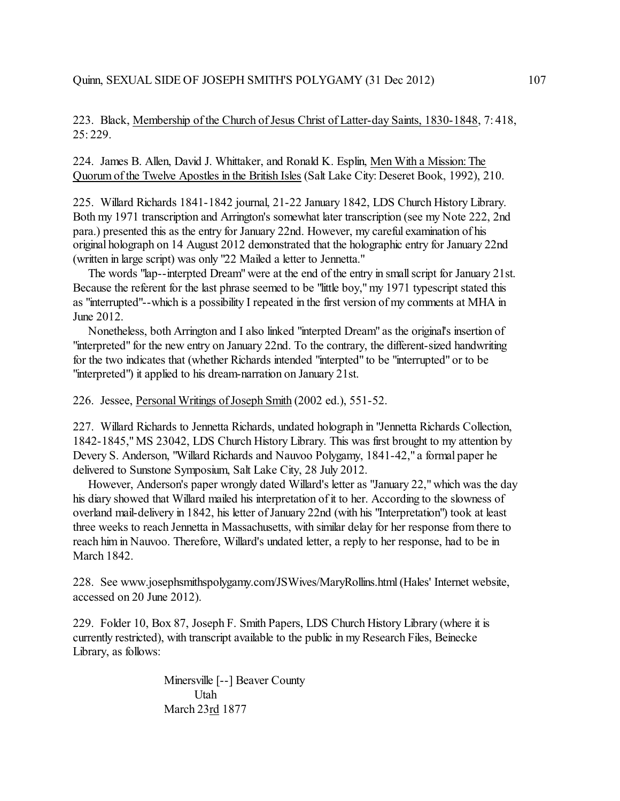223. Black, Membership of the Church of Jesus Christ of Latter-day Saints, 1830-1848, 7: 418, 25: 229.

224. James B. Allen, David J. Whittaker, and Ronald K. Esplin, Men With a Mission: The Quorum of the Twelve Apostles in the British Isles (Salt Lake City: Deseret Book, 1992), 210.

225. Willard Richards 1841-1842 journal, 21-22 January 1842, LDS Church History Library. Both my 1971 transcription and Arrington's somewhat later transcription (see my Note 222, 2nd para.) presented this as the entry for January 22nd. However, my careful examination of his original holograph on 14 August 2012 demonstrated that the holographic entry for January 22nd (written in large script) was only "22 Mailed a letter to Jennetta."

 The words "lap--interpted Dream" were at the end of the entry in small script for January 21st. Because the referent for the last phrase seemed to be "little boy," my 1971 typescript stated this as "interrupted"--which is a possibility I repeated in the first version of my comments at MHA in June 2012.

 Nonetheless, both Arrington and I also linked "interpted Dream" as the original's insertion of "interpreted" for the new entry on January 22nd. To the contrary, the different-sized handwriting for the two indicates that (whether Richards intended "interpted" to be "interrupted" or to be "interpreted") it applied to his dream-narration on January 21st.

226. Jessee, Personal Writings of Joseph Smith (2002 ed.), 551-52.

227. Willard Richards to Jennetta Richards, undated holograph in "Jennetta Richards Collection, 1842-1845," MS 23042, LDS Church History Library. This was first brought to my attention by Devery S. Anderson, "Willard Richards and Nauvoo Polygamy, 1841-42," a formal paper he delivered to Sunstone Symposium, Salt Lake City, 28 July 2012.

 However, Anderson's paper wrongly dated Willard's letter as "January 22," which was the day his diary showed that Willard mailed his interpretation of it to her. According to the slowness of overland mail-delivery in 1842, his letter of January 22nd (with his "Interpretation") took at least three weeks to reach Jennetta in Massachusetts, with similar delay for her response from there to reach him in Nauvoo. Therefore, Willard's undated letter, a reply to her response, had to be in March 1842.

228. See www.josephsmithspolygamy.com/JSWives/MaryRollins.html (Hales' Internet website, accessed on 20 June 2012).

229. Folder 10, Box 87, Joseph F. Smith Papers, LDS Church History Library (where it is currently restricted), with transcript available to the public in my Research Files, Beinecke Library, as follows:

> Minersville [--] Beaver County Utah March 23rd 1877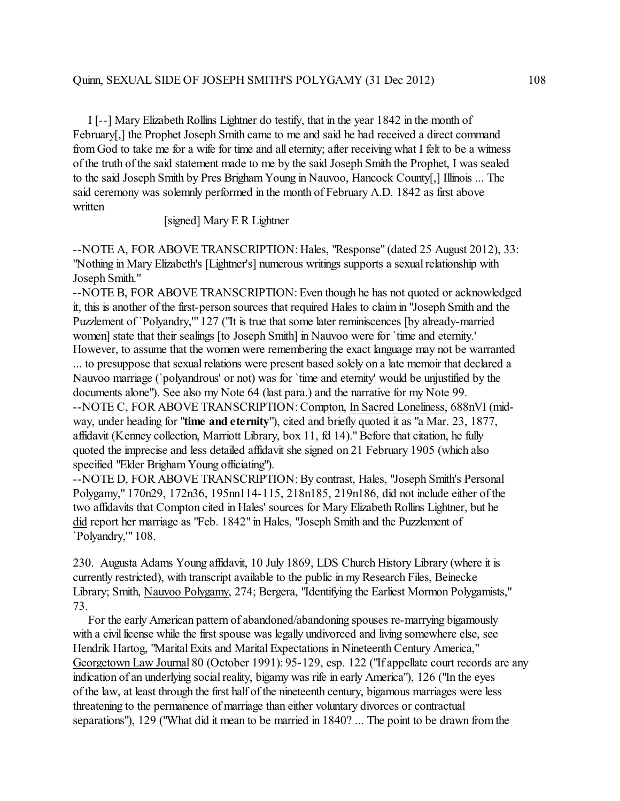I [--] Mary Elizabeth Rollins Lightner do testify, that in the year 1842 in the month of February[,] the Prophet Joseph Smith came to me and said he had received a direct command from God to take me for a wife for time and all eternity; after receiving what I felt to be a witness of the truth of the said statement made to me by the said Joseph Smith the Prophet, I was sealed to the said Joseph Smith by Pres Brigham Young in Nauvoo, Hancock County[,] Illinois ... The said ceremony was solemnly performed in the month of February A.D. 1842 as first above written

[signed] Mary E R Lightner

--NOTE A, FOR ABOVE TRANSCRIPTION: Hales, "Response" (dated 25 August 2012), 33: "Nothing in Mary Elizabeth's [Lightner's] numerous writings supports a sexual relationship with Joseph Smith."

--NOTE B, FOR ABOVE TRANSCRIPTION: Even though he has not quoted or acknowledged it, this is another of the first-person sources that required Hales to claim in "Joseph Smith and the Puzzlement of `Polyandry,'" 127 ("It is true that some later reminiscences [by already-married women] state that their sealings [to Joseph Smith] in Nauvoo were for `time and eternity.' However, to assume that the women were remembering the exact language may not be warranted ... to presuppose that sexual relations were present based solely on a late memoir that declared a Nauvoo marriage (`polyandrous' or not) was for `time and eternity' would be unjustified by the documents alone"). See also my Note 64 (last para.) and the narrative for my Note 99. --NOTE C, FOR ABOVE TRANSCRIPTION: Compton, In Sacred Loneliness, 688nVI (midway, under heading for "**time and eternity**"), cited and briefly quoted it as "a Mar. 23, 1877, affidavit (Kenney collection, Marriott Library, box 11, fd 14)." Before that citation, he fully quoted the imprecise and less detailed affidavit she signed on 21 February 1905 (which also specified "Elder Brigham Young officiating").

--NOTE D, FOR ABOVE TRANSCRIPTION: By contrast, Hales, "Joseph Smith's Personal Polygamy," 170n29, 172n36, 195nn114-115, 218n185, 219n186, did not include either of the two affidavits that Compton cited in Hales' sources for Mary Elizabeth Rollins Lightner, but he did report her marriage as "Feb. 1842" in Hales, "Joseph Smith and the Puzzlement of `Polyandry,'" 108.

230. Augusta Adams Young affidavit, 10 July 1869, LDS Church History Library (where it is currently restricted), with transcript available to the public in my Research Files, Beinecke Library; Smith, Nauvoo Polygamy, 274; Bergera, "Identifying the Earliest Mormon Polygamists," 73.

 For the early American pattern of abandoned/abandoning spouses re-marrying bigamously with a civil license while the first spouse was legally undivorced and living somewhere else, see Hendrik Hartog, "Marital Exits and Marital Expectations in Nineteenth Century America," Georgetown Law Journal 80 (October 1991): 95-129, esp. 122 ("If appellate court records are any indication of an underlying social reality, bigamy was rife in early America"), 126 ("In the eyes of the law, at least through the first half of the nineteenth century, bigamous marriages were less threatening to the permanence of marriage than either voluntary divorces or contractual separations"), 129 ("What did it mean to be married in 1840? ... The point to be drawn from the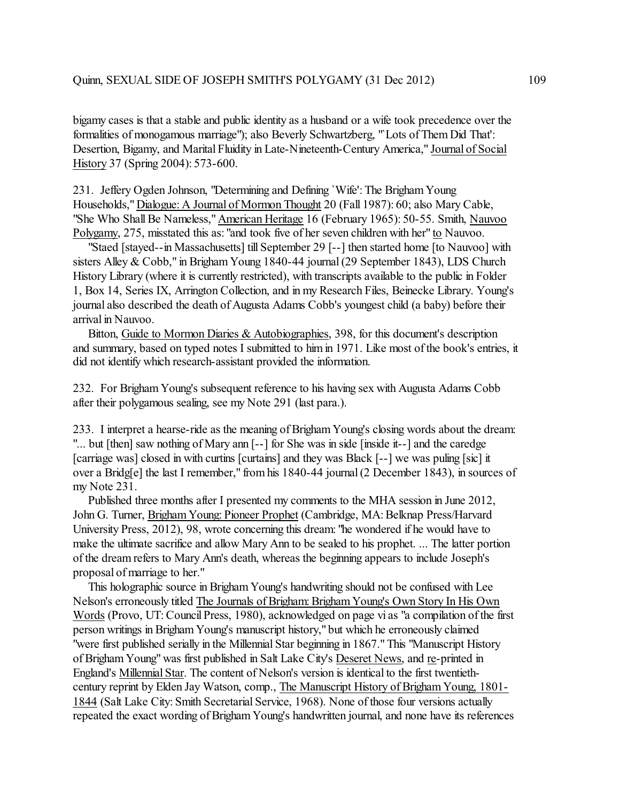bigamy cases is that a stable and public identity as a husband or a wife took precedence over the formalities of monogamous marriage"); also Beverly Schwartzberg, "`Lots of Them Did That': Desertion, Bigamy, and Marital Fluidity in Late-Nineteenth-Century America," Journal of Social History 37 (Spring 2004): 573-600.

231. Jeffery Ogden Johnson, "Determining and Defining `Wife': The Brigham Young Households," Dialogue: A Journal of Mormon Thought 20 (Fall 1987): 60; also Mary Cable, "She Who Shall Be Nameless," American Heritage 16 (February 1965): 50-55. Smith, Nauvoo Polygamy, 275, misstated this as: "and took five of her seven children with her" to Nauvoo.

 "Staed [stayed--in Massachusetts] till September 29 [--] then started home [to Nauvoo] with sisters Alley & Cobb," in Brigham Young 1840-44 journal (29 September 1843), LDS Church History Library (where it is currently restricted), with transcripts available to the public in Folder 1, Box 14, Series IX, Arrington Collection, and in my Research Files, Beinecke Library. Young's journal also described the death of Augusta Adams Cobb's youngest child (a baby) before their arrival in Nauvoo.

 Bitton, Guide to Mormon Diaries & Autobiographies, 398, for this document's description and summary, based on typed notes I submitted to himin 1971. Like most of the book's entries, it did not identify which research-assistant provided the information.

232. For Brigham Young's subsequent reference to his having sex with Augusta Adams Cobb after their polygamous sealing, see my Note 291 (last para.).

233. I interpret a hearse-ride as the meaning of Brigham Young's closing words about the dream: "... but [then] saw nothing of Mary ann [--] for She was in side [inside it--] and the caredge [carriage was] closed in with curtins [curtains] and they was Black [--] we was puling [sic] it over a Bridg[e] the last I remember," from his 1840-44 journal (2 December 1843), in sources of my Note 231.

 Published three months after I presented my comments to the MHA session in June 2012, John G. Turner, Brigham Young: Pioneer Prophet (Cambridge, MA: Belknap Press/Harvard University Press, 2012), 98, wrote concerning this dream: "he wondered if he would have to make the ultimate sacrifice and allow Mary Ann to be sealed to his prophet. ... The latter portion of the dream refers to Mary Ann's death, whereas the beginning appears to include Joseph's proposal of marriage to her."

 This holographic source in Brigham Young's handwriting should not be confused with Lee Nelson's erroneously titled The Journals of Brigham: Brigham Young's Own Story In His Own Words (Provo, UT: Council Press, 1980), acknowledged on page vi as "a compilation of the first person writings in BrighamYoung's manuscript history," but which he erroneously claimed "were first published serially in the Millennial Star beginning in 1867." This "Manuscript History of Brigham Young" was first published in Salt Lake City's Deseret News, and re-printed in England's Millennial Star. The content of Nelson's version is identical to the first twentiethcentury reprint by Elden Jay Watson, comp., The Manuscript History of Brigham Young, 1801- 1844 (Salt Lake City: Smith Secretarial Service, 1968). None of those four versions actually repeated the exact wording ofBrigham Young's handwritten journal, and none have its references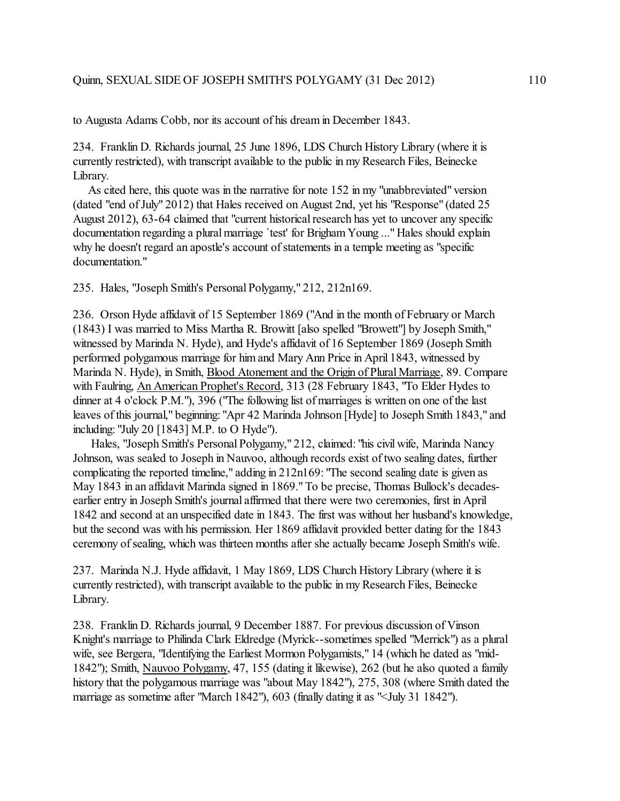to Augusta Adams Cobb, nor its account of his dream in December 1843.

234. Franklin D. Richards journal, 25 June 1896, LDS Church History Library (where it is currently restricted), with transcript available to the public in my Research Files, Beinecke Library.

 As cited here, this quote was in the narrative for note 152 in my "unabbreviated" version (dated "end of July" 2012) that Hales received on August 2nd, yet his "Response" (dated 25 August 2012), 63-64 claimed that "current historical research has yet to uncover any specific documentation regarding a plural marriage 'test' for Brigham Young ..." Hales should explain why he doesn't regard an apostle's account of statements in a temple meeting as "specific documentation."

235. Hales, "Joseph Smith's Personal Polygamy," 212, 212n169.

236. Orson Hyde affidavit of 15 September 1869 ("And in the month of February or March (1843) I was married to Miss Martha R. Browitt [also spelled "Browett"] by Joseph Smith," witnessed by Marinda N. Hyde), and Hyde's affidavit of 16 September 1869 (Joseph Smith performed polygamous marriage for him and Mary Ann Price in April 1843, witnessed by Marinda N. Hyde), in Smith, Blood Atonement and the Origin of Plural Marriage, 89. Compare with Faulring, An American Prophet's Record, 313 (28 February 1843, "To Elder Hydes to dinner at 4 o'clock P.M."), 396 ("The following list of marriages is written on one of the last leaves of this journal," beginning: "Apr 42 Marinda Johnson [Hyde] to Joseph Smith 1843," and including: "July 20 [1843] M.P. to O Hyde").

 Hales, "Joseph Smith's Personal Polygamy," 212, claimed: "his civil wife, Marinda Nancy Johnson, was sealed to Joseph in Nauvoo, although records exist of two sealing dates, further complicating the reported timeline," adding in 212n169: "The second sealing date is given as May 1843 in an affidavit Marinda signed in 1869." To be precise, Thomas Bullock's decadesearlier entry in Joseph Smith's journal affirmed that there were two ceremonies, first in April 1842 and second at an unspecified date in 1843. The first was without her husband's knowledge, but the second was with his permission. Her 1869 affidavit provided better dating for the 1843 ceremony of sealing, which was thirteen months after she actually became Joseph Smith's wife.

237. Marinda N.J. Hyde affidavit, 1 May 1869, LDS Church History Library (where it is currently restricted), with transcript available to the public in my Research Files, Beinecke Library.

238. Franklin D. Richards journal, 9 December 1887. For previous discussion of Vinson Knight's marriage to Philinda Clark Eldredge (Myrick--sometimes spelled "Merrick") as a plural wife, see Bergera, "Identifying the Earliest Mormon Polygamists," 14 (which he dated as "mid-1842"); Smith, Nauvoo Polygamy, 47, 155 (dating it likewise), 262 (but he also quoted a family history that the polygamous marriage was "about May 1842"), 275, 308 (where Smith dated the marriage as sometime after "March 1842"), 603 (finally dating it as "<July 31 1842").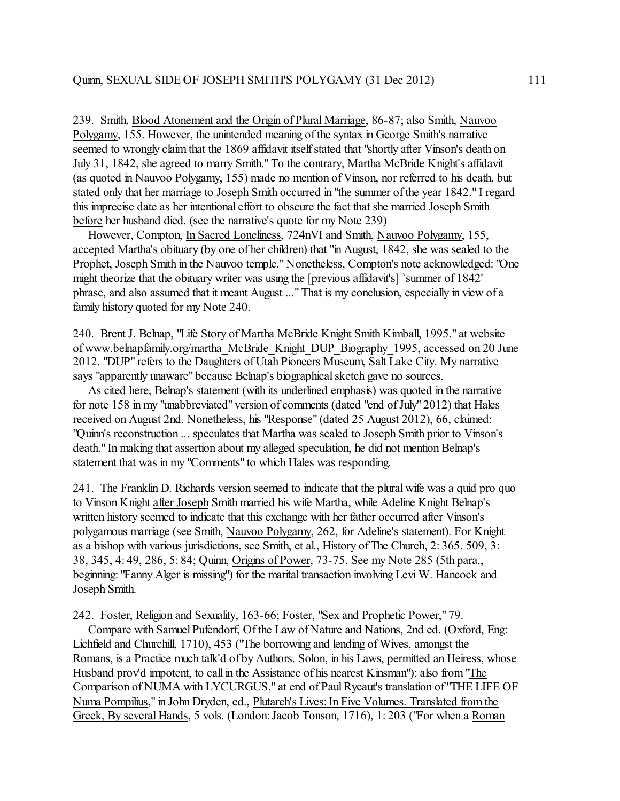239. Smith, Blood Atonement and the Origin of Plural Marriage, 86-87; also Smith, Nauvoo Polygamy, 155. However, the unintended meaning of the syntax in George Smith's narrative seemed to wrongly claim that the 1869 affidavit itself stated that "shortly after Vinson's death on July 31, 1842, she agreed to marry Smith." To the contrary, Martha McBride Knight's affidavit (as quoted in Nauvoo Polygamy, 155) made no mention of Vinson, nor referred to his death, but stated only that her marriage to Joseph Smith occurred in "the summer of the year 1842." I regard this imprecise date as her intentional effort to obscure the fact that she married Joseph Smith before her husband died. (see the narrative's quote for my Note 239)

 However, Compton, In Sacred Loneliness, 724nVI and Smith, Nauvoo Polygamy, 155, accepted Martha's obituary (by one of her children) that "in August, 1842, she was sealed to the Prophet, Joseph Smith in the Nauvoo temple." Nonetheless, Compton's note acknowledged: "One might theorize that the obituary writer was using the [previous affidavit's] `summer of 1842' phrase, and also assumed that it meant August ..." That is my conclusion, especially in view of a family history quoted for my Note 240.

240. Brent J. Belnap, "Life Story of Martha McBride Knight Smith Kimball, 1995," at website of www.belnapfamily.org/martha\_McBride\_Knight\_DUP\_Biography\_1995, accessed on 20 June 2012. "DUP" refers to the Daughters of Utah Pioneers Museum, Salt Lake City. My narrative says "apparently unaware" because Belnap's biographical sketch gave no sources.

 As cited here, Belnap's statement (with its underlined emphasis) was quoted in the narrative for note 158 in my "unabbreviated" version of comments (dated "end of July" 2012) that Hales received on August 2nd. Nonetheless, his "Response" (dated 25 August 2012), 66, claimed: "Quinn's reconstruction ... speculates that Martha was sealed to Joseph Smith prior to Vinson's death." In making that assertion about my alleged speculation, he did not mention Belnap's statement that was in my "Comments" to which Hales was responding.

241. The Franklin D. Richards version seemed to indicate that the plural wife was a quid pro quo to Vinson Knight after Joseph Smith married his wife Martha, while Adeline Knight Belnap's written history seemed to indicate that this exchange with her father occurred after Vinson's polygamous marriage (see Smith, Nauvoo Polygamy, 262, for Adeline's statement). For Knight as a bishop with various jurisdictions, see Smith, et al., History of The Church, 2: 365, 509, 3: 38, 345, 4: 49, 286, 5: 84; Quinn, Origins of Power, 73-75. See my Note 285 (5th para., beginning: "Fanny Alger is missing") for the marital transaction involving Levi W. Hancock and Joseph Smith.

242. Foster, Religion and Sexuality, 163-66; Foster, "Sex and Prophetic Power," 79.

 Compare with Samuel Pufendorf, Of the Law of Nature and Nations, 2nd ed. (Oxford, Eng: Lichfield and Churchill, 1710), 453 ("The borrowing and lending of Wives, amongst the Romans, is a Practice much talk'd of by Authors. Solon, in his Laws, permitted an Heiress, whose Husband prov'd impotent, to call in the Assistance of his nearest Kinsman"); also from "The Comparison of NUMA with LYCURGUS," at end of Paul Rycaut's translation of "THE LIFE OF Numa Pompilius," in John Dryden, ed., Plutarch's Lives: In Five Volumes. Translated from the Greek, By several Hands, 5 vols. (London: Jacob Tonson, 1716), 1: 203 ("For when a Roman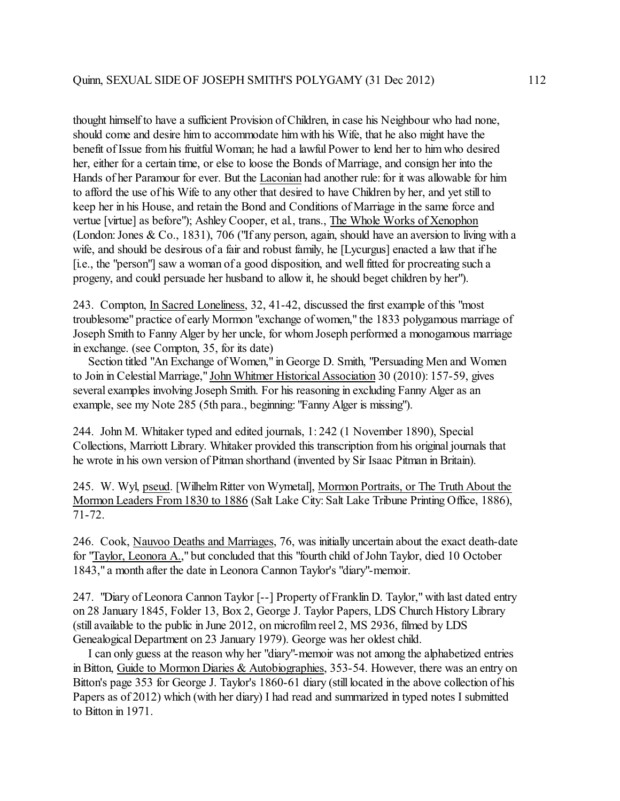thought himself to have a sufficient Provision of Children, in case his Neighbour who had none, should come and desire him to accommodate him with his Wife, that he also might have the benefit of Issue from his fruitful Woman; he had a lawful Power to lend her to him who desired her, either for a certain time, or else to loose the Bonds of Marriage, and consign her into the Hands of her Paramour for ever. But the Laconian had another rule: for it was allowable for him to afford the use of his Wife to any other that desired to have Children by her, and yet still to keep her in his House, and retain the Bond and Conditions of Marriage in the same force and vertue [virtue] as before"); Ashley Cooper, et al., trans., The Whole Works of Xenophon (London: Jones & Co., 1831), 706 ("If any person, again, should have an aversion to living with a wife, and should be desirous of a fair and robust family, he [Lycurgus] enacted a law that if he [i.e., the "person"] saw a woman of a good disposition, and well fitted for procreating such a progeny, and could persuade her husband to allow it, he should beget children by her").

243. Compton, In Sacred Loneliness, 32, 41-42, discussed the first example of this "most troublesome" practice of early Mormon "exchange of women," the 1833 polygamous marriage of Joseph Smith to Fanny Alger by her uncle, for whom Joseph performed a monogamous marriage in exchange. (see Compton, 35, for its date)

 Section titled "An Exchange of Women," in George D. Smith, "Persuading Men and Women to Join in Celestial Marriage," John Whitmer Historical Association 30 (2010): 157-59, gives several examples involving Joseph Smith. For his reasoning in excluding Fanny Alger as an example, see my Note 285 (5th para., beginning: "Fanny Alger is missing").

244. John M. Whitaker typed and edited journals, 1: 242 (1 November 1890), Special Collections, Marriott Library. Whitaker provided this transcription from his original journals that he wrote in his own version of Pitman shorthand (invented by Sir Isaac Pitman in Britain).

245. W. Wyl, pseud. [WilhelmRitter von Wymetal], Mormon Portraits, or The Truth About the Mormon Leaders From 1830 to 1886 (Salt Lake City: Salt Lake Tribune Printing Office, 1886), 71-72.

246. Cook, Nauvoo Deaths and Marriages, 76, was initially uncertain about the exact death-date for "Taylor, Leonora A.," but concluded that this "fourth child of John Taylor, died 10 October 1843," a month after the date in Leonora Cannon Taylor's "diary"-memoir.

247. "Diary of Leonora Cannon Taylor [--] Property of Franklin D. Taylor," with last dated entry on 28 January 1845, Folder 13, Box 2, George J. Taylor Papers, LDS Church History Library (still available to the public in June 2012, on microfilm reel 2, MS 2936, filmed by LDS Genealogical Department on 23 January 1979). George was her oldest child.

 I can only guess at the reason why her "diary"-memoir was not among the alphabetized entries in Bitton, Guide to Mormon Diaries & Autobiographies, 353-54. However, there was an entry on Bitton's page 353 for George J. Taylor's 1860-61 diary (still located in the above collection of his Papers as of 2012) which (with her diary) I had read and summarized in typed notes I submitted to Bitton in 1971.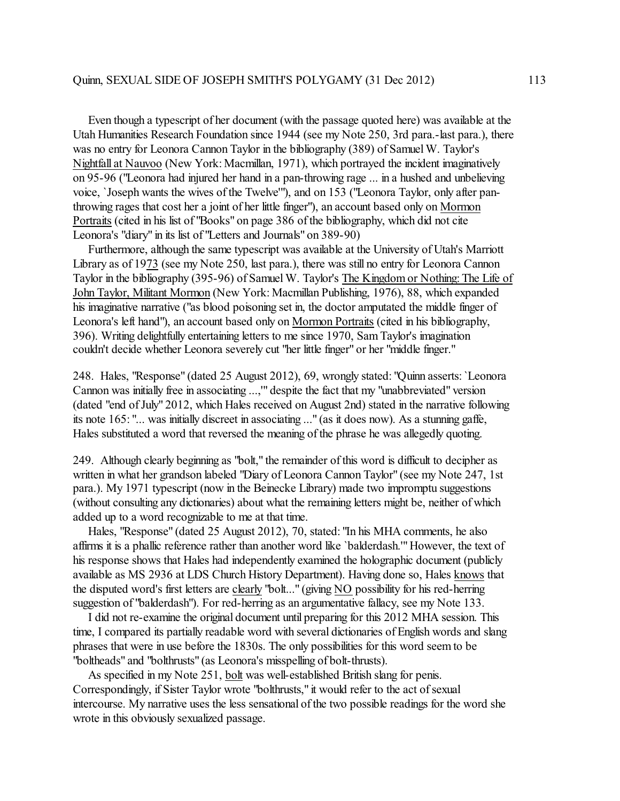Even though a typescript of her document (with the passage quoted here) was available at the Utah Humanities Research Foundation since 1944 (see my Note 250, 3rd para.-last para.), there was no entry for Leonora Cannon Taylor in the bibliography (389) of Samuel W. Taylor's Nightfall at Nauvoo (New York: Macmillan, 1971), which portrayed the incident imaginatively on 95-96 ("Leonora had injured her hand in a pan-throwing rage ... in a hushed and unbelieving voice, `Joseph wants the wives of the Twelve'"), and on 153 ("Leonora Taylor, only after panthrowing rages that cost her a joint of her little finger"), an account based only on Mormon Portraits (cited in his list of "Books" on page 386 of the bibliography, which did not cite Leonora's "diary" in its list of "Letters and Journals" on 389-90)

 Furthermore, although the same typescript was available at the University of Utah's Marriott Library as of 1973 (see my Note 250, last para.), there was still no entry for Leonora Cannon Taylor in the bibliography (395-96) of Samuel W. Taylor's The Kingdom or Nothing: The Life of John Taylor, Militant Mormon (New York: Macmillan Publishing, 1976), 88, which expanded his imaginative narrative ("as blood poisoning set in, the doctor amputated the middle finger of Leonora's left hand"), an account based only on Mormon Portraits (cited in his bibliography, 396). Writing delightfully entertaining letters to me since 1970, Sam Taylor's imagination couldn't decide whether Leonora severely cut "her little finger" or her "middle finger."

248. Hales, "Response" (dated 25 August 2012), 69, wrongly stated: "Quinn asserts: `Leonora Cannon was initially free in associating ...,'" despite the fact that my "unabbreviated" version (dated "end of July" 2012, which Hales received on August 2nd) stated in the narrative following its note 165: "... was initially discreet in associating ..." (as it does now). As a stunning gaffe, Hales substituted a word that reversed the meaning of the phrase he was allegedly quoting.

249. Although clearly beginning as "bolt," the remainder of this word is difficult to decipher as written in what her grandson labeled "Diary of Leonora Cannon Taylor" (see my Note 247, 1st para.). My 1971 typescript (now in the Beinecke Library) made two impromptu suggestions (without consulting any dictionaries) about what the remaining letters might be, neither of which added up to a word recognizable to me at that time.

 Hales, "Response" (dated 25 August 2012), 70, stated: "In his MHA comments, he also affirms it is a phallic reference rather than another word like `balderdash.'" However, the text of his response shows that Hales had independently examined the holographic document (publicly available as MS 2936 at LDS Church History Department). Having done so, Hales knows that the disputed word's first letters are clearly "bolt..." (giving NO possibility for his red-herring suggestion of "balderdash"). For red-herring as an argumentative fallacy, see my Note 133.

 I did not re-examine the original document until preparing for this 2012 MHA session. This time, I compared its partially readable word with several dictionaries of English words and slang phrases that were in use before the 1830s. The only possibilities for this word seem to be "boltheads" and "bolthrusts" (as Leonora's misspelling of bolt-thrusts).

 As specified in my Note 251, bolt was well-established British slang for penis. Correspondingly, if Sister Taylor wrote "bolthrusts," it would refer to the act of sexual intercourse. My narrative uses the less sensational of the two possible readings for the word she wrote in this obviously sexualized passage.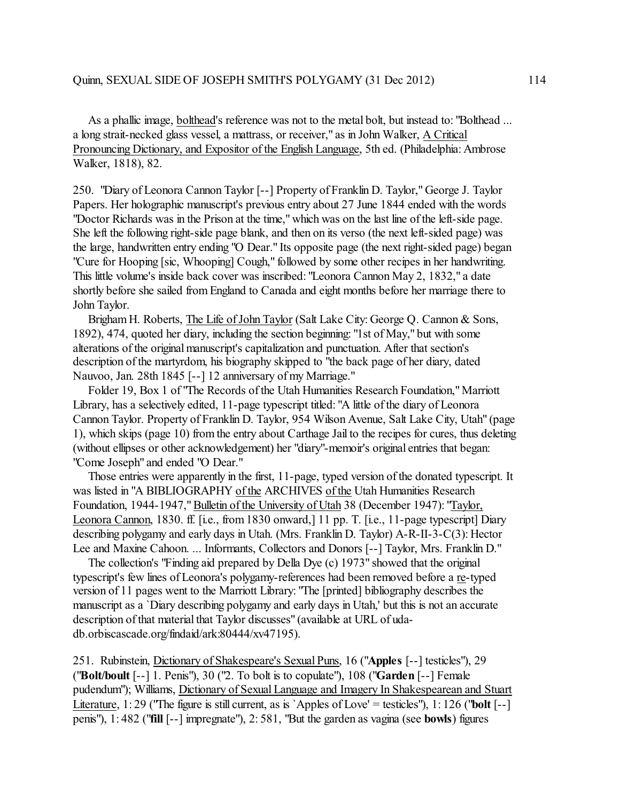As a phallic image, bolthead's reference was not to the metal bolt, but instead to: "Bolthead ... a long strait-necked glass vessel, a mattrass, or receiver," as in John Walker, A Critical Pronouncing Dictionary, and Expositor of the English Language, 5th ed. (Philadelphia: Ambrose Walker, 1818), 82.

250. "Diary of Leonora Cannon Taylor [--] Property of Franklin D. Taylor," George J. Taylor Papers. Her holographic manuscript's previous entry about 27 June 1844 ended with the words "Doctor Richards was in the Prison at the time," which was on the last line ofthe left-side page. She left the following right-side page blank, and then on its verso (the next left-sided page) was the large, handwritten entry ending "O Dear." Its opposite page (the next right-sided page) began "Cure for Hooping [sic, Whooping] Cough," followed by some other recipes in her handwriting. This little volume's inside back cover was inscribed: "Leonora Cannon May 2, 1832," a date shortly before she sailed fromEngland to Canada and eight months before her marriage there to John Taylor.

 Brigham H. Roberts, The Life of John Taylor (Salt Lake City: George Q. Cannon & Sons, 1892), 474, quoted her diary, including the section beginning: "1st of May," but with some alterations of the original manuscript's capitalization and punctuation. After that section's description of the martyrdom, his biography skipped to "the back page of her diary, dated Nauvoo, Jan. 28th 1845 [--] 12 anniversary of my Marriage."

 Folder 19, Box 1 of "The Records of the Utah Humanities Research Foundation," Marriott Library, has a selectively edited, 11-page typescript titled: "A little of the diary of Leonora Cannon Taylor. Property of Franklin D. Taylor, 954 Wilson Avenue, Salt Lake City, Utah" (page 1), which skips (page 10) from the entry about Carthage Jail to the recipes for cures, thus deleting (without ellipses or other acknowledgement) her "diary"-memoir's original entries that began: "Come Joseph" and ended "O Dear."

 Those entries were apparently in the first, 11-page, typed version of the donated typescript. It was listed in "A BIBLIOGRAPHY of the ARCHIVES of the Utah Humanities Research Foundation, 1944-1947," Bulletin of the University of Utah 38 (December 1947): "Taylor, Leonora Cannon, 1830. ff. [i.e., from 1830 onward,] 11 pp. T. [i.e., 11-page typescript] Diary describing polygamy and early days in Utah. (Mrs. Franklin D. Taylor) A-R-II-3-C(3): Hector Lee and Maxine Cahoon. ... Informants, Collectors and Donors [--] Taylor, Mrs. Franklin D."

 The collection's "Finding aid prepared by Della Dye (c) 1973" showed that the original typescript's few lines of Leonora's polygamy-references had been removed before a re-typed version of 11 pages went to the Marriott Library: "The [printed] bibliography describes the manuscript as a `Diary describing polygamy and early days in Utah,' but this is not an accurate description of that material that Taylor discusses" (available at URL of udadb.orbiscascade.org/findaid/ark:80444/xv47195).

251. Rubinstein, Dictionary of Shakespeare's Sexual Puns, 16 ("**Apples** [--] testicles"), 29 ("**Bolt/boult** [--] 1. Penis"), 30 ("2. To bolt is to copulate"), 108 ("**Garden** [--] Female pudendum"); Williams, Dictionary of Sexual Language and Imagery In Shakespearean and Stuart Literature, 1: 29 ("The figure is still current, as is `Apples of Love' = testicles"), 1: 126 ("**bolt** [--] penis"), 1: 482 ("**fill** [--] impregnate"), 2: 581, "But the garden as vagina (see **bowls**) figures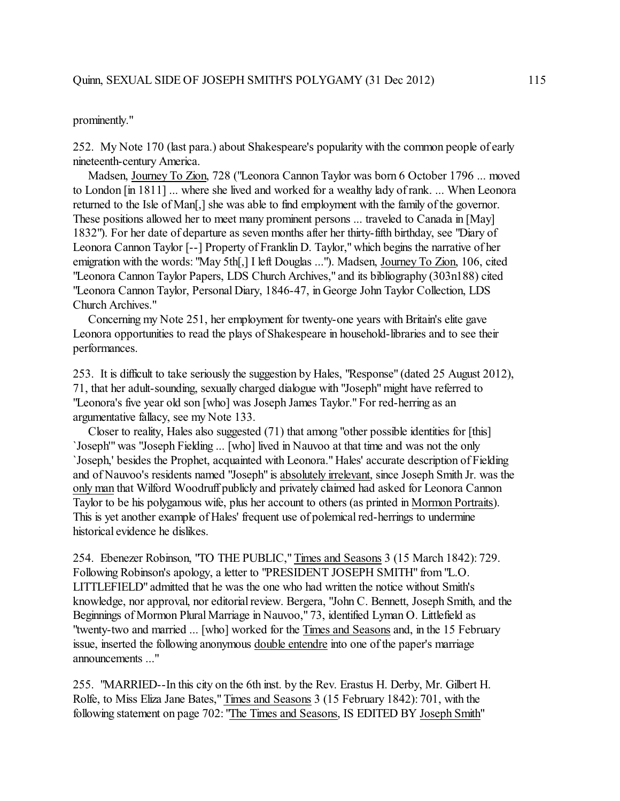## prominently."

252. My Note 170 (last para.) about Shakespeare's popularity with the common people of early nineteenth-century America.

 Madsen, Journey To Zion, 728 ("Leonora Cannon Taylor was born 6 October 1796 ... moved to London [in 1811] ... where she lived and worked for a wealthy lady of rank. ... When Leonora returned to the Isle of Man[,] she was able to find employment with the family of the governor. These positions allowed her to meet many prominent persons ... traveled to Canada in [May] 1832"). For her date of departure as seven months after her thirty-fifth birthday, see "Diary of Leonora Cannon Taylor [--] Property of Franklin D. Taylor," which begins the narrative of her emigration with the words: "May 5th[,] I left Douglas ..."). Madsen, Journey To Zion, 106, cited "Leonora Cannon Taylor Papers, LDS Church Archives," and its bibliography (303n188) cited "Leonora Cannon Taylor, Personal Diary, 1846-47, in George John Taylor Collection, LDS Church Archives."

 Concerning my Note 251, her employment for twenty-one years with Britain's elite gave Leonora opportunities to read the plays of Shakespeare in household-libraries and to see their performances.

253. It is difficult to take seriously the suggestion by Hales, "Response" (dated 25 August 2012), 71, that her adult-sounding, sexually charged dialogue with "Joseph" might have referred to "Leonora's five year old son [who] was Joseph James Taylor." For red-herring as an argumentative fallacy, see my Note 133.

 Closer to reality, Hales also suggested (71) that among "other possible identities for [this] `Joseph'" was "Joseph Fielding ... [who] lived in Nauvoo at that time and was not the only `Joseph,' besides the Prophet, acquainted with Leonora." Hales' accurate description of Fielding and of Nauvoo's residents named "Joseph" is absolutely irrelevant, since Joseph Smith Jr. was the only man that Wilford Woodruff publicly and privately claimed had asked for Leonora Cannon Taylor to be his polygamous wife, plus her account to others (as printed in Mormon Portraits). This is yet another example of Hales' frequent use of polemical red-herrings to undermine historical evidence he dislikes.

254. Ebenezer Robinson, "TO THE PUBLIC," Times and Seasons 3 (15 March 1842): 729. Following Robinson's apology, a letter to "PRESIDENT JOSEPH SMITH" from "L.O. LITTLEFIELD" admitted that he was the one who had written the notice without Smith's knowledge, nor approval, nor editorial review. Bergera, "John C. Bennett, Joseph Smith, and the Beginnings of Mormon Plural Marriage in Nauvoo," 73, identified Lyman O. Littlefield as "twenty-two and married ... [who] worked for the Times and Seasons and, in the 15 February issue, inserted the following anonymous double entendre into one of the paper's marriage announcements ..."

255. "MARRIED--In this city on the 6th inst. by the Rev. Erastus H. Derby, Mr. Gilbert H. Rolfe, to Miss Eliza Jane Bates," Times and Seasons 3 (15 February 1842): 701, with the following statement on page 702: "The Times and Seasons, IS EDITED BY Joseph Smith"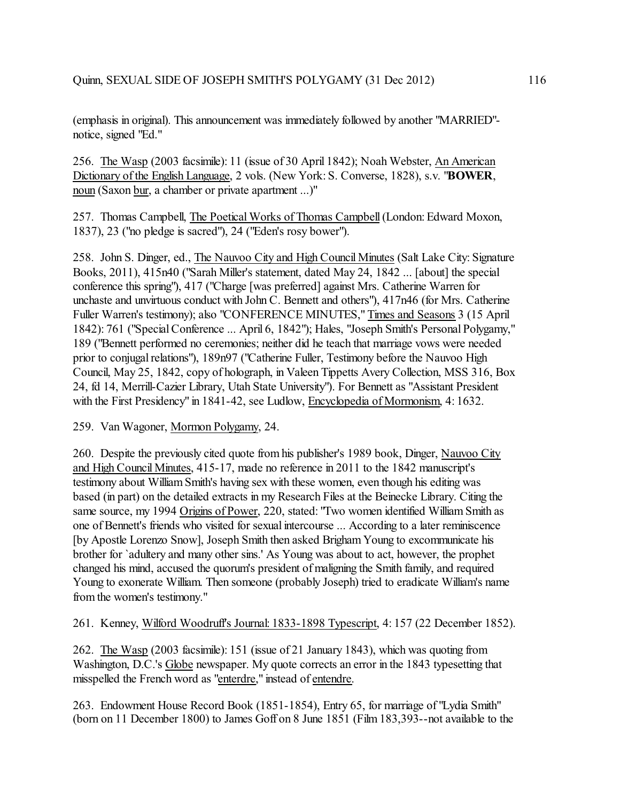(emphasis in original). This announcement was immediately followed by another "MARRIED" notice, signed "Ed."

256. The Wasp (2003 facsimile): 11 (issue of 30 April 1842); Noah Webster, An American Dictionary of the English Language, 2 vols. (New York: S. Converse, 1828), s.v. "**BOWER**, noun (Saxon bur, a chamber or private apartment ...)"

257. Thomas Campbell, The Poetical Works of Thomas Campbell (London: Edward Moxon, 1837), 23 ("no pledge is sacred"), 24 ("Eden's rosy bower").

258. John S. Dinger, ed., The Nauvoo City and High Council Minutes (Salt Lake City: Signature Books, 2011), 415n40 ("Sarah Miller's statement, dated May 24, 1842 ... [about] the special conference this spring"), 417 ("Charge [was preferred] against Mrs. Catherine Warren for unchaste and unvirtuous conduct with John C. Bennett and others"), 417n46 (for Mrs. Catherine Fuller Warren's testimony); also "CONFERENCE MINUTES," Times and Seasons 3 (15 April 1842): 761 ("Special Conference ... April 6, 1842"); Hales, "Joseph Smith's Personal Polygamy," 189 ("Bennett performed no ceremonies; neither did he teach that marriage vows were needed prior to conjugal relations"), 189n97 ("Catherine Fuller, Testimony before the Nauvoo High Council, May 25, 1842, copy of holograph, in Valeen Tippetts Avery Collection, MSS 316, Box 24, fd 14, Merrill-Cazier Library, Utah State University"). For Bennett as "Assistant President with the First Presidency" in 1841-42, see Ludlow, Encyclopedia of Mormonism, 4:1632.

259. Van Wagoner, Mormon Polygamy, 24.

260. Despite the previously cited quote from his publisher's 1989 book, Dinger, Nauvoo City and High Council Minutes, 415-17, made no reference in 2011 to the 1842 manuscript's testimony about William Smith's having sex with these women, even though his editing was based (in part) on the detailed extracts in my Research Files at the Beinecke Library. Citing the same source, my 1994 Origins of Power, 220, stated: "Two women identified William Smith as one of Bennett's friends who visited for sexual intercourse ... According to a later reminiscence [by Apostle Lorenzo Snow], Joseph Smith then asked BrighamYoung to excommunicate his brother for `adultery and many other sins.' As Young was about to act, however, the prophet changed his mind, accused the quorum's president of maligning the Smith family, and required Young to exonerate William. Then someone (probably Joseph) tried to eradicate William's name from the women's testimony."

261. Kenney, Wilford Woodruff's Journal: 1833-1898 Typescript, 4: 157 (22 December 1852).

262. The Wasp (2003 facsimile): 151 (issue of 21 January 1843), which was quoting from Washington, D.C.'s Globe newspaper. My quote corrects an error in the 1843 typesetting that misspelled the French word as "enterdre," instead of entendre.

263. Endowment House Record Book (1851-1854), Entry 65, for marriage of "Lydia Smith" (born on 11 December 1800) to James Goff on 8 June 1851 (Film 183,393--not available to the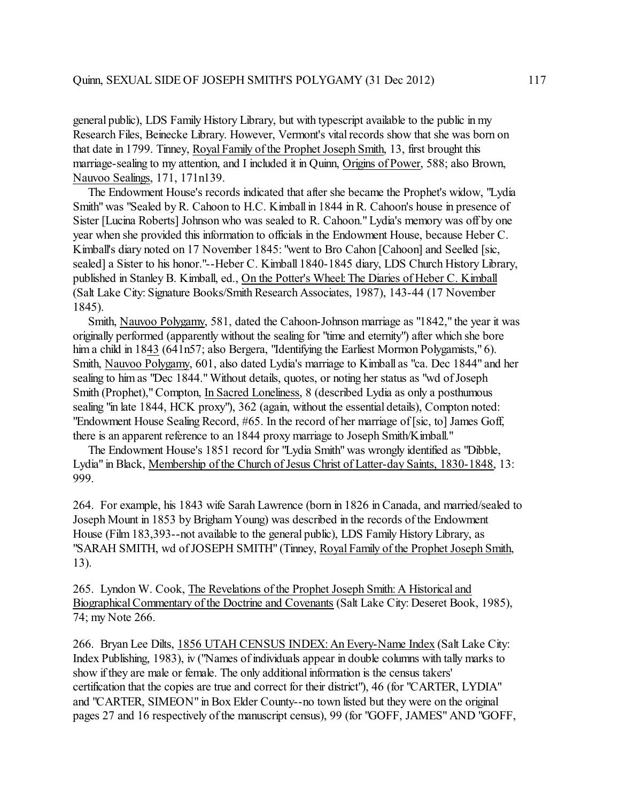general public), LDS Family History Library, but with typescript available to the public in my Research Files, Beinecke Library. However, Vermont's vital records show that she was born on that date in 1799. Tinney, Royal Family of the Prophet Joseph Smith, 13, first brought this marriage-sealing to my attention, and I included it in Quinn, Origins of Power, 588; also Brown, Nauvoo Sealings, 171, 171n139.

 The Endowment House's records indicated that after she became the Prophet's widow, "Lydia Smith" was "Sealed by R. Cahoon to H.C. Kimball in 1844 in R. Cahoon's house in presence of Sister [Lucina Roberts] Johnson who was sealed to R. Cahoon." Lydia's memory was off by one year when she provided this information to officials in the Endowment House, because Heber C. Kimball's diary noted on 17 November 1845: "went to Bro Cahon [Cahoon] and Seelled [sic, sealed] a Sister to his honor."--Heber C. Kimball 1840-1845 diary, LDS Church History Library, published in Stanley B. Kimball, ed., On the Potter's Wheel:The Diaries of Heber C. Kimball (Salt Lake City: Signature Books/Smith Research Associates, 1987), 143-44 (17 November 1845).

 Smith, Nauvoo Polygamy, 581, dated the Cahoon-Johnson marriage as "1842," the year it was originally performed (apparently without the sealing for "time and eternity") after which she bore him a child in 1843 (641n57; also Bergera, "Identifying the Earliest Mormon Polygamists," 6). Smith, Nauvoo Polygamy, 601, also dated Lydia's marriage to Kimball as "ca. Dec 1844" and her sealing to him as "Dec 1844." Without details, quotes, or noting her status as "wd of Joseph Smith (Prophet)," Compton, In Sacred Loneliness, 8 (described Lydia as only a posthumous sealing "in late 1844, HCK proxy"), 362 (again, without the essential details), Compton noted: "Endowment House Sealing Record, #65. In the record of her marriage of [sic, to] James Goff, there is an apparent reference to an 1844 proxy marriage to Joseph Smith/Kimball."

 The Endowment House's 1851 record for "Lydia Smith" was wrongly identified as "Dibble, Lydia" in Black, Membership of the Church of Jesus Christ of Latter-day Saints, 1830-1848, 13: 999.

264. For example, his 1843 wife Sarah Lawrence (born in 1826 in Canada, and married/sealed to Joseph Mount in 1853 by Brigham Young) was described in the records of the Endowment House (Film 183,393--not available to the general public), LDS Family History Library, as "SARAH SMITH, wd of JOSEPH SMITH" (Tinney, Royal Family of the Prophet Joseph Smith, 13).

265. Lyndon W. Cook, The Revelations of the Prophet Joseph Smith: A Historical and Biographical Commentary of the Doctrine and Covenants (Salt Lake City: Deseret Book, 1985), 74; my Note 266.

266. Bryan Lee Dilts, 1856 UTAH CENSUS INDEX: An Every-Name Index (Salt Lake City: Index Publishing, 1983), iv ("Names of individuals appear in double columns with tally marks to show if they are male or female. The only additional information is the census takers' certification that the copies are true and correct for their district"), 46 (for "CARTER, LYDIA" and "CARTER, SIMEON" in Box Elder County--no town listed but they were on the original pages 27 and 16 respectively of the manuscript census), 99 (for "GOFF, JAMES" AND "GOFF,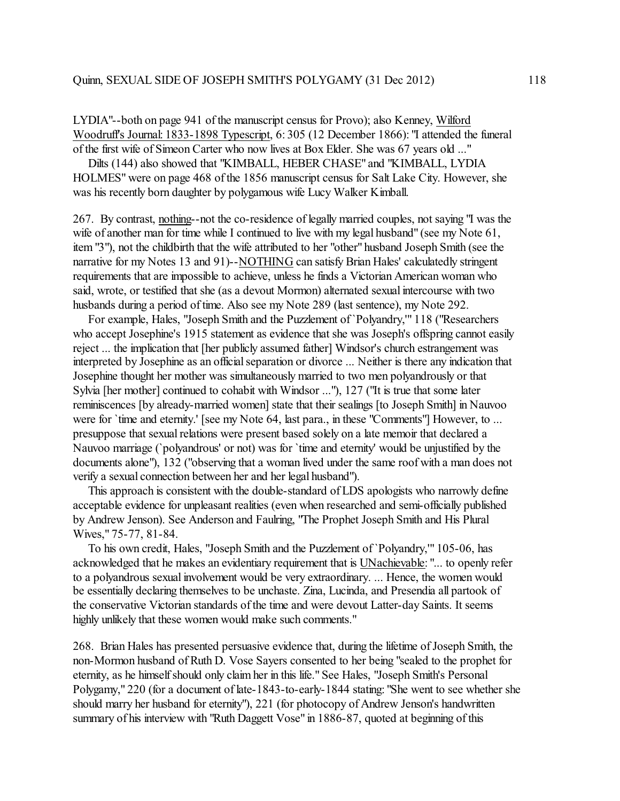LYDIA"--both on page 941 of the manuscript census for Provo); also Kenney, Wilford Woodruff's Journal: 1833-1898 Typescript, 6: 305 (12 December 1866): "I attended the funeral of the first wife of Simeon Carter who now lives at Box Elder. She was 67 years old ..."

 Dilts (144) also showed that "KIMBALL, HEBER CHASE" and "KIMBALL, LYDIA HOLMES" were on page 468 ofthe 1856 manuscript census for Salt Lake City. However, she was his recently born daughter by polygamous wife Lucy Walker Kimball.

267. By contrast, nothing--not the co-residence of legally married couples, not saying "I was the wife of another man for time while I continued to live with my legal husband" (see my Note 61, item "3"), not the childbirth that the wife attributed to her "other" husband Joseph Smith (see the narrative for my Notes 13 and 91)--NOTHING can satisfy Brian Hales' calculatedly stringent requirements that are impossible to achieve, unless he finds a Victorian American woman who said, wrote, or testified that she (as a devout Mormon) alternated sexual intercourse with two husbands during a period of time. Also see my Note 289 (last sentence), my Note 292.

 For example, Hales, "Joseph Smith and the Puzzlement of`Polyandry,'" 118 ("Researchers who accept Josephine's 1915 statement as evidence that she was Joseph's offspring cannot easily reject ... the implication that [her publicly assumed father] Windsor's church estrangement was interpreted by Josephine as an official separation or divorce ... Neither is there any indication that Josephine thought her mother was simultaneously married to two men polyandrously or that Sylvia [her mother] continued to cohabit with Windsor ..."), 127 ("It is true that some later reminiscences [by already-married women] state that their sealings [to Joseph Smith] in Nauvoo were for 'time and eternity.' [see my Note 64, last para., in these "Comments"] However, to ... presuppose that sexual relations were present based solely on a late memoir that declared a Nauvoo marriage (`polyandrous' or not) was for `time and eternity' would be unjustified by the documents alone"), 132 ("observing that a woman lived under the same roof with a man does not verify a sexual connection between her and her legal husband").

 This approach is consistent with the double-standard of LDS apologists who narrowly define acceptable evidence for unpleasant realities (even when researched and semi-officially published by Andrew Jenson). See Anderson and Faulring, "The Prophet Joseph Smith and His Plural Wives," 75-77, 81-84.

 To his own credit, Hales, "Joseph Smith and the Puzzlement of `Polyandry,'" 105-06, has acknowledged that he makes an evidentiary requirement that is UNachievable: "... to openly refer to a polyandrous sexual involvement would be very extraordinary. ... Hence, the women would be essentially declaring themselves to be unchaste. Zina, Lucinda, and Presendia all partook of the conservative Victorian standards of the time and were devout Latter-day Saints. It seems highly unlikely that these women would make such comments."

268. Brian Hales has presented persuasive evidence that, during the lifetime of Joseph Smith, the non-Mormon husband of Ruth D. Vose Sayers consented to her being "sealed to the prophet for eternity, as he himself should only claim her in this life." See Hales, "Joseph Smith's Personal Polygamy," 220 (for a document of late-1843-to-early-1844 stating: "She went to see whether she should marry her husband for eternity"), 221 (for photocopy of Andrew Jenson's handwritten summary of his interview with "Ruth Daggett Vose" in 1886-87, quoted at beginning of this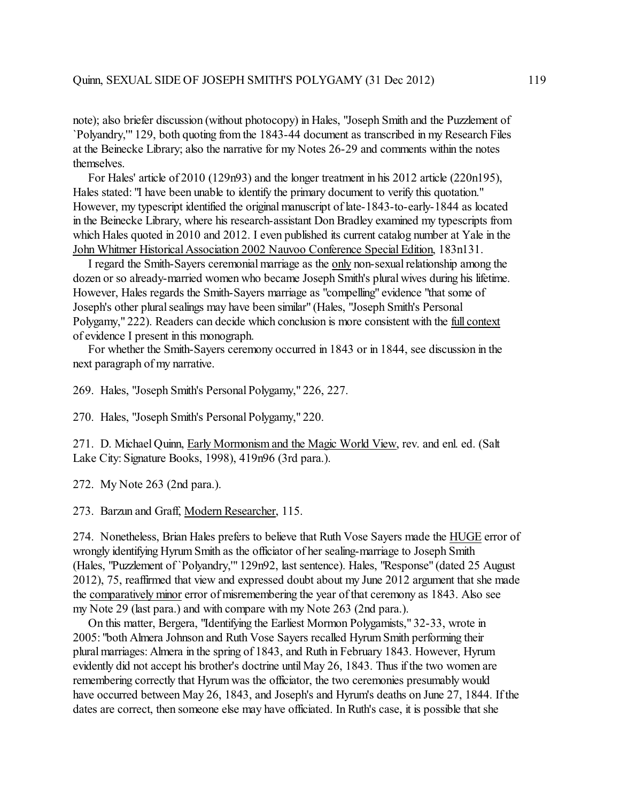note); also briefer discussion (without photocopy) in Hales, "Joseph Smith and the Puzzlement of `Polyandry,'" 129, both quoting from the 1843-44 document as transcribed in my Research Files at the Beinecke Library; also the narrative for my Notes 26-29 and comments within the notes themselves.

 For Hales' article of 2010 (129n93) and the longer treatment in his 2012 article (220n195), Hales stated: "I have been unable to identify the primary document to verify this quotation." However, my typescript identified the original manuscript of late-1843-to-early-1844 as located in the Beinecke Library, where his research-assistant Don Bradley examined my typescripts from which Hales quoted in 2010 and 2012. I even published its current catalog number at Yale in the John Whitmer Historical Association 2002 Nauvoo Conference Special Edition, 183n131.

 I regard the Smith-Sayers ceremonial marriage as the only non-sexual relationship among the dozen or so already-married women who became Joseph Smith's plural wives during his lifetime. However, Hales regards the Smith-Sayers marriage as "compelling" evidence "that some of Joseph's other plural sealings may have been similar" (Hales, "Joseph Smith's Personal Polygamy," 222). Readers can decide which conclusion is more consistent with the full context of evidence I present in this monograph.

 For whether the Smith-Sayers ceremony occurred in 1843 or in 1844, see discussion in the next paragraph of my narrative.

269. Hales, "Joseph Smith's Personal Polygamy," 226, 227.

270. Hales, "Joseph Smith's Personal Polygamy," 220.

271. D. Michael Quinn, Early Mormonism and the Magic World View, rev. and enl. ed. (Salt Lake City: Signature Books, 1998), 419n96 (3rd para.).

272. My Note 263 (2nd para.).

273. Barzun and Graff, Modern Researcher, 115.

274. Nonetheless, Brian Hales prefers to believe that Ruth Vose Sayers made the HUGE error of wrongly identifying Hyrum Smith as the officiator of her sealing-marriage to Joseph Smith (Hales, "Puzzlement of `Polyandry,'" 129n92, last sentence). Hales, "Response" (dated 25 August 2012), 75, reaffirmed that view and expressed doubt about my June 2012 argument that she made the comparatively minor error of misremembering the year ofthat ceremony as 1843. Also see my Note 29 (last para.) and with compare with my Note 263 (2nd para.).

 On this matter, Bergera, "Identifying the Earliest Mormon Polygamists," 32-33, wrote in 2005: "both Almera Johnson and Ruth Vose Sayers recalled Hyrum Smith performing their plural marriages: Almera in the spring of 1843, and Ruth in February 1843. However, Hyrum evidently did not accept his brother's doctrine until May 26, 1843. Thus if the two women are remembering correctly that Hyrum was the officiator, the two ceremonies presumably would have occurred between May 26, 1843, and Joseph's and Hyrum's deaths on June 27, 1844. If the dates are correct, then someone else may have officiated. In Ruth's case, it is possible that she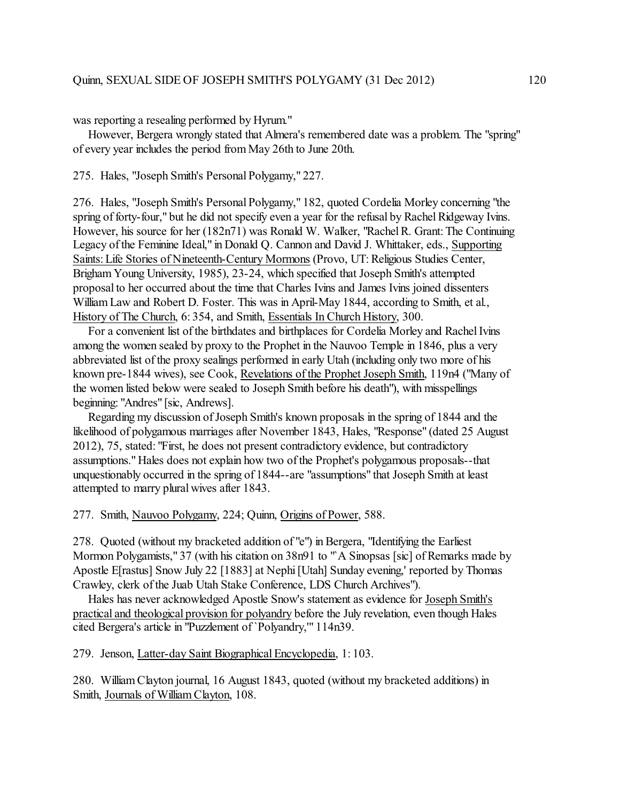was reporting a resealing performed by Hyrum."

 However, Bergera wrongly stated that Almera's remembered date was a problem. The "spring" of every year includes the period from May 26th to June 20th.

275. Hales, "Joseph Smith's Personal Polygamy," 227.

276. Hales, "Joseph Smith's Personal Polygamy," 182, quoted Cordelia Morley concerning "the spring of forty-four," but he did not specify even a year for the refusal by Rachel Ridgeway Ivins. However, his source for her (182n71) was Ronald W. Walker, "RachelR. Grant: The Continuing Legacy of the Feminine Ideal," in Donald Q. Cannon and David J. Whittaker, eds., Supporting Saints: Life Stories of Nineteenth-Century Mormons (Provo, UT: Religious Studies Center, Brigham Young University, 1985), 23-24, which specified that Joseph Smith's attempted proposal to her occurred about the time that Charles Ivins and James Ivins joined dissenters William Law and Robert D. Foster. This was in April-May 1844, according to Smith, et al., History of The Church, 6: 354, and Smith, Essentials In Church History, 300.

For a convenient list of the birthdates and birthplaces for Cordelia Morley and Rachel Ivins among the women sealed by proxy to the Prophet in the Nauvoo Temple in 1846, plus a very abbreviated list of the proxy sealings performed in early Utah (including only two more of his known pre-1844 wives), see Cook, Revelations of the Prophet Joseph Smith, 119n4 ("Many of the women listed below were sealed to Joseph Smith before his death"), with misspellings beginning: "Andres" [sic, Andrews].

Regarding my discussion of Joseph Smith's known proposals in the spring of 1844 and the likelihood of polygamous marriages after November 1843, Hales, "Response" (dated 25 August 2012), 75, stated: "First, he does not present contradictory evidence, but contradictory assumptions." Hales does not explain how two of the Prophet's polygamous proposals--that unquestionably occurred in the spring of 1844--are "assumptions" that Joseph Smith at least attempted to marry plural wives after 1843.

277. Smith, Nauvoo Polygamy, 224; Quinn, Origins of Power, 588.

278. Quoted (without my bracketed addition of "e") in Bergera, "Identifying the Earliest Mormon Polygamists," 37 (with his citation on 38n91 to "`A Sinopsas [sic] of Remarks made by Apostle E[rastus] Snow July 22 [1883] at Nephi [Utah] Sunday evening,' reported by Thomas Crawley, clerk of the Juab Utah Stake Conference, LDS Church Archives").

 Hales has never acknowledged Apostle Snow's statement as evidence for Joseph Smith's practical and theological provision for polyandry before the July revelation, even though Hales cited Bergera's article in "Puzzlement of `Polyandry,'" 114n39.

279. Jenson, Latter-day Saint Biographical Encyclopedia, 1: 103.

280. William Clayton journal, 16 August 1843, quoted (without my bracketed additions) in Smith, Journals of WilliamClayton, 108.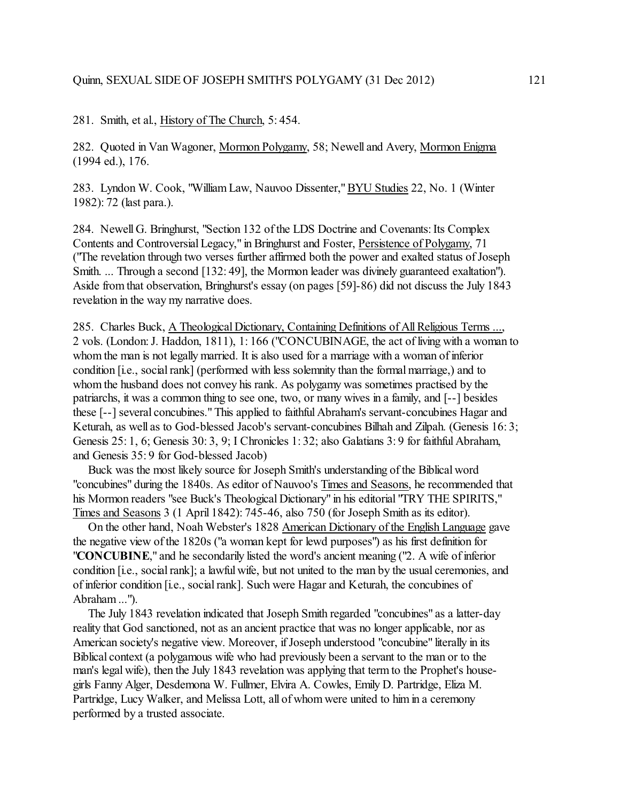281. Smith, et al., History of The Church, 5: 454.

282. Quoted in Van Wagoner, Mormon Polygamy, 58; Newell and Avery, Mormon Enigma (1994 ed.), 176.

283. Lyndon W. Cook, "WilliamLaw, Nauvoo Dissenter," BYU Studies 22, No. 1 (Winter 1982): 72 (last para.).

284. Newell G. Bringhurst, "Section 132 of the LDS Doctrine and Covenants: Its Complex Contents and Controversial Legacy," in Bringhurst and Foster, Persistence of Polygamy, 71 ("The revelation through two verses further affirmed both the power and exalted status of Joseph Smith. ... Through a second [132: 49], the Mormon leader was divinely guaranteed exaltation"). Aside from that observation, Bringhurst's essay (on pages [59]-86) did not discuss the July 1843 revelation in the way my narrative does.

285. Charles Buck, A Theological Dictionary, Containing Definitions of AllReligious Terms ..., 2 vols. (London: J. Haddon, 1811), 1: 166 ("CONCUBINAGE, the act of living with a woman to whom the man is not legally married. It is also used for a marriage with a woman of inferior condition [i.e., social rank] (performed with less solemnity than the formalmarriage,) and to whom the husband does not convey his rank. As polygamy was sometimes practised by the patriarchs, it was a common thing to see one, two, or many wives in a family, and [--] besides these [--] several concubines." This applied to faithful Abraham's servant-concubines Hagar and Keturah, as well as to God-blessed Jacob's servant-concubines Bilhah and Zilpah. (Genesis 16: 3; Genesis 25: 1, 6; Genesis 30: 3, 9; I Chronicles 1: 32; also Galatians 3: 9 for faithful Abraham, and Genesis 35: 9 for God-blessed Jacob)

 Buck was the most likely source for Joseph Smith's understanding of the Biblical word "concubines" during the 1840s. As editor of Nauvoo's Times and Seasons, he recommended that his Mormon readers "see Buck's Theological Dictionary" in his editorial "TRY THE SPIRITS," Times and Seasons 3 (1 April 1842): 745-46, also 750 (for Joseph Smith as its editor).

 On the other hand, Noah Webster's 1828 American Dictionary of the English Language gave the negative view of the 1820s ("a woman kept for lewd purposes") as his first definition for "**CONCUBINE**," and he secondarily listed the word's ancient meaning ("2. A wife of inferior condition [i.e., social rank]; a lawful wife, but not united to the man by the usual ceremonies, and of inferior condition [i.e., social rank]. Such were Hagar and Keturah, the concubines of Abraham ...").

 The July 1843 revelation indicated that Joseph Smith regarded "concubines" as a latter-day reality that God sanctioned, not as an ancient practice that was no longer applicable, nor as American society's negative view. Moreover, if Joseph understood "concubine" literally in its Biblical context (a polygamous wife who had previously been a servant to the man or to the man's legal wife), then the July 1843 revelation was applying that term to the Prophet's housegirls Fanny Alger, Desdemona W. Fullmer, Elvira A. Cowles, Emily D. Partridge, Eliza M. Partridge, Lucy Walker, and Melissa Lott, all of whom were united to him in a ceremony performed by a trusted associate.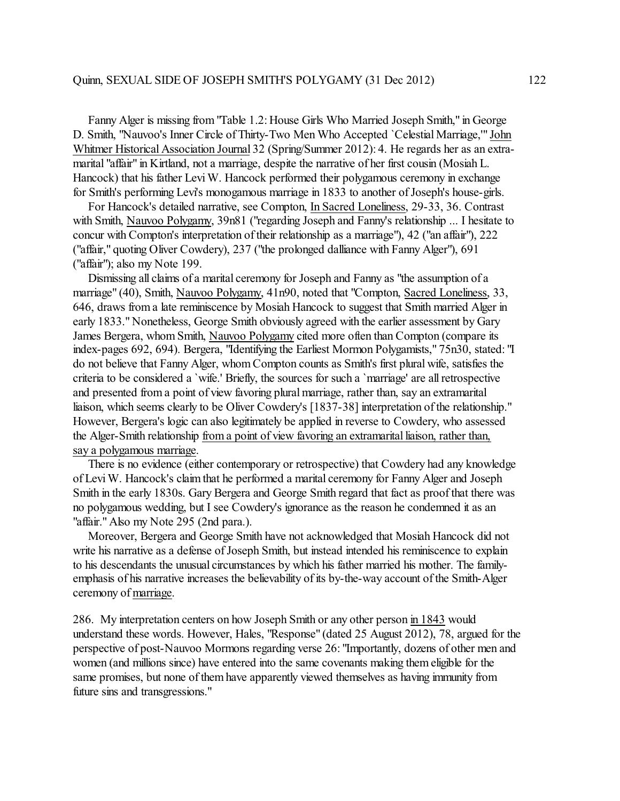Fanny Alger is missing from "Table 1.2: House Girls Who Married Joseph Smith," in George D. Smith, "Nauvoo's Inner Circle of Thirty-Two Men Who Accepted `Celestial Marriage,'" John Whitmer Historical Association Journal 32 (Spring/Summer 2012): 4. He regards her as an extramarital "affair" in Kirtland, not a marriage, despite the narrative of her first cousin (Mosiah L. Hancock) that his father Levi W. Hancock performed their polygamous ceremony in exchange for Smith's performing Levi's monogamous marriage in 1833 to another of Joseph's house-girls.

 For Hancock's detailed narrative, see Compton, In Sacred Loneliness, 29-33, 36. Contrast with Smith, Nauvoo Polygamy, 39n81 ("regarding Joseph and Fanny's relationship ... I hesitate to concur with Compton's interpretation of their relationship as a marriage"), 42 ("an affair"), 222 ("affair," quoting Oliver Cowdery), 237 ("the prolonged dalliance with Fanny Alger"), 691 ("affair"); also my Note 199.

 Dismissing all claims of a marital ceremony for Joseph and Fanny as "the assumption of a marriage" (40), Smith, Nauvoo Polygamy, 41n90, noted that "Compton, Sacred Loneliness, 33, 646, draws from a late reminiscence by Mosiah Hancock to suggest that Smith married Alger in early 1833." Nonetheless, George Smith obviously agreed with the earlier assessment by Gary James Bergera, whom Smith, Nauvoo Polygamy cited more often than Compton (compare its index-pages 692, 694). Bergera, "Identifying the Earliest Mormon Polygamists," 75n30, stated: "I do not believe that Fanny Alger, whom Compton counts as Smith's first plural wife, satisfies the criteria to be considered a `wife.' Briefly, the sources for such a `marriage' are all retrospective and presented from a point of view favoring plural marriage, rather than, say an extramarital liaison, which seems clearly to be Oliver Cowdery's [1837-38] interpretation of the relationship." However, Bergera's logic can also legitimately be applied in reverse to Cowdery, who assessed the Alger-Smith relationship froma point of view favoring an extramarital liaison, rather than, say a polygamous marriage.

 There is no evidence (either contemporary or retrospective) that Cowdery had any knowledge of Levi W. Hancock's claimthat he performed a marital ceremony for Fanny Alger and Joseph Smith in the early 1830s. Gary Bergera and George Smith regard that fact as proof that there was no polygamous wedding, but I see Cowdery's ignorance as the reason he condemned it as an "affair." Also my Note 295 (2nd para.).

 Moreover, Bergera and George Smith have not acknowledged that Mosiah Hancock did not write his narrative as a defense of Joseph Smith, but instead intended his reminiscence to explain to his descendants the unusual circumstances by which his father married his mother. The familyemphasis of his narrative increases the believability of its by-the-way account of the Smith-Alger ceremony of marriage.

286. My interpretation centers on how Joseph Smith or any other person in 1843 would understand these words. However, Hales, "Response" (dated 25 August 2012), 78, argued for the perspective of post-Nauvoo Mormons regarding verse 26: "Importantly, dozens of other men and women (and millions since) have entered into the same covenants making them eligible for the same promises, but none of them have apparently viewed themselves as having immunity from future sins and transgressions."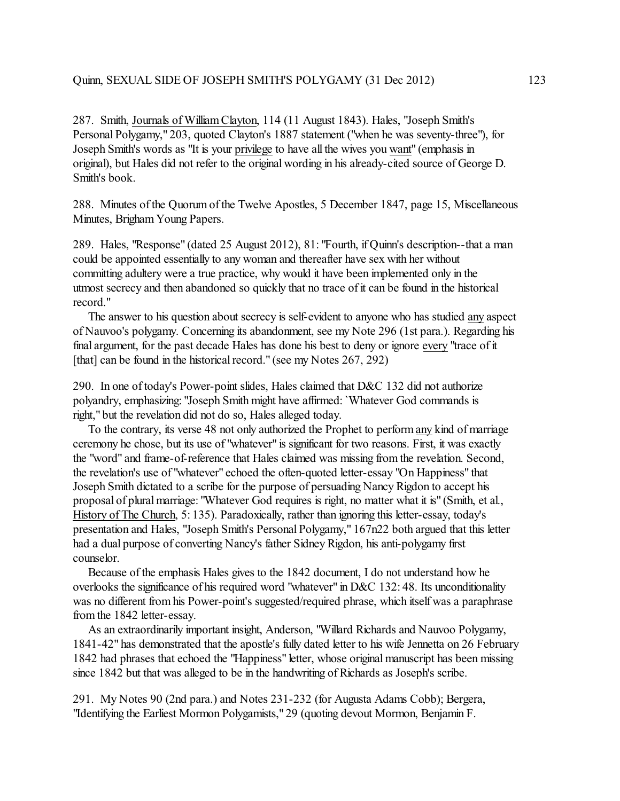287. Smith, Journals of WilliamClayton, 114 (11 August 1843). Hales, "Joseph Smith's Personal Polygamy," 203, quoted Clayton's 1887 statement ("when he was seventy-three"), for Joseph Smith's words as "It is your privilege to have all the wives you want" (emphasis in original), but Hales did not refer to the original wording in his already-cited source of George D. Smith's book.

288. Minutes of the Quorum of the Twelve Apostles, 5 December 1847, page 15, Miscellaneous Minutes, Brigham Young Papers.

289. Hales, "Response" (dated 25 August 2012), 81: "Fourth, if Quinn's description--that a man could be appointed essentially to any woman and thereafter have sex with her without committing adultery were a true practice, why would it have been implemented only in the utmost secrecy and then abandoned so quickly that no trace of it can be found in the historical record."

 The answer to his question about secrecy is self-evident to anyone who has studied any aspect of Nauvoo's polygamy. Concerning its abandonment, see my Note 296 (1st para.). Regarding his final argument, for the past decade Hales has done his best to deny or ignore every "trace of it [that] can be found in the historical record." (see my Notes 267, 292)

290. In one of today's Power-point slides, Hales claimed that D&C 132 did not authorize polyandry, emphasizing: "Joseph Smith might have affirmed: `Whatever God commands is right," but the revelation did not do so, Hales alleged today.

 To the contrary, its verse 48 not only authorized the Prophet to performany kind of marriage ceremony he chose, but its use of "whatever" is significant for two reasons. First, it was exactly the "word" and frame-of-reference that Hales claimed was missing from the revelation. Second, the revelation's use of "whatever" echoed the often-quoted letter-essay "On Happiness" that Joseph Smith dictated to a scribe for the purpose of persuading Nancy Rigdon to accept his proposal of plural marriage: "Whatever God requires is right, no matter what it is" (Smith, et al., History of The Church, 5: 135). Paradoxically, rather than ignoring this letter-essay, today's presentation and Hales, "Joseph Smith's Personal Polygamy," 167n22 both argued that this letter had a dual purpose of converting Nancy's father Sidney Rigdon, his anti-polygamy first counselor.

 Because of the emphasis Hales gives to the 1842 document, I do not understand how he overlooks the significance of his required word "whatever" in D&C 132: 48. Its unconditionality was no different from his Power-point's suggested/required phrase, which itself was a paraphrase from the 1842 letter-essay.

 As an extraordinarily important insight, Anderson, "Willard Richards and Nauvoo Polygamy, 1841-42" has demonstrated that the apostle's fully dated letter to his wife Jennetta on 26 February 1842 had phrases that echoed the "Happiness" letter, whose original manuscript has been missing since 1842 but that was alleged to be in the handwriting of Richards as Joseph's scribe.

291. My Notes 90 (2nd para.) and Notes 231-232 (for Augusta Adams Cobb); Bergera, "Identifying the Earliest Mormon Polygamists," 29 (quoting devout Mormon, Benjamin F.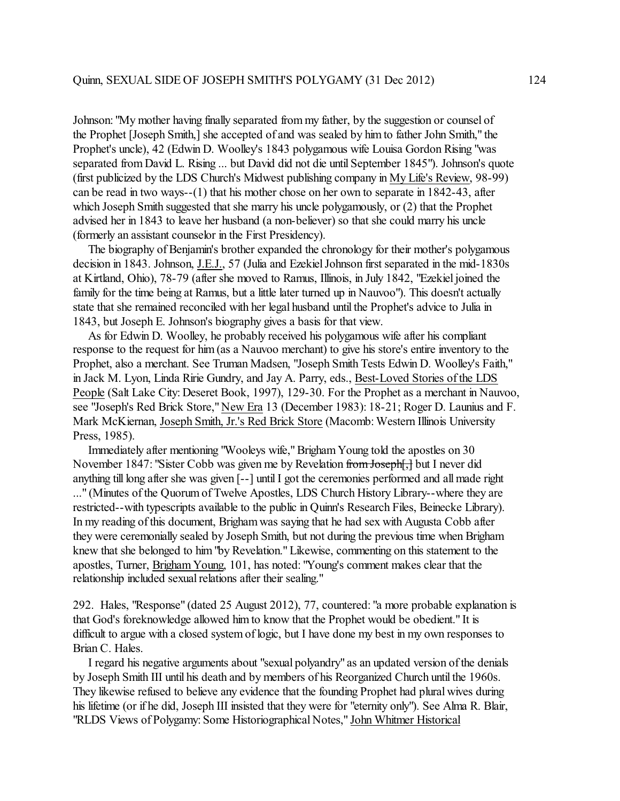Johnson: "My mother having finally separated from my father, by the suggestion or counsel of the Prophet [Joseph Smith,] she accepted of and was sealed by him to father John Smith," the Prophet's uncle), 42 (Edwin D. Woolley's 1843 polygamous wife Louisa Gordon Rising "was separated from David L. Rising ... but David did not die until September 1845"). Johnson's quote (first publicized by the LDS Church's Midwest publishing company in My Life's Review, 98-99) can be read in two ways--(1) that his mother chose on her own to separate in 1842-43, after which Joseph Smith suggested that she marry his uncle polygamously, or (2) that the Prophet advised her in 1843 to leave her husband (a non-believer) so that she could marry his uncle (formerly an assistant counselor in the First Presidency).

 The biography of Benjamin's brother expanded the chronology for their mother's polygamous decision in 1843. Johnson, J.E.J., 57 (Julia and Ezekiel Johnson first separated in the mid-1830s at Kirtland, Ohio), 78-79 (after she moved to Ramus, Illinois, in July 1842, "Ezekiel joined the family for the time being at Ramus, but a little later turned up in Nauvoo"). This doesn't actually state that she remained reconciled with her legal husband until the Prophet's advice to Julia in 1843, but Joseph E. Johnson's biography gives a basis for that view.

 As for Edwin D. Woolley, he probably received his polygamous wife after his compliant response to the request for him (as a Nauvoo merchant) to give his store's entire inventory to the Prophet, also a merchant. See Truman Madsen, "Joseph Smith Tests Edwin D. Woolley's Faith," in Jack M. Lyon, Linda Ririe Gundry, and Jay A. Parry, eds., Best-Loved Stories of the LDS People (Salt Lake City: Deseret Book, 1997), 129-30. For the Prophet as a merchant in Nauvoo, see "Joseph's Red Brick Store," New Era 13 (December 1983): 18-21; Roger D. Launius and F. Mark McKiernan, Joseph Smith, Jr.'s Red Brick Store (Macomb: Western Illinois University Press, 1985).

 Immediately after mentioning "Wooleys wife," Brigham Young told the apostles on 30 November 1847: "Sister Cobb was given me by Revelation from Joseph[,] but I never did anything till long after she was given [--] until I got the ceremonies performed and all made right ..." (Minutes of the Quorum of Twelve Apostles, LDS Church History Library--where they are restricted--with typescripts available to the public in Quinn's Research Files, Beinecke Library). In my reading of this document, Brigham was saying that he had sex with Augusta Cobb after they were ceremonially sealed by Joseph Smith, but not during the previous time when Brigham knew that she belonged to him"by Revelation." Likewise, commenting on this statement to the apostles, Turner, Brigham Young, 101, has noted: "Young's comment makes clear that the relationship included sexual relations after their sealing."

292. Hales, "Response" (dated 25 August 2012), 77, countered: "a more probable explanation is that God's foreknowledge allowed him to know that the Prophet would be obedient." It is difficult to argue with a closed system of logic, but I have done my best in my own responses to Brian C. Hales.

 I regard his negative arguments about "sexual polyandry" as an updated version ofthe denials by Joseph Smith III until his death and by members of his Reorganized Church until the 1960s. They likewise refused to believe any evidence that the founding Prophet had plural wives during his lifetime (or if he did, Joseph III insisted that they were for "eternity only"). See Alma R. Blair, "RLDS Views of Polygamy: Some Historiographical Notes," John Whitmer Historical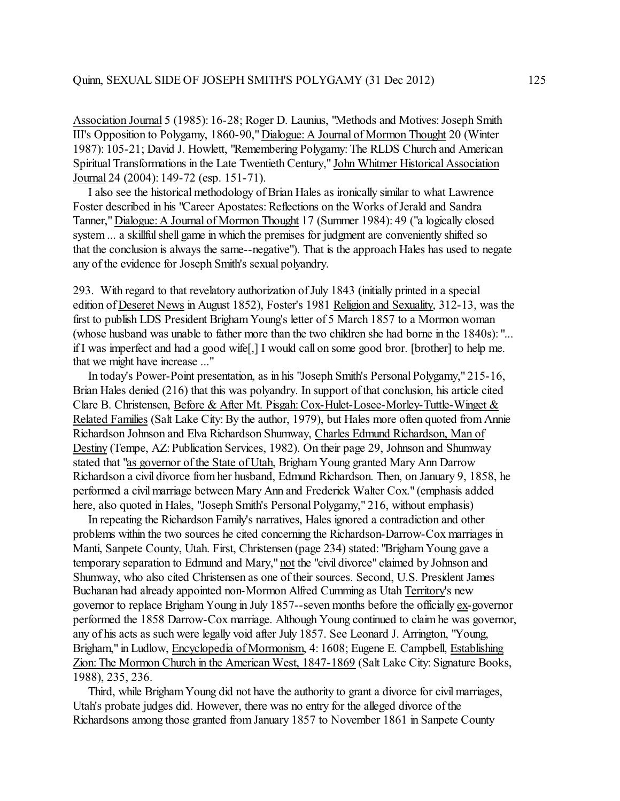Association Journal 5 (1985): 16-28; Roger D. Launius, "Methods and Motives: Joseph Smith III's Opposition to Polygamy, 1860-90," Dialogue: A Journal of Mormon Thought 20 (Winter 1987): 105-21; David J. Howlett, "Remembering Polygamy: The RLDS Church and American Spiritual Transformations in the Late Twentieth Century," John Whitmer Historical Association Journal 24 (2004): 149-72 (esp. 151-71).

 I also see the historical methodology of Brian Hales as ironically similar to what Lawrence Foster described in his "Career Apostates: Reflections on the Works of Jerald and Sandra Tanner," Dialogue: A Journal of Mormon Thought 17 (Summer 1984): 49 ("a logically closed system ... a skillful shell game in which the premises for judgment are conveniently shifted so that the conclusion is always the same--negative"). That is the approach Hales has used to negate any of the evidence for Joseph Smith's sexual polyandry.

293. With regard to that revelatory authorization of July 1843 (initially printed in a special edition of Deseret News in August 1852), Foster's 1981 Religion and Sexuality, 312-13, was the first to publish LDS President Brigham Young's letter of 5 March 1857 to a Mormon woman (whose husband was unable to father more than the two children she had borne in the 1840s): "... if I was imperfect and had a good wife[,] I would call on some good bror. [brother] to help me. that we might have increase ..."

 In today's Power-Point presentation, as in his "Joseph Smith's Personal Polygamy," 215-16, Brian Hales denied (216) that this was polyandry. In support of that conclusion, his article cited Clare B. Christensen, Before & After Mt. Pisgah: Cox-Hulet-Losee-Morley-Tuttle-Winget & Related Families (Salt Lake City: By the author, 1979), but Hales more often quoted from Annie Richardson Johnson and Elva Richardson Shumway, Charles Edmund Richardson, Man of Destiny (Tempe, AZ: Publication Services, 1982). On their page 29, Johnson and Shumway stated that "as governor of the State of Utah, Brigham Young granted Mary Ann Darrow Richardson a civil divorce from her husband, Edmund Richardson. Then, on January 9, 1858, he performed a civil marriage between Mary Ann and Frederick Walter Cox." (emphasis added here, also quoted in Hales, "Joseph Smith's Personal Polygamy," 216, without emphasis)

 In repeating the Richardson Family's narratives, Hales ignored a contradiction and other problems within the two sources he cited concerning the Richardson-Darrow-Cox marriages in Manti, Sanpete County, Utah. First, Christensen (page 234) stated: "Brigham Young gave a temporary separation to Edmund and Mary," not the "civil divorce" claimed by Johnson and Shumway, who also cited Christensen as one of their sources. Second, U.S. President James Buchanan had already appointed non-Mormon Alfred Cumming as Utah Territory's new governor to replace Brigham Young in July 1857--seven months before the officially ex-governor performed the 1858 Darrow-Cox marriage. Although Young continued to claim he was governor, any of his acts as such were legally void after July 1857. See Leonard J. Arrington, "Young, Brigham," in Ludlow, Encyclopedia of Mormonism, 4: 1608; Eugene E. Campbell, Establishing Zion: The Mormon Church in the American West, 1847-1869 (Salt Lake City: Signature Books, 1988), 235, 236.

 Third, while BrighamYoung did not have the authority to grant a divorce for civil marriages, Utah's probate judges did. However, there was no entry for the alleged divorce of the Richardsons among those granted from January 1857 to November 1861 in Sanpete County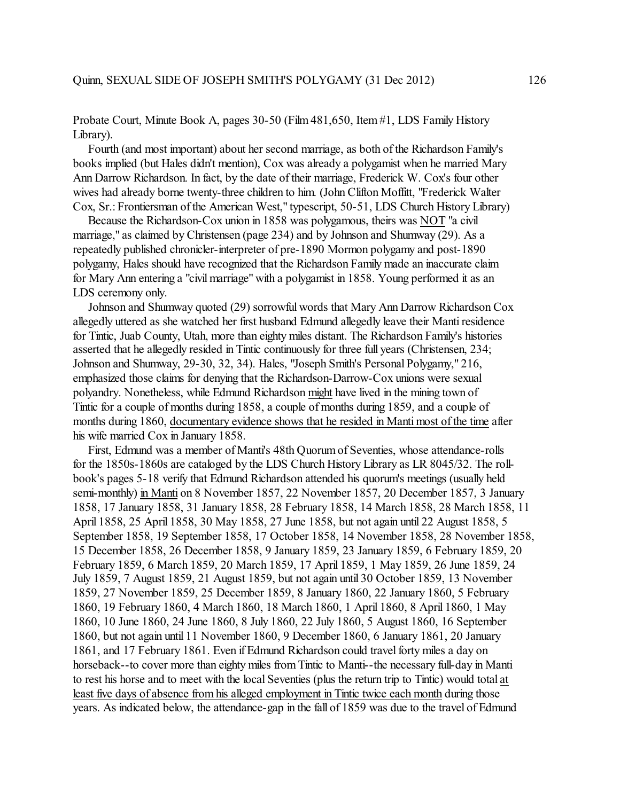Probate Court, Minute Book A, pages 30-50 (Film 481,650, Item#1, LDS Family History Library).

 Fourth (and most important) about her second marriage, as both of the Richardson Family's books implied (but Hales didn't mention), Cox was already a polygamist when he married Mary Ann Darrow Richardson. In fact, by the date of their marriage, Frederick W. Cox's four other wives had already borne twenty-three children to him. (John Clifton Moffitt, "Frederick Walter Cox, Sr.: Frontiersman of the American West," typescript, 50-51, LDS Church History Library)

 Because the Richardson-Cox union in 1858 was polygamous, theirs was NOT "a civil marriage," as claimed by Christensen (page 234) and by Johnson and Shumway (29). As a repeatedly published chronicler-interpreter of pre-1890 Mormon polygamy and post-1890 polygamy, Hales should have recognized that the Richardson Family made an inaccurate claim for Mary Ann entering a "civil marriage" with a polygamist in 1858. Young performed it as an LDS ceremony only.

 Johnson and Shumway quoted (29) sorrowful words that Mary Ann Darrow Richardson Cox allegedly uttered as she watched her first husband Edmund allegedly leave their Manti residence for Tintic, Juab County, Utah, more than eighty miles distant. The Richardson Family's histories asserted that he allegedly resided in Tintic continuously for three full years (Christensen, 234; Johnson and Shumway, 29-30, 32, 34). Hales, "Joseph Smith's Personal Polygamy," 216, emphasized those claims for denying that the Richardson-Darrow-Cox unions were sexual polyandry. Nonetheless, while Edmund Richardson might have lived in the mining town of Tintic for a couple of months during 1858, a couple of months during 1859, and a couple of months during 1860, documentary evidence shows that he resided in Manti most of the time after his wife married Cox in January 1858.

 First, Edmund was a member of Manti's 48th Quorum of Seventies, whose attendance-rolls for the 1850s-1860s are cataloged by the LDS Church History Library as LR 8045/32. The rollbook's pages 5-18 verify that Edmund Richardson attended his quorum's meetings (usually held semi-monthly) in Manti on 8 November 1857, 22 November 1857, 20 December 1857, 3 January 1858, 17 January 1858, 31 January 1858, 28 February 1858, 14 March 1858, 28 March 1858, 11 April 1858, 25 April 1858, 30 May 1858, 27 June 1858, but not again until 22 August 1858, 5 September 1858, 19 September 1858, 17 October 1858, 14 November 1858, 28 November 1858, 15 December 1858, 26 December 1858, 9 January 1859, 23 January 1859, 6 February 1859, 20 February 1859, 6 March 1859, 20 March 1859, 17 April 1859, 1 May 1859, 26 June 1859, 24 July 1859, 7 August 1859, 21 August 1859, but not again until 30 October 1859, 13 November 1859, 27 November 1859, 25 December 1859, 8 January 1860, 22 January 1860, 5 February 1860, 19 February 1860, 4 March 1860, 18 March 1860, 1 April 1860, 8 April 1860, 1 May 1860, 10 June 1860, 24 June 1860, 8 July 1860, 22 July 1860, 5 August 1860, 16 September 1860, but not again until 11 November 1860, 9 December 1860, 6 January 1861, 20 January 1861, and 17 February 1861. Even if Edmund Richardson could travel forty miles a day on horseback--to cover more than eighty miles from Tintic to Manti--the necessary full-day in Manti to rest his horse and to meet with the local Seventies (plus the return trip to Tintic) would total at least five days of absence from his alleged employment in Tintic twice each month during those years. As indicated below, the attendance-gap in the fall of 1859 was due to the travel of Edmund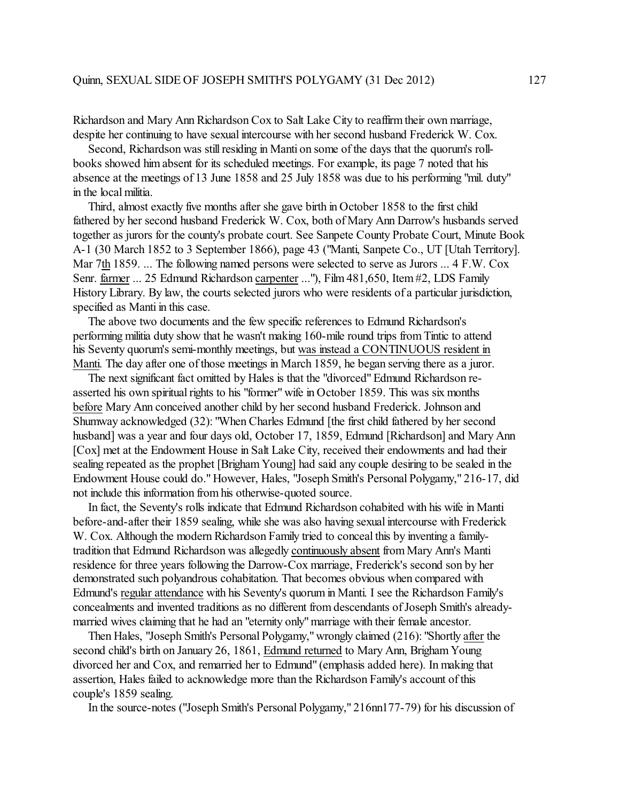Richardson and Mary Ann Richardson Cox to Salt Lake City to reaffirm their own marriage, despite her continuing to have sexual intercourse with her second husband Frederick W. Cox.

Second, Richardson was still residing in Manti on some of the days that the quorum's rollbooks showed him absent for its scheduled meetings. For example, its page 7 noted that his absence at the meetings of 13 June 1858 and 25 July 1858 was due to his performing "mil. duty" in the local militia.

 Third, almost exactly five months after she gave birth in October 1858 to the first child fathered by her second husband Frederick W. Cox, both of Mary Ann Darrow's husbands served together as jurors for the county's probate court. See Sanpete County Probate Court, Minute Book A-1 (30 March 1852 to 3 September 1866), page 43 ("Manti, Sanpete Co., UT [Utah Territory]. Mar 7th 1859. ... The following named persons were selected to serve as Jurors ... 4 F.W. Cox Senr. farmer ... 25 Edmund Richardson carpenter ..."), Film 481,650, Item #2, LDS Family History Library. By law, the courts selected jurors who were residents of a particular jurisdiction, specified as Manti in this case.

 The above two documents and the few specific references to Edmund Richardson's performing militia duty show that he wasn't making 160-mile round trips from Tintic to attend his Seventy quorum's semi-monthly meetings, but was instead a CONTINUOUS resident in Manti. The day after one of those meetings in March 1859, he began serving there as a juror.

The next significant fact omitted by Hales is that the "divorced" Edmund Richardson reasserted his own spiritual rights to his "former" wife in October 1859. This was six months before Mary Ann conceived another child by her second husband Frederick. Johnson and Shumway acknowledged (32): "When Charles Edmund [the first child fathered by her second husband] was a year and four days old, October 17, 1859, Edmund [Richardson] and Mary Ann [Cox] met at the Endowment House in Salt Lake City, received their endowments and had their sealing repeated as the prophet [Brigham Young] had said any couple desiring to be sealed in the Endowment House could do." However, Hales, "Joseph Smith's Personal Polygamy," 216-17, did not include this information from his otherwise-quoted source.

 In fact, the Seventy's rolls indicate that Edmund Richardson cohabited with his wife in Manti before-and-after their 1859 sealing, while she was also having sexual intercourse with Frederick W. Cox. Although the modern Richardson Family tried to conceal this by inventing a familytradition that Edmund Richardson was allegedly continuously absent from Mary Ann's Manti residence for three years following the Darrow-Cox marriage, Frederick's second son by her demonstrated such polyandrous cohabitation. That becomes obvious when compared with Edmund's regular attendance with his Seventy's quorum in Manti. I see the Richardson Family's concealments and invented traditions as no different from descendants of Joseph Smith's alreadymarried wives claiming that he had an "eternity only" marriage with their female ancestor.

 Then Hales, "Joseph Smith's Personal Polygamy," wrongly claimed (216): "Shortly after the second child's birth on January 26, 1861, Edmund returned to Mary Ann, Brigham Young divorced her and Cox, and remarried her to Edmund" (emphasis added here). In making that assertion, Hales failed to acknowledge more than the Richardson Family's account of this couple's 1859 sealing.

In the source-notes ("Joseph Smith's Personal Polygamy," 216nn177-79) for his discussion of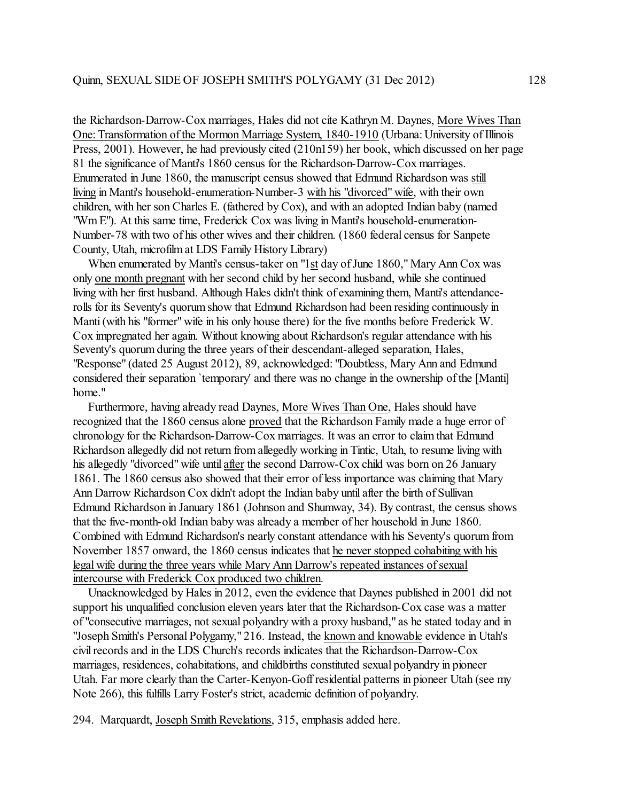the Richardson-Darrow-Cox marriages, Hales did not cite Kathryn M. Daynes, More Wives Than One: Transformation of the Mormon Marriage System, 1840-1910 (Urbana: University of Illinois Press, 2001). However, he had previously cited (210n159) her book, which discussed on her page 81 the significance of Manti's 1860 census for the Richardson-Darrow-Cox marriages. Enumerated in June 1860, the manuscript census showed that Edmund Richardson was still living in Manti's household-enumeration-Number-3 with his "divorced" wife, with their own children, with her son Charles E. (fathered by Cox), and with an adopted Indian baby (named "Wm E"). At this same time, Frederick Cox was living in Manti's household-enumeration-Number-78 with two of his other wives and their children. (1860 federal census for Sanpete County, Utah, microfilm at LDS Family History Library)

 When enumerated by Manti's census-taker on "1st day of June 1860," Mary Ann Cox was only one month pregnant with her second child by her second husband, while she continued living with her first husband. Although Hales didn't think of examining them, Manti's attendancerolls for its Seventy's quorumshow that Edmund Richardson had been residing continuously in Manti (with his "former" wife in his only house there) for the five months before Frederick W. Cox impregnated her again. Without knowing about Richardson's regular attendance with his Seventy's quorum during the three years of their descendant-alleged separation, Hales, "Response" (dated 25 August 2012), 89, acknowledged: "Doubtless, Mary Ann and Edmund considered their separation `temporary' and there was no change in the ownership of the [Manti] home."

 Furthermore, having already read Daynes, More Wives Than One, Hales should have recognized that the 1860 census alone proved that the Richardson Family made a huge error of chronology for the Richardson-Darrow-Cox marriages. It was an error to claim that Edmund Richardson allegedly did not return from allegedly working in Tintic, Utah, to resume living with his allegedly "divorced" wife until after the second Darrow-Cox child was born on 26 January 1861. The 1860 census also showed that their error of less importance was claiming that Mary Ann Darrow Richardson Cox didn't adopt the Indian baby until after the birth of Sullivan Edmund Richardson in January 1861 (Johnson and Shumway, 34). By contrast, the census shows that the five-month-old Indian baby was already a member of her household in June 1860. Combined with Edmund Richardson's nearly constant attendance with his Seventy's quorum from November 1857 onward, the 1860 census indicates that he never stopped cohabiting with his legal wife during the three years while Mary Ann Darrow's repeated instances of sexual intercourse with Frederick Cox produced two children.

 Unacknowledged by Hales in 2012, even the evidence that Daynes published in 2001 did not support his unqualified conclusion eleven years later that the Richardson-Cox case was a matter of "consecutive marriages, not sexual polyandry with a proxy husband," as he stated today and in "Joseph Smith's Personal Polygamy," 216. Instead, the known and knowable evidence in Utah's civil records and in the LDS Church's records indicates that the Richardson-Darrow-Cox marriages, residences, cohabitations, and childbirths constituted sexual polyandry in pioneer Utah. Far more clearly than the Carter-Kenyon-Goff residential patterns in pioneer Utah (see my Note 266), this fulfills Larry Foster's strict, academic definition of polyandry.

294. Marquardt, Joseph Smith Revelations, 315, emphasis added here.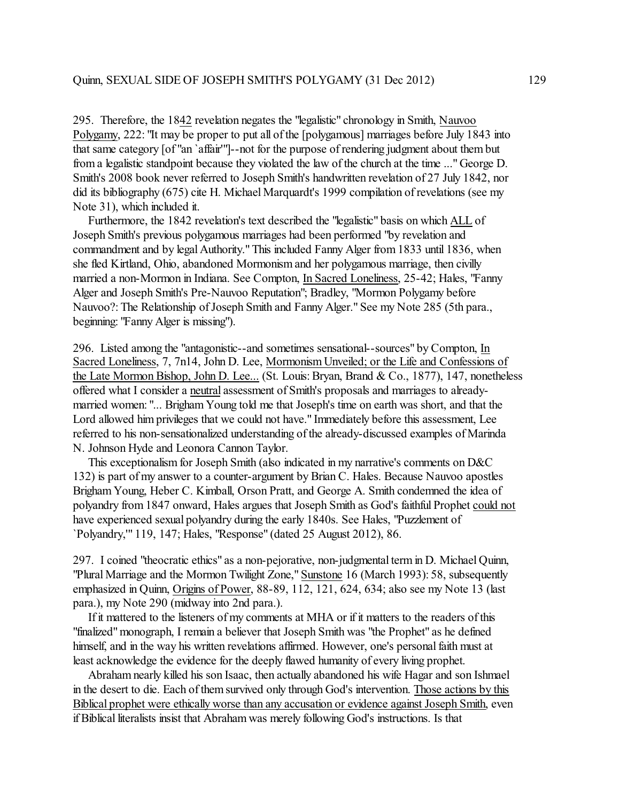295. Therefore, the 1842 revelation negates the "legalistic" chronology in Smith, Nauvoo Polygamy, 222: "It may be proper to put all of the [polygamous] marriages before July 1843 into that same category [of "an `affair'"]--not for the purpose of rendering judgment about them but from a legalistic standpoint because they violated the law of the church at the time ..." George D. Smith's 2008 book never referred to Joseph Smith's handwritten revelation of 27 July 1842, nor did its bibliography (675) cite H. Michael Marquardt's 1999 compilation of revelations (see my Note 31), which included it.

 Furthermore, the 1842 revelation's text described the "legalistic" basis on which ALL of Joseph Smith's previous polygamous marriages had been performed "by revelation and commandment and by legal Authority." This included Fanny Alger from 1833 until 1836, when she fled Kirtland, Ohio, abandoned Mormonism and her polygamous marriage, then civilly married a non-Mormon in Indiana. See Compton, In Sacred Loneliness, 25-42; Hales, "Fanny Alger and Joseph Smith's Pre-Nauvoo Reputation"; Bradley, "Mormon Polygamy before Nauvoo?: The Relationship of Joseph Smith and Fanny Alger." See my Note 285 (5th para., beginning: "Fanny Alger is missing").

296. Listed among the "antagonistic--and sometimes sensational--sources" by Compton, In Sacred Loneliness, 7, 7n14, John D. Lee, Mormonism Unveiled; or the Life and Confessions of the Late Mormon Bishop, John D. Lee... (St. Louis: Bryan, Brand & Co., 1877), 147, nonetheless offered what I consider a neutral assessment of Smith's proposals and marriages to alreadymarried women: "... Brigham Young told me that Joseph's time on earth was short, and that the Lord allowed him privileges that we could not have." Immediately before this assessment, Lee referred to his non-sensationalized understanding of the already-discussed examples of Marinda N. Johnson Hyde and Leonora Cannon Taylor.

 This exceptionalism for Joseph Smith (also indicated in my narrative's comments on D&C 132) is part of my answer to a counter-argument by Brian C. Hales. Because Nauvoo apostles Brigham Young, Heber C. Kimball, Orson Pratt, and George A. Smith condemned the idea of polyandry from 1847 onward, Hales argues that Joseph Smith as God's faithful Prophet could not have experienced sexual polyandry during the early 1840s. See Hales, "Puzzlement of `Polyandry,'" 119, 147; Hales, "Response" (dated 25 August 2012), 86.

297. I coined "theocratic ethics" as a non-pejorative, non-judgmental term in D. Michael Quinn, "Plural Marriage and the Mormon Twilight Zone," Sunstone 16 (March 1993): 58, subsequently emphasized in Quinn, Origins of Power, 88-89, 112, 121, 624, 634; also see my Note 13 (last para.), my Note 290 (midway into 2nd para.).

 If it mattered to the listeners of my comments at MHA or if it matters to the readers of this "finalized" monograph, I remain a believer that Joseph Smith was "the Prophet" as he defined himself, and in the way his written revelations affirmed. However, one's personal faith must at least acknowledge the evidence for the deeply flawed humanity of every living prophet.

 Abraham nearly killed his son Isaac, then actually abandoned his wife Hagar and son Ishmael in the desert to die. Each of them survived only through God's intervention. Those actions by this Biblical prophet were ethically worse than any accusation or evidence against Joseph Smith, even if Biblical literalists insist that Abraham was merely following God's instructions. Is that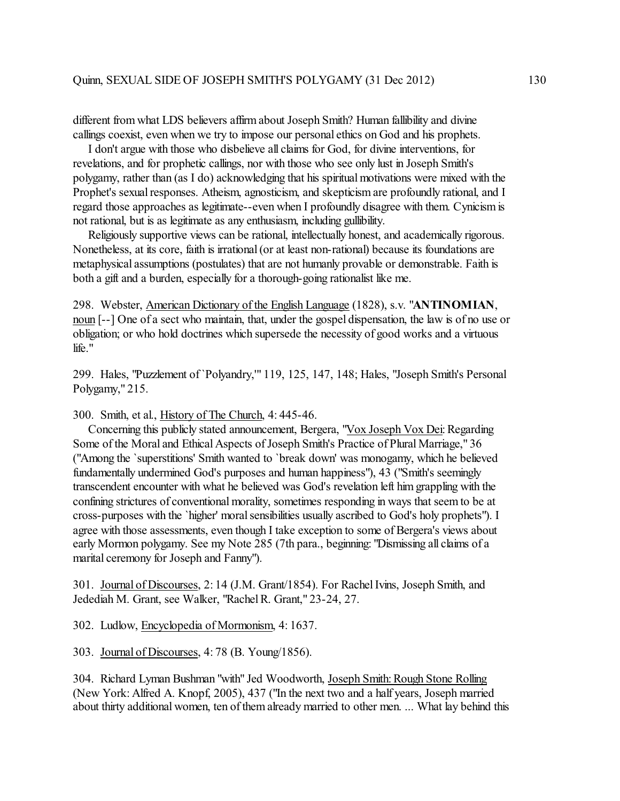different from what LDS believers affirm about Joseph Smith? Human fallibility and divine callings coexist, even when we try to impose our personal ethics on God and his prophets.

 I don't argue with those who disbelieve all claims for God, for divine interventions, for revelations, and for prophetic callings, nor with those who see only lust in Joseph Smith's polygamy, rather than (as I do) acknowledging that his spiritual motivations were mixed with the Prophet's sexual responses. Atheism, agnosticism, and skepticism are profoundly rational, and I regard those approaches as legitimate--even when I profoundly disagree with them. Cynicismis not rational, but is as legitimate as any enthusiasm, including gullibility.

 Religiously supportive views can be rational, intellectually honest, and academically rigorous. Nonetheless, at its core, faith is irrational (or at least non-rational) because its foundations are metaphysical assumptions (postulates) that are not humanly provable or demonstrable. Faith is both a gift and a burden, especially for a thorough-going rationalist like me.

298. Webster, American Dictionary of the English Language (1828), s.v. "**ANTINOMIAN**, noun [--] One of a sect who maintain, that, under the gospel dispensation, the law is of no use or obligation; or who hold doctrines which supersede the necessity of good works and a virtuous life."

299. Hales, "Puzzlement of `Polyandry,'" 119, 125, 147, 148; Hales, "Joseph Smith's Personal Polygamy," 215.

300. Smith, et al., History of The Church, 4: 445-46.

 Concerning this publicly stated announcement, Bergera, "Vox Joseph Vox Dei: Regarding Some of the Moral and Ethical Aspects of Joseph Smith's Practice of Plural Marriage," 36 ("Among the `superstitions' Smith wanted to `break down' was monogamy, which he believed fundamentally undermined God's purposes and human happiness"), 43 ("Smith's seemingly transcendent encounter with what he believed was God's revelation left him grappling with the confining strictures of conventional morality, sometimes responding in ways that seem to be at cross-purposes with the `higher' moral sensibilities usually ascribed to God's holy prophets"). I agree with those assessments, even though I take exception to some of Bergera's views about early Mormon polygamy. See my Note 285 (7th para., beginning: "Dismissing all claims of a marital ceremony for Joseph and Fanny").

301. Journal of Discourses, 2: 14 (J.M. Grant/1854). For Rachel Ivins, Joseph Smith, and Jedediah M. Grant, see Walker, "Rachel R. Grant," 23-24, 27.

302. Ludlow, Encyclopedia of Mormonism, 4: 1637.

303. Journal of Discourses, 4: 78 (B. Young/1856).

304. Richard Lyman Bushman "with" Jed Woodworth, Joseph Smith: Rough Stone Rolling (New York: Alfred A. Knopf, 2005), 437 ("In the next two and a half years, Joseph married about thirty additional women, ten of them already married to other men. ... What lay behind this